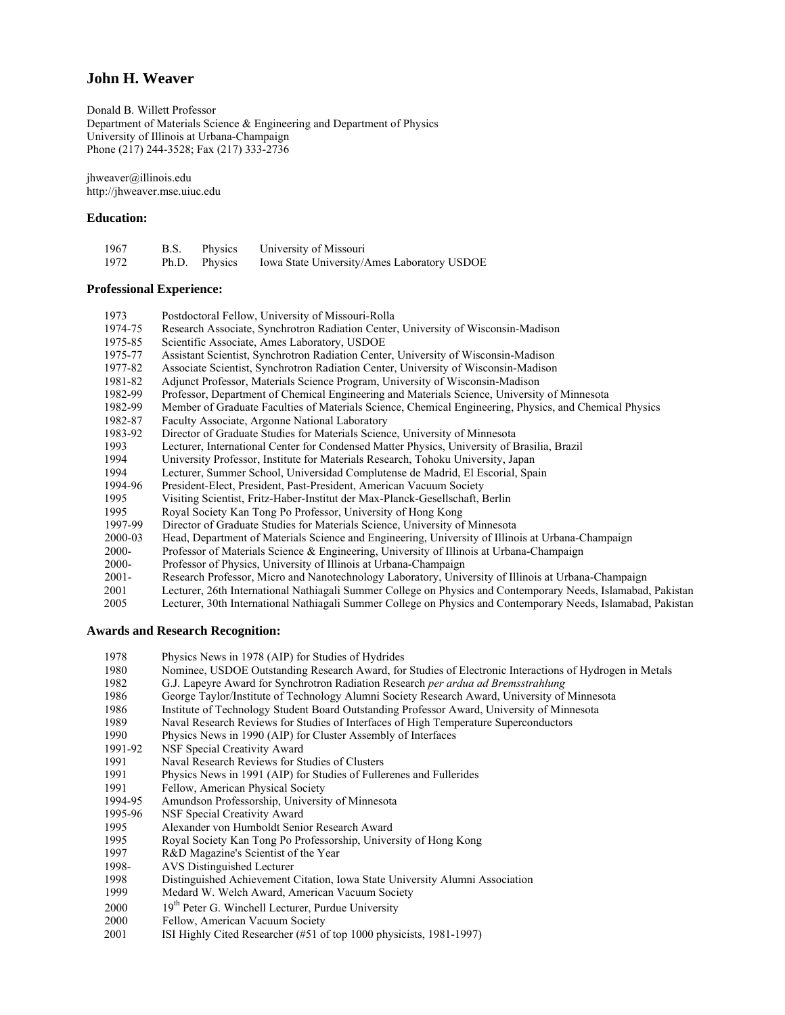# **John H. Weaver**

Donald B. Willett Professor Department of Materials Science & Engineering and Department of Physics University of Illinois at Urbana-Champaign Phone (217) 244-3528; Fax (217) 333-2736

jhweaver@illinois.edu http://jhweaver.mse.uiuc.edu

## **Education:**

| 1967 | B.S. | Physics       | University of Missouri                      |
|------|------|---------------|---------------------------------------------|
| 1972 |      | Ph.D. Physics | Iowa State University/Ames Laboratory USDOE |

## **Professional Experience:**

 1973 Postdoctoral Fellow, University of Missouri-Rolla 1974-75 Research Associate, Synchrotron Radiation Center, University of Wisconsin-Madison 1975-85 Scientific Associate, Ames Laboratory, USDOE 1975-77 Assistant Scientist, Synchrotron Radiation Center, University of Wisconsin-Madison 1977-82 Associate Scientist, Synchrotron Radiation Center, University of Wisconsin-Madison 1981-82 Adjunct Professor, Materials Science Program, University of Wisconsin-Madison 1982-99 Professor, Department of Chemical Engineering and Materials Science, University of Minnesota 1982-99 Member of Graduate Faculties of Materials Science, Chemical Engineering, Physics, and Chemical Physics 1982-87 Faculty Associate, Argonne National Laboratory 1983-92 Director of Graduate Studies for Materials Science, University of Minnesota 1993 Lecturer, International Center for Condensed Matter Physics, University of Brasilia, Brazil 1994 University Professor, Institute for Materials Research, Tohoku University, Japan 1994 Lecturer, Summer School, Universidad Complutense de Madrid, El Escorial, Spain<br>1994-96 President-Elect, President, Past-President, American Vacuum Society President-Elect, President, Past-President, American Vacuum Society 1995 Visiting Scientist, Fritz-Haber-Institut der Max-Planck-Gesellschaft, Berlin 1995 Royal Society Kan Tong Po Professor, University of Hong Kong 1997-99 Director of Graduate Studies for Materials Science, University of Minnesota 2000-03 Head, Department of Materials Science and Engineering, University of Illinois at Urbana-Champaign 2000- Professor of Materials Science & Engineering, University of Illinois at Urbana-Champaign 2000- Professor of Physics, University of Illinois at Urbana-Champaign 2001- Research Professor, Micro and Nanotechnology Laboratory, University of Illinois at Urbana-Champaign 2001 Lecturer, 26th International Nathiagali Summer College on Physics and Contemporary Needs, Islamabad, Pakistan 2005 Lecturer, 30th International Nathiagali Summer College on Physics and Contemporary Needs, Islamabad, Pakistan

## **Awards and Research Recognition:**

- 1978 Physics News in 1978 (AIP) for Studies of Hydrides<br>1980 Nominee, USDOE Outstanding Research Award, for
- 1980 Nominee, USDOE Outstanding Research Award, for Studies of Electronic Interactions of Hydrogen in Metals
- 1982 G.J. Lapeyre Award for Synchrotron Radiation Research *per ardua ad Bremsstrahlung*
- 1986 George Taylor/Institute of Technology Alumni Society Research Award, University of Minnesota
- 1986 Institute of Technology Student Board Outstanding Professor Award, University of Minnesota
- 1989 Naval Research Reviews for Studies of Interfaces of High Temperature Superconductors<br>1990 Physics News in 1990 (AIP) for Cluster Assembly of Interfaces
- 1990 Physics News in 1990 (AIP) for Cluster Assembly of Interfaces
- 1991-92 NSF Special Creativity Award<br>1991 Naval Research Reviews for St
- Naval Research Reviews for Studies of Clusters
- 1991 Physics News in 1991 (AIP) for Studies of Fullerenes and Fullerides
- 1991 Fellow, American Physical Society<br>1994-95 Amundson Professorship, Universit
- Amundson Professorship, University of Minnesota
- 1995-96 NSF Special Creativity Award
- 1995 Alexander von Humboldt Senior Research Award
- 1995 Royal Society Kan Tong Po Professorship, University of Hong Kong
- 1997 R&D Magazine's Scientist of the Year<br>1998- AVS Distinguished Lecturer
- AVS Distinguished Lecturer
- 1998 Distinguished Achievement Citation, Iowa State University Alumni Association
- 1999 Medard W. Welch Award, American Vacuum Society
- $2000$  19<sup>th</sup> Peter G. Winchell Lecturer, Purdue University
- 2000 Fellow, American Vacuum Society
- 2001 ISI Highly Cited Researcher (#51 of top 1000 physicists, 1981-1997)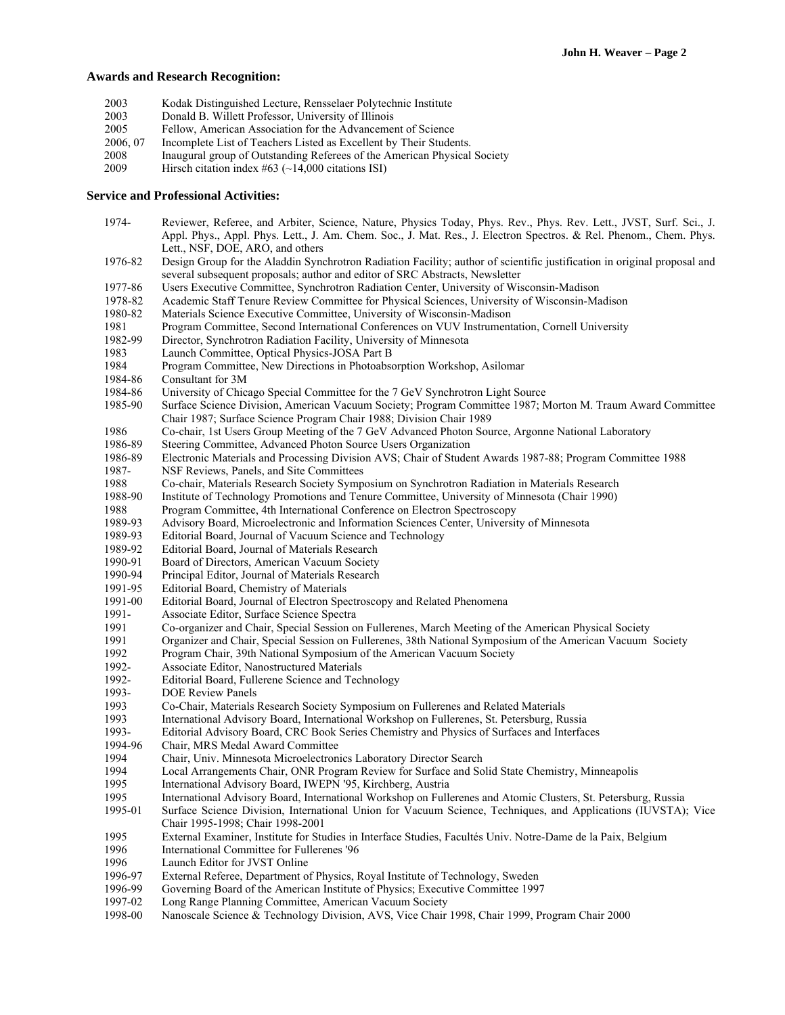## **Awards and Research Recognition:**

- 2003 Kodak Distinguished Lecture, Rensselaer Polytechnic Institute
- 2003 Donald B. Willett Professor, University of Illinois
- 2005 Fellow, American Association for the Advancement of Science
- 2006, 07 Incomplete List of Teachers Listed as Excellent by Their Students.
- 2008 Inaugural group of Outstanding Referees of the American Physical Society<br>2009 Hirsch citation index  $\#63$  (~14.000 citations ISI)
- Hirsch citation index  $#63$  (~14,000 citations ISI)

## **Service and Professional Activities:**

 1974- Reviewer, Referee, and Arbiter, Science, Nature, Physics Today, Phys. Rev., Phys. Rev. Lett., JVST, Surf. Sci., J. Appl. Phys., Appl. Phys. Lett., J. Am. Chem. Soc., J. Mat. Res., J. Electron Spectros. & Rel. Phenom., Chem. Phys. Lett., NSF, DOE, ARO, and others 1976-82 Design Group for the Aladdin Synchrotron Radiation Facility; author of scientific justification in original proposal and several subsequent proposals; author and editor of SRC Abstracts, Newsletter 1977-86 Users Executive Committee, Synchrotron Radiation Center, University of Wisconsin-Madison 1978-82 Academic Staff Tenure Review Committee for Physical Sciences, University of Wisconsin-Madison 1980-82 Materials Science Executive Committee, University of Wisconsin-Madison 1981 Program Committee, Second International Conferences on VUV Instrumentation, Cornell University 1982-99 Director, Synchrotron Radiation Facility, University of Minnesota<br>1983 Launch Committee, Optical Physics-JOSA Part B Launch Committee, Optical Physics-JOSA Part B 1984 Program Committee, New Directions in Photoabsorption Workshop, Asilomar 1984-86 Consultant for 3M 1984-86 University of Chicago Special Committee for the 7 GeV Synchrotron Light Source 1985-90 Surface Science Division, American Vacuum Society; Program Committee 1987; Morton M. Traum Award Committee Chair 1987; Surface Science Program Chair 1988; Division Chair 1989 1986 Co-chair, 1st Users Group Meeting of the 7 GeV Advanced Photon Source, Argonne National Laboratory 1986-89 Steering Committee, Advanced Photon Source Users Organization 1986-89 Electronic Materials and Processing Division AVS; Chair of Student Awards 1987-88; Program Committee 1988 1987- NSF Reviews, Panels, and Site Committees 1988 Co-chair, Materials Research Society Symposium on Synchrotron Radiation in Materials Research 1988-90 Institute of Technology Promotions and Tenure Committee, University of Minnesota (Chair 1990) 1988 Program Committee, 4th International Conference on Electron Spectroscopy 1989-93 Advisory Board, Microelectronic and Information Sciences Center, University of Minnesota 1989-93 Editorial Board, Journal of Vacuum Science and Technology<br>1989-92 Editorial Board, Journal of Materials Research Editorial Board, Journal of Materials Research 1990-91 Board of Directors, American Vacuum Society 1990-94 Principal Editor, Journal of Materials Research 1991-95 Editorial Board, Chemistry of Materials 1991-00 Editorial Board, Journal of Electron Spectroscopy and Related Phenomena<br>1991- Associate Editor, Surface Science Spectra 1991- Associate Editor, Surface Science Spectra<br>1991 – Co-organizer and Chair, Special Session of 1991 Co-organizer and Chair, Special Session on Fullerenes, March Meeting of the American Physical Society<br>1991 Creanizer and Chair, Special Session on Fullerenes, 38th National Symposium of the American Vacuum Organizer and Chair, Special Session on Fullerenes, 38th National Symposium of the American Vacuum Society 1992 Program Chair, 39th National Symposium of the American Vacuum Society 1992- Associate Editor, Nanostructured Materials 1992- Editorial Board, Fullerene Science and Technology 1993- DOE Review Panels 1993 Co-Chair, Materials Research Society Symposium on Fullerenes and Related Materials 1993 International Advisory Board, International Workshop on Fullerenes, St. Petersburg, Russia<br>1993- Editorial Advisory Board, CRC Book Series Chemistry and Physics of Surfaces and Interfac Editorial Advisory Board, CRC Book Series Chemistry and Physics of Surfaces and Interfaces 1994-96 Chair, MRS Medal Award Committee 1994 Chair, Univ. Minnesota Microelectronics Laboratory Director Search 1994 Local Arrangements Chair, ONR Program Review for Surface and Solid State Chemistry, Minneapolis 1995 International Advisory Board, IWEPN '95, Kirchberg, Austria 1995 International Advisory Board, International Workshop on Fullerenes and Atomic Clusters, St. Petersburg, Russia<br>1995-01 Surface Science Division, International Union for Vacuum Science, Techniques, and Applications (IU Surface Science Division, International Union for Vacuum Science, Techniques, and Applications (IUVSTA); Vice Chair 1995-1998; Chair 1998-2001 1995 External Examiner, Institute for Studies in Interface Studies, Facultés Univ. Notre-Dame de la Paix, Belgium 1996 International Committee for Fullerenes '96 1996 Launch Editor for JVST Online 1996-97 External Referee, Department of Physics, Royal Institute of Technology, Sweden 1996-99 Governing Board of the American Institute of Physics; Executive Committee 1997 1997-02 Long Range Planning Committee, American Vacuum Society 1998-00 Nanoscale Science & Technology Division, AVS, Vice Chair 1998, Chair 1999, Program Chair 2000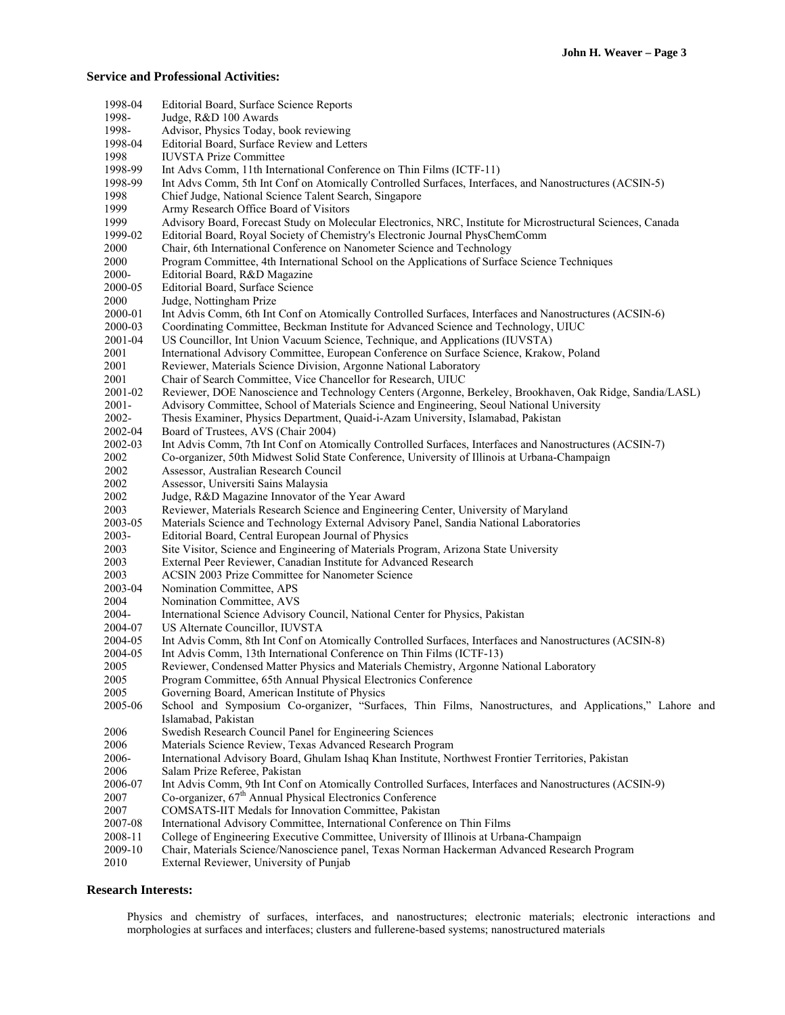## **Service and Professional Activities:**

| 1998-04  | Editorial Board, Surface Science Reports                                                                     |
|----------|--------------------------------------------------------------------------------------------------------------|
| 1998-    | Judge, R&D 100 Awards                                                                                        |
| 1998-    | Advisor, Physics Today, book reviewing                                                                       |
| 1998-04  | Editorial Board, Surface Review and Letters                                                                  |
| 1998     | <b>IUVSTA Prize Committee</b>                                                                                |
| 1998-99  | Int Advs Comm, 11th International Conference on Thin Films (ICTF-11)                                         |
| 1998-99  | Int Advs Comm, 5th Int Conf on Atomically Controlled Surfaces, Interfaces, and Nanostructures (ACSIN-5)      |
| 1998     | Chief Judge, National Science Talent Search, Singapore                                                       |
| 1999     |                                                                                                              |
|          | Army Research Office Board of Visitors                                                                       |
| 1999     | Advisory Board, Forecast Study on Molecular Electronics, NRC, Institute for Microstructural Sciences, Canada |
| 1999-02  | Editorial Board, Royal Society of Chemistry's Electronic Journal PhysChemComm                                |
| 2000     | Chair, 6th International Conference on Nanometer Science and Technology                                      |
| 2000     | Program Committee, 4th International School on the Applications of Surface Science Techniques                |
| 2000-    | Editorial Board, R&D Magazine                                                                                |
| 2000-05  | Editorial Board, Surface Science                                                                             |
| 2000     | Judge, Nottingham Prize                                                                                      |
| 2000-01  | Int Advis Comm, 6th Int Conf on Atomically Controlled Surfaces, Interfaces and Nanostructures (ACSIN-6)      |
| 2000-03  | Coordinating Committee, Beckman Institute for Advanced Science and Technology, UIUC                          |
| 2001-04  | US Councillor, Int Union Vacuum Science, Technique, and Applications (IUVSTA)                                |
| 2001     | International Advisory Committee, European Conference on Surface Science, Krakow, Poland                     |
| 2001     | Reviewer, Materials Science Division, Argonne National Laboratory                                            |
| 2001     | Chair of Search Committee, Vice Chancellor for Research, UIUC                                                |
| 2001-02  | Reviewer, DOE Nanoscience and Technology Centers (Argonne, Berkeley, Brookhaven, Oak Ridge, Sandia/LASL)     |
| $2001 -$ | Advisory Committee, School of Materials Science and Engineering, Seoul National University                   |
| $2002 -$ | Thesis Examiner, Physics Department, Quaid-i-Azam University, Islamabad, Pakistan                            |
| 2002-04  | Board of Trustees, AVS (Chair 2004)                                                                          |
| 2002-03  | Int Advis Comm, 7th Int Conf on Atomically Controlled Surfaces, Interfaces and Nanostructures (ACSIN-7)      |
| 2002     | Co-organizer, 50th Midwest Solid State Conference, University of Illinois at Urbana-Champaign                |
| 2002     | Assessor, Australian Research Council                                                                        |
| 2002     | Assessor, Universiti Sains Malaysia                                                                          |
| 2002     | Judge, R&D Magazine Innovator of the Year Award                                                              |
| 2003     | Reviewer, Materials Research Science and Engineering Center, University of Maryland                          |
| 2003-05  |                                                                                                              |
|          | Materials Science and Technology External Advisory Panel, Sandia National Laboratories                       |
| 2003-    | Editorial Board, Central European Journal of Physics                                                         |
| 2003     | Site Visitor, Science and Engineering of Materials Program, Arizona State University                         |
| 2003     | External Peer Reviewer, Canadian Institute for Advanced Research                                             |
| 2003     | <b>ACSIN 2003 Prize Committee for Nanometer Science</b>                                                      |
| 2003-04  | Nomination Committee, APS                                                                                    |
| 2004     | Nomination Committee, AVS                                                                                    |
| 2004-    | International Science Advisory Council, National Center for Physics, Pakistan                                |
| 2004-07  | US Alternate Councillor, IUVSTA                                                                              |
| 2004-05  | Int Advis Comm, 8th Int Conf on Atomically Controlled Surfaces, Interfaces and Nanostructures (ACSIN-8)      |
| 2004-05  | Int Advis Comm, 13th International Conference on Thin Films (ICTF-13)                                        |
| 2005     | Reviewer, Condensed Matter Physics and Materials Chemistry, Argonne National Laboratory                      |
| 2005     | Program Committee, 65th Annual Physical Electronics Conference                                               |
| 2005     | Governing Board, American Institute of Physics                                                               |
| 2005-06  | School and Symposium Co-organizer, "Surfaces, Thin Films, Nanostructures, and Applications," Lahore and      |
|          | Islamabad, Pakistan                                                                                          |
| 2006     | Swedish Research Council Panel for Engineering Sciences                                                      |
| 2006     | Materials Science Review, Texas Advanced Research Program                                                    |
| 2006-    | International Advisory Board, Ghulam Ishaq Khan Institute, Northwest Frontier Territories, Pakistan          |
| 2006     | Salam Prize Referee, Pakistan                                                                                |
| 2006-07  | Int Advis Comm, 9th Int Conf on Atomically Controlled Surfaces, Interfaces and Nanostructures (ACSIN-9)      |
| 2007     | Co-organizer, 67 <sup>th</sup> Annual Physical Electronics Conference                                        |
| 2007     | COMSATS-IIT Medals for Innovation Committee, Pakistan                                                        |
| 2007-08  | International Advisory Committee, International Conference on Thin Films                                     |
| 2008-11  | College of Engineering Executive Committee, University of Illinois at Urbana-Champaign                       |
| 2009-10  | Chair, Materials Science/Nanoscience panel, Texas Norman Hackerman Advanced Research Program                 |
| 2010     | External Reviewer, University of Punjab                                                                      |
|          |                                                                                                              |

## **Research Interests:**

Physics and chemistry of surfaces, interfaces, and nanostructures; electronic materials; electronic interactions and morphologies at surfaces and interfaces; clusters and fullerene-based systems; nanostructured materials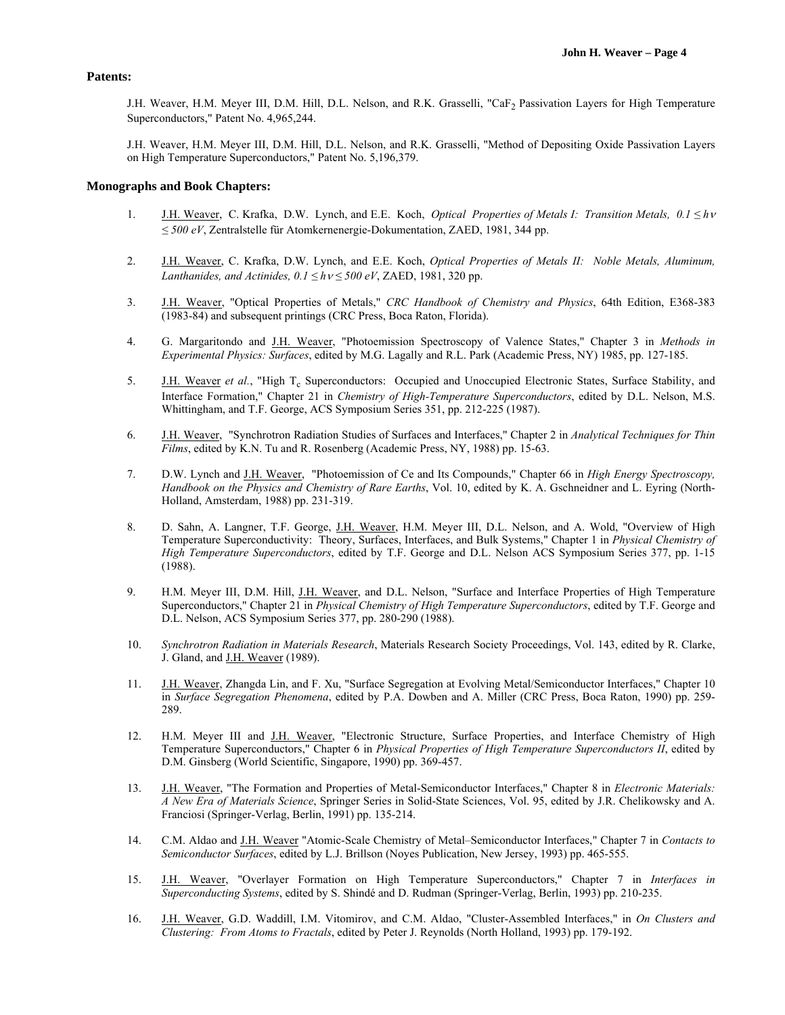## **Patents:**

J.H. Weaver, H.M. Meyer III, D.M. Hill, D.L. Nelson, and R.K. Grasselli, "CaF<sub>2</sub> Passivation Layers for High Temperature Superconductors," Patent No. 4,965,244.

J.H. Weaver, H.M. Meyer III, D.M. Hill, D.L. Nelson, and R.K. Grasselli, "Method of Depositing Oxide Passivation Layers on High Temperature Superconductors," Patent No. 5,196,379.

## **Monographs and Book Chapters:**

- 1. J.H. Weaver, C. Krafka, D.W. Lynch, and E.E. Koch, *Optical Properties of Metals I: Transition Metals, 0.1 ≤ h ≤ 500 eV*, Zentralstelle für Atomkernenergie-Dokumentation, ZAED, 1981, 344 pp.
- 2. J.H. Weaver, C. Krafka, D.W. Lynch, and E.E. Koch, *Optical Properties of Metals II: Noble Metals, Aluminum, Lanthanides, and Actinides,*  $0.1 \leq h v \leq 500 \text{ eV}$ *, ZAED, 1981, 320 pp.*
- 3. J.H. Weaver, "Optical Properties of Metals," *CRC Handbook of Chemistry and Physics*, 64th Edition, E368-383 (1983-84) and subsequent printings (CRC Press, Boca Raton, Florida).
- 4. G. Margaritondo and J.H. Weaver, "Photoemission Spectroscopy of Valence States," Chapter 3 in *Methods in Experimental Physics: Surfaces*, edited by M.G. Lagally and R.L. Park (Academic Press, NY) 1985, pp. 127-185.
- 5. **J.H. Weaver** *et al.***, "High T<sub>c</sub> Superconductors:** Occupied and Unoccupied Electronic States, Surface Stability, and Interface Formation," Chapter 21 in *Chemistry of High-Temperature Superconductors*, edited by D.L. Nelson, M.S. Whittingham, and T.F. George, ACS Symposium Series 351, pp. 212-225 (1987).
- 6. J.H. Weaver, "Synchrotron Radiation Studies of Surfaces and Interfaces," Chapter 2 in *Analytical Techniques for Thin Films*, edited by K.N. Tu and R. Rosenberg (Academic Press, NY, 1988) pp. 15-63.
- 7. D.W. Lynch and J.H. Weaver, "Photoemission of Ce and Its Compounds," Chapter 66 in *High Energy Spectroscopy, Handbook on the Physics and Chemistry of Rare Earths*, Vol. 10, edited by K. A. Gschneidner and L. Eyring (North-Holland, Amsterdam, 1988) pp. 231-319.
- 8. D. Sahn, A. Langner, T.F. George, J.H. Weaver, H.M. Meyer III, D.L. Nelson, and A. Wold, "Overview of High Temperature Superconductivity: Theory, Surfaces, Interfaces, and Bulk Systems," Chapter 1 in *Physical Chemistry of High Temperature Superconductors*, edited by T.F. George and D.L. Nelson ACS Symposium Series 377, pp. 1-15 (1988).
- 9. H.M. Meyer III, D.M. Hill, J.H. Weaver, and D.L. Nelson, "Surface and Interface Properties of High Temperature Superconductors," Chapter 21 in *Physical Chemistry of High Temperature Superconductors*, edited by T.F. George and D.L. Nelson, ACS Symposium Series 377, pp. 280-290 (1988).
- 10. *Synchrotron Radiation in Materials Research*, Materials Research Society Proceedings, Vol. 143, edited by R. Clarke, J. Gland, and J.H. Weaver (1989).
- 11. J.H. Weaver, Zhangda Lin, and F. Xu, "Surface Segregation at Evolving Metal/Semiconductor Interfaces," Chapter 10 in *Surface Segregation Phenomena*, edited by P.A. Dowben and A. Miller (CRC Press, Boca Raton, 1990) pp. 259- 289.
- 12. H.M. Meyer III and J.H. Weaver, "Electronic Structure, Surface Properties, and Interface Chemistry of High Temperature Superconductors," Chapter 6 in *Physical Properties of High Temperature Superconductors II*, edited by D.M. Ginsberg (World Scientific, Singapore, 1990) pp. 369-457.
- 13. J.H. Weaver, "The Formation and Properties of Metal-Semiconductor Interfaces," Chapter 8 in *Electronic Materials: A New Era of Materials Science*, Springer Series in Solid-State Sciences, Vol. 95, edited by J.R. Chelikowsky and A. Franciosi (Springer-Verlag, Berlin, 1991) pp. 135-214.
- 14. C.M. Aldao and J.H. Weaver "Atomic-Scale Chemistry of Metal–Semiconductor Interfaces," Chapter 7 in *Contacts to Semiconductor Surfaces*, edited by L.J. Brillson (Noyes Publication, New Jersey, 1993) pp. 465-555.
- 15. J.H. Weaver, "Overlayer Formation on High Temperature Superconductors," Chapter 7 in *Interfaces in Superconducting Systems*, edited by S. Shindé and D. Rudman (Springer-Verlag, Berlin, 1993) pp. 210-235.
- 16. J.H. Weaver, G.D. Waddill, I.M. Vitomirov, and C.M. Aldao, "Cluster-Assembled Interfaces," in *On Clusters and Clustering: From Atoms to Fractals*, edited by Peter J. Reynolds (North Holland, 1993) pp. 179-192.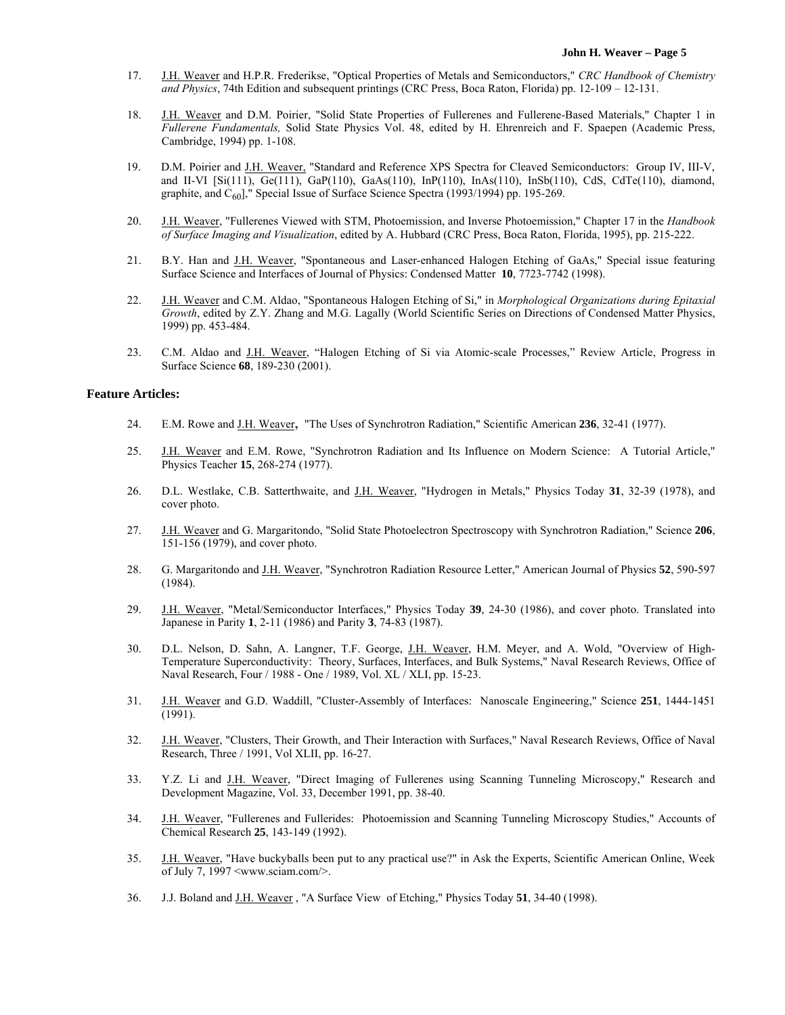- 17. J.H. Weaver and H.P.R. Frederikse, "Optical Properties of Metals and Semiconductors," *CRC Handbook of Chemistry and Physics*, 74th Edition and subsequent printings (CRC Press, Boca Raton, Florida) pp. 12-109 – 12-131.
- 18. J.H. Weaver and D.M. Poirier, "Solid State Properties of Fullerenes and Fullerene-Based Materials," Chapter 1 in *Fullerene Fundamentals,* Solid State Physics Vol. 48, edited by H. Ehrenreich and F. Spaepen (Academic Press, Cambridge, 1994) pp. 1-108.
- 19. D.M. Poirier and J.H. Weaver, "Standard and Reference XPS Spectra for Cleaved Semiconductors: Group IV, III-V, and II-VI [Si(111), Ge(111), GaP(110), GaAs(110), InP(110), InAs(110), InSb(110), CdS, CdTe(110), diamond, graphite, and  $C_{60}$ ]," Special Issue of Surface Science Spectra (1993/1994) pp. 195-269.
- 20. J.H. Weaver, "Fullerenes Viewed with STM, Photoemission, and Inverse Photoemission," Chapter 17 in the *Handbook of Surface Imaging and Visualization*, edited by A. Hubbard (CRC Press, Boca Raton, Florida, 1995), pp. 215-222.
- 21. B.Y. Han and J.H. Weaver, "Spontaneous and Laser-enhanced Halogen Etching of GaAs," Special issue featuring Surface Science and Interfaces of Journal of Physics: Condensed Matter **10**, 7723-7742 (1998).
- 22. J.H. Weaver and C.M. Aldao, "Spontaneous Halogen Etching of Si," in *Morphological Organizations during Epitaxial Growth*, edited by Z.Y. Zhang and M.G. Lagally (World Scientific Series on Directions of Condensed Matter Physics, 1999) pp. 453-484.
- 23. C.M. Aldao and J.H. Weaver, "Halogen Etching of Si via Atomic-scale Processes," Review Article, Progress in Surface Science **68**, 189-230 (2001).

## **Feature Articles:**

- 24. E.M. Rowe and J.H. Weaver, "The Uses of Synchrotron Radiation," Scientific American **236**, 32-41 (1977).
- 25. J.H. Weaver and E.M. Rowe, "Synchrotron Radiation and Its Influence on Modern Science: A Tutorial Article," Physics Teacher **15**, 268-274 (1977).
- 26. D.L. Westlake, C.B. Satterthwaite, and J.H. Weaver, "Hydrogen in Metals," Physics Today **31**, 32-39 (1978), and cover photo.
- 27. J.H. Weaver and G. Margaritondo, "Solid State Photoelectron Spectroscopy with Synchrotron Radiation," Science **206**, 151-156 (1979), and cover photo.
- 28. G. Margaritondo and J.H. Weaver, "Synchrotron Radiation Resource Letter," American Journal of Physics **52**, 590-597 (1984).
- 29. J.H. Weaver, "Metal/Semiconductor Interfaces," Physics Today **39**, 24-30 (1986), and cover photo. Translated into Japanese in Parity **1**, 2-11 (1986) and Parity **3**, 74-83 (1987).
- 30. D.L. Nelson, D. Sahn, A. Langner, T.F. George, J.H. Weaver, H.M. Meyer, and A. Wold, "Overview of High-Temperature Superconductivity: Theory, Surfaces, Interfaces, and Bulk Systems," Naval Research Reviews, Office of Naval Research, Four / 1988 - One / 1989, Vol. XL / XLI, pp. 15-23.
- 31. J.H. Weaver and G.D. Waddill, "Cluster-Assembly of Interfaces: Nanoscale Engineering," Science **251**, 1444-1451 (1991).
- 32. J.H. Weaver, "Clusters, Their Growth, and Their Interaction with Surfaces," Naval Research Reviews, Office of Naval Research, Three / 1991, Vol XLII, pp. 16-27.
- 33. Y.Z. Li and J.H. Weaver, "Direct Imaging of Fullerenes using Scanning Tunneling Microscopy," Research and Development Magazine, Vol. 33, December 1991, pp. 38-40.
- 34. J.H. Weaver, "Fullerenes and Fullerides: Photoemission and Scanning Tunneling Microscopy Studies," Accounts of Chemical Research **25**, 143-149 (1992).
- 35. J.H. Weaver, "Have buckyballs been put to any practical use?" in Ask the Experts, Scientific American Online, Week of July 7, 1997 <www.sciam.com/>.
- 36. J.J. Boland and J.H. Weaver , "A Surface View of Etching," Physics Today **51**, 34-40 (1998).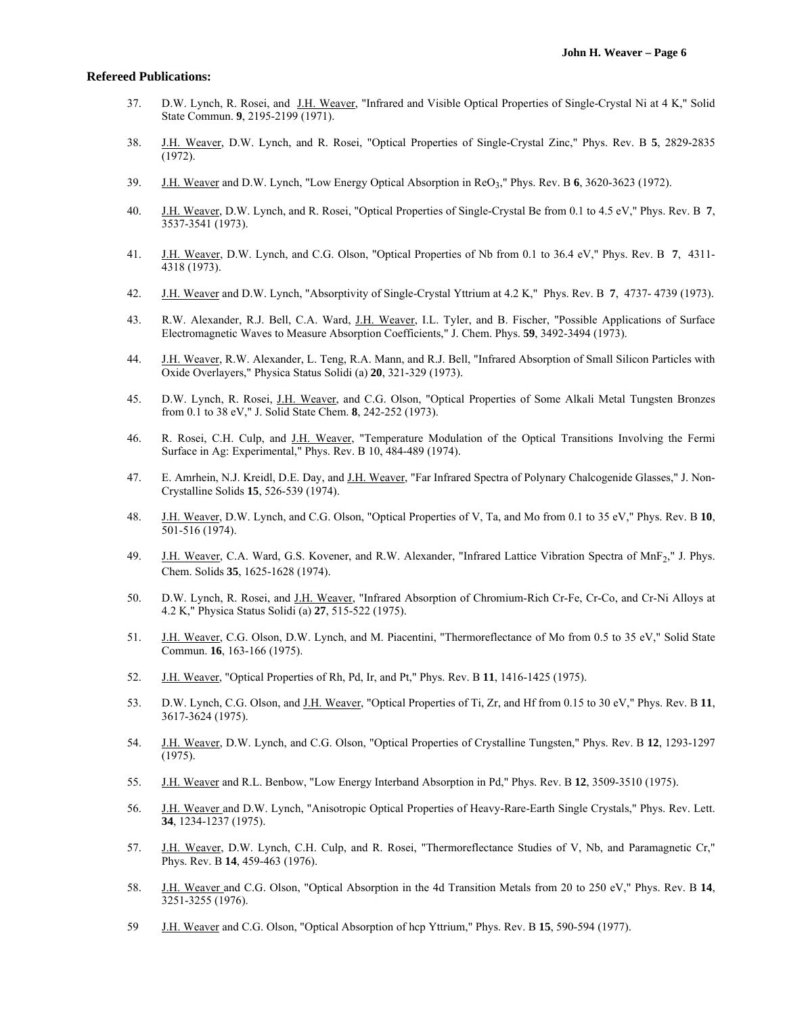#### **Refereed Publications:**

- 37. D.W. Lynch, R. Rosei, and J.H. Weaver, "Infrared and Visible Optical Properties of Single-Crystal Ni at 4 K," Solid State Commun. **9**, 2195-2199 (1971).
- 38. J.H. Weaver, D.W. Lynch, and R. Rosei, "Optical Properties of Single-Crystal Zinc," Phys. Rev. B **5**, 2829-2835 (1972).
- 39. J.H. Weaver and D.W. Lynch, "Low Energy Optical Absorption in ReO3," Phys. Rev. B **6**, 3620-3623 (1972).
- 40. J.H. Weaver, D.W. Lynch, and R. Rosei, "Optical Properties of Single-Crystal Be from 0.1 to 4.5 eV," Phys. Rev. B **7**, 3537-3541 (1973).
- 41. J.H. Weaver, D.W. Lynch, and C.G. Olson, "Optical Properties of Nb from 0.1 to 36.4 eV," Phys. Rev. B **7**, 4311- 4318 (1973).
- 42. J.H. Weaver and D.W. Lynch, "Absorptivity of Single-Crystal Yttrium at 4.2 K," Phys. Rev. B **7**, 4737- 4739 (1973).
- 43. R.W. Alexander, R.J. Bell, C.A. Ward, J.H. Weaver, I.L. Tyler, and B. Fischer, "Possible Applications of Surface Electromagnetic Waves to Measure Absorption Coefficients," J. Chem. Phys. **59**, 3492-3494 (1973).
- 44. J.H. Weaver, R.W. Alexander, L. Teng, R.A. Mann, and R.J. Bell, "Infrared Absorption of Small Silicon Particles with Oxide Overlayers," Physica Status Solidi (a) **20**, 321-329 (1973).
- 45. D.W. Lynch, R. Rosei, J.H. Weaver, and C.G. Olson, "Optical Properties of Some Alkali Metal Tungsten Bronzes from 0.1 to 38 eV," J. Solid State Chem. **8**, 242-252 (1973).
- 46. R. Rosei, C.H. Culp, and J.H. Weaver, "Temperature Modulation of the Optical Transitions Involving the Fermi Surface in Ag: Experimental," Phys. Rev. B 10, 484-489 (1974).
- 47. E. Amrhein, N.J. Kreidl, D.E. Day, and J.H. Weaver, "Far Infrared Spectra of Polynary Chalcogenide Glasses," J. Non-Crystalline Solids **15**, 526-539 (1974).
- 48. J.H. Weaver, D.W. Lynch, and C.G. Olson, "Optical Properties of V, Ta, and Mo from 0.1 to 35 eV," Phys. Rev. B **10**, 501-516 (1974).
- 49. J.H. Weaver, C.A. Ward, G.S. Kovener, and R.W. Alexander, "Infrared Lattice Vibration Spectra of MnF<sub>2</sub>," J. Phys. Chem. Solids **35**, 1625-1628 (1974).
- 50. D.W. Lynch, R. Rosei, and J.H. Weaver, "Infrared Absorption of Chromium-Rich Cr-Fe, Cr-Co, and Cr-Ni Alloys at 4.2 K," Physica Status Solidi (a) **27**, 515-522 (1975).
- 51. J.H. Weaver, C.G. Olson, D.W. Lynch, and M. Piacentini, "Thermoreflectance of Mo from 0.5 to 35 eV," Solid State Commun. **16**, 163-166 (1975).
- 52. J.H. Weaver, "Optical Properties of Rh, Pd, Ir, and Pt," Phys. Rev. B **11**, 1416-1425 (1975).
- 53. D.W. Lynch, C.G. Olson, and J.H. Weaver, "Optical Properties of Ti, Zr, and Hf from 0.15 to 30 eV," Phys. Rev. B **11**, 3617-3624 (1975).
- 54. J.H. Weaver, D.W. Lynch, and C.G. Olson, "Optical Properties of Crystalline Tungsten," Phys. Rev. B **12**, 1293-1297  $(1975)$ .
- 55. J.H. Weaver and R.L. Benbow, "Low Energy Interband Absorption in Pd," Phys. Rev. B **12**, 3509-3510 (1975).
- 56. J.H. Weaver and D.W. Lynch, "Anisotropic Optical Properties of Heavy-Rare-Earth Single Crystals," Phys. Rev. Lett. **34**, 1234-1237 (1975).
- 57. J.H. Weaver, D.W. Lynch, C.H. Culp, and R. Rosei, "Thermoreflectance Studies of V, Nb, and Paramagnetic Cr," Phys. Rev. B **14**, 459-463 (1976).
- 58. J.H. Weaver and C.G. Olson, "Optical Absorption in the 4d Transition Metals from 20 to 250 eV," Phys. Rev. B **14**, 3251-3255 (1976).
- 59 J.H. Weaver and C.G. Olson, "Optical Absorption of hcp Yttrium," Phys. Rev. B **15**, 590-594 (1977).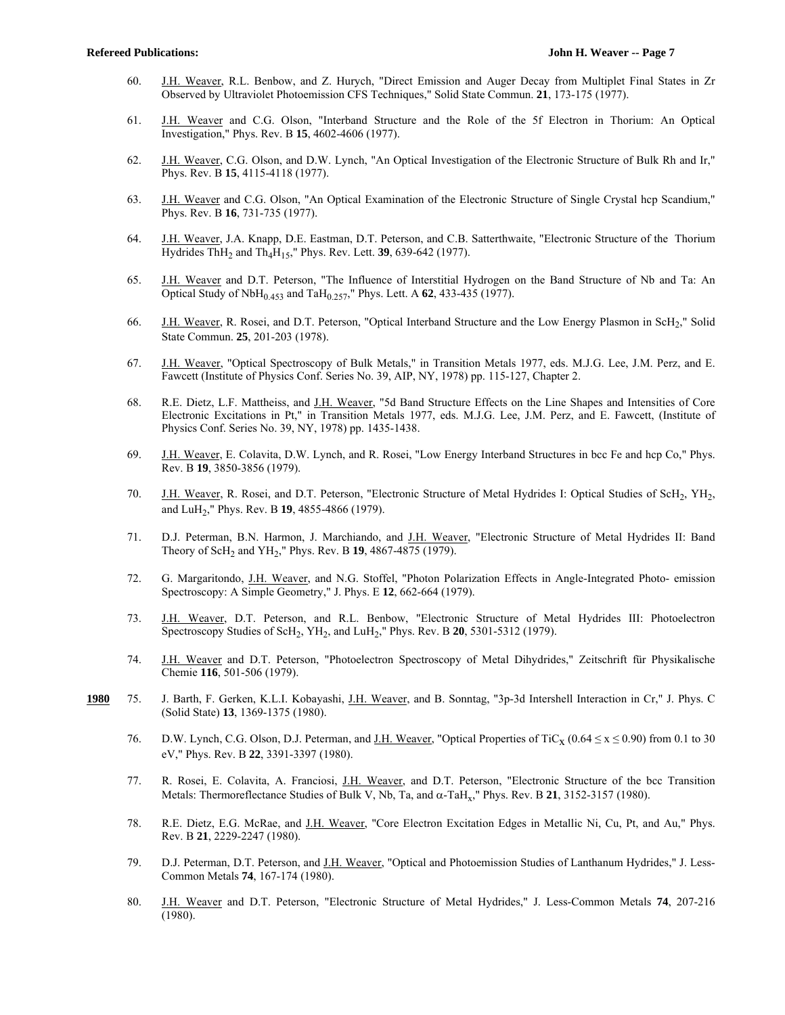- 60. J.H. Weaver, R.L. Benbow, and Z. Hurych, "Direct Emission and Auger Decay from Multiplet Final States in Zr Observed by Ultraviolet Photoemission CFS Techniques," Solid State Commun. **21**, 173-175 (1977).
- 61. J.H. Weaver and C.G. Olson, "Interband Structure and the Role of the 5f Electron in Thorium: An Optical Investigation," Phys. Rev. B **15**, 4602-4606 (1977).
- 62. J.H. Weaver, C.G. Olson, and D.W. Lynch, "An Optical Investigation of the Electronic Structure of Bulk Rh and Ir," Phys. Rev. B **15**, 4115-4118 (1977).
- 63. J.H. Weaver and C.G. Olson, "An Optical Examination of the Electronic Structure of Single Crystal hcp Scandium," Phys. Rev. B **16**, 731-735 (1977).
- 64. J.H. Weaver, J.A. Knapp, D.E. Eastman, D.T. Peterson, and C.B. Satterthwaite, "Electronic Structure of the Thorium Hydrides ThH2 and Th4H15," Phys. Rev. Lett. **39**, 639-642 (1977).
- 65. J.H. Weaver and D.T. Peterson, "The Influence of Interstitial Hydrogen on the Band Structure of Nb and Ta: An Optical Study of NbH0.453 and TaH0.257," Phys. Lett. A **62**, 433-435 (1977).
- 66. J.H. Weaver, R. Rosei, and D.T. Peterson, "Optical Interband Structure and the Low Energy Plasmon in ScH<sub>2</sub>," Solid State Commun. **25**, 201-203 (1978).
- 67. J.H. Weaver, "Optical Spectroscopy of Bulk Metals," in Transition Metals 1977, eds. M.J.G. Lee, J.M. Perz, and E. Fawcett (Institute of Physics Conf. Series No. 39, AIP, NY, 1978) pp. 115-127, Chapter 2.
- 68. R.E. Dietz, L.F. Mattheiss, and J.H. Weaver, "5d Band Structure Effects on the Line Shapes and Intensities of Core Electronic Excitations in Pt," in Transition Metals 1977, eds. M.J.G. Lee, J.M. Perz, and E. Fawcett, (Institute of Physics Conf. Series No. 39, NY, 1978) pp. 1435-1438.
- 69. J.H. Weaver, E. Colavita, D.W. Lynch, and R. Rosei, "Low Energy Interband Structures in bcc Fe and hcp Co," Phys. Rev. B **19**, 3850-3856 (1979).
- 70. J.H. Weaver, R. Rosei, and D.T. Peterson, "Electronic Structure of Metal Hydrides I: Optical Studies of ScH<sub>2</sub>, YH<sub>2</sub>, and LuH2," Phys. Rev. B **19**, 4855-4866 (1979).
- 71. D.J. Peterman, B.N. Harmon, J. Marchiando, and J.H. Weaver, "Electronic Structure of Metal Hydrides II: Band Theory of ScH2 and YH2," Phys. Rev. B **19**, 4867-4875 (1979).
- 72. G. Margaritondo, J.H. Weaver, and N.G. Stoffel, "Photon Polarization Effects in Angle-Integrated Photo- emission Spectroscopy: A Simple Geometry," J. Phys. E **12**, 662-664 (1979).
- 73. J.H. Weaver, D.T. Peterson, and R.L. Benbow, "Electronic Structure of Metal Hydrides III: Photoelectron Spectroscopy Studies of ScH2, YH2, and LuH2," Phys. Rev. B **20**, 5301-5312 (1979).
- 74. J.H. Weaver and D.T. Peterson, "Photoelectron Spectroscopy of Metal Dihydrides," Zeitschrift für Physikalische Chemie **116**, 501-506 (1979).
- **1980** 75. J. Barth, F. Gerken, K.L.I. Kobayashi, J.H. Weaver, and B. Sonntag, "3p-3d Intershell Interaction in Cr," J. Phys. C (Solid State) **13**, 1369-1375 (1980).
	- 76. D.W. Lynch, C.G. Olson, D.J. Peterman, and <u>J.H. Weaver</u>, "Optical Properties of TiC<sub>x</sub> (0.64  $\le x \le 0.90$ ) from 0.1 to 30 eV," Phys. Rev. B **22**, 3391-3397 (1980).
	- 77. R. Rosei, E. Colavita, A. Franciosi, J.H. Weaver, and D.T. Peterson, "Electronic Structure of the bcc Transition Metals: Thermoreflectance Studies of Bulk V, Nb, Ta, and  $\alpha$ -TaH<sub>x</sub>," Phys. Rev. B 21, 3152-3157 (1980).
	- 78. R.E. Dietz, E.G. McRae, and J.H. Weaver, "Core Electron Excitation Edges in Metallic Ni, Cu, Pt, and Au," Phys. Rev. B **21**, 2229-2247 (1980).
	- 79. D.J. Peterman, D.T. Peterson, and J.H. Weaver, "Optical and Photoemission Studies of Lanthanum Hydrides," J. Less-Common Metals **74**, 167-174 (1980).
	- 80. J.H. Weaver and D.T. Peterson, "Electronic Structure of Metal Hydrides," J. Less-Common Metals **74**, 207-216 (1980).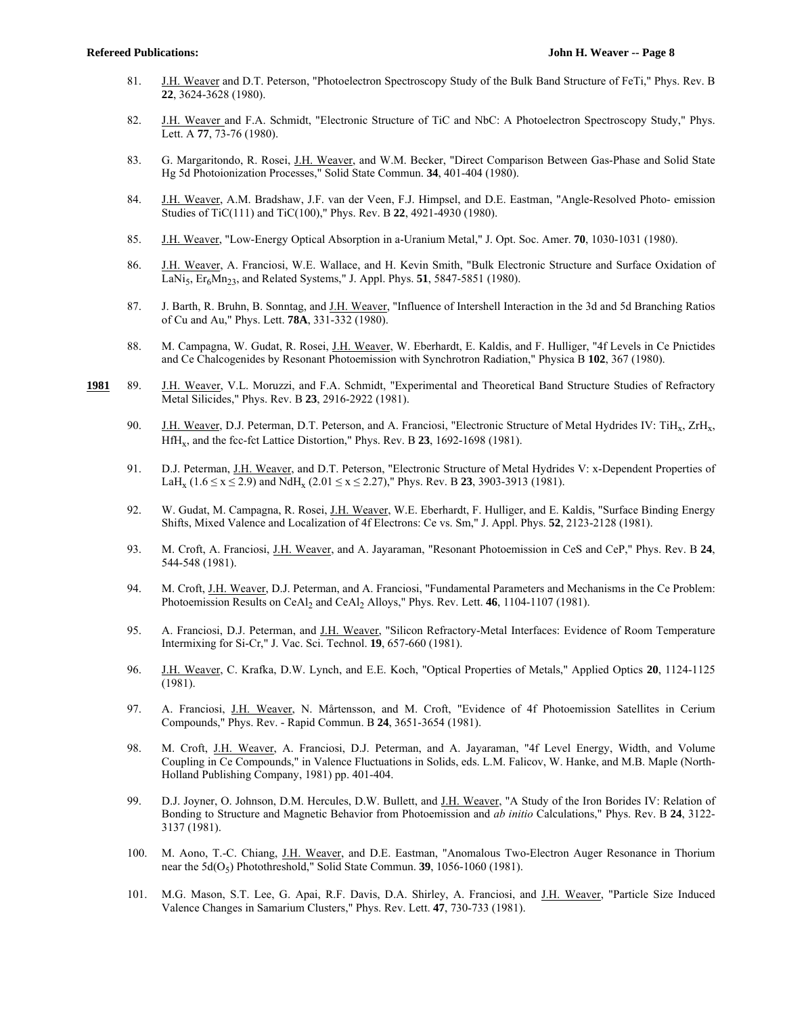- 81. J.H. Weaver and D.T. Peterson, "Photoelectron Spectroscopy Study of the Bulk Band Structure of FeTi," Phys. Rev. B **22**, 3624-3628 (1980).
- 82. J.H. Weaver and F.A. Schmidt, "Electronic Structure of TiC and NbC: A Photoelectron Spectroscopy Study," Phys. Lett. A **77**, 73-76 (1980).
- 83. G. Margaritondo, R. Rosei, J.H. Weaver, and W.M. Becker, "Direct Comparison Between Gas-Phase and Solid State Hg 5d Photoionization Processes," Solid State Commun. **34**, 401-404 (1980).
- 84. J.H. Weaver, A.M. Bradshaw, J.F. van der Veen, F.J. Himpsel, and D.E. Eastman, "Angle-Resolved Photo- emission Studies of TiC(111) and TiC(100)," Phys. Rev. B **22**, 4921-4930 (1980).
- 85. J.H. Weaver, "Low-Energy Optical Absorption in a-Uranium Metal," J. Opt. Soc. Amer. **70**, 1030-1031 (1980).
- 86. J.H. Weaver, A. Franciosi, W.E. Wallace, and H. Kevin Smith, "Bulk Electronic Structure and Surface Oxidation of LaNi5, Er6Mn23, and Related Systems," J. Appl. Phys. **51**, 5847-5851 (1980).
- 87. J. Barth, R. Bruhn, B. Sonntag, and J.H. Weaver, "Influence of Intershell Interaction in the 3d and 5d Branching Ratios of Cu and Au," Phys. Lett. **78A**, 331-332 (1980).
- 88. M. Campagna, W. Gudat, R. Rosei, J.H. Weaver, W. Eberhardt, E. Kaldis, and F. Hulliger, "4f Levels in Ce Pnictides and Ce Chalcogenides by Resonant Photoemission with Synchrotron Radiation," Physica B **102**, 367 (1980).
- **1981** 89. J.H. Weaver, V.L. Moruzzi, and F.A. Schmidt, "Experimental and Theoretical Band Structure Studies of Refractory Metal Silicides," Phys. Rev. B **23**, 2916-2922 (1981).
	- 90. J.H. Weaver, D.J. Peterman, D.T. Peterson, and A. Franciosi, "Electronic Structure of Metal Hydrides IV: TiH<sub>x</sub>, ZrH<sub>x</sub>, HfHx, and the fcc-fct Lattice Distortion," Phys. Rev. B **23**, 1692-1698 (1981).
	- 91. D.J. Peterman, J.H. Weaver, and D.T. Peterson, "Electronic Structure of Metal Hydrides V: x-Dependent Properties of LaH<sub>x</sub> (1.6  $\leq$  x  $\leq$  2.9) and NdH<sub>x</sub> (2.01  $\leq$  x  $\leq$  2.27)," Phys. Rev. B 23, 3903-3913 (1981).
	- 92. W. Gudat, M. Campagna, R. Rosei, J.H. Weaver, W.E. Eberhardt, F. Hulliger, and E. Kaldis, "Surface Binding Energy Shifts, Mixed Valence and Localization of 4f Electrons: Ce vs. Sm," J. Appl. Phys. **52**, 2123-2128 (1981).
	- 93. M. Croft, A. Franciosi, J.H. Weaver, and A. Jayaraman, "Resonant Photoemission in CeS and CeP," Phys. Rev. B **24**, 544-548 (1981).
	- 94. M. Croft, J.H. Weaver, D.J. Peterman, and A. Franciosi, "Fundamental Parameters and Mechanisms in the Ce Problem: Photoemission Results on CeAl<sub>2</sub> and CeAl<sub>2</sub> Alloys," Phys. Rev. Lett. 46, 1104-1107 (1981).
	- 95. A. Franciosi, D.J. Peterman, and <u>J.H. Weaver</u>, "Silicon Refractory-Metal Interfaces: Evidence of Room Temperature Intermixing for Si-Cr," J. Vac. Sci. Technol. **19**, 657-660 (1981).
	- 96. J.H. Weaver, C. Krafka, D.W. Lynch, and E.E. Koch, "Optical Properties of Metals," Applied Optics **20**, 1124-1125 (1981).
	- 97. A. Franciosi, J.H. Weaver, N. Mårtensson, and M. Croft, "Evidence of 4f Photoemission Satellites in Cerium Compounds," Phys. Rev. - Rapid Commun. B **24**, 3651-3654 (1981).
	- 98. M. Croft, J.H. Weaver, A. Franciosi, D.J. Peterman, and A. Jayaraman, "4f Level Energy, Width, and Volume Coupling in Ce Compounds," in Valence Fluctuations in Solids, eds. L.M. Falicov, W. Hanke, and M.B. Maple (North-Holland Publishing Company, 1981) pp. 401-404.
	- 99. D.J. Joyner, O. Johnson, D.M. Hercules, D.W. Bullett, and J.H. Weaver, "A Study of the Iron Borides IV: Relation of Bonding to Structure and Magnetic Behavior from Photoemission and *ab initio* Calculations," Phys. Rev. B **24**, 3122- 3137 (1981).
	- 100. M. Aono, T.-C. Chiang, J.H. Weaver, and D.E. Eastman, "Anomalous Two-Electron Auger Resonance in Thorium near the 5d(O<sub>5</sub>) Photothreshold," Solid State Commun. **39**, 1056-1060 (1981).
	- 101. M.G. Mason, S.T. Lee, G. Apai, R.F. Davis, D.A. Shirley, A. Franciosi, and J.H. Weaver, "Particle Size Induced Valence Changes in Samarium Clusters," Phys. Rev. Lett. **47**, 730-733 (1981).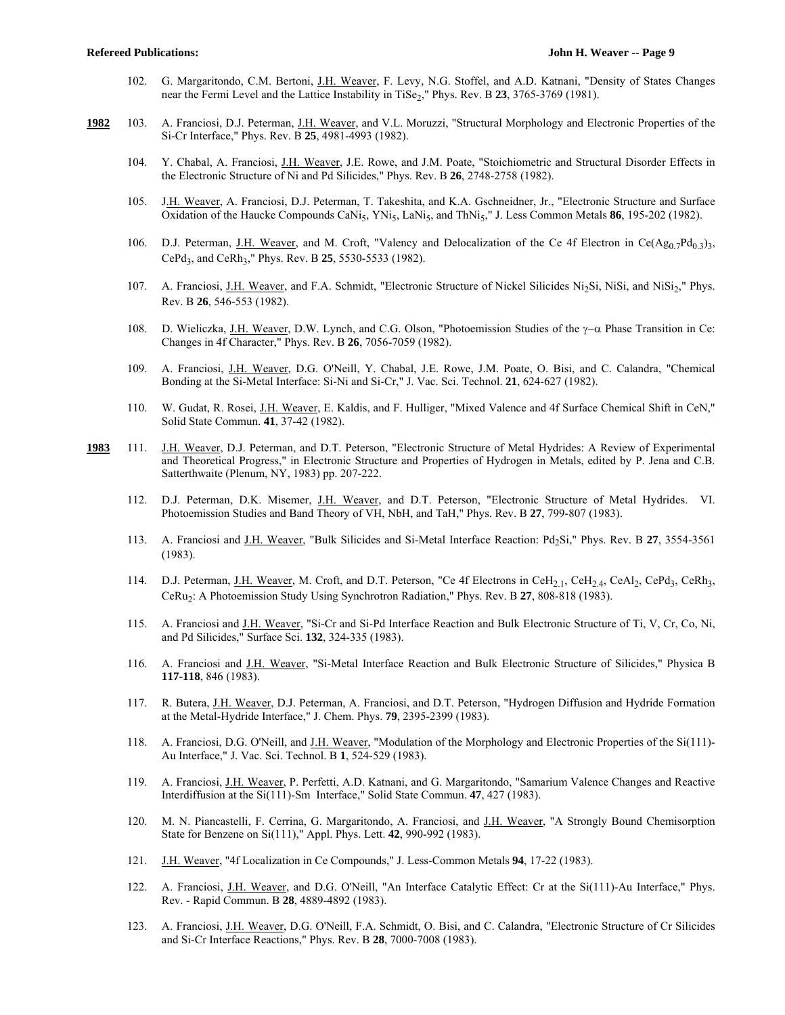- 102. G. Margaritondo, C.M. Bertoni, J.H. Weaver, F. Levy, N.G. Stoffel, and A.D. Katnani, "Density of States Changes near the Fermi Level and the Lattice Instability in TiSe<sub>2</sub>," Phys. Rev. B 23, 3765-3769 (1981).
- **1982** 103. A. Franciosi, D.J. Peterman, J.H. Weaver, and V.L. Moruzzi, "Structural Morphology and Electronic Properties of the Si-Cr Interface," Phys. Rev. B **25**, 4981-4993 (1982).
	- 104. Y. Chabal, A. Franciosi, J.H. Weaver, J.E. Rowe, and J.M. Poate, "Stoichiometric and Structural Disorder Effects in the Electronic Structure of Ni and Pd Silicides," Phys. Rev. B **26**, 2748-2758 (1982).
	- 105. J.H. Weaver, A. Franciosi, D.J. Peterman, T. Takeshita, and K.A. Gschneidner, Jr., "Electronic Structure and Surface Oxidation of the Haucke Compounds CaNi<sub>5</sub>, YNi<sub>5</sub>, LaNi<sub>5</sub>, and ThNi<sub>5</sub>," J. Less Common Metals **86**, 195-202 (1982).
	- 106. D.J. Peterman, J.H. Weaver, and M. Croft, "Valency and Delocalization of the Ce 4f Electron in Ce(Ag<sub>0.7</sub>Pd<sub>0.3</sub>)<sub>3</sub>, CePd<sub>3</sub>, and CeRh<sub>3</sub>," Phys. Rev. B 25, 5530-5533 (1982).
	- 107. A. Franciosi, J.H. Weaver, and F.A. Schmidt, "Electronic Structure of Nickel Silicides Ni<sub>2</sub>Si, NiSi, and NiSi<sub>2</sub>," Phys. Rev. B **26**, 546-553 (1982).
	- 108. D. Wieliczka, J.H. Weaver, D.W. Lynch, and C.G. Olson, "Photoemission Studies of the  $\gamma-\alpha$  Phase Transition in Ce: Changes in 4f Character," Phys. Rev. B **26**, 7056-7059 (1982).
	- 109. A. Franciosi, J.H. Weaver, D.G. O'Neill, Y. Chabal, J.E. Rowe, J.M. Poate, O. Bisi, and C. Calandra, "Chemical Bonding at the Si-Metal Interface: Si-Ni and Si-Cr," J. Vac. Sci. Technol. **21**, 624-627 (1982).
	- 110. W. Gudat, R. Rosei, J.H. Weaver, E. Kaldis, and F. Hulliger, "Mixed Valence and 4f Surface Chemical Shift in CeN," Solid State Commun. **41**, 37-42 (1982).
- **1983** 111. J.H. Weaver, D.J. Peterman, and D.T. Peterson, "Electronic Structure of Metal Hydrides: A Review of Experimental and Theoretical Progress," in Electronic Structure and Properties of Hydrogen in Metals, edited by P. Jena and C.B. Satterthwaite (Plenum, NY, 1983) pp. 207-222.
	- 112. D.J. Peterman, D.K. Misemer, J.H. Weaver, and D.T. Peterson, "Electronic Structure of Metal Hydrides. VI. Photoemission Studies and Band Theory of VH, NbH, and TaH," Phys. Rev. B **27**, 799-807 (1983).
	- 113. A. Franciosi and J.H. Weaver, "Bulk Silicides and Si-Metal Interface Reaction: Pd<sub>2</sub>Si," Phys. Rev. B 27, 3554-3561 (1983).
	- 114. D.J. Peterman, J.H. Weaver, M. Croft, and D.T. Peterson, "Ce 4f Electrons in CeH<sub>2.1</sub>, CeH<sub>2.4</sub>, CeAl<sub>2</sub>, CePd<sub>3</sub>, CeRh<sub>3</sub>, CeRu2: A Photoemission Study Using Synchrotron Radiation," Phys. Rev. B **27**, 808-818 (1983).
	- 115. A. Franciosi and J.H. Weaver, "Si-Cr and Si-Pd Interface Reaction and Bulk Electronic Structure of Ti, V, Cr, Co, Ni, and Pd Silicides," Surface Sci. **132**, 324-335 (1983).
	- 116. A. Franciosi and J.H. Weaver, "Si-Metal Interface Reaction and Bulk Electronic Structure of Silicides," Physica B **117-118**, 846 (1983).
	- 117. R. Butera, J.H. Weaver, D.J. Peterman, A. Franciosi, and D.T. Peterson, "Hydrogen Diffusion and Hydride Formation at the Metal-Hydride Interface," J. Chem. Phys. **79**, 2395-2399 (1983).
	- 118. A. Franciosi, D.G. O'Neill, and J.H. Weaver, "Modulation of the Morphology and Electronic Properties of the Si(111)-Au Interface," J. Vac. Sci. Technol. B **1**, 524-529 (1983).
	- 119. A. Franciosi, J.H. Weaver, P. Perfetti, A.D. Katnani, and G. Margaritondo, "Samarium Valence Changes and Reactive Interdiffusion at the Si(111)-Sm Interface," Solid State Commun. **47**, 427 (1983).
	- 120. M. N. Piancastelli, F. Cerrina, G. Margaritondo, A. Franciosi, and J.H. Weaver, "A Strongly Bound Chemisorption State for Benzene on Si(111)," Appl. Phys. Lett. **42**, 990-992 (1983).
	- 121. J.H. Weaver, "4f Localization in Ce Compounds," J. Less-Common Metals **94**, 17-22 (1983).
	- 122. A. Franciosi, J.H. Weaver, and D.G. O'Neill, "An Interface Catalytic Effect: Cr at the Si(111)-Au Interface," Phys. Rev. - Rapid Commun. B **28**, 4889-4892 (1983).
	- 123. A. Franciosi, J.H. Weaver, D.G. O'Neill, F.A. Schmidt, O. Bisi, and C. Calandra, "Electronic Structure of Cr Silicides and Si-Cr Interface Reactions," Phys. Rev. B **28**, 7000-7008 (1983).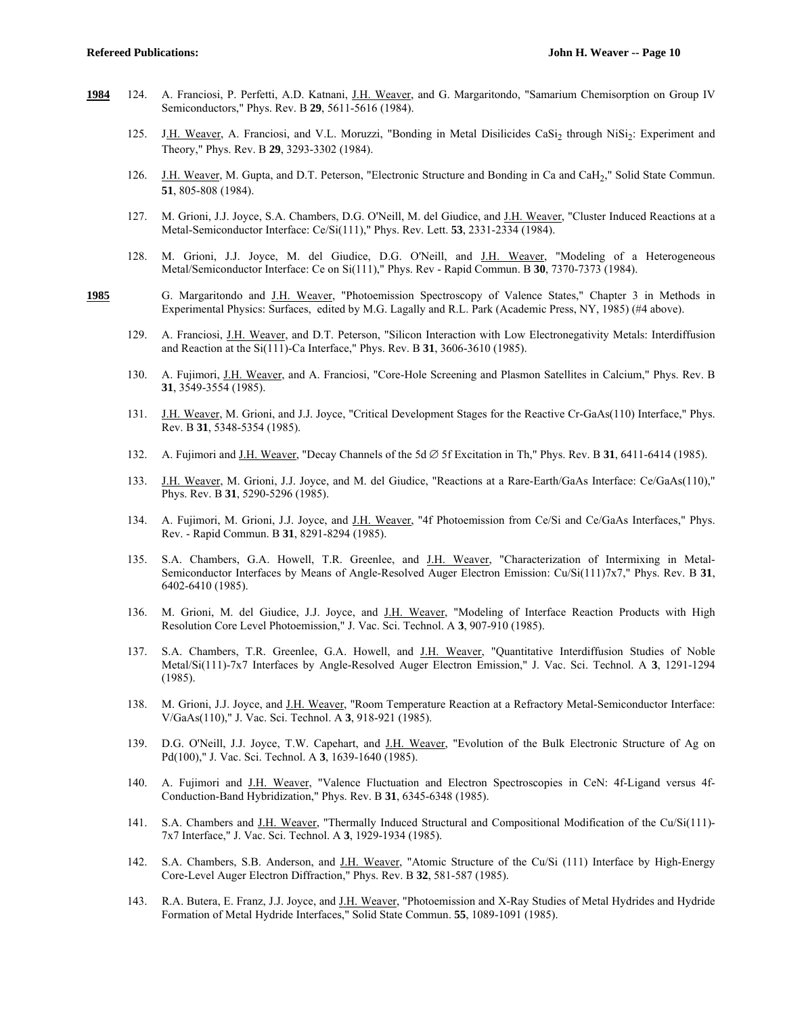- **1984** 124. A. Franciosi, P. Perfetti, A.D. Katnani, J.H. Weaver, and G. Margaritondo, "Samarium Chemisorption on Group IV Semiconductors," Phys. Rev. B **29**, 5611-5616 (1984).
	- 125. J.H. Weaver, A. Franciosi, and V.L. Moruzzi, "Bonding in Metal Disilicides CaSi<sub>2</sub> through NiSi<sub>2</sub>: Experiment and Theory," Phys. Rev. B **29**, 3293-3302 (1984).
	- 126. J.H. Weaver, M. Gupta, and D.T. Peterson, "Electronic Structure and Bonding in Ca and CaH<sub>2</sub>," Solid State Commun. **51**, 805-808 (1984).
	- 127. M. Grioni, J.J. Joyce, S.A. Chambers, D.G. O'Neill, M. del Giudice, and J.H. Weaver, "Cluster Induced Reactions at a Metal-Semiconductor Interface: Ce/Si(111)," Phys. Rev. Lett. **53**, 2331-2334 (1984).
	- 128. M. Grioni, J.J. Joyce, M. del Giudice, D.G. O'Neill, and J.H. Weaver, "Modeling of a Heterogeneous Metal/Semiconductor Interface: Ce on Si(111)," Phys. Rev - Rapid Commun. B **30**, 7370-7373 (1984).
- **1985** G. Margaritondo and J.H. Weaver, "Photoemission Spectroscopy of Valence States," Chapter 3 in Methods in Experimental Physics: Surfaces, edited by M.G. Lagally and R.L. Park (Academic Press, NY, 1985) (#4 above).
	- 129. A. Franciosi, J.H. Weaver, and D.T. Peterson, "Silicon Interaction with Low Electronegativity Metals: Interdiffusion and Reaction at the Si(111)-Ca Interface," Phys. Rev. B **31**, 3606-3610 (1985).
	- 130. A. Fujimori, J.H. Weaver, and A. Franciosi, "Core-Hole Screening and Plasmon Satellites in Calcium," Phys. Rev. B **31**, 3549-3554 (1985).
	- 131. J.H. Weaver, M. Grioni, and J.J. Joyce, "Critical Development Stages for the Reactive Cr-GaAs(110) Interface," Phys. Rev. B **31**, 5348-5354 (1985).
	- 132. A. Fujimori and J.H. Weaver, "Decay Channels of the 5d  $\varnothing$  5f Excitation in Th," Phys. Rev. B 31, 6411-6414 (1985).
	- 133. J.H. Weaver, M. Grioni, J.J. Joyce, and M. del Giudice, "Reactions at a Rare-Earth/GaAs Interface: Ce/GaAs(110)," Phys. Rev. B **31**, 5290-5296 (1985).
	- 134. A. Fujimori, M. Grioni, J.J. Joyce, and J.H. Weaver, "4f Photoemission from Ce/Si and Ce/GaAs Interfaces," Phys. Rev. - Rapid Commun. B **31**, 8291-8294 (1985).
	- 135. S.A. Chambers, G.A. Howell, T.R. Greenlee, and J.H. Weaver, "Characterization of Intermixing in Metal-Semiconductor Interfaces by Means of Angle-Resolved Auger Electron Emission: Cu/Si(111)7x7," Phys. Rev. B **31**, 6402-6410 (1985).
	- 136. M. Grioni, M. del Giudice, J.J. Joyce, and J.H. Weaver, "Modeling of Interface Reaction Products with High Resolution Core Level Photoemission," J. Vac. Sci. Technol. A **3**, 907-910 (1985).
	- 137. S.A. Chambers, T.R. Greenlee, G.A. Howell, and J.H. Weaver, "Quantitative Interdiffusion Studies of Noble Metal/Si(111)-7x7 Interfaces by Angle-Resolved Auger Electron Emission," J. Vac. Sci. Technol. A **3**, 1291-1294 (1985).
	- 138. M. Grioni, J.J. Joyce, and J.H. Weaver, "Room Temperature Reaction at a Refractory Metal-Semiconductor Interface: V/GaAs(110)," J. Vac. Sci. Technol. A **3**, 918-921 (1985).
	- 139. D.G. O'Neill, J.J. Joyce, T.W. Capehart, and <u>J.H. Weaver</u>, "Evolution of the Bulk Electronic Structure of Ag on Pd(100)," J. Vac. Sci. Technol. A **3**, 1639-1640 (1985).
	- 140. A. Fujimori and J.H. Weaver, "Valence Fluctuation and Electron Spectroscopies in CeN: 4f-Ligand versus 4f-Conduction-Band Hybridization," Phys. Rev. B **31**, 6345-6348 (1985).
	- 141. S.A. Chambers and J.H. Weaver, "Thermally Induced Structural and Compositional Modification of the Cu/Si(111)- 7x7 Interface," J. Vac. Sci. Technol. A **3**, 1929-1934 (1985).
	- 142. S.A. Chambers, S.B. Anderson, and J.H. Weaver, "Atomic Structure of the Cu/Si (111) Interface by High-Energy Core-Level Auger Electron Diffraction," Phys. Rev. B **32**, 581-587 (1985).
	- 143. R.A. Butera, E. Franz, J.J. Joyce, and J.H. Weaver, "Photoemission and X-Ray Studies of Metal Hydrides and Hydride Formation of Metal Hydride Interfaces," Solid State Commun. **55**, 1089-1091 (1985).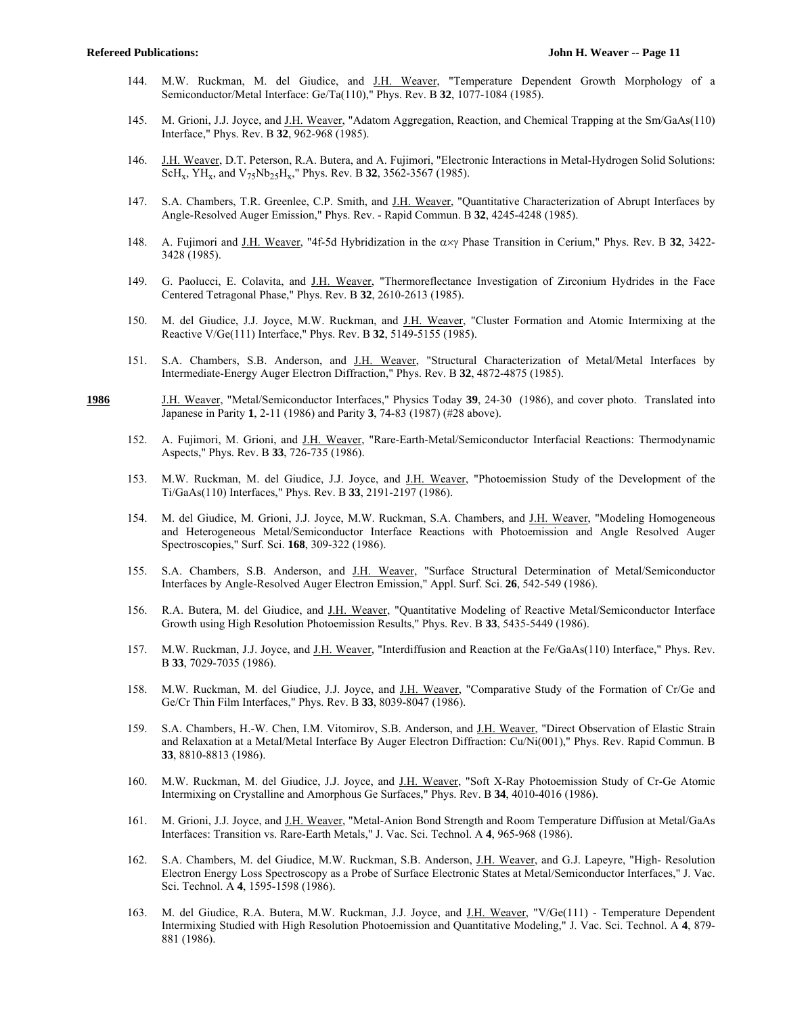- 144. M.W. Ruckman, M. del Giudice, and J.H. Weaver, "Temperature Dependent Growth Morphology of a Semiconductor/Metal Interface: Ge/Ta(110)," Phys. Rev. B **32**, 1077-1084 (1985).
- 145. M. Grioni, J.J. Joyce, and J.H. Weaver, "Adatom Aggregation, Reaction, and Chemical Trapping at the Sm/GaAs(110) Interface," Phys. Rev. B **32**, 962-968 (1985).
- 146. J.H. Weaver, D.T. Peterson, R.A. Butera, and A. Fujimori, "Electronic Interactions in Metal-Hydrogen Solid Solutions: ScHx, YHx, and V75Nb25Hx," Phys. Rev. B **32**, 3562-3567 (1985).
- 147. S.A. Chambers, T.R. Greenlee, C.P. Smith, and J.H. Weaver, "Quantitative Characterization of Abrupt Interfaces by Angle-Resolved Auger Emission," Phys. Rev. - Rapid Commun. B **32**, 4245-4248 (1985).
- 148. A. Fujimori and J.H. Weaver, "4f-5d Hybridization in the  $\alpha \times \gamma$  Phase Transition in Cerium," Phys. Rev. B 32, 3422-3428 (1985).
- 149. G. Paolucci, E. Colavita, and J.H. Weaver, "Thermoreflectance Investigation of Zirconium Hydrides in the Face Centered Tetragonal Phase," Phys. Rev. B **32**, 2610-2613 (1985).
- 150. M. del Giudice, J.J. Joyce, M.W. Ruckman, and J.H. Weaver, "Cluster Formation and Atomic Intermixing at the Reactive V/Ge(111) Interface," Phys. Rev. B **32**, 5149-5155 (1985).
- 151. S.A. Chambers, S.B. Anderson, and J.H. Weaver, "Structural Characterization of Metal/Metal Interfaces by Intermediate-Energy Auger Electron Diffraction," Phys. Rev. B **32**, 4872-4875 (1985).
- **1986** J.H. Weaver, "Metal/Semiconductor Interfaces," Physics Today **39**, 24-30 (1986), and cover photo. Translated into Japanese in Parity **1**, 2-11 (1986) and Parity **3**, 74-83 (1987) (#28 above).
	- 152. A. Fujimori, M. Grioni, and J.H. Weaver, "Rare-Earth-Metal/Semiconductor Interfacial Reactions: Thermodynamic Aspects," Phys. Rev. B **33**, 726-735 (1986).
	- 153. M.W. Ruckman, M. del Giudice, J.J. Joyce, and J.H. Weaver, "Photoemission Study of the Development of the Ti/GaAs(110) Interfaces," Phys. Rev. B **33**, 2191-2197 (1986).
	- 154. M. del Giudice, M. Grioni, J.J. Joyce, M.W. Ruckman, S.A. Chambers, and J.H. Weaver, "Modeling Homogeneous and Heterogeneous Metal/Semiconductor Interface Reactions with Photoemission and Angle Resolved Auger Spectroscopies," Surf. Sci. **168**, 309-322 (1986).
	- 155. S.A. Chambers, S.B. Anderson, and J.H. Weaver, "Surface Structural Determination of Metal/Semiconductor Interfaces by Angle-Resolved Auger Electron Emission," Appl. Surf. Sci. **26**, 542-549 (1986).
	- 156. R.A. Butera, M. del Giudice, and J.H. Weaver, "Quantitative Modeling of Reactive Metal/Semiconductor Interface Growth using High Resolution Photoemission Results," Phys. Rev. B **33**, 5435-5449 (1986).
	- 157. M.W. Ruckman, J.J. Joyce, and J.H. Weaver, "Interdiffusion and Reaction at the Fe/GaAs(110) Interface," Phys. Rev. B **33**, 7029-7035 (1986).
	- 158. M.W. Ruckman, M. del Giudice, J.J. Joyce, and J.H. Weaver, "Comparative Study of the Formation of Cr/Ge and Ge/Cr Thin Film Interfaces," Phys. Rev. B **33**, 8039-8047 (1986).
	- 159. S.A. Chambers, H.-W. Chen, I.M. Vitomirov, S.B. Anderson, and J.H. Weaver, "Direct Observation of Elastic Strain and Relaxation at a Metal/Metal Interface By Auger Electron Diffraction: Cu/Ni(001)," Phys. Rev. Rapid Commun. B **33**, 8810-8813 (1986).
	- 160. M.W. Ruckman, M. del Giudice, J.J. Joyce, and J.H. Weaver, "Soft X-Ray Photoemission Study of Cr-Ge Atomic Intermixing on Crystalline and Amorphous Ge Surfaces," Phys. Rev. B **34**, 4010-4016 (1986).
	- 161. M. Grioni, J.J. Joyce, and J.H. Weaver, "Metal-Anion Bond Strength and Room Temperature Diffusion at Metal/GaAs Interfaces: Transition vs. Rare-Earth Metals," J. Vac. Sci. Technol. A **4**, 965-968 (1986).
	- 162. S.A. Chambers, M. del Giudice, M.W. Ruckman, S.B. Anderson, J.H. Weaver, and G.J. Lapeyre, "High- Resolution Electron Energy Loss Spectroscopy as a Probe of Surface Electronic States at Metal/Semiconductor Interfaces," J. Vac. Sci. Technol. A **4**, 1595-1598 (1986).
	- 163. M. del Giudice, R.A. Butera, M.W. Ruckman, J.J. Joyce, and J.H. Weaver, "V/Ge(111) Temperature Dependent Intermixing Studied with High Resolution Photoemission and Quantitative Modeling," J. Vac. Sci. Technol. A **4**, 879- 881 (1986).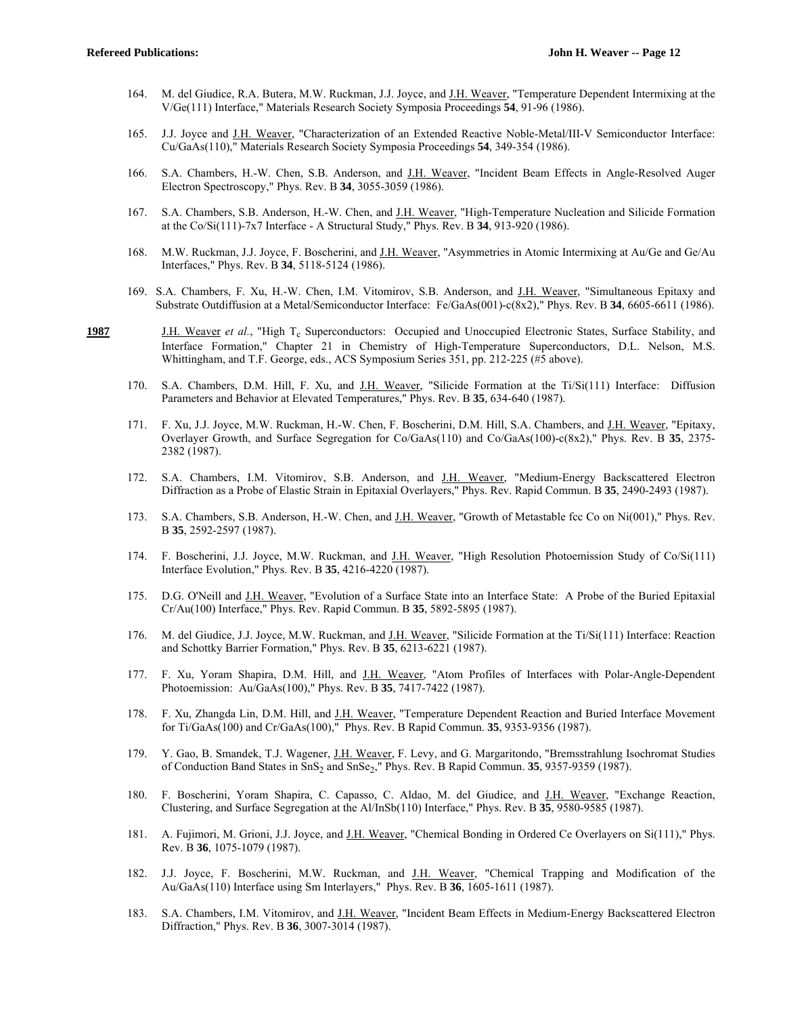- 164. M. del Giudice, R.A. Butera, M.W. Ruckman, J.J. Joyce, and J.H. Weaver, "Temperature Dependent Intermixing at the V/Ge(111) Interface," Materials Research Society Symposia Proceedings **54**, 91-96 (1986).
- 165. J.J. Joyce and J.H. Weaver, "Characterization of an Extended Reactive Noble-Metal/III-V Semiconductor Interface: Cu/GaAs(110)," Materials Research Society Symposia Proceedings **54**, 349-354 (1986).
- 166. S.A. Chambers, H.-W. Chen, S.B. Anderson, and J.H. Weaver, "Incident Beam Effects in Angle-Resolved Auger Electron Spectroscopy," Phys. Rev. B **34**, 3055-3059 (1986).
- 167. S.A. Chambers, S.B. Anderson, H.-W. Chen, and J.H. Weaver, "High-Temperature Nucleation and Silicide Formation at the Co/Si(111)-7x7 Interface - A Structural Study," Phys. Rev. B **34**, 913-920 (1986).
- 168. M.W. Ruckman, J.J. Joyce, F. Boscherini, and J.H. Weaver, "Asymmetries in Atomic Intermixing at Au/Ge and Ge/Au Interfaces," Phys. Rev. B **34**, 5118-5124 (1986).
- 169. S.A. Chambers, F. Xu, H.-W. Chen, I.M. Vitomirov, S.B. Anderson, and J.H. Weaver, "Simultaneous Epitaxy and Substrate Outdiffusion at a Metal/Semiconductor Interface: Fe/GaAs(001)-c(8x2)," Phys. Rev. B **34**, 6605-6611 (1986).
- 1987 J.H. Weaver et al., "High T<sub>c</sub> Superconductors: Occupied and Unoccupied Electronic States, Surface Stability, and Interface Formation," Chapter 21 in Chemistry of High-Temperature Superconductors, D.L. Nelson, M.S. Whittingham, and T.F. George, eds., ACS Symposium Series 351, pp. 212-225 (#5 above).
	- 170. S.A. Chambers, D.M. Hill, F. Xu, and J.H. Weaver, "Silicide Formation at the Ti/Si(111) Interface: Diffusion Parameters and Behavior at Elevated Temperatures," Phys. Rev. B **35**, 634-640 (1987).
	- 171. F. Xu, J.J. Joyce, M.W. Ruckman, H.-W. Chen, F. Boscherini, D.M. Hill, S.A. Chambers, and J.H. Weaver, "Epitaxy, Overlayer Growth, and Surface Segregation for Co/GaAs(110) and Co/GaAs(100)-c(8x2)," Phys. Rev. B **35**, 2375- 2382 (1987).
	- 172. S.A. Chambers, I.M. Vitomirov, S.B. Anderson, and J.H. Weaver, "Medium-Energy Backscattered Electron Diffraction as a Probe of Elastic Strain in Epitaxial Overlayers," Phys. Rev. Rapid Commun. B **35**, 2490-2493 (1987).
	- 173. S.A. Chambers, S.B. Anderson, H.-W. Chen, and J.H. Weaver, "Growth of Metastable fcc Co on Ni(001)," Phys. Rev. B **35**, 2592-2597 (1987).
	- 174. F. Boscherini, J.J. Joyce, M.W. Ruckman, and J.H. Weaver, "High Resolution Photoemission Study of Co/Si(111) Interface Evolution," Phys. Rev. B **35**, 4216-4220 (1987).
	- 175. D.G. O'Neill and J.H. Weaver, "Evolution of a Surface State into an Interface State: A Probe of the Buried Epitaxial Cr/Au(100) Interface," Phys. Rev. Rapid Commun. B **35**, 5892-5895 (1987).
	- 176. M. del Giudice, J.J. Joyce, M.W. Ruckman, and <u>J.H. Weaver</u>, "Silicide Formation at the Ti/Si(111) Interface: Reaction and Schottky Barrier Formation," Phys. Rev. B **35**, 6213-6221 (1987).
	- 177. F. Xu, Yoram Shapira, D.M. Hill, and J.H. Weaver, "Atom Profiles of Interfaces with Polar-Angle-Dependent Photoemission: Au/GaAs(100)," Phys. Rev. B **35**, 7417-7422 (1987).
	- 178. F. Xu, Zhangda Lin, D.M. Hill, and J.H. Weaver, "Temperature Dependent Reaction and Buried Interface Movement for Ti/GaAs(100) and Cr/GaAs(100)," Phys. Rev. B Rapid Commun. **35**, 9353-9356 (1987).
	- 179. Y. Gao, B. Smandek, T.J. Wagener, J.H. Weaver, F. Levy, and G. Margaritondo, "Bremsstrahlung Isochromat Studies of Conduction Band States in SnS2 and SnSe2," Phys. Rev. B Rapid Commun. **35**, 9357-9359 (1987).
	- 180. F. Boscherini, Yoram Shapira, C. Capasso, C. Aldao, M. del Giudice, and J.H. Weaver, "Exchange Reaction, Clustering, and Surface Segregation at the Al/InSb(110) Interface," Phys. Rev. B **35**, 9580-9585 (1987).
	- 181. A. Fujimori, M. Grioni, J.J. Joyce, and J.H. Weaver, "Chemical Bonding in Ordered Ce Overlayers on Si(111)," Phys. Rev. B **36**, 1075-1079 (1987).
	- 182. J.J. Joyce, F. Boscherini, M.W. Ruckman, and J.H. Weaver, "Chemical Trapping and Modification of the Au/GaAs(110) Interface using Sm Interlayers," Phys. Rev. B **36**, 1605-1611 (1987).
	- 183. S.A. Chambers, I.M. Vitomirov, and J.H. Weaver, "Incident Beam Effects in Medium-Energy Backscattered Electron Diffraction," Phys. Rev. B **36**, 3007-3014 (1987).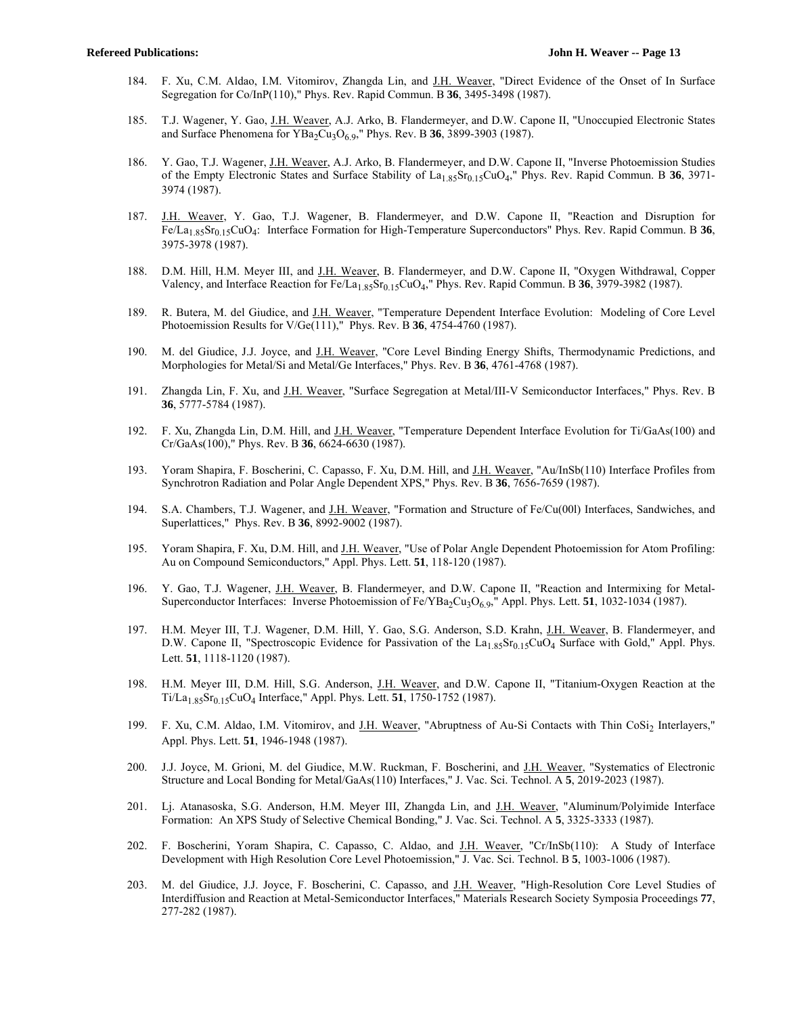- 184. F. Xu, C.M. Aldao, I.M. Vitomirov, Zhangda Lin, and J.H. Weaver, "Direct Evidence of the Onset of In Surface Segregation for Co/InP(110)," Phys. Rev. Rapid Commun. B **36**, 3495-3498 (1987).
- 185. T.J. Wagener, Y. Gao, J.H. Weaver, A.J. Arko, B. Flandermeyer, and D.W. Capone II, "Unoccupied Electronic States and Surface Phenomena for YBa<sub>2</sub>Cu<sub>3</sub>O<sub>6.9</sub>," Phys. Rev. B **36**, 3899-3903 (1987).
- 186. Y. Gao, T.J. Wagener, J.H. Weaver, A.J. Arko, B. Flandermeyer, and D.W. Capone II, "Inverse Photoemission Studies of the Empty Electronic States and Surface Stability of La<sub>1.85</sub>Sr<sub>0.15</sub>CuO<sub>4</sub>," Phys. Rev. Rapid Commun. B 36, 3971-3974 (1987).
- 187. J.H. Weaver, Y. Gao, T.J. Wagener, B. Flandermeyer, and D.W. Capone II, "Reaction and Disruption for Fe/La1.85Sr0.15CuO4: Interface Formation for High-Temperature Superconductors" Phys. Rev. Rapid Commun. B **36**, 3975-3978 (1987).
- 188. D.M. Hill, H.M. Meyer III, and J.H. Weaver, B. Flandermeyer, and D.W. Capone II, "Oxygen Withdrawal, Copper Valency, and Interface Reaction for Fe/La1.85Sr0.15CuO4," Phys. Rev. Rapid Commun. B **36**, 3979-3982 (1987).
- 189. R. Butera, M. del Giudice, and J.H. Weaver, "Temperature Dependent Interface Evolution: Modeling of Core Level Photoemission Results for V/Ge(111)," Phys. Rev. B **36**, 4754-4760 (1987).
- 190. M. del Giudice, J.J. Joyce, and J.H. Weaver, "Core Level Binding Energy Shifts, Thermodynamic Predictions, and Morphologies for Metal/Si and Metal/Ge Interfaces," Phys. Rev. B **36**, 4761-4768 (1987).
- 191. Zhangda Lin, F. Xu, and J.H. Weaver, "Surface Segregation at Metal/III-V Semiconductor Interfaces," Phys. Rev. B **36**, 5777-5784 (1987).
- 192. F. Xu, Zhangda Lin, D.M. Hill, and <u>J.H. Weaver</u>, "Temperature Dependent Interface Evolution for Ti/GaAs(100) and Cr/GaAs(100)," Phys. Rev. B **36**, 6624-6630 (1987).
- 193. Yoram Shapira, F. Boscherini, C. Capasso, F. Xu, D.M. Hill, and J.H. Weaver, "Au/InSb(110) Interface Profiles from Synchrotron Radiation and Polar Angle Dependent XPS," Phys. Rev. B **36**, 7656-7659 (1987).
- 194. S.A. Chambers, T.J. Wagener, and J.H. Weaver, "Formation and Structure of Fe/Cu(00l) Interfaces, Sandwiches, and Superlattices," Phys. Rev. B **36**, 8992-9002 (1987).
- 195. Yoram Shapira, F. Xu, D.M. Hill, and J.H. Weaver, "Use of Polar Angle Dependent Photoemission for Atom Profiling: Au on Compound Semiconductors," Appl. Phys. Lett. **51**, 118-120 (1987).
- 196. Y. Gao, T.J. Wagener, J.H. Weaver, B. Flandermeyer, and D.W. Capone II, "Reaction and Intermixing for Metal-Superconductor Interfaces: Inverse Photoemission of Fe/YBa<sub>2</sub>Cu<sub>3</sub>O<sub>69</sub>," Appl. Phys. Lett. **51**, 1032-1034 (1987).
- 197. H.M. Meyer III, T.J. Wagener, D.M. Hill, Y. Gao, S.G. Anderson, S.D. Krahn, J.H. Weaver, B. Flandermeyer, and D.W. Capone II, "Spectroscopic Evidence for Passivation of the  $La<sub>1.85</sub>Sr<sub>0.15</sub>CuO<sub>4</sub>$  Surface with Gold," Appl. Phys. Lett. **51**, 1118-1120 (1987).
- 198. H.M. Meyer III, D.M. Hill, S.G. Anderson, J.H. Weaver, and D.W. Capone II, "Titanium-Oxygen Reaction at the Ti/La1.85Sr0.15CuO4 Interface," Appl. Phys. Lett. **51**, 1750-1752 (1987).
- 199. F. Xu, C.M. Aldao, I.M. Vitomirov, and J.H. Weaver, "Abruptness of Au-Si Contacts with Thin CoSi<sub>2</sub> Interlayers," Appl. Phys. Lett. **51**, 1946-1948 (1987).
- 200. J.J. Joyce, M. Grioni, M. del Giudice, M.W. Ruckman, F. Boscherini, and J.H. Weaver, "Systematics of Electronic Structure and Local Bonding for Metal/GaAs(110) Interfaces," J. Vac. Sci. Technol. A **5**, 2019-2023 (1987).
- 201. Lj. Atanasoska, S.G. Anderson, H.M. Meyer III, Zhangda Lin, and J.H. Weaver, "Aluminum/Polyimide Interface Formation: An XPS Study of Selective Chemical Bonding," J. Vac. Sci. Technol. A **5**, 3325-3333 (1987).
- 202. F. Boscherini, Yoram Shapira, C. Capasso, C. Aldao, and J.H. Weaver, "Cr/InSb(110): A Study of Interface Development with High Resolution Core Level Photoemission," J. Vac. Sci. Technol. B **5**, 1003-1006 (1987).
- 203. M. del Giudice, J.J. Joyce, F. Boscherini, C. Capasso, and J.H. Weaver, "High-Resolution Core Level Studies of Interdiffusion and Reaction at Metal-Semiconductor Interfaces," Materials Research Society Symposia Proceedings **77**, 277-282 (1987).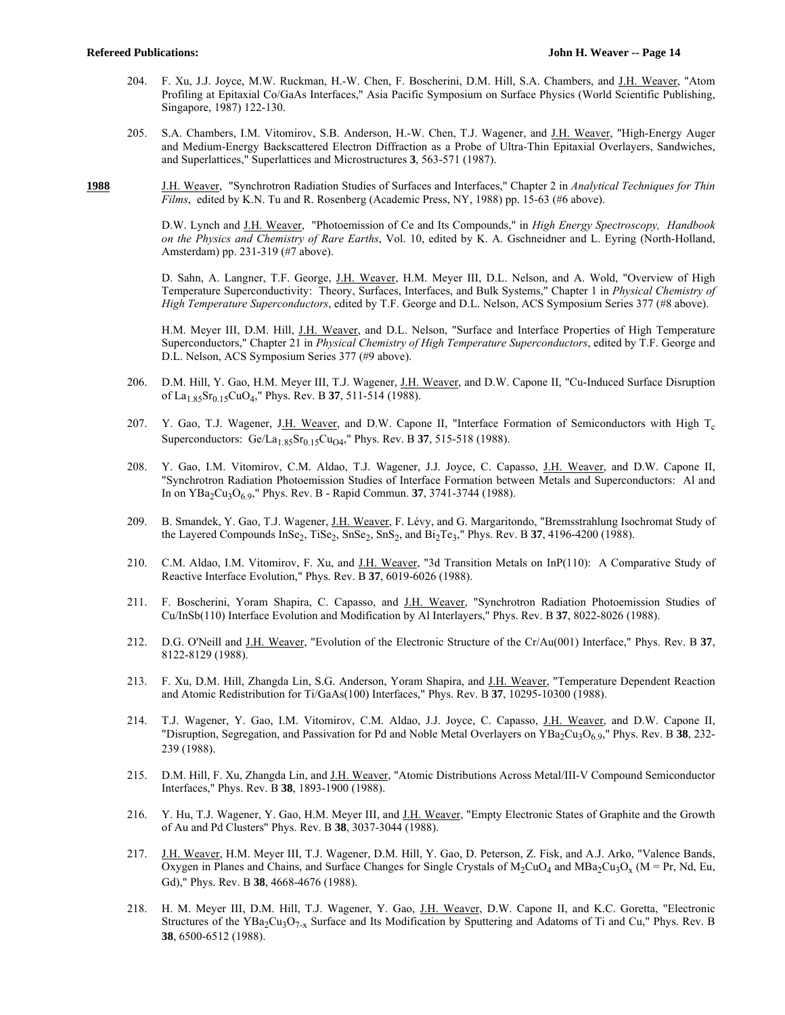- 204. F. Xu, J.J. Joyce, M.W. Ruckman, H.-W. Chen, F. Boscherini, D.M. Hill, S.A. Chambers, and J.H. Weaver, "Atom Profiling at Epitaxial Co/GaAs Interfaces," Asia Pacific Symposium on Surface Physics (World Scientific Publishing, Singapore, 1987) 122-130.
- 205. S.A. Chambers, I.M. Vitomirov, S.B. Anderson, H.-W. Chen, T.J. Wagener, and J.H. Weaver, "High-Energy Auger and Medium-Energy Backscattered Electron Diffraction as a Probe of Ultra-Thin Epitaxial Overlayers, Sandwiches, and Superlattices," Superlattices and Microstructures **3**, 563-571 (1987).
- **1988** J.H. Weaver, "Synchrotron Radiation Studies of Surfaces and Interfaces," Chapter 2 in *Analytical Techniques for Thin Films*, edited by K.N. Tu and R. Rosenberg (Academic Press, NY, 1988) pp. 15-63 (#6 above).

 D.W. Lynch and J.H. Weaver, "Photoemission of Ce and Its Compounds," in *High Energy Spectroscopy, Handbook on the Physics and Chemistry of Rare Earths*, Vol. 10, edited by K. A. Gschneidner and L. Eyring (North-Holland, Amsterdam) pp. 231-319 (#7 above).

D. Sahn, A. Langner, T.F. George, J.H. Weaver, H.M. Meyer III, D.L. Nelson, and A. Wold, "Overview of High Temperature Superconductivity: Theory, Surfaces, Interfaces, and Bulk Systems," Chapter 1 in *Physical Chemistry of High Temperature Superconductors*, edited by T.F. George and D.L. Nelson, ACS Symposium Series 377 (#8 above).

H.M. Meyer III, D.M. Hill, J.H. Weaver, and D.L. Nelson, "Surface and Interface Properties of High Temperature Superconductors," Chapter 21 in *Physical Chemistry of High Temperature Superconductors*, edited by T.F. George and D.L. Nelson, ACS Symposium Series 377 (#9 above).

- 206. D.M. Hill, Y. Gao, H.M. Meyer III, T.J. Wagener, J.H. Weaver, and D.W. Capone II, "Cu-Induced Surface Disruption of La1.85Sr0.15CuO4," Phys. Rev. B **37**, 511-514 (1988).
- 207. Y. Gao, T.J. Wagener, J.H. Weaver, and D.W. Capone II, "Interface Formation of Semiconductors with High  $T_c$ Superconductors: Ge/La<sub>1.85</sub>Sr<sub>0.15</sub>Cu<sub>O4</sub>," Phys. Rev. B **37**, 515-518 (1988).
- 208. Y. Gao, I.M. Vitomirov, C.M. Aldao, T.J. Wagener, J.J. Joyce, C. Capasso, J.H. Weaver, and D.W. Capone II, "Synchrotron Radiation Photoemission Studies of Interface Formation between Metals and Superconductors: Al and In on YBa2Cu3O6.9," Phys. Rev. B - Rapid Commun. **37**, 3741-3744 (1988).
- 209. B. Smandek, Y. Gao, T.J. Wagener, J.H. Weaver, F. Lévy, and G. Margaritondo, "Bremsstrahlung Isochromat Study of the Layered Compounds InSe<sub>2</sub>, TiSe<sub>2</sub>, SnSe<sub>2</sub>, SnS<sub>2</sub>, and Bi<sub>2</sub>Te<sub>3</sub>," Phys. Rev. B 37, 4196-4200 (1988).
- 210. C.M. Aldao, I.M. Vitomirov, F. Xu, and J.H. Weaver, "3d Transition Metals on InP(110): A Comparative Study of Reactive Interface Evolution," Phys. Rev. B **37**, 6019-6026 (1988).
- 211. F. Boscherini, Yoram Shapira, C. Capasso, and J.H. Weaver, "Synchrotron Radiation Photoemission Studies of Cu/InSb(110) Interface Evolution and Modification by Al Interlayers," Phys. Rev. B **37**, 8022-8026 (1988).
- 212. D.G. O'Neill and J.H. Weaver, "Evolution of the Electronic Structure of the Cr/Au(001) Interface," Phys. Rev. B **37**, 8122-8129 (1988).
- 213. F. Xu, D.M. Hill, Zhangda Lin, S.G. Anderson, Yoram Shapira, and J.H. Weaver, "Temperature Dependent Reaction and Atomic Redistribution for Ti/GaAs(100) Interfaces," Phys. Rev. B **37**, 10295-10300 (1988).
- 214. T.J. Wagener, Y. Gao, I.M. Vitomirov, C.M. Aldao, J.J. Joyce, C. Capasso, J.H. Weaver, and D.W. Capone II, "Disruption, Segregation, and Passivation for Pd and Noble Metal Overlayers on  $YBa_2Cu_3O_{6.9}$ ," Phys. Rev. B 38, 232-239 (1988).
- 215. D.M. Hill, F. Xu, Zhangda Lin, and J.H. Weaver, "Atomic Distributions Across Metal/III-V Compound Semiconductor Interfaces," Phys. Rev. B **38**, 1893-1900 (1988).
- 216. Y. Hu, T.J. Wagener, Y. Gao, H.M. Meyer III, and J.H. Weaver, "Empty Electronic States of Graphite and the Growth of Au and Pd Clusters" Phys. Rev. B **38**, 3037-3044 (1988).
- 217. J.H. Weaver, H.M. Meyer III, T.J. Wagener, D.M. Hill, Y. Gao, D. Peterson, Z. Fisk, and A.J. Arko, "Valence Bands, Oxygen in Planes and Chains, and Surface Changes for Single Crystals of  $M_2Cu_4$  and  $MBa_2Cu_3O_x$  (M = Pr, Nd, Eu, Gd)," Phys. Rev. B **38**, 4668-4676 (1988).
- 218. H. M. Meyer III, D.M. Hill, T.J. Wagener, Y. Gao, J.H. Weaver, D.W. Capone II, and K.C. Goretta, "Electronic Structures of the YBa<sub>2</sub>Cu<sub>3</sub>O<sub>7-x</sub> Surface and Its Modification by Sputtering and Adatoms of Ti and Cu," Phys. Rev. B **38**, 6500-6512 (1988).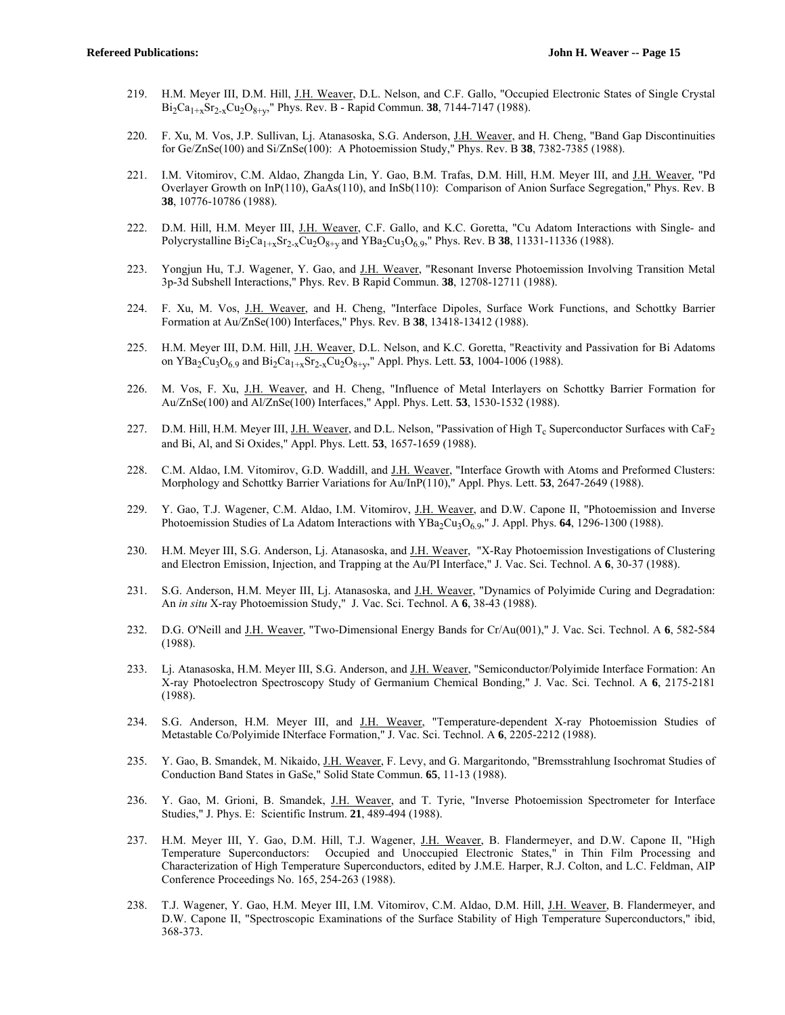- 219. H.M. Meyer III, D.M. Hill, J.H. Weaver, D.L. Nelson, and C.F. Gallo, "Occupied Electronic States of Single Crystal  $Bi_2Ca_{1+x}Sr_{2-x}Cu_2O_{8+v}$ ," Phys. Rev. B - Rapid Commun. **38**, 7144-7147 (1988).
- 220. F. Xu, M. Vos, J.P. Sullivan, Lj. Atanasoska, S.G. Anderson, J.H. Weaver, and H. Cheng, "Band Gap Discontinuities for Ge/ZnSe(100) and Si/ZnSe(100): A Photoemission Study," Phys. Rev. B **38**, 7382-7385 (1988).
- 221. I.M. Vitomirov, C.M. Aldao, Zhangda Lin, Y. Gao, B.M. Trafas, D.M. Hill, H.M. Meyer III, and J.H. Weaver, "Pd Overlayer Growth on InP(110), GaAs(110), and InSb(110): Comparison of Anion Surface Segregation," Phys. Rev. B **38**, 10776-10786 (1988).
- 222. D.M. Hill, H.M. Meyer III, J.H. Weaver, C.F. Gallo, and K.C. Goretta, "Cu Adatom Interactions with Single- and Polycrystalline  $Bi_2Ca_{1+x}Sr_{2-x}Cu_2O_{8+y}$  and  $YBa_2Cu_3O_{6.9}$ ," Phys. Rev. B 38, 11331-11336 (1988).
- 223. Yongjun Hu, T.J. Wagener, Y. Gao, and J.H. Weaver, "Resonant Inverse Photoemission Involving Transition Metal 3p-3d Subshell Interactions," Phys. Rev. B Rapid Commun. **38**, 12708-12711 (1988).
- 224. F. Xu, M. Vos, J.H. Weaver, and H. Cheng, "Interface Dipoles, Surface Work Functions, and Schottky Barrier Formation at Au/ZnSe(100) Interfaces," Phys. Rev. B **38**, 13418-13412 (1988).
- 225. H.M. Meyer III, D.M. Hill, J.H. Weaver, D.L. Nelson, and K.C. Goretta, "Reactivity and Passivation for Bi Adatoms on YBa<sub>2</sub>Cu<sub>3</sub>O<sub>6.9</sub> and Bi<sub>2</sub>Ca<sub>1+x</sub>Sr<sub>2-x</sub>Cu<sub>2</sub>O<sub>8+v</sub>," Appl. Phys. Lett. **53**, 1004-1006 (1988).
- 226. M. Vos, F. Xu, J.H. Weaver, and H. Cheng, "Influence of Metal Interlayers on Schottky Barrier Formation for Au/ZnSe(100) and Al/ZnSe(100) Interfaces," Appl. Phys. Lett. **53**, 1530-1532 (1988).
- 227. D.M. Hill, H.M. Meyer III, J.H. Weaver, and D.L. Nelson, "Passivation of High  $T_c$  Superconductor Surfaces with CaF<sub>2</sub> and Bi, Al, and Si Oxides," Appl. Phys. Lett. **53**, 1657-1659 (1988).
- 228. C.M. Aldao, I.M. Vitomirov, G.D. Waddill, and J.H. Weaver, "Interface Growth with Atoms and Preformed Clusters: Morphology and Schottky Barrier Variations for Au/InP(110)," Appl. Phys. Lett. **53**, 2647-2649 (1988).
- 229. Y. Gao, T.J. Wagener, C.M. Aldao, I.M. Vitomirov, J.H. Weaver, and D.W. Capone II, "Photoemission and Inverse Photoemission Studies of La Adatom Interactions with  $YBa_2Cu_3O_6.9$ ," J. Appl. Phys. **64**, 1296-1300 (1988).
- 230. H.M. Meyer III, S.G. Anderson, Lj. Atanasoska, and J.H. Weaver, "X-Ray Photoemission Investigations of Clustering and Electron Emission, Injection, and Trapping at the Au/PI Interface," J. Vac. Sci. Technol. A **6**, 30-37 (1988).
- 231. S.G. Anderson, H.M. Meyer III, Lj. Atanasoska, and J.H. Weaver, "Dynamics of Polyimide Curing and Degradation: An *in situ* X-ray Photoemission Study," J. Vac. Sci. Technol. A **6**, 38-43 (1988).
- 232. D.G. O'Neill and J.H. Weaver, "Two-Dimensional Energy Bands for Cr/Au(001)," J. Vac. Sci. Technol. A **6**, 582-584 (1988).
- 233. Lj. Atanasoska, H.M. Meyer III, S.G. Anderson, and J.H. Weaver, "Semiconductor/Polyimide Interface Formation: An X-ray Photoelectron Spectroscopy Study of Germanium Chemical Bonding," J. Vac. Sci. Technol. A **6**, 2175-2181 (1988).
- 234. S.G. Anderson, H.M. Meyer III, and J.H. Weaver, "Temperature-dependent X-ray Photoemission Studies of Metastable Co/Polyimide INterface Formation," J. Vac. Sci. Technol. A **6**, 2205-2212 (1988).
- 235. Y. Gao, B. Smandek, M. Nikaido, J.H. Weaver, F. Levy, and G. Margaritondo, "Bremsstrahlung Isochromat Studies of Conduction Band States in GaSe," Solid State Commun. **65**, 11-13 (1988).
- 236. Y. Gao, M. Grioni, B. Smandek, J.H. Weaver, and T. Tyrie, "Inverse Photoemission Spectrometer for Interface Studies," J. Phys. E: Scientific Instrum. **21**, 489-494 (1988).
- 237. H.M. Meyer III, Y. Gao, D.M. Hill, T.J. Wagener, J.H. Weaver, B. Flandermeyer, and D.W. Capone II, "High Temperature Superconductors: Occupied and Unoccupied Electronic States," in Thin Film Processing and Characterization of High Temperature Superconductors, edited by J.M.E. Harper, R.J. Colton, and L.C. Feldman, AIP Conference Proceedings No. 165, 254-263 (1988).
- 238. T.J. Wagener, Y. Gao, H.M. Meyer III, I.M. Vitomirov, C.M. Aldao, D.M. Hill, J.H. Weaver, B. Flandermeyer, and D.W. Capone II, "Spectroscopic Examinations of the Surface Stability of High Temperature Superconductors," ibid, 368-373.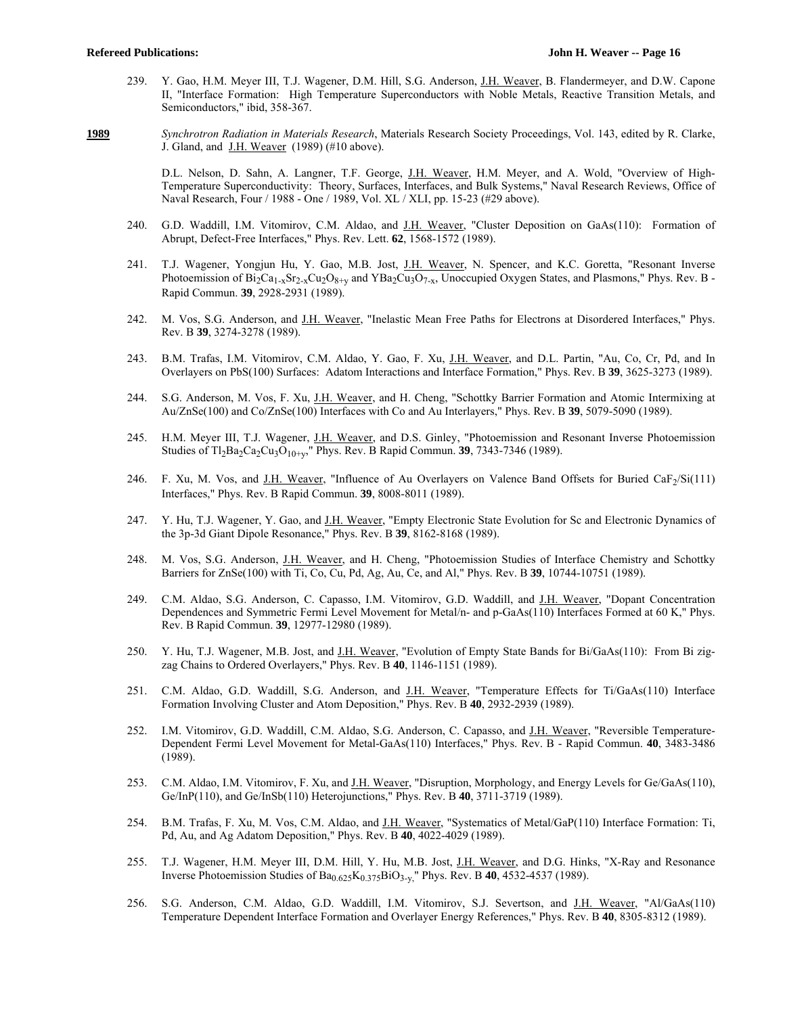239. Y. Gao, H.M. Meyer III, T.J. Wagener, D.M. Hill, S.G. Anderson, J.H. Weaver, B. Flandermeyer, and D.W. Capone II, "Interface Formation: High Temperature Superconductors with Noble Metals, Reactive Transition Metals, and Semiconductors," ibid, 358-367.

**1989** *Synchrotron Radiation in Materials Research*, Materials Research Society Proceedings, Vol. 143, edited by R. Clarke, J. Gland, and J.H. Weaver (1989) (#10 above).

> D.L. Nelson, D. Sahn, A. Langner, T.F. George, J.H. Weaver, H.M. Meyer, and A. Wold, "Overview of High-Temperature Superconductivity: Theory, Surfaces, Interfaces, and Bulk Systems," Naval Research Reviews, Office of Naval Research, Four / 1988 - One / 1989, Vol. XL / XLI, pp. 15-23 (#29 above).

- 240. G.D. Waddill, I.M. Vitomirov, C.M. Aldao, and J.H. Weaver, "Cluster Deposition on GaAs(110): Formation of Abrupt, Defect-Free Interfaces," Phys. Rev. Lett. **62**, 1568-1572 (1989).
- 241. T.J. Wagener, Yongjun Hu, Y. Gao, M.B. Jost, J.H. Weaver, N. Spencer, and K.C. Goretta, "Resonant Inverse Photoemission of  $Bi_2Ca_{1-x}Sr_{2-x}Cu_2O_{8+y}$  and YBa<sub>2</sub>Cu<sub>3</sub>O<sub>7-x</sub>, Unoccupied Oxygen States, and Plasmons," Phys. Rev. B -Rapid Commun. **39**, 2928-2931 (1989).
- 242. M. Vos, S.G. Anderson, and J.H. Weaver, "Inelastic Mean Free Paths for Electrons at Disordered Interfaces," Phys. Rev. B **39**, 3274-3278 (1989).
- 243. B.M. Trafas, I.M. Vitomirov, C.M. Aldao, Y. Gao, F. Xu, J.H. Weaver, and D.L. Partin, "Au, Co, Cr, Pd, and In Overlayers on PbS(100) Surfaces: Adatom Interactions and Interface Formation," Phys. Rev. B **39**, 3625-3273 (1989).
- 244. S.G. Anderson, M. Vos, F. Xu, J.H. Weaver, and H. Cheng, "Schottky Barrier Formation and Atomic Intermixing at Au/ZnSe(100) and Co/ZnSe(100) Interfaces with Co and Au Interlayers," Phys. Rev. B **39**, 5079-5090 (1989).
- 245. H.M. Meyer III, T.J. Wagener, J.H. Weaver, and D.S. Ginley, "Photoemission and Resonant Inverse Photoemission Studies of Tl<sub>2</sub>Ba<sub>2</sub>Ca<sub>2</sub>Cu<sub>3</sub>O<sub>10+y</sub>," Phys. Rev. B Rapid Commun. **39**, 7343-7346 (1989).
- 246. F. Xu, M. Vos, and J.H. Weaver, "Influence of Au Overlayers on Valence Band Offsets for Buried CaF<sub>2</sub>/Si(111) Interfaces," Phys. Rev. B Rapid Commun. **39**, 8008-8011 (1989).
- 247. Y. Hu, T.J. Wagener, Y. Gao, and J.H. Weaver, "Empty Electronic State Evolution for Sc and Electronic Dynamics of the 3p-3d Giant Dipole Resonance," Phys. Rev. B **39**, 8162-8168 (1989).
- 248. M. Vos, S.G. Anderson, J.H. Weaver, and H. Cheng, "Photoemission Studies of Interface Chemistry and Schottky Barriers for ZnSe(100) with Ti, Co, Cu, Pd, Ag, Au, Ce, and Al," Phys. Rev. B **39**, 10744-10751 (1989).
- 249. C.M. Aldao, S.G. Anderson, C. Capasso, I.M. Vitomirov, G.D. Waddill, and J.H. Weaver, "Dopant Concentration Dependences and Symmetric Fermi Level Movement for Metal/n- and p-GaAs(110) Interfaces Formed at 60 K," Phys. Rev. B Rapid Commun. **39**, 12977-12980 (1989).
- 250. Y. Hu, T.J. Wagener, M.B. Jost, and J.H. Weaver, "Evolution of Empty State Bands for Bi/GaAs(110): From Bi zigzag Chains to Ordered Overlayers," Phys. Rev. B **40**, 1146-1151 (1989).
- 251. C.M. Aldao, G.D. Waddill, S.G. Anderson, and J.H. Weaver, "Temperature Effects for Ti/GaAs(110) Interface Formation Involving Cluster and Atom Deposition," Phys. Rev. B **40**, 2932-2939 (1989).
- 252. I.M. Vitomirov, G.D. Waddill, C.M. Aldao, S.G. Anderson, C. Capasso, and J.H. Weaver, "Reversible Temperature-Dependent Fermi Level Movement for Metal-GaAs(110) Interfaces," Phys. Rev. B - Rapid Commun. **40**, 3483-3486 (1989).
- 253. C.M. Aldao, I.M. Vitomirov, F. Xu, and J.H. Weaver, "Disruption, Morphology, and Energy Levels for Ge/GaAs(110), Ge/InP(110), and Ge/InSb(110) Heterojunctions," Phys. Rev. B **40**, 3711-3719 (1989).
- 254. B.M. Trafas, F. Xu, M. Vos, C.M. Aldao, and J.H. Weaver, "Systematics of Metal/GaP(110) Interface Formation: Ti, Pd, Au, and Ag Adatom Deposition," Phys. Rev. B **40**, 4022-4029 (1989).
- 255. T.J. Wagener, H.M. Meyer III, D.M. Hill, Y. Hu, M.B. Jost, J.H. Weaver, and D.G. Hinks, "X-Ray and Resonance Inverse Photoemission Studies of  $Ba_{0.625}K_{0.375}BiO_{3-y}$ ," Phys. Rev. B 40, 4532-4537 (1989).
- 256. S.G. Anderson, C.M. Aldao, G.D. Waddill, I.M. Vitomirov, S.J. Severtson, and J.H. Weaver, "Al/GaAs(110) Temperature Dependent Interface Formation and Overlayer Energy References," Phys. Rev. B **40**, 8305-8312 (1989).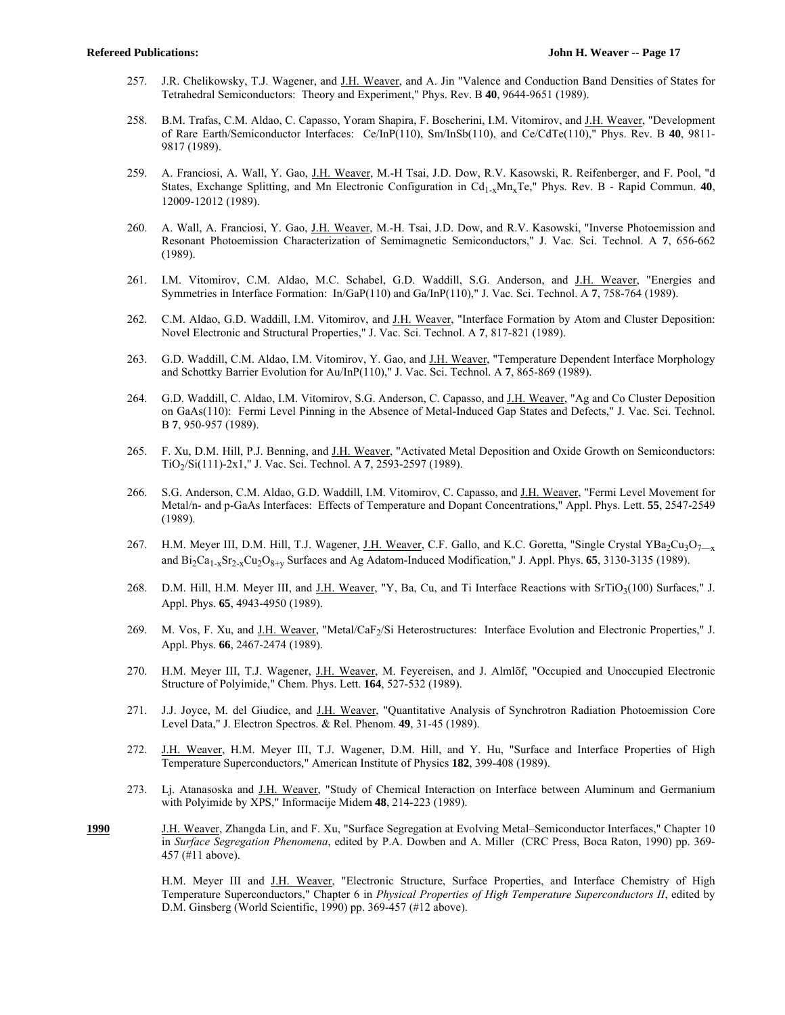- 257. J.R. Chelikowsky, T.J. Wagener, and J.H. Weaver, and A. Jin "Valence and Conduction Band Densities of States for Tetrahedral Semiconductors: Theory and Experiment," Phys. Rev. B **40**, 9644-9651 (1989).
- 258. B.M. Trafas, C.M. Aldao, C. Capasso, Yoram Shapira, F. Boscherini, I.M. Vitomirov, and J.H. Weaver, "Development of Rare Earth/Semiconductor Interfaces: Ce/InP(110), Sm/InSb(110), and Ce/CdTe(110)," Phys. Rev. B **40**, 9811- 9817 (1989).
- 259. A. Franciosi, A. Wall, Y. Gao, J.H. Weaver, M.-H Tsai, J.D. Dow, R.V. Kasowski, R. Reifenberger, and F. Pool, "d States, Exchange Splitting, and Mn Electronic Configuration in Cd<sub>1-x</sub>Mn<sub>x</sub>Te," Phys. Rev. B - Rapid Commun. **40**, 12009-12012 (1989).
- 260. A. Wall, A. Franciosi, Y. Gao, J.H. Weaver, M.-H. Tsai, J.D. Dow, and R.V. Kasowski, "Inverse Photoemission and Resonant Photoemission Characterization of Semimagnetic Semiconductors," J. Vac. Sci. Technol. A **7**, 656-662 (1989).
- 261. I.M. Vitomirov, C.M. Aldao, M.C. Schabel, G.D. Waddill, S.G. Anderson, and J.H. Weaver, "Energies and Symmetries in Interface Formation: In/GaP(110) and Ga/InP(110)," J. Vac. Sci. Technol. A **7**, 758-764 (1989).
- 262. C.M. Aldao, G.D. Waddill, I.M. Vitomirov, and J.H. Weaver, "Interface Formation by Atom and Cluster Deposition: Novel Electronic and Structural Properties," J. Vac. Sci. Technol. A **7**, 817-821 (1989).
- 263. G.D. Waddill, C.M. Aldao, I.M. Vitomirov, Y. Gao, and J.H. Weaver, "Temperature Dependent Interface Morphology and Schottky Barrier Evolution for Au/InP(110)," J. Vac. Sci. Technol. A **7**, 865-869 (1989).
- 264. G.D. Waddill, C. Aldao, I.M. Vitomirov, S.G. Anderson, C. Capasso, and J.H. Weaver, "Ag and Co Cluster Deposition on GaAs(110): Fermi Level Pinning in the Absence of Metal-Induced Gap States and Defects," J. Vac. Sci. Technol. B **7**, 950-957 (1989).
- 265. F. Xu, D.M. Hill, P.J. Benning, and J.H. Weaver, "Activated Metal Deposition and Oxide Growth on Semiconductors: TiO2/Si(111)-2x1," J. Vac. Sci. Technol. A **7**, 2593-2597 (1989).
- 266. S.G. Anderson, C.M. Aldao, G.D. Waddill, I.M. Vitomirov, C. Capasso, and J.H. Weaver, "Fermi Level Movement for Metal/n- and p-GaAs Interfaces: Effects of Temperature and Dopant Concentrations," Appl. Phys. Lett. **55**, 2547-2549 (1989).
- 267. H.M. Meyer III, D.M. Hill, T.J. Wagener, J.H. Weaver, C.F. Gallo, and K.C. Goretta, "Single Crystal YBa<sub>2</sub>Cu<sub>3</sub>O<sub>7—x</sub> and Bi2Ca1-xSr2-xCu2O8+y Surfaces and Ag Adatom-Induced Modification," J. Appl. Phys. **65**, 3130-3135 (1989).
- 268. D.M. Hill, H.M. Meyer III, and J.H. Weaver, "Y, Ba, Cu, and Ti Interface Reactions with SrTiO<sub>3</sub>(100) Surfaces," J. Appl. Phys. **65**, 4943-4950 (1989).
- 269. M. Vos, F. Xu, and J.H. Weaver, "Metal/CaF<sub>2</sub>/Si Heterostructures: Interface Evolution and Electronic Properties," J. Appl. Phys. **66**, 2467-2474 (1989).
- 270. H.M. Meyer III, T.J. Wagener, J.H. Weaver, M. Feyereisen, and J. Almlöf, "Occupied and Unoccupied Electronic Structure of Polyimide," Chem. Phys. Lett. **164**, 527-532 (1989).
- 271. J.J. Joyce, M. del Giudice, and J.H. Weaver, "Quantitative Analysis of Synchrotron Radiation Photoemission Core Level Data," J. Electron Spectros. & Rel. Phenom. **49**, 31-45 (1989).
- 272. J.H. Weaver, H.M. Meyer III, T.J. Wagener, D.M. Hill, and Y. Hu, "Surface and Interface Properties of High Temperature Superconductors," American Institute of Physics **182**, 399-408 (1989).
- 273. Lj. Atanasoska and J.H. Weaver, "Study of Chemical Interaction on Interface between Aluminum and Germanium with Polyimide by XPS," Informacije Midem **48**, 214-223 (1989).
- **1990** J.H. Weaver, Zhangda Lin, and F. Xu, "Surface Segregation at Evolving Metal–Semiconductor Interfaces," Chapter 10 in *Surface Segregation Phenomena*, edited by P.A. Dowben and A. Miller (CRC Press, Boca Raton, 1990) pp. 369- 457 (#11 above).

H.M. Meyer III and J.H. Weaver, "Electronic Structure, Surface Properties, and Interface Chemistry of High Temperature Superconductors," Chapter 6 in *Physical Properties of High Temperature Superconductors II*, edited by D.M. Ginsberg (World Scientific, 1990) pp. 369-457 (#12 above).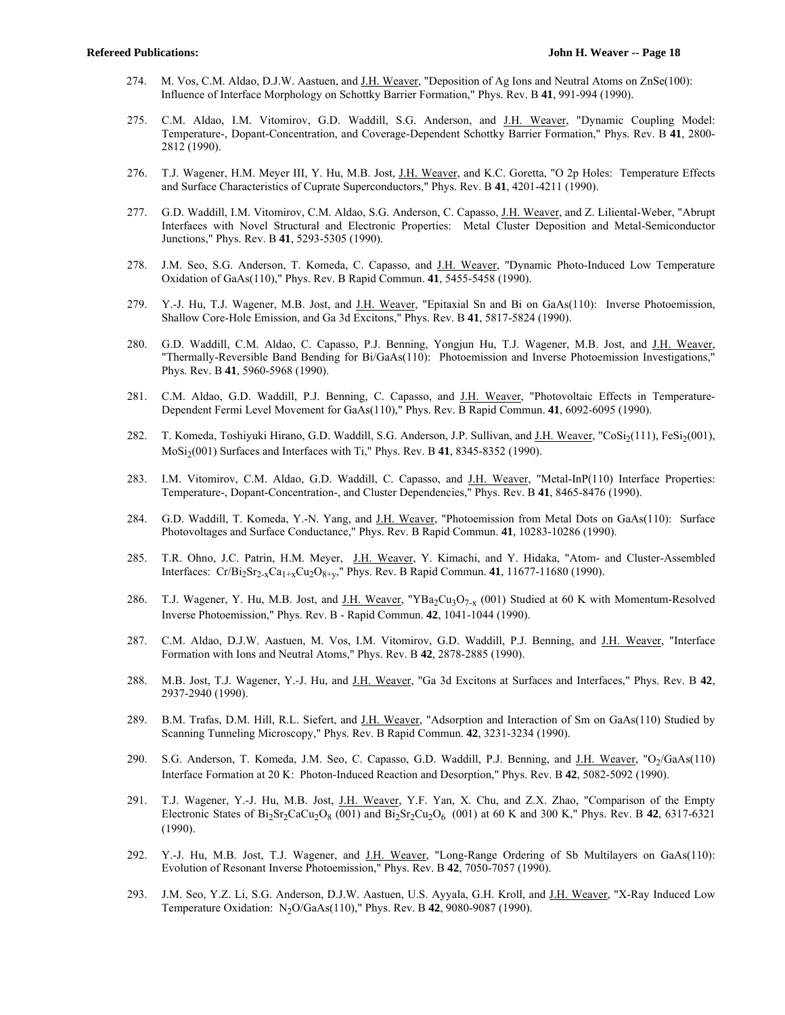- 274. M. Vos, C.M. Aldao, D.J.W. Aastuen, and J.H. Weaver, "Deposition of Ag Ions and Neutral Atoms on ZnSe(100): Influence of Interface Morphology on Schottky Barrier Formation," Phys. Rev. B **41**, 991-994 (1990).
- 275. C.M. Aldao, I.M. Vitomirov, G.D. Waddill, S.G. Anderson, and J.H. Weaver, "Dynamic Coupling Model: Temperature-, Dopant-Concentration, and Coverage-Dependent Schottky Barrier Formation," Phys. Rev. B **41**, 2800- 2812 (1990).
- 276. T.J. Wagener, H.M. Meyer III, Y. Hu, M.B. Jost, J.H. Weaver, and K.C. Goretta, "O 2p Holes: Temperature Effects and Surface Characteristics of Cuprate Superconductors," Phys. Rev. B **41**, 4201-4211 (1990).
- 277. G.D. Waddill, I.M. Vitomirov, C.M. Aldao, S.G. Anderson, C. Capasso, J.H. Weaver, and Z. Liliental-Weber, "Abrupt Interfaces with Novel Structural and Electronic Properties: Metal Cluster Deposition and Metal-Semiconductor Junctions," Phys. Rev. B **41**, 5293-5305 (1990).
- 278. J.M. Seo, S.G. Anderson, T. Komeda, C. Capasso, and J.H. Weaver, "Dynamic Photo-Induced Low Temperature Oxidation of GaAs(110)," Phys. Rev. B Rapid Commun. **41**, 5455-5458 (1990).
- 279. Y.-J. Hu, T.J. Wagener, M.B. Jost, and J.H. Weaver, "Epitaxial Sn and Bi on GaAs(110): Inverse Photoemission, Shallow Core-Hole Emission, and Ga 3d Excitons," Phys. Rev. B **41**, 5817-5824 (1990).
- 280. G.D. Waddill, C.M. Aldao, C. Capasso, P.J. Benning, Yongjun Hu, T.J. Wagener, M.B. Jost, and J.H. Weaver, "Thermally-Reversible Band Bending for Bi/GaAs(110): Photoemission and Inverse Photoemission Investigations," Phys. Rev. B **41**, 5960-5968 (1990).
- 281. C.M. Aldao, G.D. Waddill, P.J. Benning, C. Capasso, and J.H. Weaver, "Photovoltaic Effects in Temperature-Dependent Fermi Level Movement for GaAs(110)," Phys. Rev. B Rapid Commun. **41**, 6092-6095 (1990).
- 282. T. Komeda, Toshiyuki Hirano, G.D. Waddill, S.G. Anderson, J.P. Sullivan, and J.H. Weaver, "CoSi<sub>2</sub>(111), FeSi<sub>2</sub>(001), MoSi2(001) Surfaces and Interfaces with Ti," Phys. Rev. B **41**, 8345-8352 (1990).
- 283. I.M. Vitomirov, C.M. Aldao, G.D. Waddill, C. Capasso, and J.H. Weaver, "Metal-InP(110) Interface Properties: Temperature-, Dopant-Concentration-, and Cluster Dependencies," Phys. Rev. B **41**, 8465-8476 (1990).
- 284. G.D. Waddill, T. Komeda, Y.-N. Yang, and J.H. Weaver, "Photoemission from Metal Dots on GaAs(110): Surface Photovoltages and Surface Conductance," Phys. Rev. B Rapid Commun. **41**, 10283-10286 (1990).
- 285. T.R. Ohno, J.C. Patrin, H.M. Meyer, J.H. Weaver, Y. Kimachi, and Y. Hidaka, "Atom- and Cluster-Assembled Interfaces: Cr/Bi<sub>2</sub>Sr<sub>2-x</sub>Ca<sub>1+x</sub>Cu<sub>2</sub>O<sub>8+y</sub>," Phys. Rev. B Rapid Commun. **41**, 11677-11680 (1990).
- 286. T.J. Wagener, Y. Hu, M.B. Jost, and J.H. Weaver, "YBa<sub>2</sub>Cu<sub>3</sub>O<sub>7-x</sub> (001) Studied at 60 K with Momentum-Resolved Inverse Photoemission," Phys. Rev. B - Rapid Commun. **42**, 1041-1044 (1990).
- 287. C.M. Aldao, D.J.W. Aastuen, M. Vos, I.M. Vitomirov, G.D. Waddill, P.J. Benning, and J.H. Weaver, "Interface Formation with Ions and Neutral Atoms," Phys. Rev. B **42**, 2878-2885 (1990).
- 288. M.B. Jost, T.J. Wagener, Y.-J. Hu, and J.H. Weaver, "Ga 3d Excitons at Surfaces and Interfaces," Phys. Rev. B **42**, 2937-2940 (1990).
- 289. B.M. Trafas, D.M. Hill, R.L. Siefert, and J.H. Weaver, "Adsorption and Interaction of Sm on GaAs(110) Studied by Scanning Tunneling Microscopy," Phys. Rev. B Rapid Commun. **42**, 3231-3234 (1990).
- 290. S.G. Anderson, T. Komeda, J.M. Seo, C. Capasso, G.D. Waddill, P.J. Benning, and J.H. Weaver, "O<sub>2</sub>/GaAs(110) Interface Formation at 20 K: Photon-Induced Reaction and Desorption," Phys. Rev. B **42**, 5082-5092 (1990).
- 291. T.J. Wagener, Y.-J. Hu, M.B. Jost, J.H. Weaver, Y.F. Yan, X. Chu, and Z.X. Zhao, "Comparison of the Empty Electronic States of  $Bi_2Sr_2CaCu_2O_8$  (001) and  $Bi_2Sr_2Cu_2O_6$  (001) at 60 K and 300 K," Phys. Rev. B 42, 6317-6321 (1990).
- 292. Y.-J. Hu, M.B. Jost, T.J. Wagener, and J.H. Weaver, "Long-Range Ordering of Sb Multilayers on GaAs(110): Evolution of Resonant Inverse Photoemission," Phys. Rev. B **42**, 7050-7057 (1990).
- 293. J.M. Seo, Y.Z. Li, S.G. Anderson, D.J.W. Aastuen, U.S. Ayyala, G.H. Kroll, and J.H. Weaver, "X-Ray Induced Low Temperature Oxidation: N2O/GaAs(110)," Phys. Rev. B **42**, 9080-9087 (1990).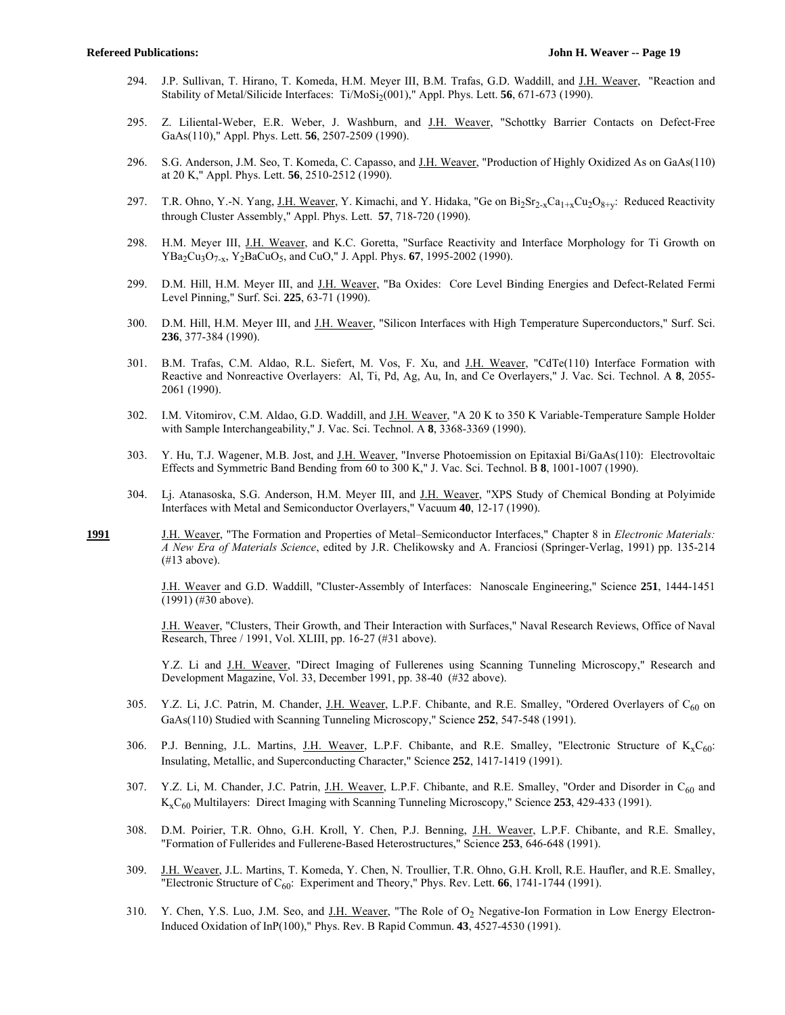- 294. J.P. Sullivan, T. Hirano, T. Komeda, H.M. Meyer III, B.M. Trafas, G.D. Waddill, and J.H. Weaver, "Reaction and Stability of Metal/Silicide Interfaces: Ti/MoSi<sub>2</sub>(001)," Appl. Phys. Lett. **56**, 671-673 (1990).
- 295. Z. Liliental-Weber, E.R. Weber, J. Washburn, and J.H. Weaver, "Schottky Barrier Contacts on Defect-Free GaAs(110)," Appl. Phys. Lett. **56**, 2507-2509 (1990).
- 296. S.G. Anderson, J.M. Seo, T. Komeda, C. Capasso, and J.H. Weaver, "Production of Highly Oxidized As on GaAs(110) at 20 K," Appl. Phys. Lett. **56**, 2510-2512 (1990).
- 297. T.R. Ohno, Y.-N. Yang, J.H. Weaver, Y. Kimachi, and Y. Hidaka, "Ge on  $Bi_2Sr_2xCa_{1+x}Cu_2O_{8+v}$ : Reduced Reactivity through Cluster Assembly," Appl. Phys. Lett. **57**, 718-720 (1990).
- 298. H.M. Meyer III, J.H. Weaver, and K.C. Goretta, "Surface Reactivity and Interface Morphology for Ti Growth on YBa2Cu3O7-x, Y2BaCuO5, and CuO," J. Appl. Phys. **67**, 1995-2002 (1990).
- 299. D.M. Hill, H.M. Meyer III, and J.H. Weaver, "Ba Oxides: Core Level Binding Energies and Defect-Related Fermi Level Pinning," Surf. Sci. **225**, 63-71 (1990).
- 300. D.M. Hill, H.M. Meyer III, and J.H. Weaver, "Silicon Interfaces with High Temperature Superconductors," Surf. Sci. **236**, 377-384 (1990).
- 301. B.M. Trafas, C.M. Aldao, R.L. Siefert, M. Vos, F. Xu, and J.H. Weaver, "CdTe(110) Interface Formation with Reactive and Nonreactive Overlayers: Al, Ti, Pd, Ag, Au, In, and Ce Overlayers," J. Vac. Sci. Technol. A **8**, 2055- 2061 (1990).
- 302. I.M. Vitomirov, C.M. Aldao, G.D. Waddill, and J.H. Weaver, "A 20 K to 350 K Variable-Temperature Sample Holder with Sample Interchangeability," J. Vac. Sci. Technol. A **8**, 3368-3369 (1990).
- 303. Y. Hu, T.J. Wagener, M.B. Jost, and J.H. Weaver, "Inverse Photoemission on Epitaxial Bi/GaAs(110): Electrovoltaic Effects and Symmetric Band Bending from 60 to 300 K," J. Vac. Sci. Technol. B **8**, 1001-1007 (1990).
- 304. Lj. Atanasoska, S.G. Anderson, H.M. Meyer III, and J.H. Weaver, "XPS Study of Chemical Bonding at Polyimide Interfaces with Metal and Semiconductor Overlayers," Vacuum **40**, 12-17 (1990).
- **1991** J.H. Weaver, "The Formation and Properties of Metal–Semiconductor Interfaces," Chapter 8 in *Electronic Materials: A New Era of Materials Science*, edited by J.R. Chelikowsky and A. Franciosi (Springer-Verlag, 1991) pp. 135-214 (#13 above).

 J.H. Weaver and G.D. Waddill, "Cluster-Assembly of Interfaces: Nanoscale Engineering," Science **251**, 1444-1451 (1991) (#30 above).

 J.H. Weaver, "Clusters, Their Growth, and Their Interaction with Surfaces," Naval Research Reviews, Office of Naval Research, Three / 1991, Vol. XLIII, pp. 16-27 (#31 above).

 Y.Z. Li and J.H. Weaver, "Direct Imaging of Fullerenes using Scanning Tunneling Microscopy," Research and Development Magazine, Vol. 33, December 1991, pp. 38-40 (#32 above).

- 305. Y.Z. Li, J.C. Patrin, M. Chander, J.H. Weaver, L.P.F. Chibante, and R.E. Smalley, "Ordered Overlayers of C<sub>60</sub> on GaAs(110) Studied with Scanning Tunneling Microscopy," Science **252**, 547-548 (1991).
- 306. P.J. Benning, J.L. Martins, J.H. Weaver, L.P.F. Chibante, and R.E. Smalley, "Electronic Structure of  $K_xC_{60}$ : Insulating, Metallic, and Superconducting Character," Science **252**, 1417-1419 (1991).
- 307. Y.Z. Li, M. Chander, J.C. Patrin, J.H. Weaver, L.P.F. Chibante, and R.E. Smalley, "Order and Disorder in  $C_{60}$  and KxC60 Multilayers: Direct Imaging with Scanning Tunneling Microscopy," Science **253**, 429-433 (1991).
- 308. D.M. Poirier, T.R. Ohno, G.H. Kroll, Y. Chen, P.J. Benning, J.H. Weaver, L.P.F. Chibante, and R.E. Smalley, "Formation of Fullerides and Fullerene-Based Heterostructures," Science **253**, 646-648 (1991).
- 309. J.H. Weaver, J.L. Martins, T. Komeda, Y. Chen, N. Troullier, T.R. Ohno, G.H. Kroll, R.E. Haufler, and R.E. Smalley, "Electronic Structure of C60: Experiment and Theory," Phys. Rev. Lett. **66**, 1741-1744 (1991).
- 310. Y. Chen, Y.S. Luo, J.M. Seo, and J.H. Weaver, "The Role of O<sub>2</sub> Negative-Ion Formation in Low Energy Electron-Induced Oxidation of InP(100)," Phys. Rev. B Rapid Commun. **43**, 4527-4530 (1991).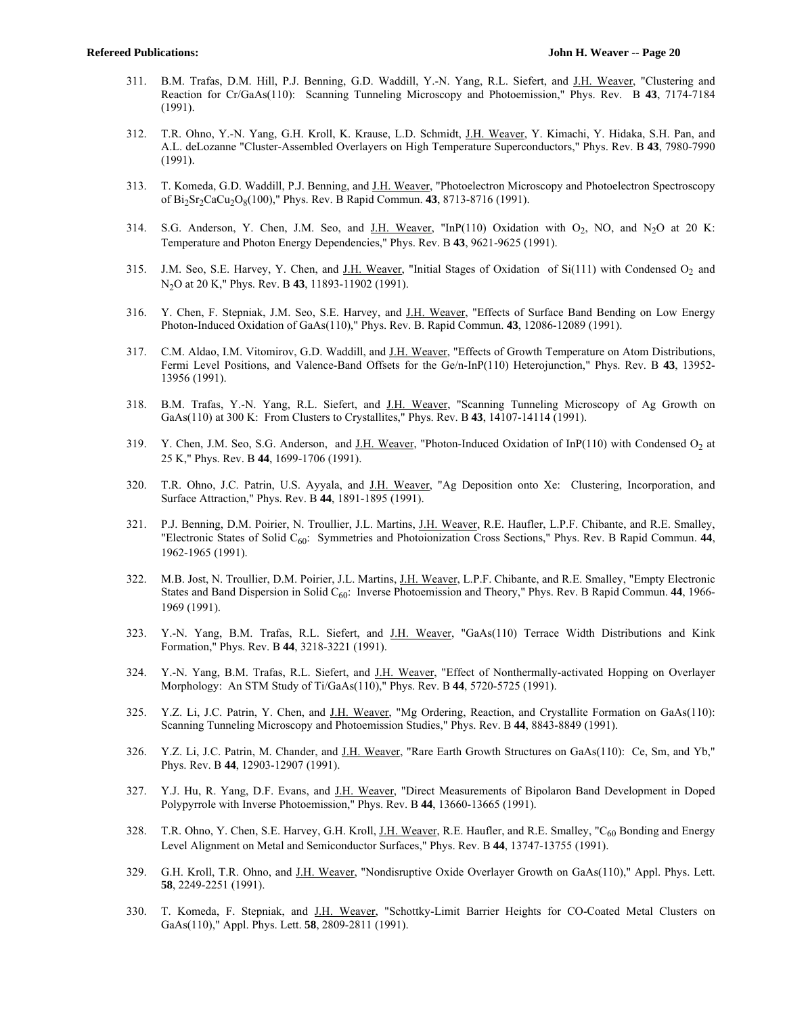- 311. B.M. Trafas, D.M. Hill, P.J. Benning, G.D. Waddill, Y.-N. Yang, R.L. Siefert, and J.H. Weaver, "Clustering and Reaction for Cr/GaAs(110): Scanning Tunneling Microscopy and Photoemission," Phys. Rev. B **43**, 7174-7184 (1991).
- 312. T.R. Ohno, Y.-N. Yang, G.H. Kroll, K. Krause, L.D. Schmidt, J.H. Weaver, Y. Kimachi, Y. Hidaka, S.H. Pan, and A.L. deLozanne "Cluster-Assembled Overlayers on High Temperature Superconductors," Phys. Rev. B **43**, 7980-7990 (1991).
- 313. T. Komeda, G.D. Waddill, P.J. Benning, and J.H. Weaver, "Photoelectron Microscopy and Photoelectron Spectroscopy of Bi2Sr2CaCu2O8(100)," Phys. Rev. B Rapid Commun. **43**, 8713-8716 (1991).
- 314. S.G. Anderson, Y. Chen, J.M. Seo, and J.H. Weaver, "InP(110) Oxidation with  $O_2$ , NO, and N<sub>2</sub>O at 20 K: Temperature and Photon Energy Dependencies," Phys. Rev. B **43**, 9621-9625 (1991).
- 315. J.M. Seo, S.E. Harvey, Y. Chen, and J.H. Weaver, "Initial Stages of Oxidation of Si(111) with Condensed O<sub>2</sub> and N2O at 20 K," Phys. Rev. B **43**, 11893-11902 (1991).
- 316. Y. Chen, F. Stepniak, J.M. Seo, S.E. Harvey, and J.H. Weaver, "Effects of Surface Band Bending on Low Energy Photon-Induced Oxidation of GaAs(110)," Phys. Rev. B. Rapid Commun. **43**, 12086-12089 (1991).
- 317. C.M. Aldao, I.M. Vitomirov, G.D. Waddill, and J.H. Weaver, "Effects of Growth Temperature on Atom Distributions, Fermi Level Positions, and Valence-Band Offsets for the Ge/n-InP(110) Heterojunction," Phys. Rev. B **43**, 13952- 13956 (1991).
- 318. B.M. Trafas, Y.-N. Yang, R.L. Siefert, and J.H. Weaver, "Scanning Tunneling Microscopy of Ag Growth on GaAs(110) at 300 K: From Clusters to Crystallites," Phys. Rev. B **43**, 14107-14114 (1991).
- 319. Y. Chen, J.M. Seo, S.G. Anderson, and J.H. Weaver, "Photon-Induced Oxidation of InP(110) with Condensed  $O_2$  at 25 K," Phys. Rev. B **44**, 1699-1706 (1991).
- 320. T.R. Ohno, J.C. Patrin, U.S. Ayyala, and J.H. Weaver, "Ag Deposition onto Xe: Clustering, Incorporation, and Surface Attraction," Phys. Rev. B **44**, 1891-1895 (1991).
- 321. P.J. Benning, D.M. Poirier, N. Troullier, J.L. Martins, J.H. Weaver, R.E. Haufler, L.P.F. Chibante, and R.E. Smalley, "Electronic States of Solid C60: Symmetries and Photoionization Cross Sections," Phys. Rev. B Rapid Commun. **44**, 1962-1965 (1991).
- 322. M.B. Jost, N. Troullier, D.M. Poirier, J.L. Martins, J.H. Weaver, L.P.F. Chibante, and R.E. Smalley, "Empty Electronic States and Band Dispersion in Solid  $C_{60}$ : Inverse Photoemission and Theory," Phys. Rev. B Rapid Commun. **44**, 1966-1969 (1991).
- 323. Y.-N. Yang, B.M. Trafas, R.L. Siefert, and J.H. Weaver, "GaAs(110) Terrace Width Distributions and Kink Formation," Phys. Rev. B **44**, 3218-3221 (1991).
- 324. Y.-N. Yang, B.M. Trafas, R.L. Siefert, and J.H. Weaver, "Effect of Nonthermally-activated Hopping on Overlayer Morphology: An STM Study of Ti/GaAs(110)," Phys. Rev. B **44**, 5720-5725 (1991).
- 325. Y.Z. Li, J.C. Patrin, Y. Chen, and J.H. Weaver, "Mg Ordering, Reaction, and Crystallite Formation on GaAs(110): Scanning Tunneling Microscopy and Photoemission Studies," Phys. Rev. B **44**, 8843-8849 (1991).
- 326. Y.Z. Li, J.C. Patrin, M. Chander, and J.H. Weaver, "Rare Earth Growth Structures on GaAs(110): Ce, Sm, and Yb," Phys. Rev. B **44**, 12903-12907 (1991).
- 327. Y.J. Hu, R. Yang, D.F. Evans, and J.H. Weaver, "Direct Measurements of Bipolaron Band Development in Doped Polypyrrole with Inverse Photoemission," Phys. Rev. B **44**, 13660-13665 (1991).
- 328. T.R. Ohno, Y. Chen, S.E. Harvey, G.H. Kroll, J.H. Weaver, R.E. Haufler, and R.E. Smalley, "C<sub>60</sub> Bonding and Energy Level Alignment on Metal and Semiconductor Surfaces," Phys. Rev. B **44**, 13747-13755 (1991).
- 329. G.H. Kroll, T.R. Ohno, and J.H. Weaver, "Nondisruptive Oxide Overlayer Growth on GaAs(110)," Appl. Phys. Lett. **58**, 2249-2251 (1991).
- 330. T. Komeda, F. Stepniak, and J.H. Weaver, "Schottky-Limit Barrier Heights for CO-Coated Metal Clusters on GaAs(110)," Appl. Phys. Lett. **58**, 2809-2811 (1991).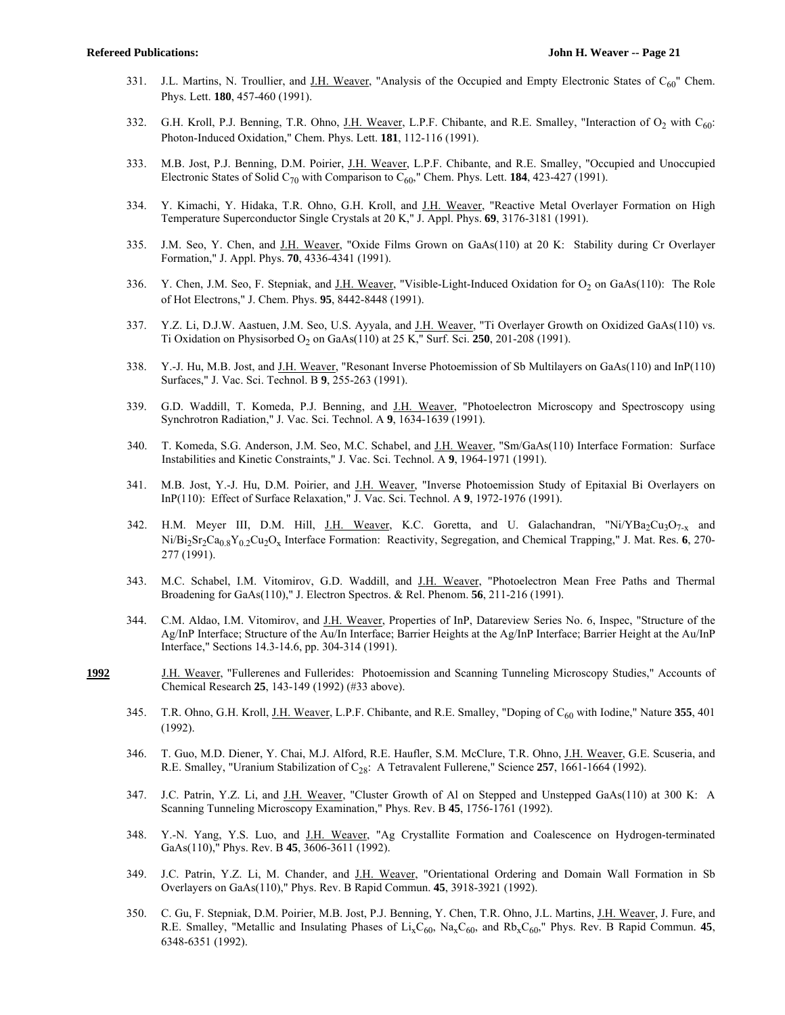- 331. J.L. Martins, N. Troullier, and J.H. Weaver, "Analysis of the Occupied and Empty Electronic States of  $C_{60}$ " Chem. Phys. Lett. **180**, 457-460 (1991).
- 332. G.H. Kroll, P.J. Benning, T.R. Ohno, J.H. Weaver, L.P.F. Chibante, and R.E. Smalley, "Interaction of O<sub>2</sub> with C<sub>60</sub>: Photon-Induced Oxidation," Chem. Phys. Lett. **181**, 112-116 (1991).
- 333. M.B. Jost, P.J. Benning, D.M. Poirier, J.H. Weaver, L.P.F. Chibante, and R.E. Smalley, "Occupied and Unoccupied Electronic States of Solid C70 with Comparison to C60," Chem. Phys. Lett. **184**, 423-427 (1991).
- 334. Y. Kimachi, Y. Hidaka, T.R. Ohno, G.H. Kroll, and J.H. Weaver, "Reactive Metal Overlayer Formation on High Temperature Superconductor Single Crystals at 20 K," J. Appl. Phys. **69**, 3176-3181 (1991).
- 335. J.M. Seo, Y. Chen, and J.H. Weaver, "Oxide Films Grown on GaAs(110) at 20 K: Stability during Cr Overlayer Formation," J. Appl. Phys. **70**, 4336-4341 (1991).
- 336. Y. Chen, J.M. Seo, F. Stepniak, and <u>J.H. Weaver</u>, "Visible-Light-Induced Oxidation for  $O_2$  on GaAs(110): The Role of Hot Electrons," J. Chem. Phys. **95**, 8442-8448 (1991).
- 337. Y.Z. Li, D.J.W. Aastuen, J.M. Seo, U.S. Ayyala, and J.H. Weaver, "Ti Overlayer Growth on Oxidized GaAs(110) vs. Ti Oxidation on Physisorbed O2 on GaAs(110) at 25 K," Surf. Sci. **250**, 201-208 (1991).
- 338. Y.-J. Hu, M.B. Jost, and J.H. Weaver, "Resonant Inverse Photoemission of Sb Multilayers on GaAs(110) and InP(110) Surfaces," J. Vac. Sci. Technol. B **9**, 255-263 (1991).
- 339. G.D. Waddill, T. Komeda, P.J. Benning, and J.H. Weaver, "Photoelectron Microscopy and Spectroscopy using Synchrotron Radiation," J. Vac. Sci. Technol. A **9**, 1634-1639 (1991).
- 340. T. Komeda, S.G. Anderson, J.M. Seo, M.C. Schabel, and J.H. Weaver, "Sm/GaAs(110) Interface Formation: Surface Instabilities and Kinetic Constraints," J. Vac. Sci. Technol. A **9**, 1964-1971 (1991).
- 341. M.B. Jost, Y.-J. Hu, D.M. Poirier, and J.H. Weaver, "Inverse Photoemission Study of Epitaxial Bi Overlayers on InP(110): Effect of Surface Relaxation," J. Vac. Sci. Technol. A **9**, 1972-1976 (1991).
- 342. H.M. Meyer III, D.M. Hill, J.H. Weaver, K.C. Goretta, and U. Galachandran, "Ni/YBa<sub>2</sub>Cu<sub>3</sub>O<sub>7-x</sub> and Ni/Bi2Sr2Ca0.8Y0.2Cu2Ox Interface Formation: Reactivity, Segregation, and Chemical Trapping," J. Mat. Res. **6**, 270- 277 (1991).
- 343. M.C. Schabel, I.M. Vitomirov, G.D. Waddill, and J.H. Weaver, "Photoelectron Mean Free Paths and Thermal Broadening for GaAs(110)," J. Electron Spectros. & Rel. Phenom. **56**, 211-216 (1991).
- 344. C.M. Aldao, I.M. Vitomirov, and J.H. Weaver, Properties of InP, Datareview Series No. 6, Inspec, "Structure of the Ag/InP Interface; Structure of the Au/In Interface; Barrier Heights at the Ag/InP Interface; Barrier Height at the Au/InP Interface," Sections 14.3-14.6, pp. 304-314 (1991).
- **1992** J.H. Weaver, "Fullerenes and Fullerides: Photoemission and Scanning Tunneling Microscopy Studies," Accounts of Chemical Research **25**, 143-149 (1992) (#33 above).
	- 345. T.R. Ohno, G.H. Kroll, J.H. Weaver, L.P.F. Chibante, and R.E. Smalley, "Doping of C<sub>60</sub> with Iodine," Nature 355, 401 (1992).
	- 346. T. Guo, M.D. Diener, Y. Chai, M.J. Alford, R.E. Haufler, S.M. McClure, T.R. Ohno, J.H. Weaver, G.E. Scuseria, and R.E. Smalley, "Uranium Stabilization of C<sub>28</sub>: A Tetravalent Fullerene," Science 257, 1661-1664 (1992).
	- 347. J.C. Patrin, Y.Z. Li, and J.H. Weaver, "Cluster Growth of Al on Stepped and Unstepped GaAs(110) at 300 K: A Scanning Tunneling Microscopy Examination," Phys. Rev. B **45**, 1756-1761 (1992).
	- 348. Y.-N. Yang, Y.S. Luo, and J.H. Weaver, "Ag Crystallite Formation and Coalescence on Hydrogen-terminated GaAs(110)," Phys. Rev. B **45**, 3606-3611 (1992).
	- 349. J.C. Patrin, Y.Z. Li, M. Chander, and J.H. Weaver, "Orientational Ordering and Domain Wall Formation in Sb Overlayers on GaAs(110)," Phys. Rev. B Rapid Commun. **45**, 3918-3921 (1992).
	- 350. C. Gu, F. Stepniak, D.M. Poirier, M.B. Jost, P.J. Benning, Y. Chen, T.R. Ohno, J.L. Martins, J.H. Weaver, J. Fure, and R.E. Smalley, "Metallic and Insulating Phases of  $Li_xC_{60}$ , Na<sub>x</sub>C<sub>60</sub>, and Rb<sub>x</sub>C<sub>60</sub>," Phys. Rev. B Rapid Commun. 45, 6348-6351 (1992).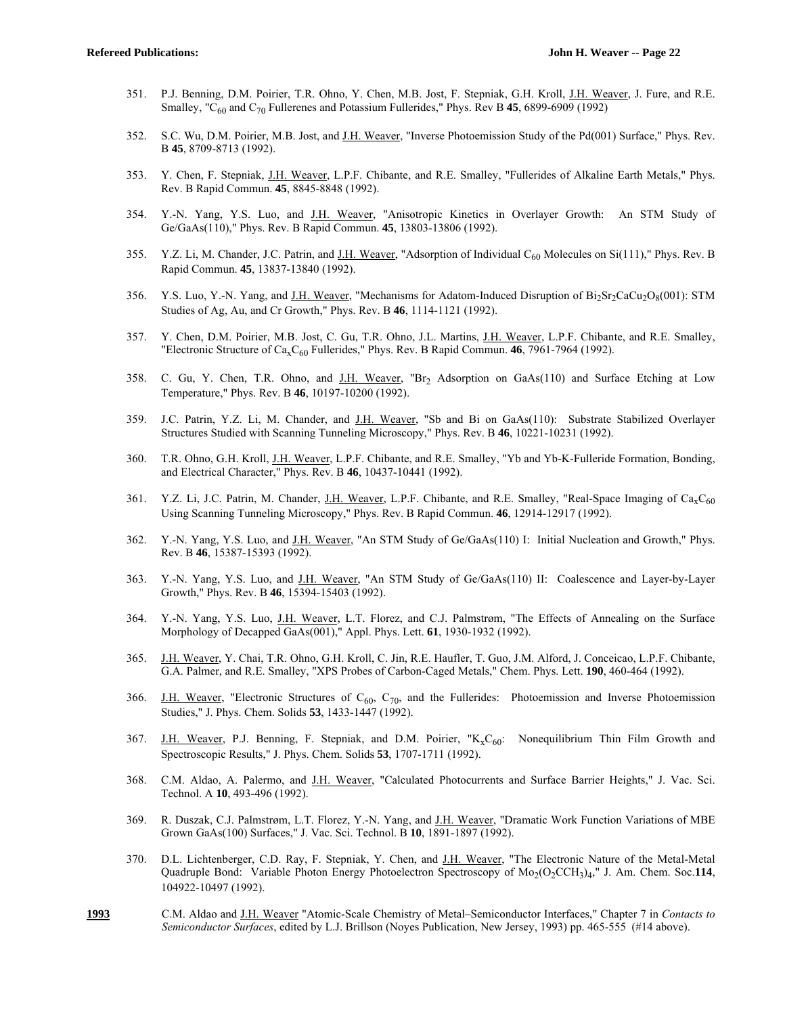- 351. P.J. Benning, D.M. Poirier, T.R. Ohno, Y. Chen, M.B. Jost, F. Stepniak, G.H. Kroll, J.H. Weaver, J. Fure, and R.E. Smalley, "C60 and C70 Fullerenes and Potassium Fullerides," Phys. Rev B **45**, 6899-6909 (1992)
- 352. S.C. Wu, D.M. Poirier, M.B. Jost, and J.H. Weaver, "Inverse Photoemission Study of the Pd(001) Surface," Phys. Rev. B **45**, 8709-8713 (1992).
- 353. Y. Chen, F. Stepniak, J.H. Weaver, L.P.F. Chibante, and R.E. Smalley, "Fullerides of Alkaline Earth Metals," Phys. Rev. B Rapid Commun. **45**, 8845-8848 (1992).
- 354. Y.-N. Yang, Y.S. Luo, and J.H. Weaver, "Anisotropic Kinetics in Overlayer Growth: An STM Study of Ge/GaAs(110)," Phys. Rev. B Rapid Commun. **45**, 13803-13806 (1992).
- 355. Y.Z. Li, M. Chander, J.C. Patrin, and J.H. Weaver, "Adsorption of Individual C<sub>60</sub> Molecules on Si(111)," Phys. Rev. B Rapid Commun. **45**, 13837-13840 (1992).
- 356. Y.S. Luo, Y.-N. Yang, and J.H. Weaver, "Mechanisms for Adatom-Induced Disruption of Bi2Sr2CaCu2O8(001): STM Studies of Ag, Au, and Cr Growth," Phys. Rev. B **46**, 1114-1121 (1992).
- 357. Y. Chen, D.M. Poirier, M.B. Jost, C. Gu, T.R. Ohno, J.L. Martins, J.H. Weaver, L.P.F. Chibante, and R.E. Smalley, "Electronic Structure of Ca<sub>x</sub>C<sub>60</sub> Fullerides," Phys. Rev. B Rapid Commun. 46, 7961-7964 (1992).
- 358. C. Gu, Y. Chen, T.R. Ohno, and J.H. Weaver, "Br2 Adsorption on GaAs(110) and Surface Etching at Low Temperature," Phys. Rev. B **46**, 10197-10200 (1992).
- 359. J.C. Patrin, Y.Z. Li, M. Chander, and J.H. Weaver, "Sb and Bi on GaAs(110): Substrate Stabilized Overlayer Structures Studied with Scanning Tunneling Microscopy," Phys. Rev. B **46**, 10221-10231 (1992).
- 360. T.R. Ohno, G.H. Kroll, J.H. Weaver, L.P.F. Chibante, and R.E. Smalley, "Yb and Yb-K-Fulleride Formation, Bonding, and Electrical Character," Phys. Rev. B **46**, 10437-10441 (1992).
- 361. Y.Z. Li, J.C. Patrin, M. Chander, J.H. Weaver, L.P.F. Chibante, and R.E. Smalley, "Real-Space Imaging of  $Ca<sub>x</sub>C<sub>60</sub>$ Using Scanning Tunneling Microscopy," Phys. Rev. B Rapid Commun. **46**, 12914-12917 (1992).
- 362. Y.-N. Yang, Y.S. Luo, and J.H. Weaver, "An STM Study of Ge/GaAs(110) I: Initial Nucleation and Growth," Phys. Rev. B **46**, 15387-15393 (1992).
- 363. Y.-N. Yang, Y.S. Luo, and J.H. Weaver, "An STM Study of Ge/GaAs(110) II: Coalescence and Layer-by-Layer Growth," Phys. Rev. B **46**, 15394-15403 (1992).
- 364. Y.-N. Yang, Y.S. Luo, J.H. Weaver, L.T. Florez, and C.J. Palmstrøm, "The Effects of Annealing on the Surface Morphology of Decapped GaAs(001)," Appl. Phys. Lett. **61**, 1930-1932 (1992).
- 365. J.H. Weaver, Y. Chai, T.R. Ohno, G.H. Kroll, C. Jin, R.E. Haufler, T. Guo, J.M. Alford, J. Conceicao, L.P.F. Chibante, G.A. Palmer, and R.E. Smalley, "XPS Probes of Carbon-Caged Metals," Chem. Phys. Lett. **190**, 460-464 (1992).
- 366. J.H. Weaver, "Electronic Structures of  $C_{60}$ ,  $C_{70}$ , and the Fullerides: Photoemission and Inverse Photoemission Studies," J. Phys. Chem. Solids **53**, 1433-1447 (1992).
- 367. J.H. Weaver, P.J. Benning, F. Stepniak, and D.M. Poirier, " $K_xC_{60}$ : Nonequilibrium Thin Film Growth and Spectroscopic Results," J. Phys. Chem. Solids **53**, 1707-1711 (1992).
- 368. C.M. Aldao, A. Palermo, and J.H. Weaver, "Calculated Photocurrents and Surface Barrier Heights," J. Vac. Sci. Technol. A **10**, 493-496 (1992).
- 369. R. Duszak, C.J. Palmstrøm, L.T. Florez, Y.-N. Yang, and J.H. Weaver, "Dramatic Work Function Variations of MBE Grown GaAs(100) Surfaces," J. Vac. Sci. Technol. B **10**, 1891-1897 (1992).
- 370. D.L. Lichtenberger, C.D. Ray, F. Stepniak, Y. Chen, and J.H. Weaver, "The Electronic Nature of the Metal-Metal Quadruple Bond: Variable Photon Energy Photoelectron Spectroscopy of Mo<sub>2</sub>(O<sub>2</sub>CCH<sub>3</sub>)<sub>4</sub>," J. Am. Chem. Soc.114, 104922-10497 (1992).
- **1993** C.M. Aldao and J.H. Weaver "Atomic-Scale Chemistry of Metal–Semiconductor Interfaces," Chapter 7 in *Contacts to Semiconductor Surfaces*, edited by L.J. Brillson (Noyes Publication, New Jersey, 1993) pp. 465-555 (#14 above).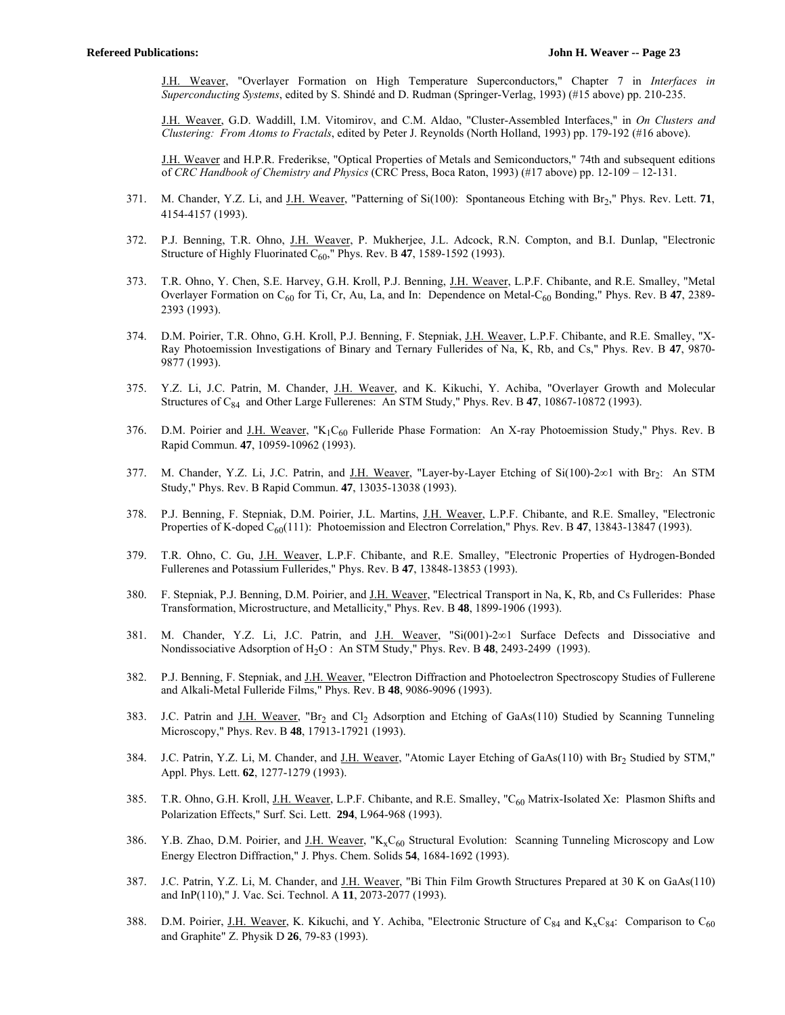J.H. Weaver, "Overlayer Formation on High Temperature Superconductors," Chapter 7 in *Interfaces in Superconducting Systems*, edited by S. Shindé and D. Rudman (Springer-Verlag, 1993) (#15 above) pp. 210-235.

 J.H. Weaver, G.D. Waddill, I.M. Vitomirov, and C.M. Aldao, "Cluster-Assembled Interfaces," in *On Clusters and Clustering: From Atoms to Fractals*, edited by Peter J. Reynolds (North Holland, 1993) pp. 179-192 (#16 above).

 J.H. Weaver and H.P.R. Frederikse, "Optical Properties of Metals and Semiconductors," 74th and subsequent editions of *CRC Handbook of Chemistry and Physics* (CRC Press, Boca Raton, 1993) (#17 above) pp. 12-109 – 12-131.

- 371. M. Chander, Y.Z. Li, and J.H. Weaver, "Patterning of Si(100): Spontaneous Etching with Br2," Phys. Rev. Lett. **71**, 4154-4157 (1993).
- 372. P.J. Benning, T.R. Ohno, J.H. Weaver, P. Mukherjee, J.L. Adcock, R.N. Compton, and B.I. Dunlap, "Electronic Structure of Highly Fluorinated  $C_{60}$ ," Phys. Rev. B 47, 1589-1592 (1993).
- 373. T.R. Ohno, Y. Chen, S.E. Harvey, G.H. Kroll, P.J. Benning, J.H. Weaver, L.P.F. Chibante, and R.E. Smalley, "Metal Overlayer Formation on C<sub>60</sub> for Ti, Cr, Au, La, and In: Dependence on Metal-C<sub>60</sub> Bonding," Phys. Rev. B 47, 2389-2393 (1993).
- 374. D.M. Poirier, T.R. Ohno, G.H. Kroll, P.J. Benning, F. Stepniak, J.H. Weaver, L.P.F. Chibante, and R.E. Smalley, "X-Ray Photoemission Investigations of Binary and Ternary Fullerides of Na, K, Rb, and Cs," Phys. Rev. B **47**, 9870- 9877 (1993).
- 375. Y.Z. Li, J.C. Patrin, M. Chander, J.H. Weaver, and K. Kikuchi, Y. Achiba, "Overlayer Growth and Molecular Structures of C84 and Other Large Fullerenes: An STM Study," Phys. Rev. B **47**, 10867-10872 (1993).
- 376. D.M. Poirier and J.H. Weaver, "K<sub>1</sub>C<sub>60</sub> Fulleride Phase Formation: An X-ray Photoemission Study," Phys. Rev. B Rapid Commun. **47**, 10959-10962 (1993).
- 377. M. Chander, Y.Z. Li, J.C. Patrin, and J.H. Weaver, "Layer-by-Layer Etching of Si(100)-2 $\infty$ 1 with Br<sub>2</sub>: An STM Study," Phys. Rev. B Rapid Commun. **47**, 13035-13038 (1993).
- 378. P.J. Benning, F. Stepniak, D.M. Poirier, J.L. Martins, J.H. Weaver, L.P.F. Chibante, and R.E. Smalley, "Electronic Properties of K-doped C<sub>60</sub>(111): Photoemission and Electron Correlation," Phys. Rev. B **47**, 13843-13847 (1993).
- 379. T.R. Ohno, C. Gu, J.H. Weaver, L.P.F. Chibante, and R.E. Smalley, "Electronic Properties of Hydrogen-Bonded Fullerenes and Potassium Fullerides," Phys. Rev. B **47**, 13848-13853 (1993).
- 380. F. Stepniak, P.J. Benning, D.M. Poirier, and J.H. Weaver, "Electrical Transport in Na, K, Rb, and Cs Fullerides: Phase Transformation, Microstructure, and Metallicity," Phys. Rev. B **48**, 1899-1906 (1993).
- 381. M. Chander, Y.Z. Li, J.C. Patrin, and J.H. Weaver, "Si(001)-2 $\infty$ 1 Surface Defects and Dissociative and Nondissociative Adsorption of H2O : An STM Study," Phys. Rev. B **48**, 2493-2499 (1993).
- 382. P.J. Benning, F. Stepniak, and J.H. Weaver, "Electron Diffraction and Photoelectron Spectroscopy Studies of Fullerene and Alkali-Metal Fulleride Films," Phys. Rev. B **48**, 9086-9096 (1993).
- 383. J.C. Patrin and J.H. Weaver, "Br<sub>2</sub> and Cl<sub>2</sub> Adsorption and Etching of GaAs(110) Studied by Scanning Tunneling Microscopy," Phys. Rev. B **48**, 17913-17921 (1993).
- 384. J.C. Patrin, Y.Z. Li, M. Chander, and J.H. Weaver, "Atomic Layer Etching of GaAs(110) with Br<sub>2</sub> Studied by STM," Appl. Phys. Lett. **62**, 1277-1279 (1993).
- 385. T.R. Ohno, G.H. Kroll, J.H. Weaver, L.P.F. Chibante, and R.E. Smalley, "C<sub>60</sub> Matrix-Isolated Xe: Plasmon Shifts and Polarization Effects," Surf. Sci. Lett. **294**, L964-968 (1993).
- 386. Y.B. Zhao, D.M. Poirier, and J.H. Weaver, " $K_xC_{60}$  Structural Evolution: Scanning Tunneling Microscopy and Low Energy Electron Diffraction," J. Phys. Chem. Solids **54**, 1684-1692 (1993).
- 387. J.C. Patrin, Y.Z. Li, M. Chander, and J.H. Weaver, "Bi Thin Film Growth Structures Prepared at 30 K on GaAs(110) and InP(110)," J. Vac. Sci. Technol. A **11**, 2073-2077 (1993).
- 388. D.M. Poirier, J.H. Weaver, K. Kikuchi, and Y. Achiba, "Electronic Structure of C<sub>84</sub> and K<sub>x</sub>C<sub>84</sub>: Comparison to C<sub>60</sub> and Graphite" Z. Physik D **26**, 79-83 (1993).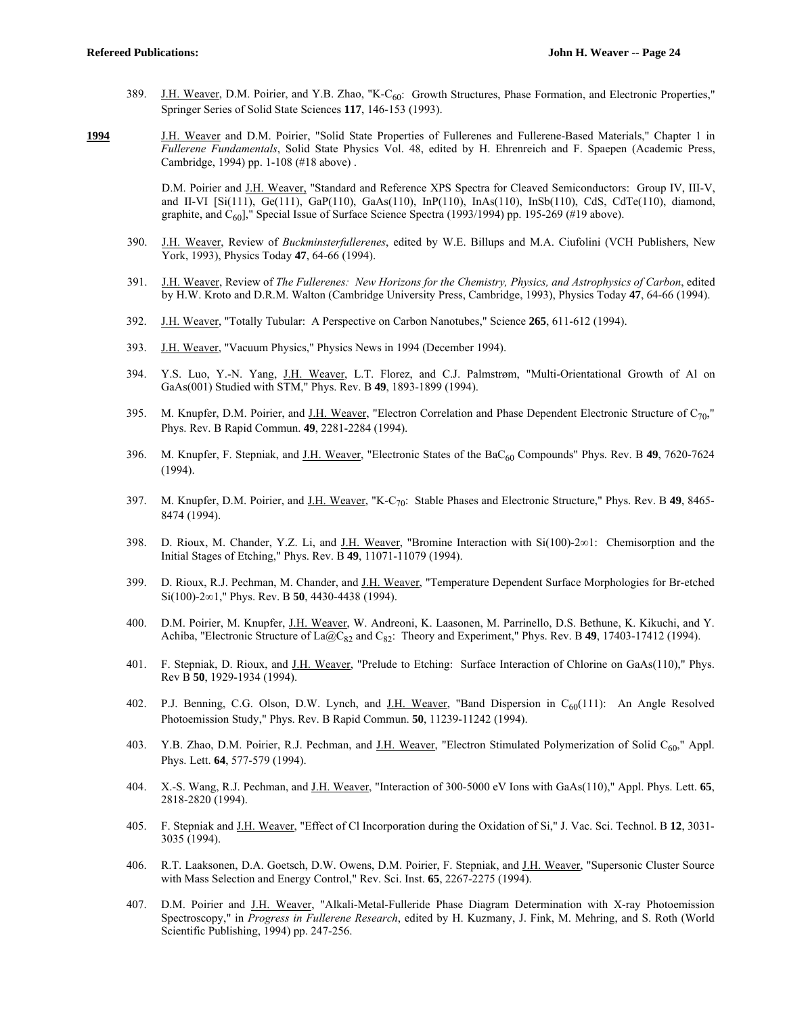- 389. J.H. Weaver, D.M. Poirier, and Y.B. Zhao, "K-C<sub>60</sub>: Growth Structures, Phase Formation, and Electronic Properties," Springer Series of Solid State Sciences **117**, 146-153 (1993).
- **1994** J.H. Weaver and D.M. Poirier, "Solid State Properties of Fullerenes and Fullerene-Based Materials," Chapter 1 in *Fullerene Fundamentals*, Solid State Physics Vol. 48, edited by H. Ehrenreich and F. Spaepen (Academic Press, Cambridge, 1994) pp. 1-108 (#18 above) .

 D.M. Poirier and J.H. Weaver, "Standard and Reference XPS Spectra for Cleaved Semiconductors: Group IV, III-V, and II-VI [Si(111), Ge(111), GaP(110), GaAs(110), InP(110), InAs(110), InSb(110), CdS, CdTe(110), diamond, graphite, and  $C_{60}$ ]," Special Issue of Surface Science Spectra (1993/1994) pp. 195-269 (#19 above).

- 390. J.H. Weaver, Review of *Buckminsterfullerenes*, edited by W.E. Billups and M.A. Ciufolini (VCH Publishers, New York, 1993), Physics Today **47**, 64-66 (1994).
- 391. J.H. Weaver, Review of *The Fullerenes: New Horizons for the Chemistry, Physics, and Astrophysics of Carbon*, edited by H.W. Kroto and D.R.M. Walton (Cambridge University Press, Cambridge, 1993), Physics Today **47**, 64-66 (1994).
- 392. J.H. Weaver, "Totally Tubular: A Perspective on Carbon Nanotubes," Science **265**, 611-612 (1994).
- 393. J.H. Weaver, "Vacuum Physics," Physics News in 1994 (December 1994).
- 394. Y.S. Luo, Y.-N. Yang, J.H. Weaver, L.T. Florez, and C.J. Palmstrøm, "Multi-Orientational Growth of Al on GaAs(001) Studied with STM," Phys. Rev. B **49**, 1893-1899 (1994).
- 395. M. Knupfer, D.M. Poirier, and J.H. Weaver, "Electron Correlation and Phase Dependent Electronic Structure of  $C_{70}$ ," Phys. Rev. B Rapid Commun. **49**, 2281-2284 (1994).
- 396. M. Knupfer, F. Stepniak, and J.H. Weaver, "Electronic States of the BaC60 Compounds" Phys. Rev. B **49**, 7620-7624  $(1994)$
- 397. M. Knupfer, D.M. Poirier, and J.H. Weaver, "K-C70: Stable Phases and Electronic Structure," Phys. Rev. B **49**, 8465- 8474 (1994).
- 398. D. Rioux, M. Chander, Y.Z. Li, and J.H. Weaver, "Bromine Interaction with  $Si(100)-2\infty1$ : Chemisorption and the Initial Stages of Etching," Phys. Rev. B **49**, 11071-11079 (1994).
- 399. D. Rioux, R.J. Pechman, M. Chander, and J.H. Weaver, "Temperature Dependent Surface Morphologies for Br-etched Si(100)-2∞1," Phys. Rev. B **50**, 4430-4438 (1994).
- 400. D.M. Poirier, M. Knupfer, J.H. Weaver, W. Andreoni, K. Laasonen, M. Parrinello, D.S. Bethune, K. Kikuchi, and Y. Achiba, "Electronic Structure of La@C<sub>82</sub> and C<sub>82</sub>: Theory and Experiment," Phys. Rev. B 49, 17403-17412 (1994).
- 401. F. Stepniak, D. Rioux, and J.H. Weaver, "Prelude to Etching: Surface Interaction of Chlorine on GaAs(110)," Phys. Rev B **50**, 1929-1934 (1994).
- 402. P.J. Benning, C.G. Olson, D.W. Lynch, and  $\underline{J.H.}$  Weaver, "Band Dispersion in C<sub>60</sub>(111): An Angle Resolved Photoemission Study," Phys. Rev. B Rapid Commun. **50**, 11239-11242 (1994).
- 403. Y.B. Zhao, D.M. Poirier, R.J. Pechman, and J.H. Weaver, "Electron Stimulated Polymerization of Solid C<sub>60</sub>," Appl. Phys. Lett. **64**, 577-579 (1994).
- 404. X.-S. Wang, R.J. Pechman, and J.H. Weaver, "Interaction of 300-5000 eV Ions with GaAs(110)," Appl. Phys. Lett. **65**, 2818-2820 (1994).
- 405. F. Stepniak and J.H. Weaver, "Effect of Cl Incorporation during the Oxidation of Si," J. Vac. Sci. Technol. B **12**, 3031- 3035 (1994).
- 406. R.T. Laaksonen, D.A. Goetsch, D.W. Owens, D.M. Poirier, F. Stepniak, and J.H. Weaver, "Supersonic Cluster Source with Mass Selection and Energy Control," Rev. Sci. Inst. **65**, 2267-2275 (1994).
- 407. D.M. Poirier and J.H. Weaver, "Alkali-Metal-Fulleride Phase Diagram Determination with X-ray Photoemission Spectroscopy," in *Progress in Fullerene Research*, edited by H. Kuzmany, J. Fink, M. Mehring, and S. Roth (World Scientific Publishing, 1994) pp. 247-256.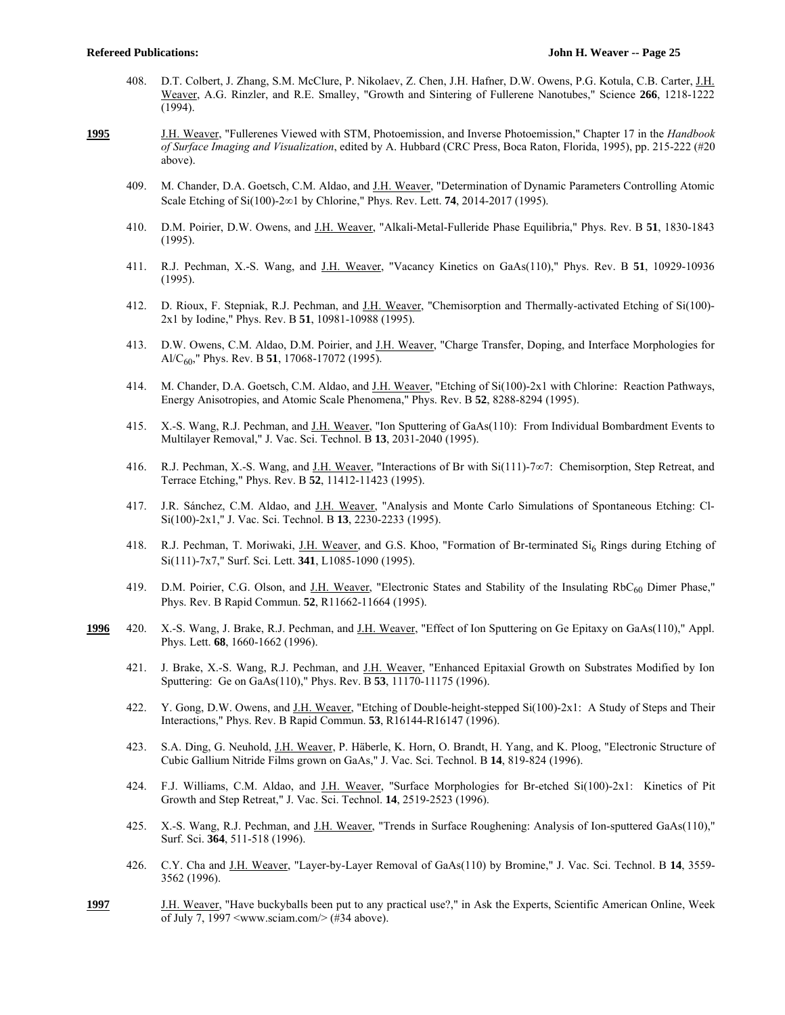- 408. D.T. Colbert, J. Zhang, S.M. McClure, P. Nikolaev, Z. Chen, J.H. Hafner, D.W. Owens, P.G. Kotula, C.B. Carter, J.H. Weaver, A.G. Rinzler, and R.E. Smalley, "Growth and Sintering of Fullerene Nanotubes," Science **266**, 1218-1222 (1994).
- **1995** J.H. Weaver, "Fullerenes Viewed with STM, Photoemission, and Inverse Photoemission," Chapter 17 in the *Handbook of Surface Imaging and Visualization*, edited by A. Hubbard (CRC Press, Boca Raton, Florida, 1995), pp. 215-222 (#20 above).
	- 409. M. Chander, D.A. Goetsch, C.M. Aldao, and J.H. Weaver, "Determination of Dynamic Parameters Controlling Atomic Scale Etching of Si $(100)$ -2 $\infty$ 1 by Chlorine," Phys. Rev. Lett. **74**, 2014-2017 (1995).
	- 410. D.M. Poirier, D.W. Owens, and J.H. Weaver, "Alkali-Metal-Fulleride Phase Equilibria," Phys. Rev. B **51**, 1830-1843 (1995).
	- 411. R.J. Pechman, X.-S. Wang, and J.H. Weaver, "Vacancy Kinetics on GaAs(110)," Phys. Rev. B **51**, 10929-10936 (1995).
	- 412. D. Rioux, F. Stepniak, R.J. Pechman, and J.H. Weaver, "Chemisorption and Thermally-activated Etching of Si(100)-2x1 by Iodine," Phys. Rev. B **51**, 10981-10988 (1995).
	- 413. D.W. Owens, C.M. Aldao, D.M. Poirier, and J.H. Weaver, "Charge Transfer, Doping, and Interface Morphologies for Al/C60," Phys. Rev. B **51**, 17068-17072 (1995).
	- 414. M. Chander, D.A. Goetsch, C.M. Aldao, and J.H. Weaver, "Etching of Si(100)-2x1 with Chlorine: Reaction Pathways, Energy Anisotropies, and Atomic Scale Phenomena," Phys. Rev. B **52**, 8288-8294 (1995).
	- 415. X.-S. Wang, R.J. Pechman, and J.H. Weaver, "Ion Sputtering of GaAs(110): From Individual Bombardment Events to Multilayer Removal," J. Vac. Sci. Technol. B **13**, 2031-2040 (1995).
	- 416. R.J. Pechman, X.-S. Wang, and J.H. Weaver, "Interactions of Br with  $Si(111)$ -7 $\infty$ 7: Chemisorption, Step Retreat, and Terrace Etching," Phys. Rev. B **52**, 11412-11423 (1995).
	- 417. J.R. Sánchez, C.M. Aldao, and J.H. Weaver, "Analysis and Monte Carlo Simulations of Spontaneous Etching: Cl-Si(100)-2x1," J. Vac. Sci. Technol. B **13**, 2230-2233 (1995).
	- 418. R.J. Pechman, T. Moriwaki, J.H. Weaver, and G.S. Khoo, "Formation of Br-terminated Si<sub>6</sub> Rings during Etching of Si(111)-7x7," Surf. Sci. Lett. **341**, L1085-1090 (1995).
	- 419. D.M. Poirier, C.G. Olson, and J.H. Weaver, "Electronic States and Stability of the Insulating  $RbC_{60}$  Dimer Phase," Phys. Rev. B Rapid Commun. **52**, R11662-11664 (1995).
- **1996** 420. X.-S. Wang, J. Brake, R.J. Pechman, and J.H. Weaver, "Effect of Ion Sputtering on Ge Epitaxy on GaAs(110)," Appl. Phys. Lett. **68**, 1660-1662 (1996).
	- 421. J. Brake, X.-S. Wang, R.J. Pechman, and J.H. Weaver, "Enhanced Epitaxial Growth on Substrates Modified by Ion Sputtering: Ge on GaAs(110)," Phys. Rev. B **53**, 11170-11175 (1996).
	- 422. Y. Gong, D.W. Owens, and J.H. Weaver, "Etching of Double-height-stepped Si(100)-2x1: A Study of Steps and Their Interactions," Phys. Rev. B Rapid Commun. **53**, R16144-R16147 (1996).
	- 423. S.A. Ding, G. Neuhold, J.H. Weaver, P. Häberle, K. Horn, O. Brandt, H. Yang, and K. Ploog, "Electronic Structure of Cubic Gallium Nitride Films grown on GaAs," J. Vac. Sci. Technol. B **14**, 819-824 (1996).
	- 424. F.J. Williams, C.M. Aldao, and J.H. Weaver, "Surface Morphologies for Br-etched Si(100)-2x1: Kinetics of Pit Growth and Step Retreat," J. Vac. Sci. Technol. **14**, 2519-2523 (1996).
	- 425. X.-S. Wang, R.J. Pechman, and J.H. Weaver, "Trends in Surface Roughening: Analysis of Ion-sputtered GaAs(110)," Surf. Sci. **364**, 511-518 (1996).
	- 426. C.Y. Cha and J.H. Weaver, "Layer-by-Layer Removal of GaAs(110) by Bromine," J. Vac. Sci. Technol. B **14**, 3559- 3562 (1996).
- **1997** J.H. Weaver, "Have buckyballs been put to any practical use?," in Ask the Experts, Scientific American Online, Week of July 7, 1997 <www.sciam.com/> (#34 above).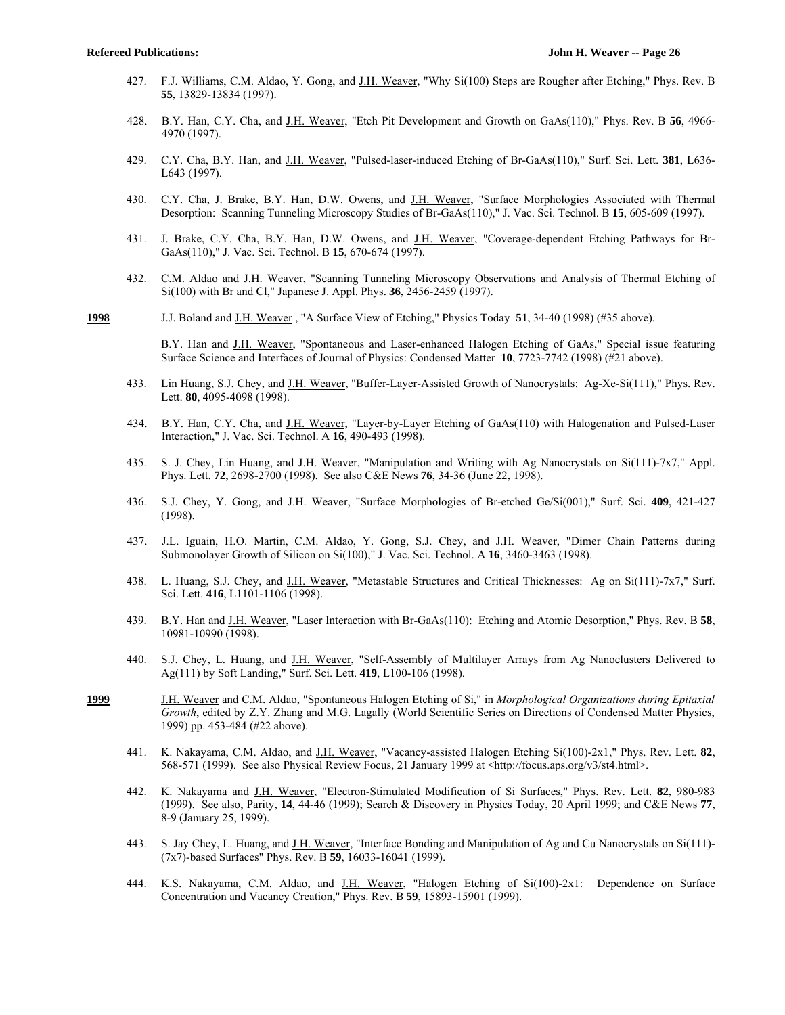- 427. F.J. Williams, C.M. Aldao, Y. Gong, and J.H. Weaver, "Why Si(100) Steps are Rougher after Etching," Phys. Rev. B **55**, 13829-13834 (1997).
- 428. B.Y. Han, C.Y. Cha, and J.H. Weaver, "Etch Pit Development and Growth on GaAs(110)," Phys. Rev. B **56**, 4966- 4970 (1997).
- 429. C.Y. Cha, B.Y. Han, and J.H. Weaver, "Pulsed-laser-induced Etching of Br-GaAs(110)," Surf. Sci. Lett. **381**, L636- L643 (1997).
- 430. C.Y. Cha, J. Brake, B.Y. Han, D.W. Owens, and J.H. Weaver, "Surface Morphologies Associated with Thermal Desorption: Scanning Tunneling Microscopy Studies of Br-GaAs(110)," J. Vac. Sci. Technol. B **15**, 605-609 (1997).
- 431. J. Brake, C.Y. Cha, B.Y. Han, D.W. Owens, and J.H. Weaver, "Coverage-dependent Etching Pathways for Br-GaAs(110)," J. Vac. Sci. Technol. B **15**, 670-674 (1997).
- 432. C.M. Aldao and J.H. Weaver, "Scanning Tunneling Microscopy Observations and Analysis of Thermal Etching of Si(100) with Br and Cl," Japanese J. Appl. Phys. **36**, 2456-2459 (1997).
- **1998** J.J. Boland and J.H. Weaver , "A Surface View of Etching," Physics Today **51**, 34-40 (1998) (#35 above).

 B.Y. Han and J.H. Weaver, "Spontaneous and Laser-enhanced Halogen Etching of GaAs," Special issue featuring Surface Science and Interfaces of Journal of Physics: Condensed Matter **10**, 7723-7742 (1998) (#21 above).

- 433. Lin Huang, S.J. Chey, and J.H. Weaver, "Buffer-Layer-Assisted Growth of Nanocrystals: Ag-Xe-Si(111)," Phys. Rev. Lett. **80**, 4095-4098 (1998).
- 434. B.Y. Han, C.Y. Cha, and J.H. Weaver, "Layer-by-Layer Etching of GaAs(110) with Halogenation and Pulsed-Laser Interaction," J. Vac. Sci. Technol. A **16**, 490-493 (1998).
- 435. S. J. Chey, Lin Huang, and J.H. Weaver, "Manipulation and Writing with Ag Nanocrystals on Si(111)-7x7," Appl. Phys. Lett. **72**, 2698-2700 (1998). See also C&E News **76**, 34-36 (June 22, 1998).
- 436. S.J. Chey, Y. Gong, and J.H. Weaver, "Surface Morphologies of Br-etched Ge/Si(001)," Surf. Sci. **409**, 421-427 (1998).
- 437. J.L. Iguain, H.O. Martin, C.M. Aldao, Y. Gong, S.J. Chey, and J.H. Weaver, "Dimer Chain Patterns during Submonolayer Growth of Silicon on Si(100)," J. Vac. Sci. Technol. A **16**, 3460-3463 (1998).
- 438. L. Huang, S.J. Chey, and J.H. Weaver, "Metastable Structures and Critical Thicknesses: Ag on Si(111)-7x7," Surf. Sci. Lett. **416**, L1101-1106 (1998).
- 439. B.Y. Han and J.H. Weaver, "Laser Interaction with Br-GaAs(110): Etching and Atomic Desorption," Phys. Rev. B **58**, 10981-10990 (1998).
- 440. S.J. Chey, L. Huang, and J.H. Weaver, "Self-Assembly of Multilayer Arrays from Ag Nanoclusters Delivered to Ag(111) by Soft Landing," Surf. Sci. Lett. **419**, L100-106 (1998).
- **1999** J.H. Weaver and C.M. Aldao, "Spontaneous Halogen Etching of Si," in *Morphological Organizations during Epitaxial Growth*, edited by Z.Y. Zhang and M.G. Lagally (World Scientific Series on Directions of Condensed Matter Physics, 1999) pp. 453-484 (#22 above).
	- 441. K. Nakayama, C.M. Aldao, and J.H. Weaver, "Vacancy-assisted Halogen Etching Si(100)-2x1," Phys. Rev. Lett. **82**, 568-571 (1999). See also Physical Review Focus, 21 January 1999 at <http://focus.aps.org/v3/st4.html>.
	- 442. K. Nakayama and J.H. Weaver, "Electron-Stimulated Modification of Si Surfaces," Phys. Rev. Lett. **82**, 980-983 (1999). See also, Parity, **14**, 44-46 (1999); Search & Discovery in Physics Today, 20 April 1999; and C&E News **77**, 8-9 (January 25, 1999).
	- 443. S. Jay Chey, L. Huang, and J.H. Weaver, "Interface Bonding and Manipulation of Ag and Cu Nanocrystals on Si(111)-(7x7)-based Surfaces" Phys. Rev. B **59**, 16033-16041 (1999).
	- 444. K.S. Nakayama, C.M. Aldao, and J.H. Weaver, "Halogen Etching of Si(100)-2x1: Dependence on Surface Concentration and Vacancy Creation," Phys. Rev. B **59**, 15893-15901 (1999).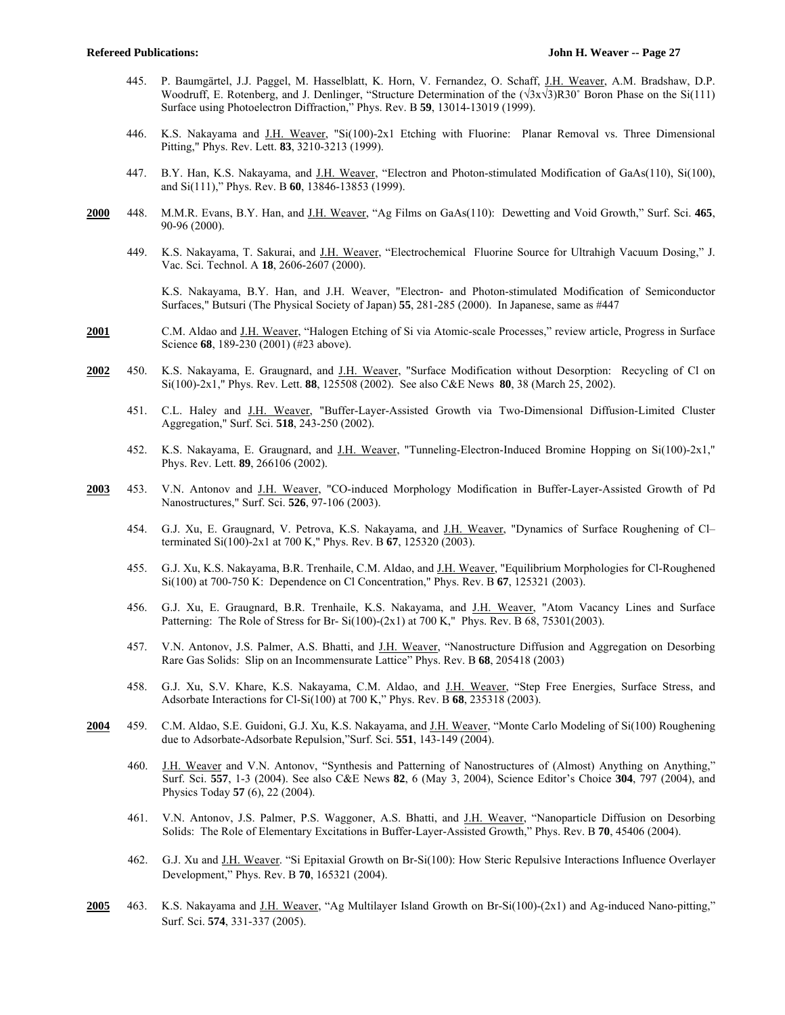- 445. P. Baumgärtel, J.J. Paggel, M. Hasselblatt, K. Horn, V. Fernandez, O. Schaff, J.H. Weaver, A.M. Bradshaw, D.P. Woodruff, E. Rotenberg, and J. Denlinger, "Structure Determination of the (√3x√3)R30˚ Boron Phase on the Si(111) Surface using Photoelectron Diffraction," Phys. Rev. B **59**, 13014-13019 (1999).
- 446. K.S. Nakayama and J.H. Weaver, "Si(100)-2x1 Etching with Fluorine: Planar Removal vs. Three Dimensional Pitting," Phys. Rev. Lett. **83**, 3210-3213 (1999).
- 447. B.Y. Han, K.S. Nakayama, and J.H. Weaver, "Electron and Photon-stimulated Modification of GaAs(110), Si(100), and Si(111)," Phys. Rev. B **60**, 13846-13853 (1999).
- **2000** 448. M.M.R. Evans, B.Y. Han, and J.H. Weaver, "Ag Films on GaAs(110): Dewetting and Void Growth," Surf. Sci. **465**, 90-96 (2000).
	- 449. K.S. Nakayama, T. Sakurai, and J.H. Weaver, "Electrochemical Fluorine Source for Ultrahigh Vacuum Dosing," J. Vac. Sci. Technol. A **18**, 2606-2607 (2000).

 K.S. Nakayama, B.Y. Han, and J.H. Weaver, "Electron- and Photon-stimulated Modification of Semiconductor Surfaces," Butsuri (The Physical Society of Japan) **55**, 281-285 (2000). In Japanese, same as #447

- 2001 C.M. Aldao and <u>J.H. Weaver</u>, "Halogen Etching of Si via Atomic-scale Processes," review article, Progress in Surface Science **68**, 189-230 (2001) (#23 above).
- **2002** 450. K.S. Nakayama, E. Graugnard, and J.H. Weaver, "Surface Modification without Desorption: Recycling of Cl on Si(100)-2x1," Phys. Rev. Lett. **88**, 125508 (2002). See also C&E News **80**, 38 (March 25, 2002).
	- 451. C.L. Haley and J.H. Weaver, "Buffer-Layer-Assisted Growth via Two-Dimensional Diffusion-Limited Cluster Aggregation," Surf. Sci. **518**, 243-250 (2002).
	- 452. K.S. Nakayama, E. Graugnard, and J.H. Weaver, "Tunneling-Electron-Induced Bromine Hopping on Si(100)-2x1," Phys. Rev. Lett. **89**, 266106 (2002).
- **2003** 453. V.N. Antonov and J.H. Weaver, "CO-induced Morphology Modification in Buffer-Layer-Assisted Growth of Pd Nanostructures," Surf. Sci. **526**, 97-106 (2003).
	- 454. G.J. Xu, E. Graugnard, V. Petrova, K.S. Nakayama, and J.H. Weaver, "Dynamics of Surface Roughening of Cl– terminated Si(100)-2x1 at 700 K," Phys. Rev. B **67**, 125320 (2003).
	- 455. G.J. Xu, K.S. Nakayama, B.R. Trenhaile, C.M. Aldao, and J.H. Weaver, "Equilibrium Morphologies for Cl-Roughened Si(100) at 700-750 K: Dependence on Cl Concentration," Phys. Rev. B **67**, 125321 (2003).
	- 456. G.J. Xu, E. Graugnard, B.R. Trenhaile, K.S. Nakayama, and J.H. Weaver, "Atom Vacancy Lines and Surface Patterning: The Role of Stress for Br- Si(100)-(2x1) at 700 K," Phys. Rev. B 68, 75301(2003).
	- 457. V.N. Antonov, J.S. Palmer, A.S. Bhatti, and J.H. Weaver, "Nanostructure Diffusion and Aggregation on Desorbing Rare Gas Solids: Slip on an Incommensurate Lattice" Phys. Rev. B **68**, 205418 (2003)
	- 458. G.J. Xu, S.V. Khare, K.S. Nakayama, C.M. Aldao, and J.H. Weaver, "Step Free Energies, Surface Stress, and Adsorbate Interactions for Cl-Si(100) at 700 K," Phys. Rev. B **68**, 235318 (2003).
- **2004** 459. C.M. Aldao, S.E. Guidoni, G.J. Xu, K.S. Nakayama, and J.H. Weaver, "Monte Carlo Modeling of Si(100) Roughening due to Adsorbate-Adsorbate Repulsion,"Surf. Sci. **551**, 143-149 (2004).
	- 460. J.H. Weaver and V.N. Antonov, "Synthesis and Patterning of Nanostructures of (Almost) Anything on Anything," Surf. Sci. **557**, 1-3 (2004). See also C&E News **82**, 6 (May 3, 2004), Science Editor's Choice **304**, 797 (2004), and Physics Today **57** (6), 22 (2004).
	- 461. V.N. Antonov, J.S. Palmer, P.S. Waggoner, A.S. Bhatti, and J.H. Weaver, "Nanoparticle Diffusion on Desorbing Solids: The Role of Elementary Excitations in Buffer-Layer-Assisted Growth," Phys. Rev. B **70**, 45406 (2004).
	- 462. G.J. Xu and J.H. Weaver. "Si Epitaxial Growth on Br-Si(100): How Steric Repulsive Interactions Influence Overlayer Development," Phys. Rev. B **70**, 165321 (2004).
- **2005** 463. K.S. Nakayama and J.H. Weaver, "Ag Multilayer Island Growth on Br-Si(100)-(2x1) and Ag-induced Nano-pitting," Surf. Sci. **574**, 331-337 (2005).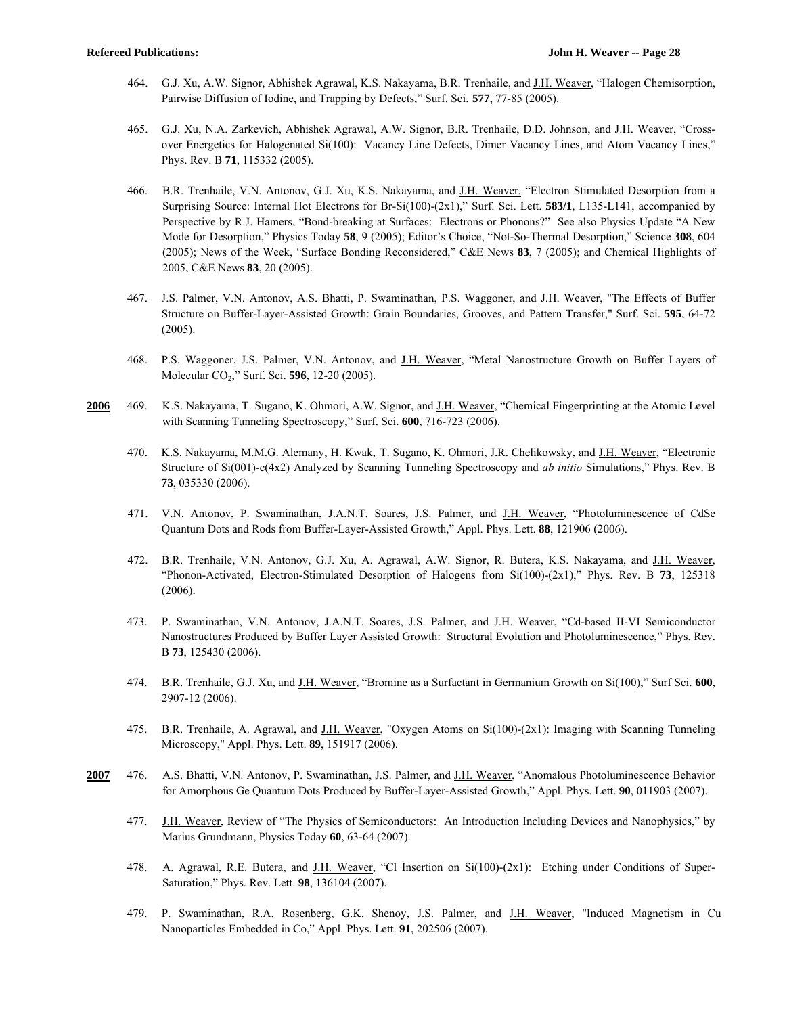- 464. G.J. Xu, A.W. Signor, Abhishek Agrawal, K.S. Nakayama, B.R. Trenhaile, and J.H. Weaver, "Halogen Chemisorption, Pairwise Diffusion of Iodine, and Trapping by Defects," Surf. Sci. **577**, 77-85 (2005).
- 465. G.J. Xu, N.A. Zarkevich, Abhishek Agrawal, A.W. Signor, B.R. Trenhaile, D.D. Johnson, and J.H. Weaver, "Crossover Energetics for Halogenated Si(100): Vacancy Line Defects, Dimer Vacancy Lines, and Atom Vacancy Lines," Phys. Rev. B **71**, 115332 (2005).
- 466. B.R. Trenhaile, V.N. Antonov, G.J. Xu, K.S. Nakayama, and J.H. Weaver, "Electron Stimulated Desorption from a Surprising Source: Internal Hot Electrons for Br-Si(100)-(2x1)," Surf. Sci. Lett. **583/1**, L135-L141, accompanied by Perspective by R.J. Hamers, "Bond-breaking at Surfaces: Electrons or Phonons?" See also Physics Update "A New Mode for Desorption," Physics Today **58**, 9 (2005); Editor's Choice, "Not-So-Thermal Desorption," Science **308**, 604 (2005); News of the Week, "Surface Bonding Reconsidered," C&E News **83**, 7 (2005); and Chemical Highlights of 2005, C&E News **83**, 20 (2005).
- 467. J.S. Palmer, V.N. Antonov, A.S. Bhatti, P. Swaminathan, P.S. Waggoner, and J.H. Weaver, "The Effects of Buffer Structure on Buffer-Layer-Assisted Growth: Grain Boundaries, Grooves, and Pattern Transfer," Surf. Sci. **595**, 64-72 (2005).
- 468. P.S. Waggoner, J.S. Palmer, V.N. Antonov, and J.H. Weaver, "Metal Nanostructure Growth on Buffer Layers of Molecular CO2," Surf. Sci. **596**, 12-20 (2005).
- **2006** 469. K.S. Nakayama, T. Sugano, K. Ohmori, A.W. Signor, and J.H. Weaver, "Chemical Fingerprinting at the Atomic Level with Scanning Tunneling Spectroscopy," Surf. Sci. **600**, 716-723 (2006).
	- 470. K.S. Nakayama, M.M.G. Alemany, H. Kwak, T. Sugano, K. Ohmori, J.R. Chelikowsky, and J.H. Weaver, "Electronic Structure of Si(001)-c(4x2) Analyzed by Scanning Tunneling Spectroscopy and *ab initio* Simulations," Phys. Rev. B **73**, 035330 (2006).
	- 471. V.N. Antonov, P. Swaminathan, J.A.N.T. Soares, J.S. Palmer, and J.H. Weaver, "Photoluminescence of CdSe Quantum Dots and Rods from Buffer-Layer-Assisted Growth," Appl. Phys. Lett. **88**, 121906 (2006).
	- 472. B.R. Trenhaile, V.N. Antonov, G.J. Xu, A. Agrawal, A.W. Signor, R. Butera, K.S. Nakayama, and J.H. Weaver, "Phonon-Activated, Electron-Stimulated Desorption of Halogens from Si(100)-(2x1)," Phys. Rev. B **73**, 125318 (2006).
	- 473. P. Swaminathan, V.N. Antonov, J.A.N.T. Soares, J.S. Palmer, and J.H. Weaver, "Cd-based II-VI Semiconductor Nanostructures Produced by Buffer Layer Assisted Growth: Structural Evolution and Photoluminescence," Phys. Rev. B **73**, 125430 (2006).
	- 474. B.R. Trenhaile, G.J. Xu, and J.H. Weaver, "Bromine as a Surfactant in Germanium Growth on Si(100)," Surf Sci. **600**, 2907-12 (2006).
	- 475. B.R. Trenhaile, A. Agrawal, and J.H. Weaver, "Oxygen Atoms on Si(100)-(2x1): Imaging with Scanning Tunneling Microscopy," Appl. Phys. Lett. **89**, 151917 (2006).
- **2007** 476. A.S. Bhatti, V.N. Antonov, P. Swaminathan, J.S. Palmer, and J.H. Weaver, "Anomalous Photoluminescence Behavior for Amorphous Ge Quantum Dots Produced by Buffer-Layer-Assisted Growth," Appl. Phys. Lett. **90**, 011903 (2007).
	- 477. J.H. Weaver, Review of "The Physics of Semiconductors: An Introduction Including Devices and Nanophysics," by Marius Grundmann, Physics Today **60**, 63-64 (2007).
	- 478. A. Agrawal, R.E. Butera, and J.H. Weaver, "Cl Insertion on Si(100)-(2x1): Etching under Conditions of Super-Saturation," Phys. Rev. Lett. **98**, 136104 (2007).
	- 479. P. Swaminathan, R.A. Rosenberg, G.K. Shenoy, J.S. Palmer, and J.H. Weaver, "Induced Magnetism in Cu Nanoparticles Embedded in Co," Appl. Phys. Lett. **91**, 202506 (2007).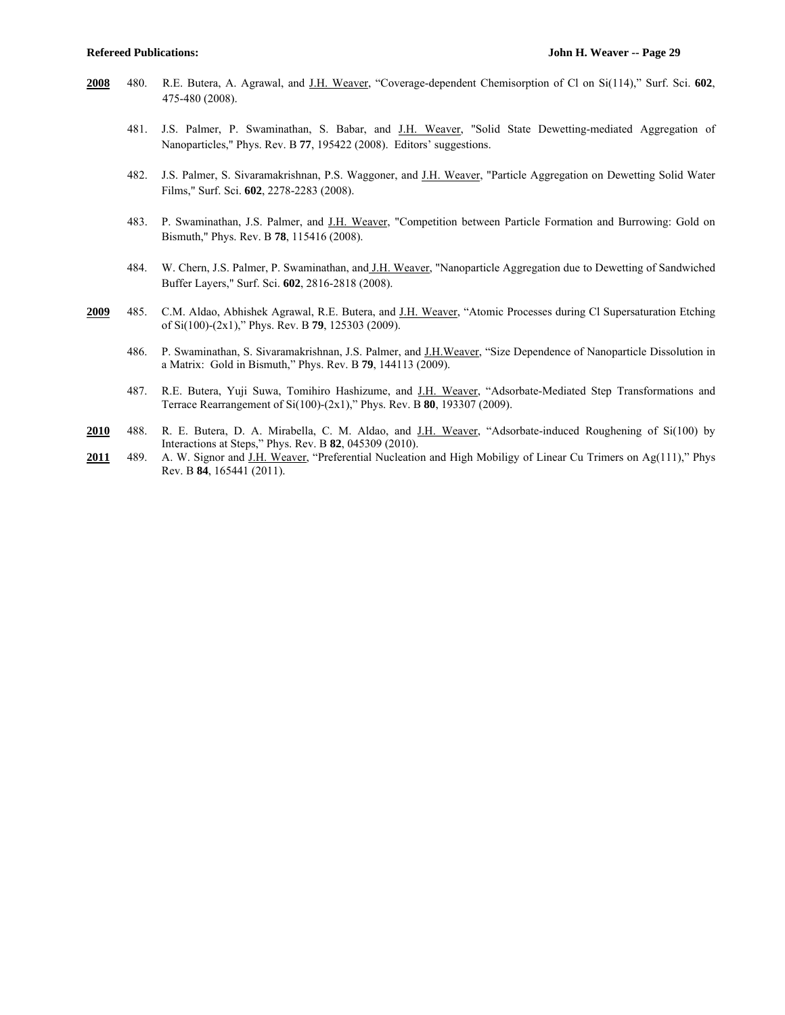- **2008** 480. R.E. Butera, A. Agrawal, and J.H. Weaver, "Coverage-dependent Chemisorption of Cl on Si(114)," Surf. Sci. **602**, 475-480 (2008).
	- 481. J.S. Palmer, P. Swaminathan, S. Babar, and J.H. Weaver, "Solid State Dewetting-mediated Aggregation of Nanoparticles," Phys. Rev. B **77**, 195422 (2008). Editors' suggestions.
	- 482. J.S. Palmer, S. Sivaramakrishnan, P.S. Waggoner, and J.H. Weaver, "Particle Aggregation on Dewetting Solid Water Films," Surf. Sci. **602**, 2278-2283 (2008).
	- 483. P. Swaminathan, J.S. Palmer, and J.H. Weaver, "Competition between Particle Formation and Burrowing: Gold on Bismuth," Phys. Rev. B **78**, 115416 (2008).
	- 484. W. Chern, J.S. Palmer, P. Swaminathan, and J.H. Weaver, "Nanoparticle Aggregation due to Dewetting of Sandwiched Buffer Layers," Surf. Sci. **602**, 2816-2818 (2008).
- **2009** 485. C.M. Aldao, Abhishek Agrawal, R.E. Butera, and J.H. Weaver, "Atomic Processes during Cl Supersaturation Etching of Si(100)-(2x1)," Phys. Rev. B **79**, 125303 (2009).
	- 486. P. Swaminathan, S. Sivaramakrishnan, J.S. Palmer, and J.H.Weaver, "Size Dependence of Nanoparticle Dissolution in a Matrix: Gold in Bismuth," Phys. Rev. B **79**, 144113 (2009).
	- 487. R.E. Butera, Yuji Suwa, Tomihiro Hashizume, and J.H. Weaver, "Adsorbate-Mediated Step Transformations and Terrace Rearrangement of Si(100)-(2x1)," Phys. Rev. B **80**, 193307 (2009).
- **2010** 488. R. E. Butera, D. A. Mirabella, C. M. Aldao, and J.H. Weaver, "Adsorbate-induced Roughening of Si(100) by Interactions at Steps," Phys. Rev. B **82**, 045309 (2010).
- **2011** 489. A. W. Signor and J.H. Weaver, "Preferential Nucleation and High Mobiligy of Linear Cu Trimers on Ag(111)," Phys Rev. B **84**, 165441 (2011).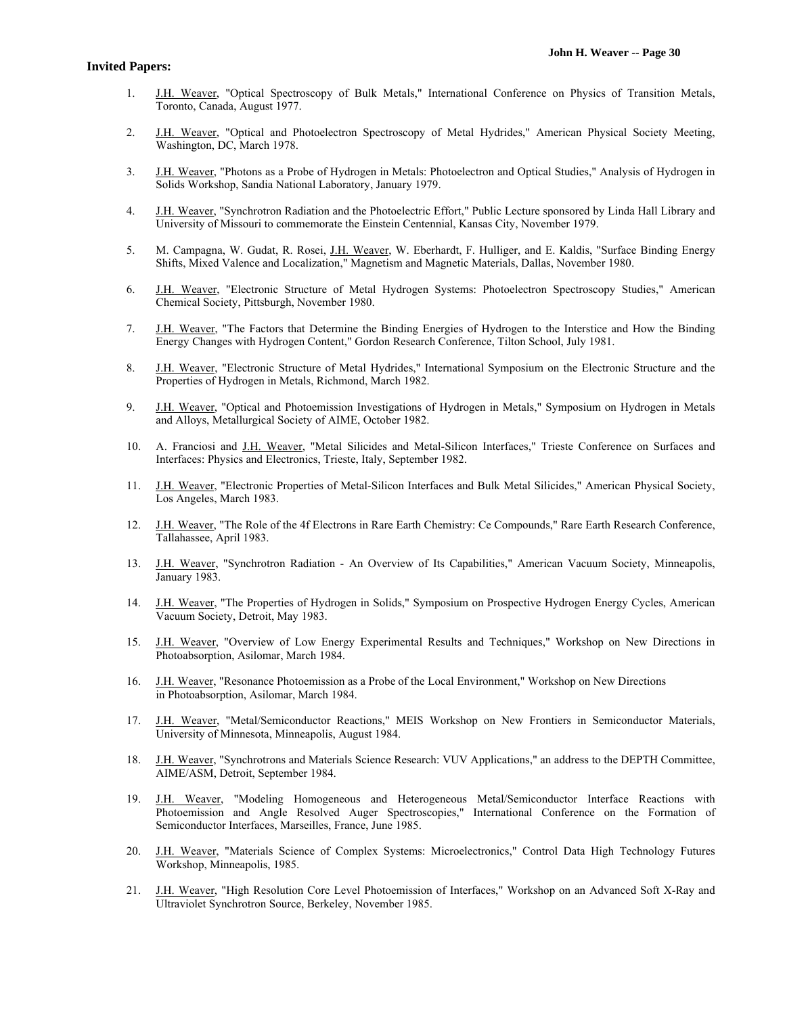- 1. J.H. Weaver, "Optical Spectroscopy of Bulk Metals," International Conference on Physics of Transition Metals, Toronto, Canada, August 1977.
- 2. J.H. Weaver, "Optical and Photoelectron Spectroscopy of Metal Hydrides," American Physical Society Meeting, Washington, DC, March 1978.
- 3. J.H. Weaver, "Photons as a Probe of Hydrogen in Metals: Photoelectron and Optical Studies," Analysis of Hydrogen in Solids Workshop, Sandia National Laboratory, January 1979.
- 4. J.H. Weaver, "Synchrotron Radiation and the Photoelectric Effort," Public Lecture sponsored by Linda Hall Library and University of Missouri to commemorate the Einstein Centennial, Kansas City, November 1979.
- 5. M. Campagna, W. Gudat, R. Rosei, J.H. Weaver, W. Eberhardt, F. Hulliger, and E. Kaldis, "Surface Binding Energy Shifts, Mixed Valence and Localization," Magnetism and Magnetic Materials, Dallas, November 1980.
- 6. J.H. Weaver, "Electronic Structure of Metal Hydrogen Systems: Photoelectron Spectroscopy Studies," American Chemical Society, Pittsburgh, November 1980.
- 7. J.H. Weaver, "The Factors that Determine the Binding Energies of Hydrogen to the Interstice and How the Binding Energy Changes with Hydrogen Content," Gordon Research Conference, Tilton School, July 1981.
- 8. J.H. Weaver, "Electronic Structure of Metal Hydrides," International Symposium on the Electronic Structure and the Properties of Hydrogen in Metals, Richmond, March 1982.
- 9. J.H. Weaver, "Optical and Photoemission Investigations of Hydrogen in Metals," Symposium on Hydrogen in Metals and Alloys, Metallurgical Society of AIME, October 1982.
- 10. A. Franciosi and J.H. Weaver, "Metal Silicides and Metal-Silicon Interfaces," Trieste Conference on Surfaces and Interfaces: Physics and Electronics, Trieste, Italy, September 1982.
- 11. J.H. Weaver, "Electronic Properties of Metal-Silicon Interfaces and Bulk Metal Silicides," American Physical Society, Los Angeles, March 1983.
- 12. J.H. Weaver, "The Role of the 4f Electrons in Rare Earth Chemistry: Ce Compounds," Rare Earth Research Conference, Tallahassee, April 1983.
- 13. J.H. Weaver, "Synchrotron Radiation An Overview of Its Capabilities," American Vacuum Society, Minneapolis, January 1983.
- 14. J.H. Weaver, "The Properties of Hydrogen in Solids," Symposium on Prospective Hydrogen Energy Cycles, American Vacuum Society, Detroit, May 1983.
- 15. J.H. Weaver, "Overview of Low Energy Experimental Results and Techniques," Workshop on New Directions in Photoabsorption, Asilomar, March 1984.
- 16. J.H. Weaver, "Resonance Photoemission as a Probe of the Local Environment," Workshop on New Directions in Photoabsorption, Asilomar, March 1984.
- 17. J.H. Weaver, "Metal/Semiconductor Reactions," MEIS Workshop on New Frontiers in Semiconductor Materials, University of Minnesota, Minneapolis, August 1984.
- 18. J.H. Weaver, "Synchrotrons and Materials Science Research: VUV Applications," an address to the DEPTH Committee, AIME/ASM, Detroit, September 1984.
- 19. J.H. Weaver, "Modeling Homogeneous and Heterogeneous Metal/Semiconductor Interface Reactions with Photoemission and Angle Resolved Auger Spectroscopies," International Conference on the Formation of Semiconductor Interfaces, Marseilles, France, June 1985.
- 20. J.H. Weaver, "Materials Science of Complex Systems: Microelectronics," Control Data High Technology Futures Workshop, Minneapolis, 1985.
- 21. J.H. Weaver, "High Resolution Core Level Photoemission of Interfaces," Workshop on an Advanced Soft X-Ray and Ultraviolet Synchrotron Source, Berkeley, November 1985.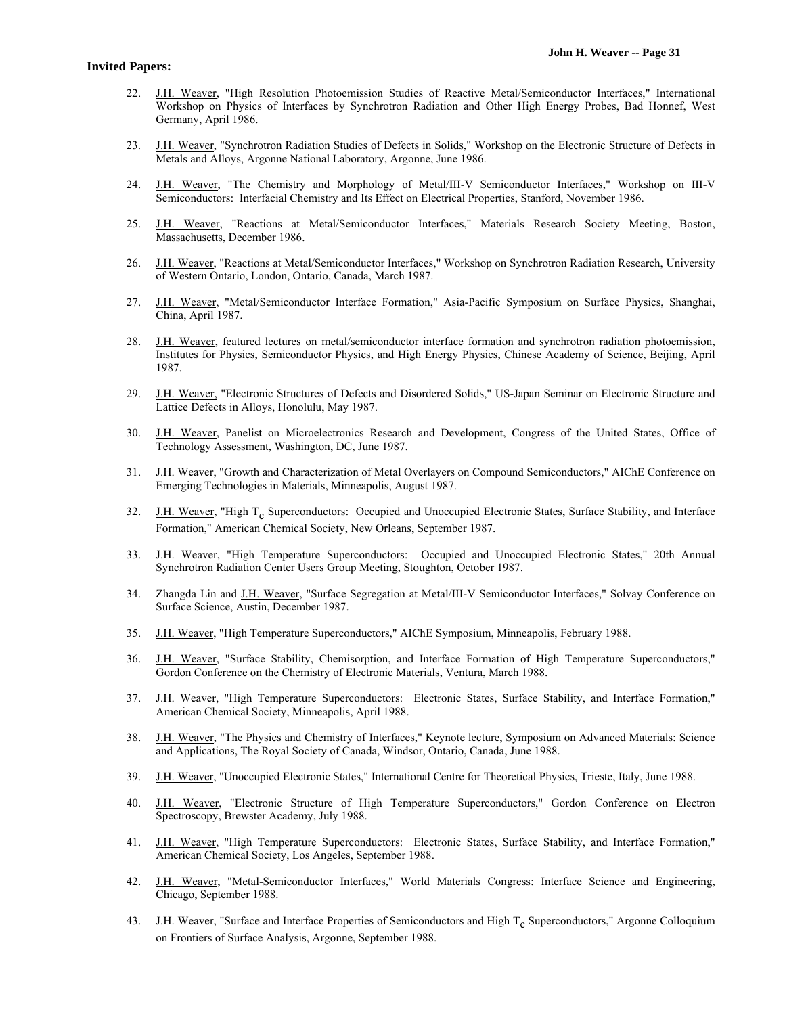- 22. J.H. Weaver, "High Resolution Photoemission Studies of Reactive Metal/Semiconductor Interfaces," International Workshop on Physics of Interfaces by Synchrotron Radiation and Other High Energy Probes, Bad Honnef, West Germany, April 1986.
- 23. J.H. Weaver, "Synchrotron Radiation Studies of Defects in Solids," Workshop on the Electronic Structure of Defects in Metals and Alloys, Argonne National Laboratory, Argonne, June 1986.
- 24. J.H. Weaver, "The Chemistry and Morphology of Metal/III-V Semiconductor Interfaces," Workshop on III-V Semiconductors: Interfacial Chemistry and Its Effect on Electrical Properties, Stanford, November 1986.
- 25. J.H. Weaver, "Reactions at Metal/Semiconductor Interfaces," Materials Research Society Meeting, Boston, Massachusetts, December 1986.
- 26. J.H. Weaver, "Reactions at Metal/Semiconductor Interfaces," Workshop on Synchrotron Radiation Research, University of Western Ontario, London, Ontario, Canada, March 1987.
- 27. J.H. Weaver, "Metal/Semiconductor Interface Formation," Asia-Pacific Symposium on Surface Physics, Shanghai, China, April 1987.
- 28. J.H. Weaver, featured lectures on metal/semiconductor interface formation and synchrotron radiation photoemission, Institutes for Physics, Semiconductor Physics, and High Energy Physics, Chinese Academy of Science, Beijing, April 1987.
- 29. J.H. Weaver, "Electronic Structures of Defects and Disordered Solids," US-Japan Seminar on Electronic Structure and Lattice Defects in Alloys, Honolulu, May 1987.
- 30. J.H. Weaver, Panelist on Microelectronics Research and Development, Congress of the United States, Office of Technology Assessment, Washington, DC, June 1987.
- 31. J.H. Weaver, "Growth and Characterization of Metal Overlayers on Compound Semiconductors," AIChE Conference on Emerging Technologies in Materials, Minneapolis, August 1987.
- 32. J.H. Weaver, "High T<sub>c</sub> Superconductors: Occupied and Unoccupied Electronic States, Surface Stability, and Interface Formation," American Chemical Society, New Orleans, September 1987.
- 33. J.H. Weaver, "High Temperature Superconductors: Occupied and Unoccupied Electronic States," 20th Annual Synchrotron Radiation Center Users Group Meeting, Stoughton, October 1987.
- 34. Zhangda Lin and J.H. Weaver, "Surface Segregation at Metal/III-V Semiconductor Interfaces," Solvay Conference on Surface Science, Austin, December 1987.
- 35. J.H. Weaver, "High Temperature Superconductors," AIChE Symposium, Minneapolis, February 1988.
- 36. J.H. Weaver, "Surface Stability, Chemisorption, and Interface Formation of High Temperature Superconductors," Gordon Conference on the Chemistry of Electronic Materials, Ventura, March 1988.
- 37. J.H. Weaver, "High Temperature Superconductors: Electronic States, Surface Stability, and Interface Formation," American Chemical Society, Minneapolis, April 1988.
- 38. J.H. Weaver, "The Physics and Chemistry of Interfaces," Keynote lecture, Symposium on Advanced Materials: Science and Applications, The Royal Society of Canada, Windsor, Ontario, Canada, June 1988.
- 39. J.H. Weaver, "Unoccupied Electronic States," International Centre for Theoretical Physics, Trieste, Italy, June 1988.
- 40. J.H. Weaver, "Electronic Structure of High Temperature Superconductors," Gordon Conference on Electron Spectroscopy, Brewster Academy, July 1988.
- 41. J.H. Weaver, "High Temperature Superconductors: Electronic States, Surface Stability, and Interface Formation," American Chemical Society, Los Angeles, September 1988.
- 42. J.H. Weaver, "Metal-Semiconductor Interfaces," World Materials Congress: Interface Science and Engineering, Chicago, September 1988.
- 43. J.H. Weaver, "Surface and Interface Properties of Semiconductors and High  $T_c$  Superconductors," Argonne Colloquium on Frontiers of Surface Analysis, Argonne, September 1988.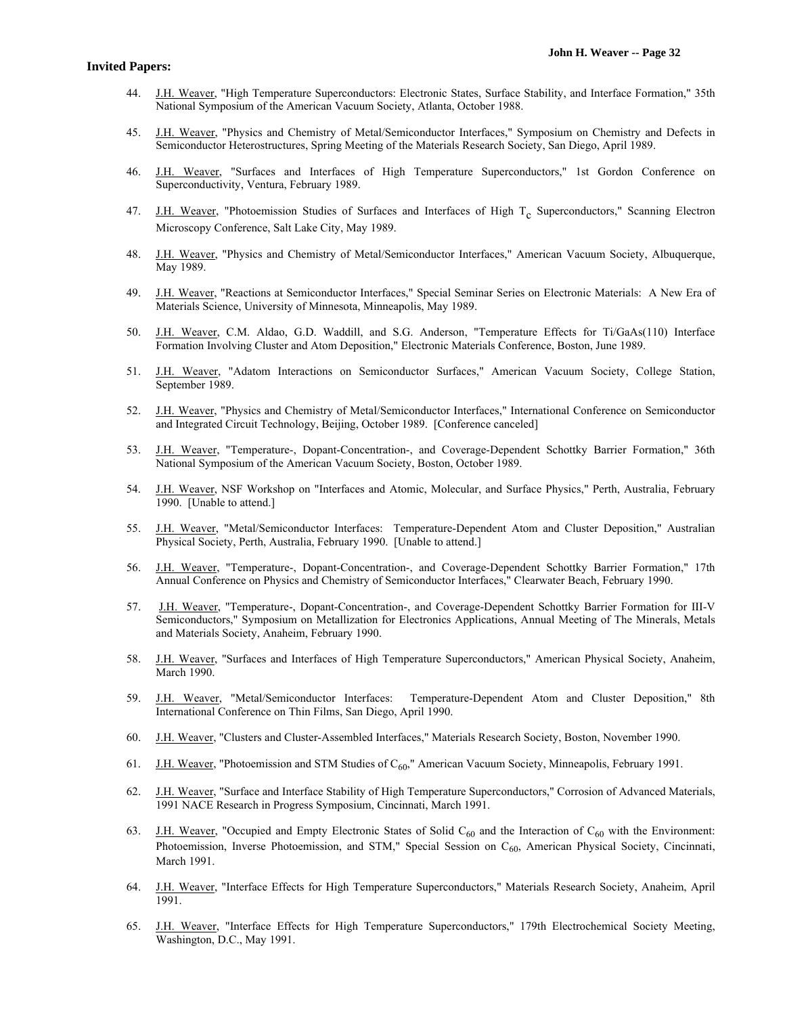- 44. J.H. Weaver, "High Temperature Superconductors: Electronic States, Surface Stability, and Interface Formation," 35th National Symposium of the American Vacuum Society, Atlanta, October 1988.
- 45. J.H. Weaver, "Physics and Chemistry of Metal/Semiconductor Interfaces," Symposium on Chemistry and Defects in Semiconductor Heterostructures, Spring Meeting of the Materials Research Society, San Diego, April 1989.
- 46. J.H. Weaver, "Surfaces and Interfaces of High Temperature Superconductors," 1st Gordon Conference on Superconductivity, Ventura, February 1989.
- 47. J.H. Weaver, "Photoemission Studies of Surfaces and Interfaces of High T<sub>c</sub> Superconductors," Scanning Electron Microscopy Conference, Salt Lake City, May 1989.
- 48. J.H. Weaver, "Physics and Chemistry of Metal/Semiconductor Interfaces," American Vacuum Society, Albuquerque, May 1989.
- 49. J.H. Weaver, "Reactions at Semiconductor Interfaces," Special Seminar Series on Electronic Materials: A New Era of Materials Science, University of Minnesota, Minneapolis, May 1989.
- 50. J.H. Weaver, C.M. Aldao, G.D. Waddill, and S.G. Anderson, "Temperature Effects for Ti/GaAs(110) Interface Formation Involving Cluster and Atom Deposition," Electronic Materials Conference, Boston, June 1989.
- 51. J.H. Weaver, "Adatom Interactions on Semiconductor Surfaces," American Vacuum Society, College Station, September 1989.
- 52. J.H. Weaver, "Physics and Chemistry of Metal/Semiconductor Interfaces," International Conference on Semiconductor and Integrated Circuit Technology, Beijing, October 1989. [Conference canceled]
- 53. J.H. Weaver, "Temperature-, Dopant-Concentration-, and Coverage-Dependent Schottky Barrier Formation," 36th National Symposium of the American Vacuum Society, Boston, October 1989.
- 54. J.H. Weaver, NSF Workshop on "Interfaces and Atomic, Molecular, and Surface Physics," Perth, Australia, February 1990. [Unable to attend.]
- 55. J.H. Weaver, "Metal/Semiconductor Interfaces: Temperature-Dependent Atom and Cluster Deposition," Australian Physical Society, Perth, Australia, February 1990. [Unable to attend.]
- 56. J.H. Weaver, "Temperature-, Dopant-Concentration-, and Coverage-Dependent Schottky Barrier Formation," 17th Annual Conference on Physics and Chemistry of Semiconductor Interfaces," Clearwater Beach, February 1990.
- 57. J.H. Weaver, "Temperature-, Dopant-Concentration-, and Coverage-Dependent Schottky Barrier Formation for III-V Semiconductors," Symposium on Metallization for Electronics Applications, Annual Meeting of The Minerals, Metals and Materials Society, Anaheim, February 1990.
- 58. J.H. Weaver, "Surfaces and Interfaces of High Temperature Superconductors," American Physical Society, Anaheim, March 1990.
- 59. J.H. Weaver, "Metal/Semiconductor Interfaces: Temperature-Dependent Atom and Cluster Deposition," 8th International Conference on Thin Films, San Diego, April 1990.
- 60. J.H. Weaver, "Clusters and Cluster-Assembled Interfaces," Materials Research Society, Boston, November 1990.
- 61. J.H. Weaver, "Photoemission and STM Studies of  $C_{60}$ ," American Vacuum Society, Minneapolis, February 1991.
- 62. J.H. Weaver, "Surface and Interface Stability of High Temperature Superconductors," Corrosion of Advanced Materials, 1991 NACE Research in Progress Symposium, Cincinnati, March 1991.
- 63. J.H. Weaver, "Occupied and Empty Electronic States of Solid  $C_{60}$  and the Interaction of  $C_{60}$  with the Environment: Photoemission, Inverse Photoemission, and STM," Special Session on  $C_{60}$ , American Physical Society, Cincinnati, March 1991.
- 64. J.H. Weaver, "Interface Effects for High Temperature Superconductors," Materials Research Society, Anaheim, April 1991.
- 65. J.H. Weaver, "Interface Effects for High Temperature Superconductors," 179th Electrochemical Society Meeting, Washington, D.C., May 1991.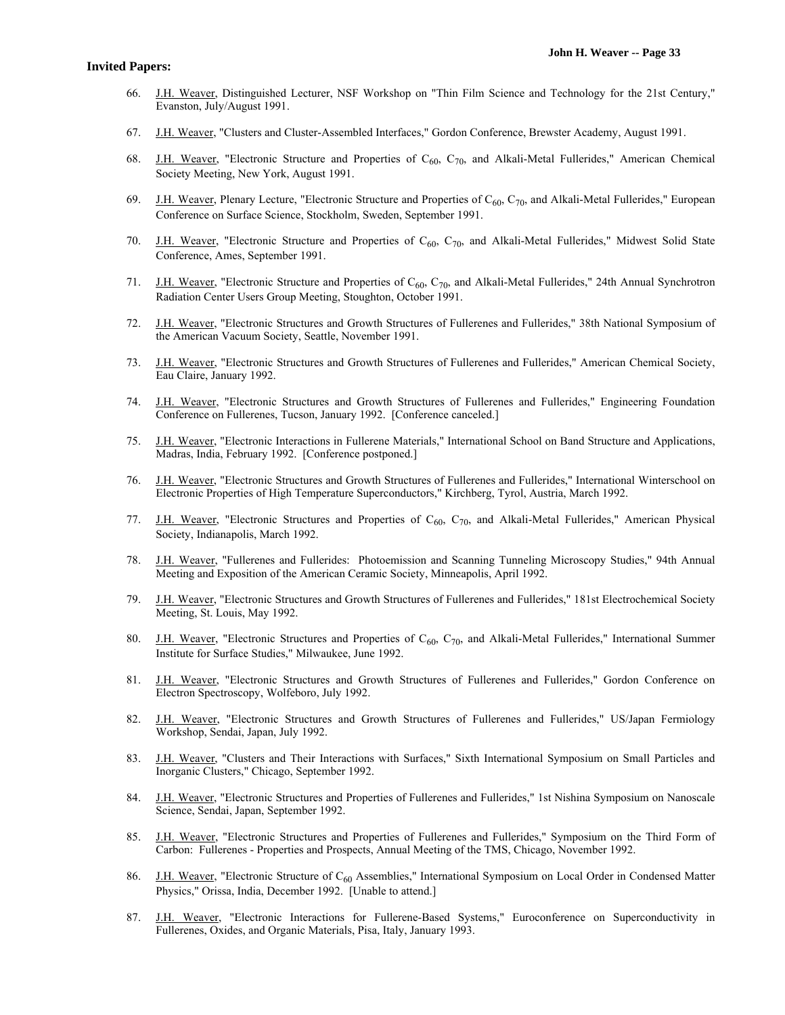- 66. J.H. Weaver, Distinguished Lecturer, NSF Workshop on "Thin Film Science and Technology for the 21st Century," Evanston, July/August 1991.
- 67. J.H. Weaver, "Clusters and Cluster-Assembled Interfaces," Gordon Conference, Brewster Academy, August 1991.
- 68. J.H. Weaver, "Electronic Structure and Properties of  $C_{60}$ ,  $C_{70}$ , and Alkali-Metal Fullerides," American Chemical Society Meeting, New York, August 1991.
- 69. J.H. Weaver, Plenary Lecture, "Electronic Structure and Properties of  $C_{60}$ ,  $C_{70}$ , and Alkali-Metal Fullerides," European Conference on Surface Science, Stockholm, Sweden, September 1991.
- 70. J.H. Weaver, "Electronic Structure and Properties of  $C_{60}$ ,  $C_{70}$ , and Alkali-Metal Fullerides," Midwest Solid State Conference, Ames, September 1991.
- 71. J.H. Weaver, "Electronic Structure and Properties of  $C_{60}$ ,  $C_{70}$ , and Alkali-Metal Fullerides," 24th Annual Synchrotron Radiation Center Users Group Meeting, Stoughton, October 1991.
- 72. J.H. Weaver, "Electronic Structures and Growth Structures of Fullerenes and Fullerides," 38th National Symposium of the American Vacuum Society, Seattle, November 1991.
- 73. J.H. Weaver, "Electronic Structures and Growth Structures of Fullerenes and Fullerides," American Chemical Society, Eau Claire, January 1992.
- 74. J.H. Weaver, "Electronic Structures and Growth Structures of Fullerenes and Fullerides," Engineering Foundation Conference on Fullerenes, Tucson, January 1992. [Conference canceled.]
- 75. J.H. Weaver, "Electronic Interactions in Fullerene Materials," International School on Band Structure and Applications, Madras, India, February 1992. [Conference postponed.]
- 76. J.H. Weaver, "Electronic Structures and Growth Structures of Fullerenes and Fullerides," International Winterschool on Electronic Properties of High Temperature Superconductors," Kirchberg, Tyrol, Austria, March 1992.
- 77. J.H. Weaver, "Electronic Structures and Properties of C<sub>60</sub>, C<sub>70</sub>, and Alkali-Metal Fullerides," American Physical Society, Indianapolis, March 1992.
- 78. J.H. Weaver, "Fullerenes and Fullerides: Photoemission and Scanning Tunneling Microscopy Studies," 94th Annual Meeting and Exposition of the American Ceramic Society, Minneapolis, April 1992.
- 79. J.H. Weaver, "Electronic Structures and Growth Structures of Fullerenes and Fullerides," 181st Electrochemical Society Meeting, St. Louis, May 1992.
- 80. J.H. Weaver, "Electronic Structures and Properties of  $C_{60}$ ,  $C_{70}$ , and Alkali-Metal Fullerides," International Summer Institute for Surface Studies," Milwaukee, June 1992.
- 81. J.H. Weaver, "Electronic Structures and Growth Structures of Fullerenes and Fullerides," Gordon Conference on Electron Spectroscopy, Wolfeboro, July 1992.
- 82. J.H. Weaver, "Electronic Structures and Growth Structures of Fullerenes and Fullerides," US/Japan Fermiology Workshop, Sendai, Japan, July 1992.
- 83. J.H. Weaver, "Clusters and Their Interactions with Surfaces," Sixth International Symposium on Small Particles and Inorganic Clusters," Chicago, September 1992.
- 84. J.H. Weaver, "Electronic Structures and Properties of Fullerenes and Fullerides," 1st Nishina Symposium on Nanoscale Science, Sendai, Japan, September 1992.
- 85. J.H. Weaver, "Electronic Structures and Properties of Fullerenes and Fullerides," Symposium on the Third Form of Carbon: Fullerenes - Properties and Prospects, Annual Meeting of the TMS, Chicago, November 1992.
- 86. J.H. Weaver, "Electronic Structure of C<sub>60</sub> Assemblies," International Symposium on Local Order in Condensed Matter Physics," Orissa, India, December 1992. [Unable to attend.]
- 87. J.H. Weaver, "Electronic Interactions for Fullerene-Based Systems," Euroconference on Superconductivity in Fullerenes, Oxides, and Organic Materials, Pisa, Italy, January 1993.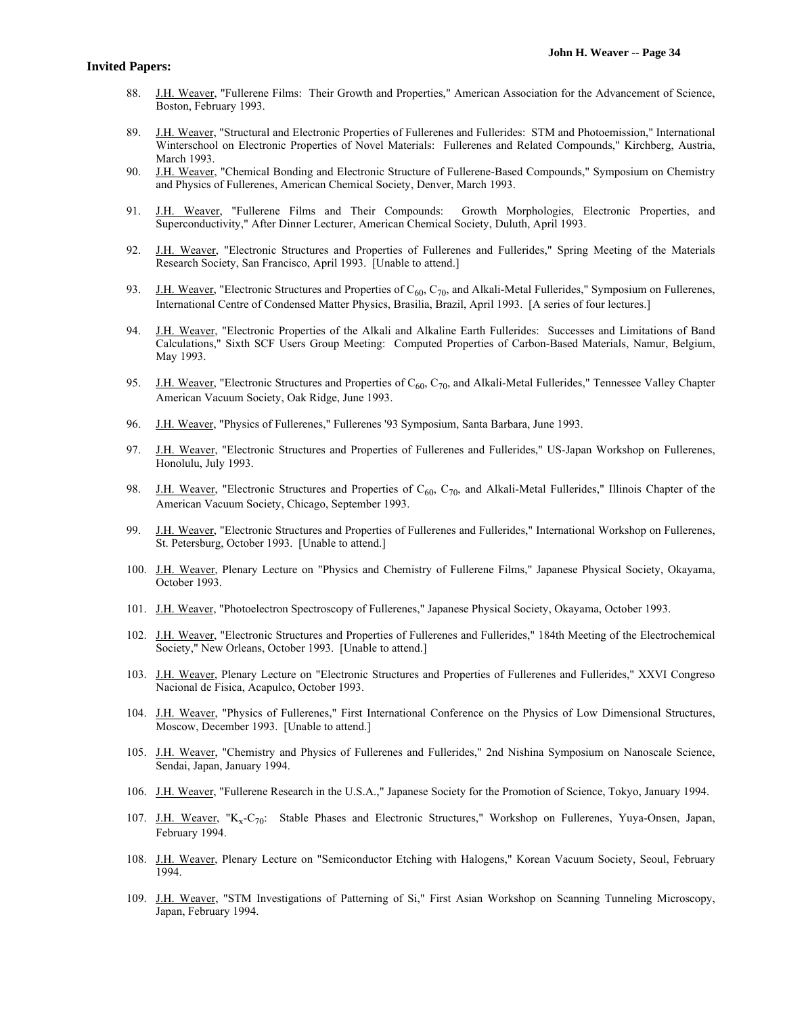- 88. J.H. Weaver, "Fullerene Films: Their Growth and Properties," American Association for the Advancement of Science, Boston, February 1993.
- 89. J.H. Weaver, "Structural and Electronic Properties of Fullerenes and Fullerides: STM and Photoemission," International Winterschool on Electronic Properties of Novel Materials: Fullerenes and Related Compounds," Kirchberg, Austria, March 1993.
- 90. J.H. Weaver, "Chemical Bonding and Electronic Structure of Fullerene-Based Compounds," Symposium on Chemistry and Physics of Fullerenes, American Chemical Society, Denver, March 1993.
- 91. J.H. Weaver, "Fullerene Films and Their Compounds: Growth Morphologies, Electronic Properties, and Superconductivity," After Dinner Lecturer, American Chemical Society, Duluth, April 1993.
- 92. J.H. Weaver, "Electronic Structures and Properties of Fullerenes and Fullerides," Spring Meeting of the Materials Research Society, San Francisco, April 1993. [Unable to attend.]
- 93. J.H. Weaver, "Electronic Structures and Properties of  $C_{60}$ ,  $C_{70}$ , and Alkali-Metal Fullerides," Symposium on Fullerenes, International Centre of Condensed Matter Physics, Brasilia, Brazil, April 1993. [A series of four lectures.]
- 94. J.H. Weaver, "Electronic Properties of the Alkali and Alkaline Earth Fullerides: Successes and Limitations of Band Calculations," Sixth SCF Users Group Meeting: Computed Properties of Carbon-Based Materials, Namur, Belgium, May 1993.
- 95. J.H. Weaver, "Electronic Structures and Properties of  $C_{60}$ ,  $C_{70}$ , and Alkali-Metal Fullerides," Tennessee Valley Chapter American Vacuum Society, Oak Ridge, June 1993.
- 96. J.H. Weaver, "Physics of Fullerenes," Fullerenes '93 Symposium, Santa Barbara, June 1993.
- 97. J.H. Weaver, "Electronic Structures and Properties of Fullerenes and Fullerides," US-Japan Workshop on Fullerenes, Honolulu, July 1993.
- 98. J.H. Weaver, "Electronic Structures and Properties of  $C_{60}$ ,  $C_{70}$ , and Alkali-Metal Fullerides," Illinois Chapter of the American Vacuum Society, Chicago, September 1993.
- 99. J.H. Weaver, "Electronic Structures and Properties of Fullerenes and Fullerides," International Workshop on Fullerenes, St. Petersburg, October 1993. [Unable to attend.]
- 100. J.H. Weaver, Plenary Lecture on "Physics and Chemistry of Fullerene Films," Japanese Physical Society, Okayama, October 1993.
- 101. J.H. Weaver, "Photoelectron Spectroscopy of Fullerenes," Japanese Physical Society, Okayama, October 1993.
- 102. J.H. Weaver, "Electronic Structures and Properties of Fullerenes and Fullerides," 184th Meeting of the Electrochemical Society," New Orleans, October 1993. [Unable to attend.]
- 103. J.H. Weaver, Plenary Lecture on "Electronic Structures and Properties of Fullerenes and Fullerides," XXVI Congreso Nacional de Fisica, Acapulco, October 1993.
- 104. J.H. Weaver, "Physics of Fullerenes," First International Conference on the Physics of Low Dimensional Structures, Moscow, December 1993. [Unable to attend.]
- 105. J.H. Weaver, "Chemistry and Physics of Fullerenes and Fullerides," 2nd Nishina Symposium on Nanoscale Science, Sendai, Japan, January 1994.
- 106. J.H. Weaver, "Fullerene Research in the U.S.A.," Japanese Society for the Promotion of Science, Tokyo, January 1994.
- 107. J.H. Weaver, "K<sub>x</sub>-C<sub>70</sub>: Stable Phases and Electronic Structures," Workshop on Fullerenes, Yuya-Onsen, Japan, February 1994.
- 108. J.H. Weaver, Plenary Lecture on "Semiconductor Etching with Halogens," Korean Vacuum Society, Seoul, February 1994.
- 109. J.H. Weaver, "STM Investigations of Patterning of Si," First Asian Workshop on Scanning Tunneling Microscopy, Japan, February 1994.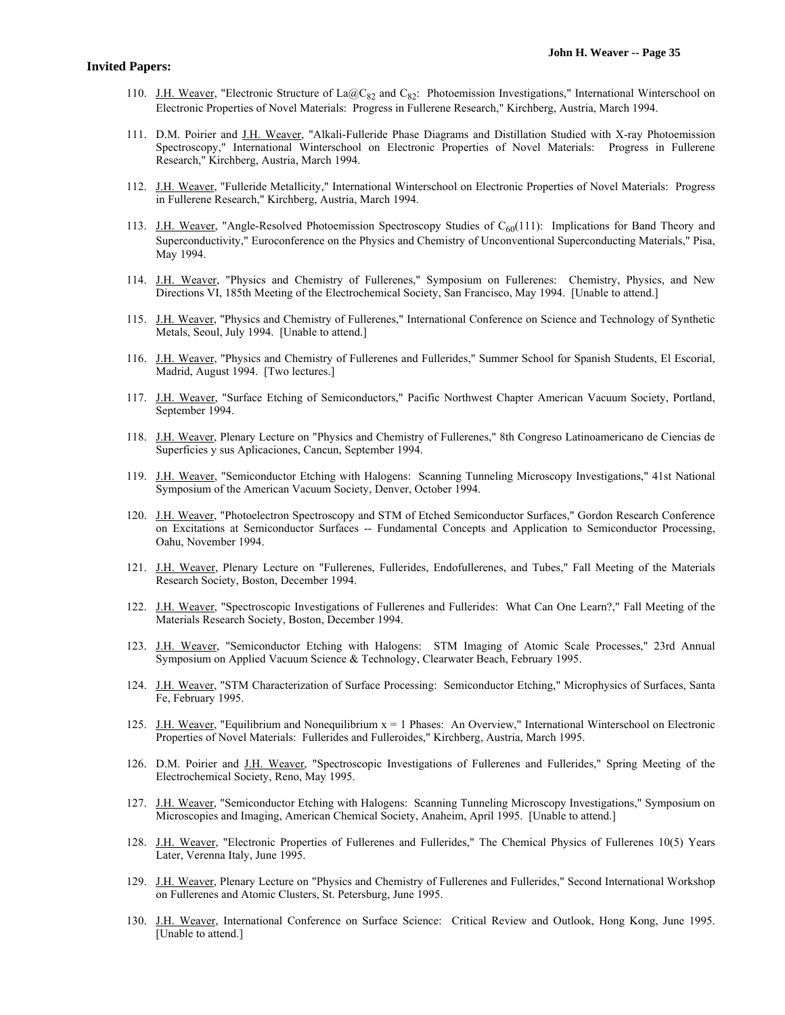- 110. J.H. Weaver, "Electronic Structure of La@C<sub>82</sub> and C<sub>82</sub>: Photoemission Investigations," International Winterschool on Electronic Properties of Novel Materials: Progress in Fullerene Research," Kirchberg, Austria, March 1994.
- 111. D.M. Poirier and J.H. Weaver, "Alkali-Fulleride Phase Diagrams and Distillation Studied with X-ray Photoemission Spectroscopy," International Winterschool on Electronic Properties of Novel Materials: Progress in Fullerene Research," Kirchberg, Austria, March 1994.
- 112. J.H. Weaver, "Fulleride Metallicity," International Winterschool on Electronic Properties of Novel Materials: Progress in Fullerene Research," Kirchberg, Austria, March 1994.
- 113. J.H. Weaver, "Angle-Resolved Photoemission Spectroscopy Studies of C<sub>60</sub>(111): Implications for Band Theory and Superconductivity," Euroconference on the Physics and Chemistry of Unconventional Superconducting Materials," Pisa, May 1994.
- 114. J.H. Weaver, "Physics and Chemistry of Fullerenes," Symposium on Fullerenes: Chemistry, Physics, and New Directions VI, 185th Meeting of the Electrochemical Society, San Francisco, May 1994. [Unable to attend.]
- 115. J.H. Weaver, "Physics and Chemistry of Fullerenes," International Conference on Science and Technology of Synthetic Metals, Seoul, July 1994. [Unable to attend.]
- 116. J.H. Weaver, "Physics and Chemistry of Fullerenes and Fullerides," Summer School for Spanish Students, El Escorial, Madrid, August 1994. [Two lectures.]
- 117. J.H. Weaver, "Surface Etching of Semiconductors," Pacific Northwest Chapter American Vacuum Society, Portland, September 1994.
- 118. J.H. Weaver, Plenary Lecture on "Physics and Chemistry of Fullerenes," 8th Congreso Latinoamericano de Ciencias de Superficies y sus Aplicaciones, Cancun, September 1994.
- 119. J.H. Weaver, "Semiconductor Etching with Halogens: Scanning Tunneling Microscopy Investigations," 41st National Symposium of the American Vacuum Society, Denver, October 1994.
- 120. J.H. Weaver, "Photoelectron Spectroscopy and STM of Etched Semiconductor Surfaces," Gordon Research Conference on Excitations at Semiconductor Surfaces -- Fundamental Concepts and Application to Semiconductor Processing, Oahu, November 1994.
- 121. J.H. Weaver, Plenary Lecture on "Fullerenes, Fullerides, Endofullerenes, and Tubes," Fall Meeting of the Materials Research Society, Boston, December 1994.
- 122. J.H. Weaver, "Spectroscopic Investigations of Fullerenes and Fullerides: What Can One Learn?," Fall Meeting of the Materials Research Society, Boston, December 1994.
- 123. J.H. Weaver, "Semiconductor Etching with Halogens: STM Imaging of Atomic Scale Processes," 23rd Annual Symposium on Applied Vacuum Science & Technology, Clearwater Beach, February 1995.
- 124. J.H. Weaver, "STM Characterization of Surface Processing: Semiconductor Etching," Microphysics of Surfaces, Santa Fe, February 1995.
- 125. J.H. Weaver, "Equilibrium and Nonequilibrium  $x = 1$  Phases: An Overview," International Winterschool on Electronic Properties of Novel Materials: Fullerides and Fulleroides," Kirchberg, Austria, March 1995.
- 126. D.M. Poirier and J.H. Weaver, "Spectroscopic Investigations of Fullerenes and Fullerides," Spring Meeting of the Electrochemical Society, Reno, May 1995.
- 127. J.H. Weaver, "Semiconductor Etching with Halogens: Scanning Tunneling Microscopy Investigations," Symposium on Microscopies and Imaging, American Chemical Society, Anaheim, April 1995. [Unable to attend.]
- 128. J.H. Weaver, "Electronic Properties of Fullerenes and Fullerides," The Chemical Physics of Fullerenes 10(5) Years Later, Verenna Italy, June 1995.
- 129. J.H. Weaver, Plenary Lecture on "Physics and Chemistry of Fullerenes and Fullerides," Second International Workshop on Fullerenes and Atomic Clusters, St. Petersburg, June 1995.
- 130. J.H. Weaver, International Conference on Surface Science: Critical Review and Outlook, Hong Kong, June 1995. [Unable to attend.]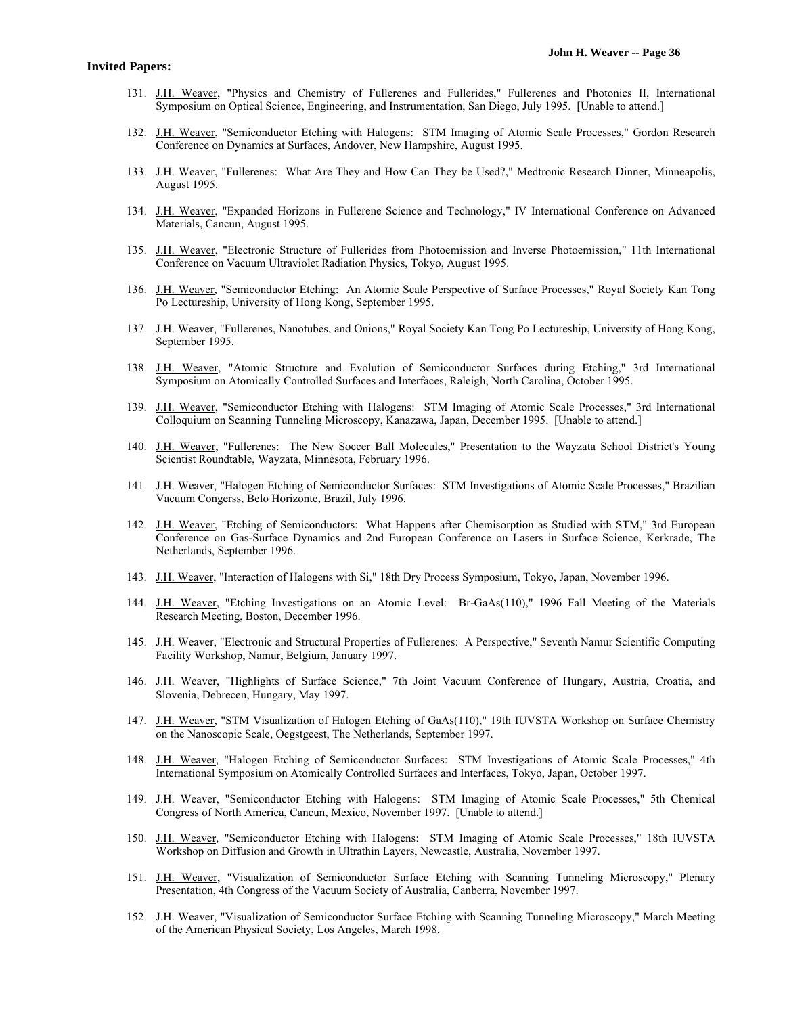- 131. J.H. Weaver, "Physics and Chemistry of Fullerenes and Fullerides," Fullerenes and Photonics II, International Symposium on Optical Science, Engineering, and Instrumentation, San Diego, July 1995. [Unable to attend.]
- 132. J.H. Weaver, "Semiconductor Etching with Halogens: STM Imaging of Atomic Scale Processes," Gordon Research Conference on Dynamics at Surfaces, Andover, New Hampshire, August 1995.
- 133. J.H. Weaver, "Fullerenes: What Are They and How Can They be Used?," Medtronic Research Dinner, Minneapolis, August 1995.
- 134. J.H. Weaver, "Expanded Horizons in Fullerene Science and Technology," IV International Conference on Advanced Materials, Cancun, August 1995.
- 135. J.H. Weaver, "Electronic Structure of Fullerides from Photoemission and Inverse Photoemission," 11th International Conference on Vacuum Ultraviolet Radiation Physics, Tokyo, August 1995.
- 136. J.H. Weaver, "Semiconductor Etching: An Atomic Scale Perspective of Surface Processes," Royal Society Kan Tong Po Lectureship, University of Hong Kong, September 1995.
- 137. J.H. Weaver, "Fullerenes, Nanotubes, and Onions," Royal Society Kan Tong Po Lectureship, University of Hong Kong, September 1995.
- 138. J.H. Weaver, "Atomic Structure and Evolution of Semiconductor Surfaces during Etching," 3rd International Symposium on Atomically Controlled Surfaces and Interfaces, Raleigh, North Carolina, October 1995.
- 139. J.H. Weaver, "Semiconductor Etching with Halogens: STM Imaging of Atomic Scale Processes," 3rd International Colloquium on Scanning Tunneling Microscopy, Kanazawa, Japan, December 1995. [Unable to attend.]
- 140. J.H. Weaver, "Fullerenes: The New Soccer Ball Molecules," Presentation to the Wayzata School District's Young Scientist Roundtable, Wayzata, Minnesota, February 1996.
- 141. J.H. Weaver, "Halogen Etching of Semiconductor Surfaces: STM Investigations of Atomic Scale Processes," Brazilian Vacuum Congerss, Belo Horizonte, Brazil, July 1996.
- 142. J.H. Weaver, "Etching of Semiconductors: What Happens after Chemisorption as Studied with STM," 3rd European Conference on Gas-Surface Dynamics and 2nd European Conference on Lasers in Surface Science, Kerkrade, The Netherlands, September 1996.
- 143. J.H. Weaver, "Interaction of Halogens with Si," 18th Dry Process Symposium, Tokyo, Japan, November 1996.
- 144. J.H. Weaver, "Etching Investigations on an Atomic Level: Br-GaAs(110)," 1996 Fall Meeting of the Materials Research Meeting, Boston, December 1996.
- 145. J.H. Weaver, "Electronic and Structural Properties of Fullerenes: A Perspective," Seventh Namur Scientific Computing Facility Workshop, Namur, Belgium, January 1997.
- 146. J.H. Weaver, "Highlights of Surface Science," 7th Joint Vacuum Conference of Hungary, Austria, Croatia, and Slovenia, Debrecen, Hungary, May 1997.
- 147. J.H. Weaver, "STM Visualization of Halogen Etching of GaAs(110)," 19th IUVSTA Workshop on Surface Chemistry on the Nanoscopic Scale, Oegstgeest, The Netherlands, September 1997.
- 148. J.H. Weaver, "Halogen Etching of Semiconductor Surfaces: STM Investigations of Atomic Scale Processes," 4th International Symposium on Atomically Controlled Surfaces and Interfaces, Tokyo, Japan, October 1997.
- 149. J.H. Weaver, "Semiconductor Etching with Halogens: STM Imaging of Atomic Scale Processes," 5th Chemical Congress of North America, Cancun, Mexico, November 1997. [Unable to attend.]
- 150. J.H. Weaver, "Semiconductor Etching with Halogens: STM Imaging of Atomic Scale Processes," 18th IUVSTA Workshop on Diffusion and Growth in Ultrathin Layers, Newcastle, Australia, November 1997.
- 151. J.H. Weaver, "Visualization of Semiconductor Surface Etching with Scanning Tunneling Microscopy," Plenary Presentation, 4th Congress of the Vacuum Society of Australia, Canberra, November 1997.
- 152. J.H. Weaver, "Visualization of Semiconductor Surface Etching with Scanning Tunneling Microscopy," March Meeting of the American Physical Society, Los Angeles, March 1998.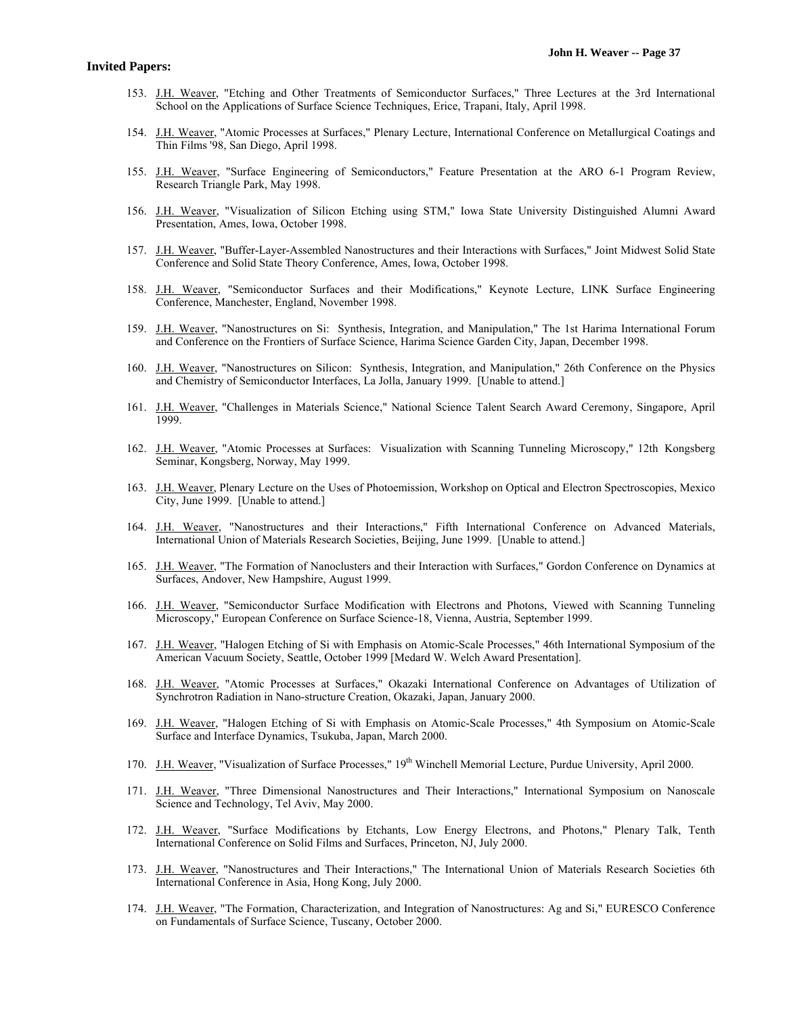- 153. J.H. Weaver, "Etching and Other Treatments of Semiconductor Surfaces," Three Lectures at the 3rd International School on the Applications of Surface Science Techniques, Erice, Trapani, Italy, April 1998.
- 154. J.H. Weaver, "Atomic Processes at Surfaces," Plenary Lecture, International Conference on Metallurgical Coatings and Thin Films '98, San Diego, April 1998.
- 155. J.H. Weaver, "Surface Engineering of Semiconductors," Feature Presentation at the ARO 6-1 Program Review, Research Triangle Park, May 1998.
- 156. J.H. Weaver, "Visualization of Silicon Etching using STM," Iowa State University Distinguished Alumni Award Presentation, Ames, Iowa, October 1998.
- 157. J.H. Weaver, "Buffer-Layer-Assembled Nanostructures and their Interactions with Surfaces," Joint Midwest Solid State Conference and Solid State Theory Conference, Ames, Iowa, October 1998.
- 158. J.H. Weaver, "Semiconductor Surfaces and their Modifications," Keynote Lecture, LINK Surface Engineering Conference, Manchester, England, November 1998.
- 159. J.H. Weaver, "Nanostructures on Si: Synthesis, Integration, and Manipulation," The 1st Harima International Forum and Conference on the Frontiers of Surface Science, Harima Science Garden City, Japan, December 1998.
- 160. J.H. Weaver, "Nanostructures on Silicon: Synthesis, Integration, and Manipulation," 26th Conference on the Physics and Chemistry of Semiconductor Interfaces, La Jolla, January 1999. [Unable to attend.]
- 161. J.H. Weaver, "Challenges in Materials Science," National Science Talent Search Award Ceremony, Singapore, April 1999.
- 162. J.H. Weaver, "Atomic Processes at Surfaces: Visualization with Scanning Tunneling Microscopy," 12th Kongsberg Seminar, Kongsberg, Norway, May 1999.
- 163. J.H. Weaver, Plenary Lecture on the Uses of Photoemission, Workshop on Optical and Electron Spectroscopies, Mexico City, June 1999. [Unable to attend.]
- 164. J.H. Weaver, "Nanostructures and their Interactions," Fifth International Conference on Advanced Materials, International Union of Materials Research Societies, Beijing, June 1999. [Unable to attend.]
- 165. J.H. Weaver, "The Formation of Nanoclusters and their Interaction with Surfaces," Gordon Conference on Dynamics at Surfaces, Andover, New Hampshire, August 1999.
- 166. J.H. Weaver, "Semiconductor Surface Modification with Electrons and Photons, Viewed with Scanning Tunneling Microscopy," European Conference on Surface Science-18, Vienna, Austria, September 1999.
- 167. J.H. Weaver, "Halogen Etching of Si with Emphasis on Atomic-Scale Processes," 46th International Symposium of the American Vacuum Society, Seattle, October 1999 [Medard W. Welch Award Presentation].
- 168. J.H. Weaver, "Atomic Processes at Surfaces," Okazaki International Conference on Advantages of Utilization of Synchrotron Radiation in Nano-structure Creation, Okazaki, Japan, January 2000.
- 169. J.H. Weaver, "Halogen Etching of Si with Emphasis on Atomic-Scale Processes," 4th Symposium on Atomic-Scale Surface and Interface Dynamics, Tsukuba, Japan, March 2000.
- 170. J.H. Weaver, "Visualization of Surface Processes," 19<sup>th</sup> Winchell Memorial Lecture, Purdue University, April 2000.
- 171. J.H. Weaver, "Three Dimensional Nanostructures and Their Interactions," International Symposium on Nanoscale Science and Technology, Tel Aviv, May 2000.
- 172. J.H. Weaver, "Surface Modifications by Etchants, Low Energy Electrons, and Photons," Plenary Talk, Tenth International Conference on Solid Films and Surfaces, Princeton, NJ, July 2000.
- 173. J.H. Weaver, "Nanostructures and Their Interactions," The International Union of Materials Research Societies 6th International Conference in Asia, Hong Kong, July 2000.
- 174. J.H. Weaver, "The Formation, Characterization, and Integration of Nanostructures: Ag and Si," EURESCO Conference on Fundamentals of Surface Science, Tuscany, October 2000.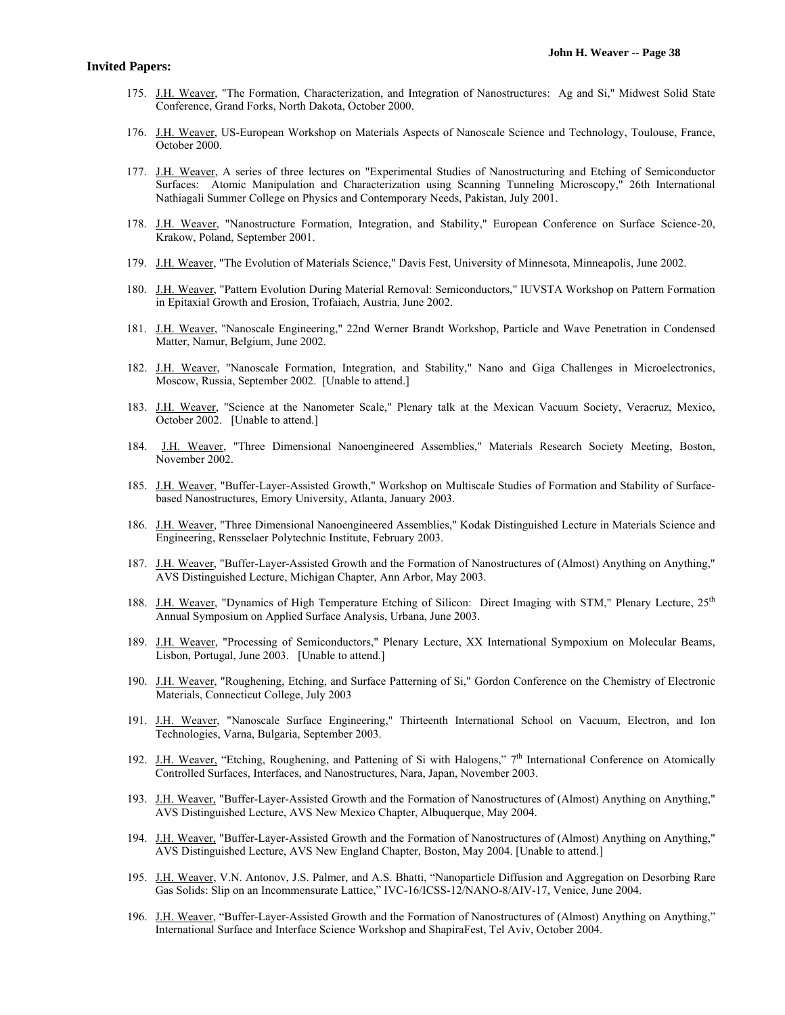- 175. J.H. Weaver, "The Formation, Characterization, and Integration of Nanostructures: Ag and Si," Midwest Solid State Conference, Grand Forks, North Dakota, October 2000.
- 176. J.H. Weaver, US-European Workshop on Materials Aspects of Nanoscale Science and Technology, Toulouse, France, October 2000.
- 177. J.H. Weaver, A series of three lectures on "Experimental Studies of Nanostructuring and Etching of Semiconductor Surfaces: Atomic Manipulation and Characterization using Scanning Tunneling Microscopy," 26th International Nathiagali Summer College on Physics and Contemporary Needs, Pakistan, July 2001.
- 178. J.H. Weaver, "Nanostructure Formation, Integration, and Stability," European Conference on Surface Science-20, Krakow, Poland, September 2001.
- 179. J.H. Weaver, "The Evolution of Materials Science," Davis Fest, University of Minnesota, Minneapolis, June 2002.
- 180. J.H. Weaver, "Pattern Evolution During Material Removal: Semiconductors," IUVSTA Workshop on Pattern Formation in Epitaxial Growth and Erosion, Trofaiach, Austria, June 2002.
- 181. J.H. Weaver, "Nanoscale Engineering," 22nd Werner Brandt Workshop, Particle and Wave Penetration in Condensed Matter, Namur, Belgium, June 2002.
- 182. J.H. Weaver, "Nanoscale Formation, Integration, and Stability," Nano and Giga Challenges in Microelectronics, Moscow, Russia, September 2002. [Unable to attend.]
- 183. J.H. Weaver, "Science at the Nanometer Scale," Plenary talk at the Mexican Vacuum Society, Veracruz, Mexico, October 2002. [Unable to attend.]
- 184. J.H. Weaver, "Three Dimensional Nanoengineered Assemblies," Materials Research Society Meeting, Boston, November 2002.
- 185. J.H. Weaver, "Buffer-Layer-Assisted Growth," Workshop on Multiscale Studies of Formation and Stability of Surfacebased Nanostructures, Emory University, Atlanta, January 2003.
- 186. J.H. Weaver, "Three Dimensional Nanoengineered Assemblies," Kodak Distinguished Lecture in Materials Science and Engineering, Rensselaer Polytechnic Institute, February 2003.
- 187. J.H. Weaver, "Buffer-Layer-Assisted Growth and the Formation of Nanostructures of (Almost) Anything on Anything," AVS Distinguished Lecture, Michigan Chapter, Ann Arbor, May 2003.
- 188. J.H. Weaver, "Dynamics of High Temperature Etching of Silicon: Direct Imaging with STM," Plenary Lecture, 25<sup>th</sup> Annual Symposium on Applied Surface Analysis, Urbana, June 2003.
- 189. J.H. Weaver, "Processing of Semiconductors," Plenary Lecture, XX International Sympoxium on Molecular Beams, Lisbon, Portugal, June 2003. [Unable to attend.]
- 190. J.H. Weaver, "Roughening, Etching, and Surface Patterning of Si," Gordon Conference on the Chemistry of Electronic Materials, Connecticut College, July 2003
- 191. J.H. Weaver, "Nanoscale Surface Engineering," Thirteenth International School on Vacuum, Electron, and Ion Technologies, Varna, Bulgaria, September 2003.
- 192. J.H. Weaver, "Etching, Roughening, and Pattening of Si with Halogens," 7<sup>th</sup> International Conference on Atomically Controlled Surfaces, Interfaces, and Nanostructures, Nara, Japan, November 2003.
- 193. J.H. Weaver, "Buffer-Layer-Assisted Growth and the Formation of Nanostructures of (Almost) Anything on Anything," AVS Distinguished Lecture, AVS New Mexico Chapter, Albuquerque, May 2004.
- 194. J.H. Weaver, "Buffer-Layer-Assisted Growth and the Formation of Nanostructures of (Almost) Anything on Anything," AVS Distinguished Lecture, AVS New England Chapter, Boston, May 2004. [Unable to attend.]
- 195. J.H. Weaver, V.N. Antonov, J.S. Palmer, and A.S. Bhatti, "Nanoparticle Diffusion and Aggregation on Desorbing Rare Gas Solids: Slip on an Incommensurate Lattice," IVC-16/ICSS-12/NANO-8/AIV-17, Venice, June 2004.
- 196. J.H. Weaver, "Buffer-Layer-Assisted Growth and the Formation of Nanostructures of (Almost) Anything on Anything," International Surface and Interface Science Workshop and ShapiraFest, Tel Aviv, October 2004.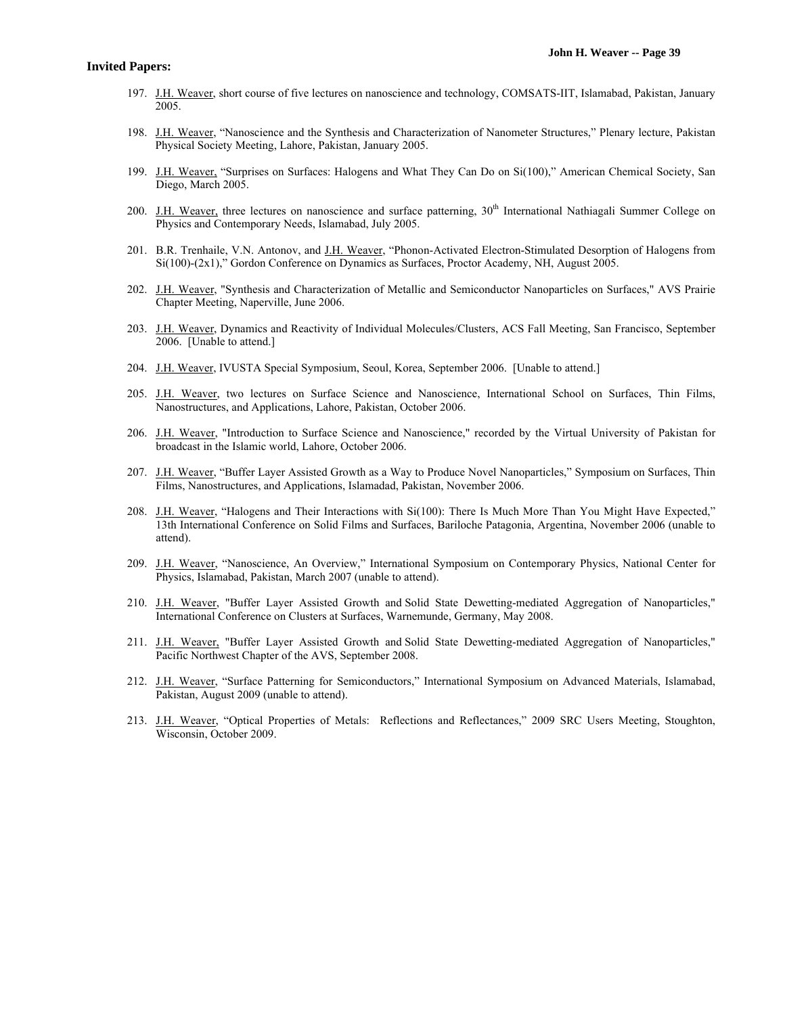- 197. J.H. Weaver, short course of five lectures on nanoscience and technology, COMSATS-IIT, Islamabad, Pakistan, January 2005.
- 198. J.H. Weaver, "Nanoscience and the Synthesis and Characterization of Nanometer Structures," Plenary lecture, Pakistan Physical Society Meeting, Lahore, Pakistan, January 2005.
- 199. J.H. Weaver, "Surprises on Surfaces: Halogens and What They Can Do on Si(100)," American Chemical Society, San Diego, March 2005.
- 200. J.H. Weaver, three lectures on nanoscience and surface patterning,  $30<sup>th</sup>$  International Nathiagali Summer College on Physics and Contemporary Needs, Islamabad, July 2005.
- 201. B.R. Trenhaile, V.N. Antonov, and J.H. Weaver, "Phonon-Activated Electron-Stimulated Desorption of Halogens from Si(100)-(2x1)," Gordon Conference on Dynamics as Surfaces, Proctor Academy, NH, August 2005.
- 202. J.H. Weaver, "Synthesis and Characterization of Metallic and Semiconductor Nanoparticles on Surfaces," AVS Prairie Chapter Meeting, Naperville, June 2006.
- 203. J.H. Weaver, Dynamics and Reactivity of Individual Molecules/Clusters, ACS Fall Meeting, San Francisco, September 2006. [Unable to attend.]
- 204. J.H. Weaver, IVUSTA Special Symposium, Seoul, Korea, September 2006. [Unable to attend.]
- 205. J.H. Weaver, two lectures on Surface Science and Nanoscience, International School on Surfaces, Thin Films, Nanostructures, and Applications, Lahore, Pakistan, October 2006.
- 206. J.H. Weaver, "Introduction to Surface Science and Nanoscience," recorded by the Virtual University of Pakistan for broadcast in the Islamic world, Lahore, October 2006.
- 207. J.H. Weaver, "Buffer Layer Assisted Growth as a Way to Produce Novel Nanoparticles," Symposium on Surfaces, Thin Films, Nanostructures, and Applications, Islamadad, Pakistan, November 2006.
- 208. J.H. Weaver, "Halogens and Their Interactions with Si(100): There Is Much More Than You Might Have Expected," 13th International Conference on Solid Films and Surfaces, Bariloche Patagonia, Argentina, November 2006 (unable to attend).
- 209. J.H. Weaver, "Nanoscience, An Overview," International Symposium on Contemporary Physics, National Center for Physics, Islamabad, Pakistan, March 2007 (unable to attend).
- 210. J.H. Weaver, "Buffer Layer Assisted Growth and Solid State Dewetting-mediated Aggregation of Nanoparticles," International Conference on Clusters at Surfaces, Warnemunde, Germany, May 2008.
- 211. J.H. Weaver, "Buffer Layer Assisted Growth and Solid State Dewetting-mediated Aggregation of Nanoparticles," Pacific Northwest Chapter of the AVS, September 2008.
- 212. J.H. Weaver, "Surface Patterning for Semiconductors," International Symposium on Advanced Materials, Islamabad, Pakistan, August 2009 (unable to attend).
- 213. J.H. Weaver, "Optical Properties of Metals: Reflections and Reflectances," 2009 SRC Users Meeting, Stoughton, Wisconsin, October 2009.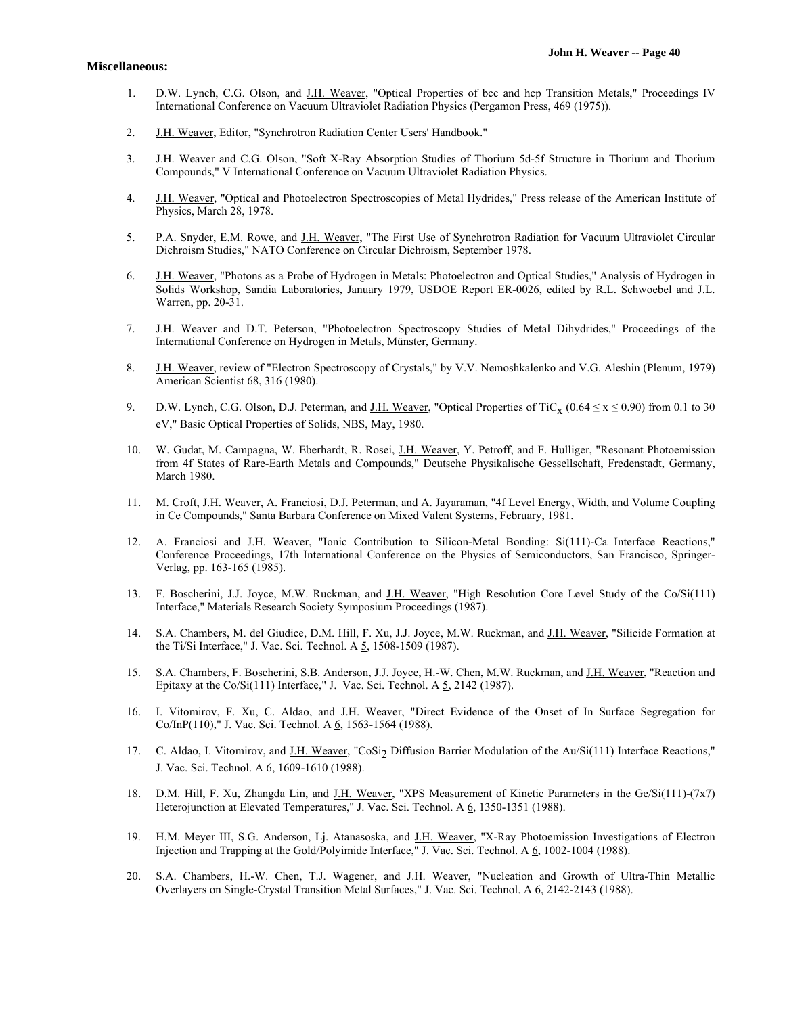#### **Miscellaneous:**

- 1. D.W. Lynch, C.G. Olson, and J.H. Weaver, "Optical Properties of bcc and hcp Transition Metals," Proceedings IV International Conference on Vacuum Ultraviolet Radiation Physics (Pergamon Press, 469 (1975)).
- 2. J.H. Weaver, Editor, "Synchrotron Radiation Center Users' Handbook."
- 3. J.H. Weaver and C.G. Olson, "Soft X-Ray Absorption Studies of Thorium 5d-5f Structure in Thorium and Thorium Compounds," V International Conference on Vacuum Ultraviolet Radiation Physics.
- 4. J.H. Weaver, "Optical and Photoelectron Spectroscopies of Metal Hydrides," Press release of the American Institute of Physics, March 28, 1978.
- 5. P.A. Snyder, E.M. Rowe, and J.H. Weaver, "The First Use of Synchrotron Radiation for Vacuum Ultraviolet Circular Dichroism Studies," NATO Conference on Circular Dichroism, September 1978.
- 6. J.H. Weaver, "Photons as a Probe of Hydrogen in Metals: Photoelectron and Optical Studies," Analysis of Hydrogen in Solids Workshop, Sandia Laboratories, January 1979, USDOE Report ER-0026, edited by R.L. Schwoebel and J.L. Warren, pp. 20-31.
- 7. J.H. Weaver and D.T. Peterson, "Photoelectron Spectroscopy Studies of Metal Dihydrides," Proceedings of the International Conference on Hydrogen in Metals, Münster, Germany.
- 8. J.H. Weaver, review of "Electron Spectroscopy of Crystals," by V.V. Nemoshkalenko and V.G. Aleshin (Plenum, 1979) American Scientist 68, 316 (1980).
- 9. D.W. Lynch, C.G. Olson, D.J. Peterman, and <u>J.H. Weaver</u>, "Optical Properties of TiC<sub>x</sub> (0.64  $\leq$  x  $\leq$  0.90) from 0.1 to 30 eV," Basic Optical Properties of Solids, NBS, May, 1980.
- 10. W. Gudat, M. Campagna, W. Eberhardt, R. Rosei, J.H. Weaver, Y. Petroff, and F. Hulliger, "Resonant Photoemission from 4f States of Rare-Earth Metals and Compounds," Deutsche Physikalische Gessellschaft, Fredenstadt, Germany, March 1980.
- 11. M. Croft, J.H. Weaver, A. Franciosi, D.J. Peterman, and A. Jayaraman, "4f Level Energy, Width, and Volume Coupling in Ce Compounds," Santa Barbara Conference on Mixed Valent Systems, February, 1981.
- 12. A. Franciosi and J.H. Weaver, "Ionic Contribution to Silicon-Metal Bonding: Si(111)-Ca Interface Reactions," Conference Proceedings, 17th International Conference on the Physics of Semiconductors, San Francisco, Springer-Verlag, pp. 163-165 (1985).
- 13. F. Boscherini, J.J. Joyce, M.W. Ruckman, and J.H. Weaver, "High Resolution Core Level Study of the Co/Si(111) Interface," Materials Research Society Symposium Proceedings (1987).
- 14. S.A. Chambers, M. del Giudice, D.M. Hill, F. Xu, J.J. Joyce, M.W. Ruckman, and J.H. Weaver, "Silicide Formation at the Ti/Si Interface," J. Vac. Sci. Technol. A 5, 1508-1509 (1987).
- 15. S.A. Chambers, F. Boscherini, S.B. Anderson, J.J. Joyce, H.-W. Chen, M.W. Ruckman, and J.H. Weaver, "Reaction and Epitaxy at the Co/Si(111) Interface," J. Vac. Sci. Technol. A  $\frac{5}{2}$ , 2142 (1987).
- 16. I. Vitomirov, F. Xu, C. Aldao, and J.H. Weaver, "Direct Evidence of the Onset of In Surface Segregation for Co/InP(110)," J. Vac. Sci. Technol. A 6, 1563-1564 (1988).
- 17. C. Aldao, I. Vitomirov, and J.H. Weaver, "CoSi<sub>2</sub> Diffusion Barrier Modulation of the Au/Si(111) Interface Reactions," J. Vac. Sci. Technol. A 6, 1609-1610 (1988).
- 18. D.M. Hill, F. Xu, Zhangda Lin, and <u>J.H. Weaver</u>, "XPS Measurement of Kinetic Parameters in the Ge/Si(111)-(7x7) Heterojunction at Elevated Temperatures," J. Vac. Sci. Technol. A 6, 1350-1351 (1988).
- 19. H.M. Meyer III, S.G. Anderson, Lj. Atanasoska, and J.H. Weaver, "X-Ray Photoemission Investigations of Electron Injection and Trapping at the Gold/Polyimide Interface," J. Vac. Sci. Technol. A 6, 1002-1004 (1988).
- 20. S.A. Chambers, H.-W. Chen, T.J. Wagener, and J.H. Weaver, "Nucleation and Growth of Ultra-Thin Metallic Overlayers on Single-Crystal Transition Metal Surfaces," J. Vac. Sci. Technol. A 6, 2142-2143 (1988).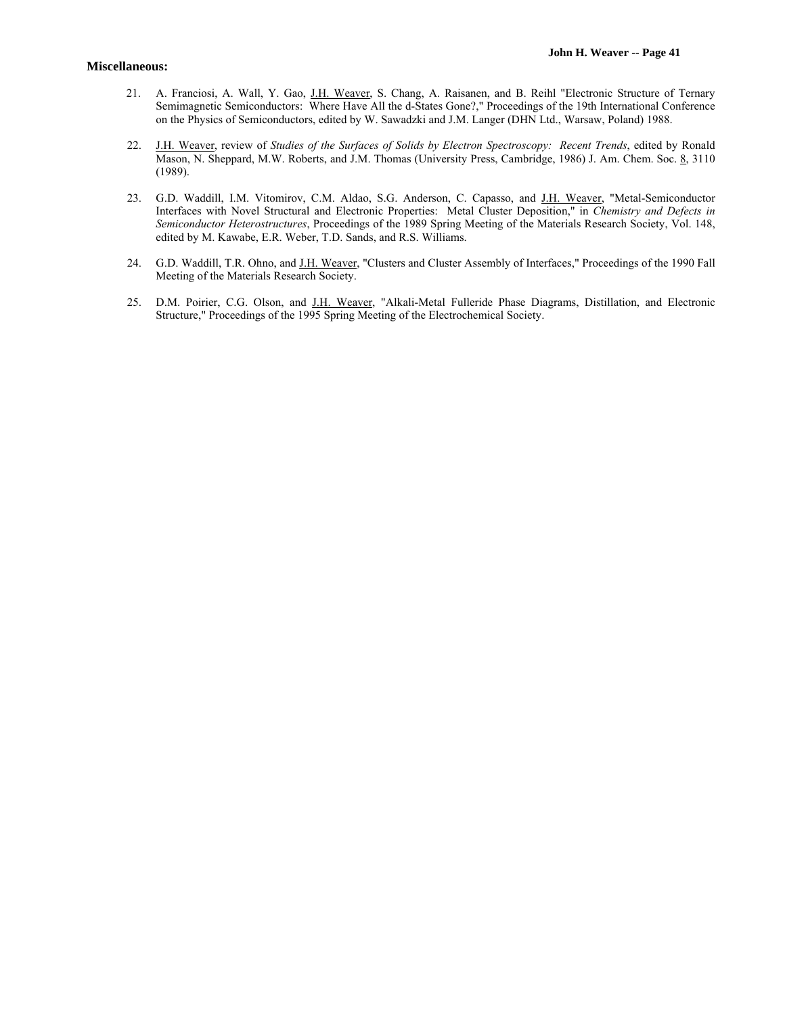- 21. A. Franciosi, A. Wall, Y. Gao, J.H. Weaver, S. Chang, A. Raisanen, and B. Reihl "Electronic Structure of Ternary Semimagnetic Semiconductors: Where Have All the d-States Gone?," Proceedings of the 19th International Conference on the Physics of Semiconductors, edited by W. Sawadzki and J.M. Langer (DHN Ltd., Warsaw, Poland) 1988.
- 22. J.H. Weaver, review of *Studies of the Surfaces of Solids by Electron Spectroscopy: Recent Trends*, edited by Ronald Mason, N. Sheppard, M.W. Roberts, and J.M. Thomas (University Press, Cambridge, 1986) J. Am. Chem. Soc. 8, 3110 (1989).
- 23. G.D. Waddill, I.M. Vitomirov, C.M. Aldao, S.G. Anderson, C. Capasso, and J.H. Weaver, "Metal-Semiconductor Interfaces with Novel Structural and Electronic Properties: Metal Cluster Deposition," in *Chemistry and Defects in Semiconductor Heterostructures*, Proceedings of the 1989 Spring Meeting of the Materials Research Society, Vol. 148, edited by M. Kawabe, E.R. Weber, T.D. Sands, and R.S. Williams.
- 24. G.D. Waddill, T.R. Ohno, and J.H. Weaver, "Clusters and Cluster Assembly of Interfaces," Proceedings of the 1990 Fall Meeting of the Materials Research Society.
- 25. D.M. Poirier, C.G. Olson, and J.H. Weaver, "Alkali-Metal Fulleride Phase Diagrams, Distillation, and Electronic Structure," Proceedings of the 1995 Spring Meeting of the Electrochemical Society.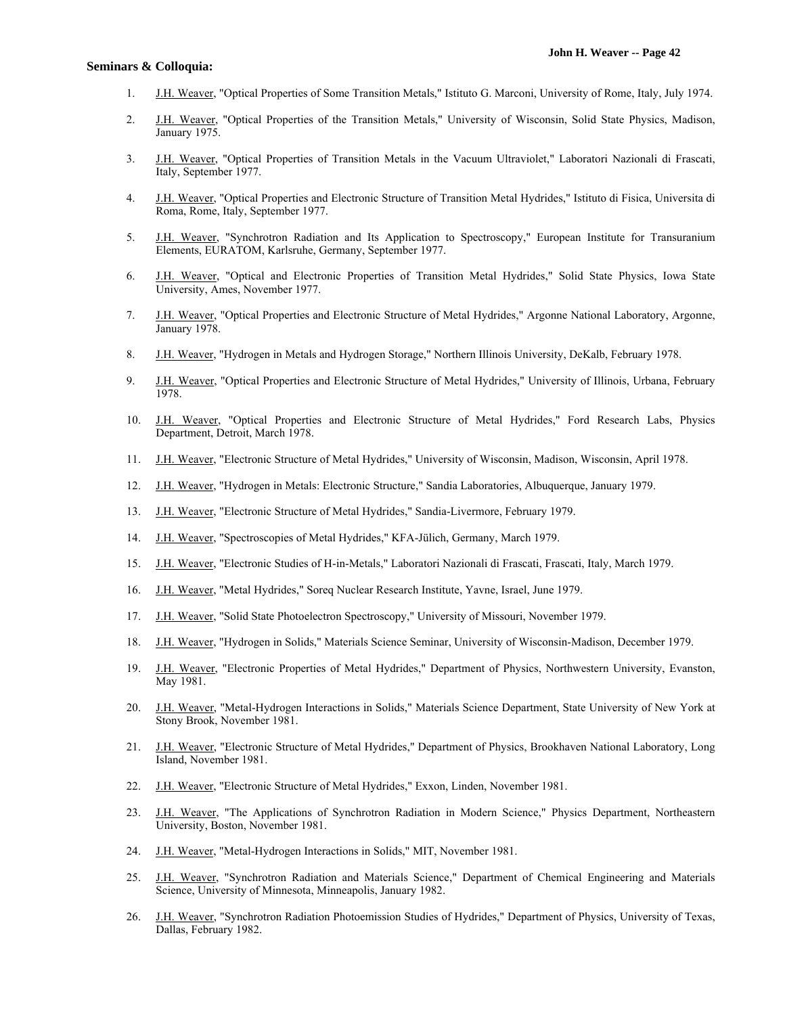- 1. J.H. Weaver, "Optical Properties of Some Transition Metals," Istituto G. Marconi, University of Rome, Italy, July 1974.
- 2. J.H. Weaver, "Optical Properties of the Transition Metals," University of Wisconsin, Solid State Physics, Madison, January 1975.
- 3. J.H. Weaver, "Optical Properties of Transition Metals in the Vacuum Ultraviolet," Laboratori Nazionali di Frascati, Italy, September 1977.
- 4. J.H. Weaver, "Optical Properties and Electronic Structure of Transition Metal Hydrides," Istituto di Fisica, Universita di Roma, Rome, Italy, September 1977.
- 5. J.H. Weaver, "Synchrotron Radiation and Its Application to Spectroscopy," European Institute for Transuranium Elements, EURATOM, Karlsruhe, Germany, September 1977.
- 6. J.H. Weaver, "Optical and Electronic Properties of Transition Metal Hydrides," Solid State Physics, Iowa State University, Ames, November 1977.
- 7. J.H. Weaver, "Optical Properties and Electronic Structure of Metal Hydrides," Argonne National Laboratory, Argonne, January 1978.
- 8. J.H. Weaver, "Hydrogen in Metals and Hydrogen Storage," Northern Illinois University, DeKalb, February 1978.
- 9. J.H. Weaver, "Optical Properties and Electronic Structure of Metal Hydrides," University of Illinois, Urbana, February 1978.
- 10. J.H. Weaver, "Optical Properties and Electronic Structure of Metal Hydrides," Ford Research Labs, Physics Department, Detroit, March 1978.
- 11. J.H. Weaver, "Electronic Structure of Metal Hydrides," University of Wisconsin, Madison, Wisconsin, April 1978.
- 12. J.H. Weaver, "Hydrogen in Metals: Electronic Structure," Sandia Laboratories, Albuquerque, January 1979.
- 13. J.H. Weaver, "Electronic Structure of Metal Hydrides," Sandia-Livermore, February 1979.
- 14. J.H. Weaver, "Spectroscopies of Metal Hydrides," KFA-Jülich, Germany, March 1979.
- 15. J.H. Weaver, "Electronic Studies of H-in-Metals," Laboratori Nazionali di Frascati, Frascati, Italy, March 1979.
- 16. J.H. Weaver, "Metal Hydrides," Soreq Nuclear Research Institute, Yavne, Israel, June 1979.
- 17. J.H. Weaver, "Solid State Photoelectron Spectroscopy," University of Missouri, November 1979.
- 18. J.H. Weaver, "Hydrogen in Solids," Materials Science Seminar, University of Wisconsin-Madison, December 1979.
- 19. J.H. Weaver, "Electronic Properties of Metal Hydrides," Department of Physics, Northwestern University, Evanston, May 1981.
- 20. J.H. Weaver, "Metal-Hydrogen Interactions in Solids," Materials Science Department, State University of New York at Stony Brook, November 1981.
- 21. J.H. Weaver, "Electronic Structure of Metal Hydrides," Department of Physics, Brookhaven National Laboratory, Long Island, November 1981.
- 22. J.H. Weaver, "Electronic Structure of Metal Hydrides," Exxon, Linden, November 1981.
- 23. J.H. Weaver, "The Applications of Synchrotron Radiation in Modern Science," Physics Department, Northeastern University, Boston, November 1981.
- 24. J.H. Weaver, "Metal-Hydrogen Interactions in Solids," MIT, November 1981.
- 25. J.H. Weaver, "Synchrotron Radiation and Materials Science," Department of Chemical Engineering and Materials Science, University of Minnesota, Minneapolis, January 1982.
- 26. J.H. Weaver, "Synchrotron Radiation Photoemission Studies of Hydrides," Department of Physics, University of Texas, Dallas, February 1982.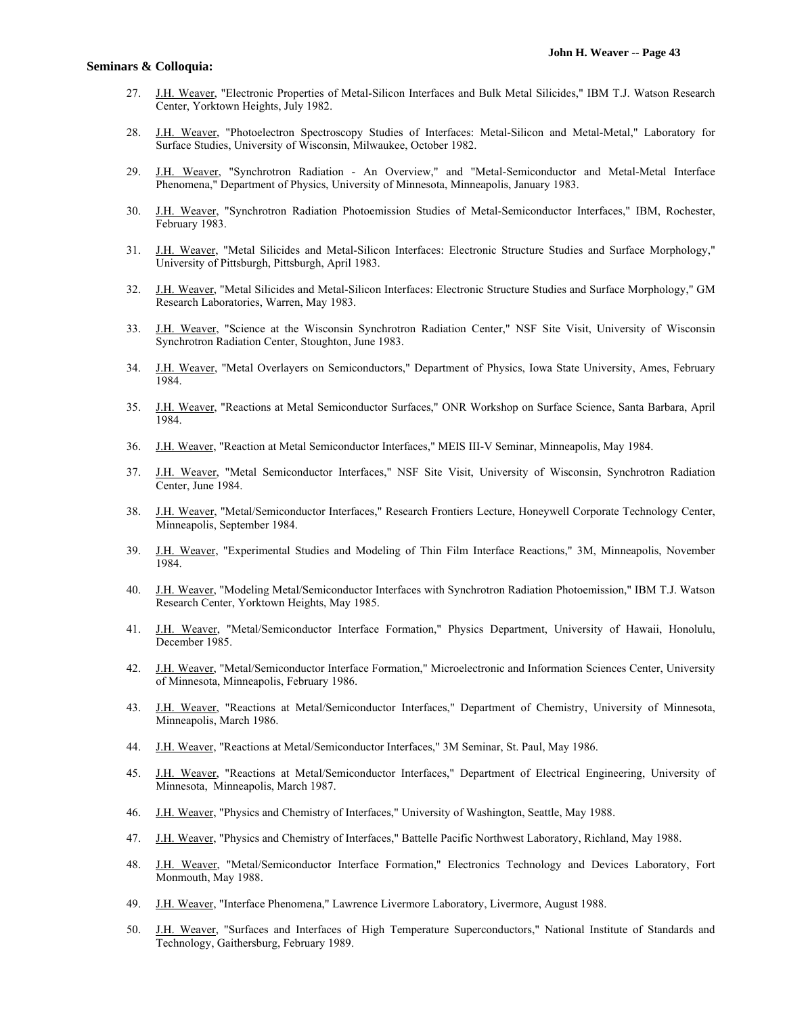- 27. J.H. Weaver, "Electronic Properties of Metal-Silicon Interfaces and Bulk Metal Silicides," IBM T.J. Watson Research Center, Yorktown Heights, July 1982.
- 28. J.H. Weaver, "Photoelectron Spectroscopy Studies of Interfaces: Metal-Silicon and Metal-Metal," Laboratory for Surface Studies, University of Wisconsin, Milwaukee, October 1982.
- 29. J.H. Weaver, "Synchrotron Radiation An Overview," and "Metal-Semiconductor and Metal-Metal Interface Phenomena," Department of Physics, University of Minnesota, Minneapolis, January 1983.
- 30. J.H. Weaver, "Synchrotron Radiation Photoemission Studies of Metal-Semiconductor Interfaces," IBM, Rochester, February 1983.
- 31. J.H. Weaver, "Metal Silicides and Metal-Silicon Interfaces: Electronic Structure Studies and Surface Morphology," University of Pittsburgh, Pittsburgh, April 1983.
- 32. J.H. Weaver, "Metal Silicides and Metal-Silicon Interfaces: Electronic Structure Studies and Surface Morphology," GM Research Laboratories, Warren, May 1983.
- 33. J.H. Weaver, "Science at the Wisconsin Synchrotron Radiation Center," NSF Site Visit, University of Wisconsin Synchrotron Radiation Center, Stoughton, June 1983.
- 34. J.H. Weaver, "Metal Overlayers on Semiconductors," Department of Physics, Iowa State University, Ames, February 1984.
- 35. J.H. Weaver, "Reactions at Metal Semiconductor Surfaces," ONR Workshop on Surface Science, Santa Barbara, April 1984.
- 36. J.H. Weaver, "Reaction at Metal Semiconductor Interfaces," MEIS III-V Seminar, Minneapolis, May 1984.
- 37. J.H. Weaver, "Metal Semiconductor Interfaces," NSF Site Visit, University of Wisconsin, Synchrotron Radiation Center, June 1984.
- 38. J.H. Weaver, "Metal/Semiconductor Interfaces," Research Frontiers Lecture, Honeywell Corporate Technology Center, Minneapolis, September 1984.
- 39. J.H. Weaver, "Experimental Studies and Modeling of Thin Film Interface Reactions," 3M, Minneapolis, November 1984.
- 40. J.H. Weaver, "Modeling Metal/Semiconductor Interfaces with Synchrotron Radiation Photoemission," IBM T.J. Watson Research Center, Yorktown Heights, May 1985.
- 41. J.H. Weaver, "Metal/Semiconductor Interface Formation," Physics Department, University of Hawaii, Honolulu, December 1985.
- 42. J.H. Weaver, "Metal/Semiconductor Interface Formation," Microelectronic and Information Sciences Center, University of Minnesota, Minneapolis, February 1986.
- 43. J.H. Weaver, "Reactions at Metal/Semiconductor Interfaces," Department of Chemistry, University of Minnesota, Minneapolis, March 1986.
- 44. J.H. Weaver, "Reactions at Metal/Semiconductor Interfaces," 3M Seminar, St. Paul, May 1986.
- 45. J.H. Weaver, "Reactions at Metal/Semiconductor Interfaces," Department of Electrical Engineering, University of Minnesota, Minneapolis, March 1987.
- 46. J.H. Weaver, "Physics and Chemistry of Interfaces," University of Washington, Seattle, May 1988.
- 47. J.H. Weaver, "Physics and Chemistry of Interfaces," Battelle Pacific Northwest Laboratory, Richland, May 1988.
- 48. J.H. Weaver, "Metal/Semiconductor Interface Formation," Electronics Technology and Devices Laboratory, Fort Monmouth, May 1988.
- 49. J.H. Weaver, "Interface Phenomena," Lawrence Livermore Laboratory, Livermore, August 1988.
- 50. J.H. Weaver, "Surfaces and Interfaces of High Temperature Superconductors," National Institute of Standards and Technology, Gaithersburg, February 1989.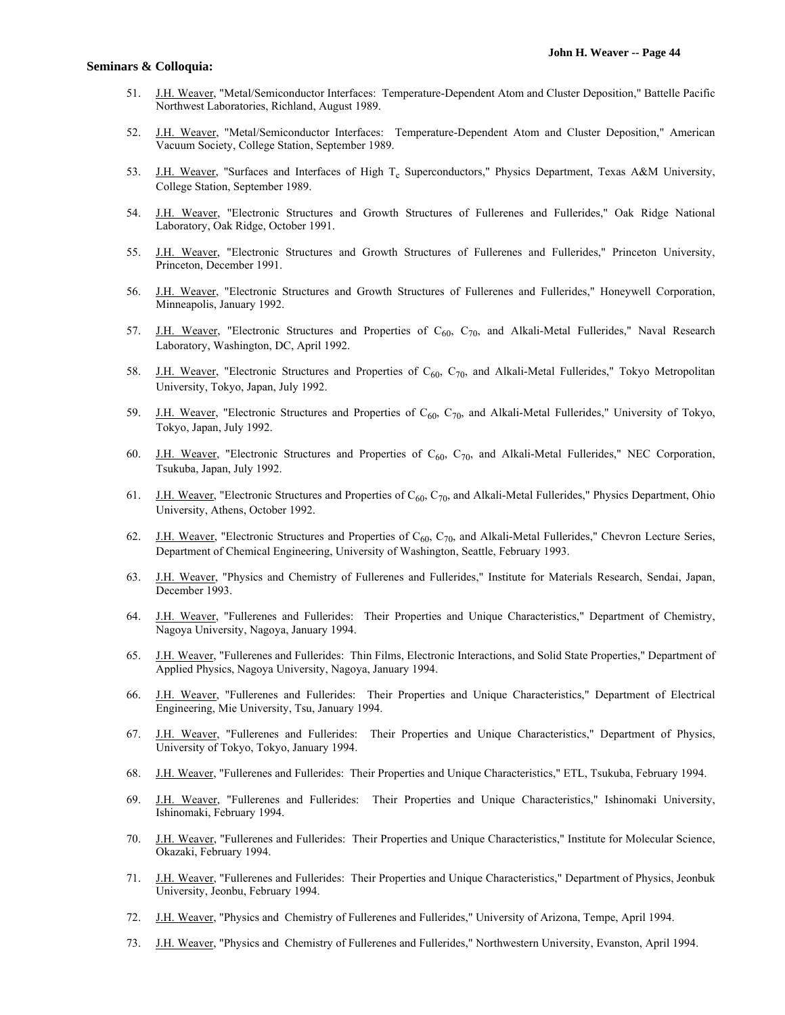- 51. J.H. Weaver, "Metal/Semiconductor Interfaces: Temperature-Dependent Atom and Cluster Deposition," Battelle Pacific Northwest Laboratories, Richland, August 1989.
- 52. J.H. Weaver, "Metal/Semiconductor Interfaces: Temperature-Dependent Atom and Cluster Deposition," American Vacuum Society, College Station, September 1989.
- 53. J.H. Weaver, "Surfaces and Interfaces of High T<sub>c</sub> Superconductors," Physics Department, Texas A&M University, College Station, September 1989.
- 54. J.H. Weaver, "Electronic Structures and Growth Structures of Fullerenes and Fullerides," Oak Ridge National Laboratory, Oak Ridge, October 1991.
- 55. J.H. Weaver, "Electronic Structures and Growth Structures of Fullerenes and Fullerides," Princeton University, Princeton, December 1991.
- 56. J.H. Weaver, "Electronic Structures and Growth Structures of Fullerenes and Fullerides," Honeywell Corporation, Minneapolis, January 1992.
- 57. J.H. Weaver, "Electronic Structures and Properties of C<sub>60</sub>, C<sub>70</sub>, and Alkali-Metal Fullerides," Naval Research Laboratory, Washington, DC, April 1992.
- 58. J.H. Weaver, "Electronic Structures and Properties of  $C_{60}$ ,  $C_{70}$ , and Alkali-Metal Fullerides," Tokyo Metropolitan University, Tokyo, Japan, July 1992.
- 59. J.H. Weaver, "Electronic Structures and Properties of  $C_{60}$ ,  $C_{70}$ , and Alkali-Metal Fullerides," University of Tokyo, Tokyo, Japan, July 1992.
- 60. J.H. Weaver, "Electronic Structures and Properties of  $C_{60}$ ,  $C_{70}$ , and Alkali-Metal Fullerides," NEC Corporation, Tsukuba, Japan, July 1992.
- 61. J.H. Weaver, "Electronic Structures and Properties of  $C_{60}$ ,  $C_{70}$ , and Alkali-Metal Fullerides," Physics Department, Ohio University, Athens, October 1992.
- 62. J.H. Weaver, "Electronic Structures and Properties of  $C_{60}$ ,  $C_{70}$ , and Alkali-Metal Fullerides," Chevron Lecture Series, Department of Chemical Engineering, University of Washington, Seattle, February 1993.
- 63. J.H. Weaver, "Physics and Chemistry of Fullerenes and Fullerides," Institute for Materials Research, Sendai, Japan, December 1993.
- 64. J.H. Weaver, "Fullerenes and Fullerides: Their Properties and Unique Characteristics," Department of Chemistry, Nagoya University, Nagoya, January 1994.
- 65. J.H. Weaver, "Fullerenes and Fullerides: Thin Films, Electronic Interactions, and Solid State Properties," Department of Applied Physics, Nagoya University, Nagoya, January 1994.
- 66. J.H. Weaver, "Fullerenes and Fullerides: Their Properties and Unique Characteristics," Department of Electrical Engineering, Mie University, Tsu, January 1994.
- 67. J.H. Weaver, "Fullerenes and Fullerides: Their Properties and Unique Characteristics," Department of Physics, University of Tokyo, Tokyo, January 1994.
- 68. J.H. Weaver, "Fullerenes and Fullerides: Their Properties and Unique Characteristics," ETL, Tsukuba, February 1994.
- 69. J.H. Weaver, "Fullerenes and Fullerides: Their Properties and Unique Characteristics," Ishinomaki University, Ishinomaki, February 1994.
- 70. J.H. Weaver, "Fullerenes and Fullerides: Their Properties and Unique Characteristics," Institute for Molecular Science, Okazaki, February 1994.
- 71. J.H. Weaver, "Fullerenes and Fullerides: Their Properties and Unique Characteristics," Department of Physics, Jeonbuk University, Jeonbu, February 1994.
- 72. J.H. Weaver, "Physics and Chemistry of Fullerenes and Fullerides," University of Arizona, Tempe, April 1994.
- 73. J.H. Weaver, "Physics and Chemistry of Fullerenes and Fullerides," Northwestern University, Evanston, April 1994.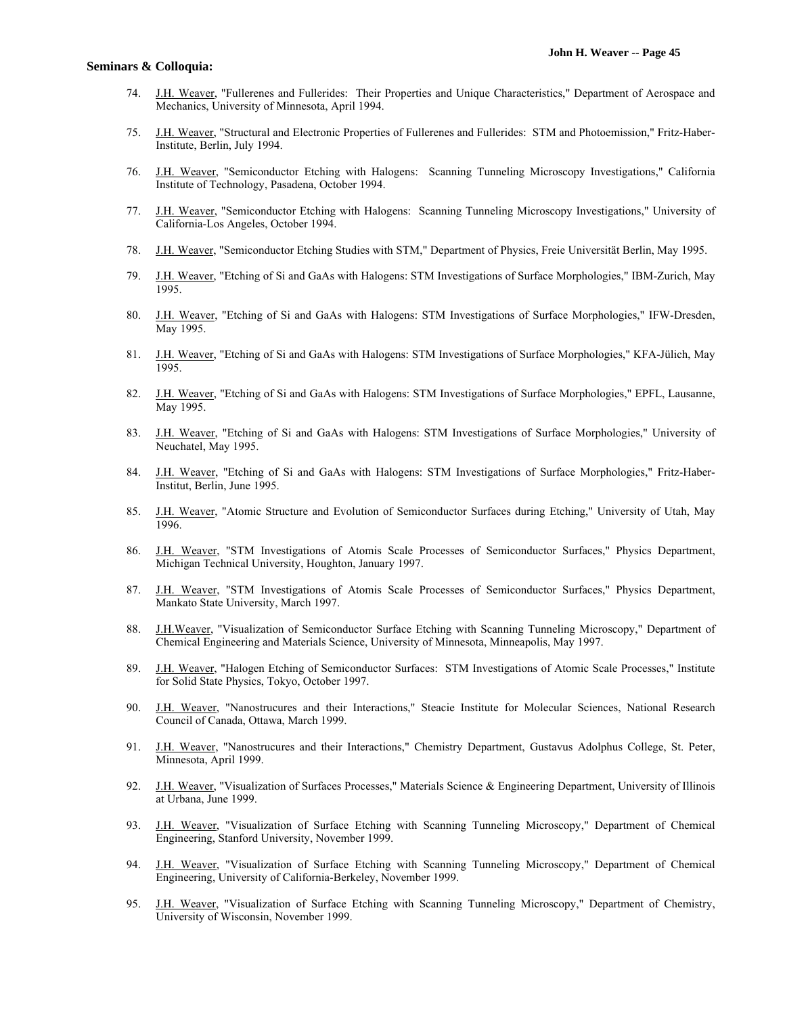- 74. J.H. Weaver, "Fullerenes and Fullerides: Their Properties and Unique Characteristics," Department of Aerospace and Mechanics, University of Minnesota, April 1994.
- 75. J.H. Weaver, "Structural and Electronic Properties of Fullerenes and Fullerides: STM and Photoemission," Fritz-Haber-Institute, Berlin, July 1994.
- 76. J.H. Weaver, "Semiconductor Etching with Halogens: Scanning Tunneling Microscopy Investigations," California Institute of Technology, Pasadena, October 1994.
- 77. J.H. Weaver, "Semiconductor Etching with Halogens: Scanning Tunneling Microscopy Investigations," University of California-Los Angeles, October 1994.
- 78. J.H. Weaver, "Semiconductor Etching Studies with STM," Department of Physics, Freie Universität Berlin, May 1995.
- 79. J.H. Weaver, "Etching of Si and GaAs with Halogens: STM Investigations of Surface Morphologies," IBM-Zurich, May 1995.
- 80. J.H. Weaver, "Etching of Si and GaAs with Halogens: STM Investigations of Surface Morphologies," IFW-Dresden, May 1995.
- 81. J.H. Weaver, "Etching of Si and GaAs with Halogens: STM Investigations of Surface Morphologies," KFA-Jülich, May 1995.
- 82. J.H. Weaver, "Etching of Si and GaAs with Halogens: STM Investigations of Surface Morphologies," EPFL, Lausanne, May 1995.
- 83. J.H. Weaver, "Etching of Si and GaAs with Halogens: STM Investigations of Surface Morphologies," University of Neuchatel, May 1995.
- 84. J.H. Weaver, "Etching of Si and GaAs with Halogens: STM Investigations of Surface Morphologies," Fritz-Haber-Institut, Berlin, June 1995.
- 85. J.H. Weaver, "Atomic Structure and Evolution of Semiconductor Surfaces during Etching," University of Utah, May 1996.
- 86. J.H. Weaver, "STM Investigations of Atomis Scale Processes of Semiconductor Surfaces," Physics Department, Michigan Technical University, Houghton, January 1997.
- 87. J.H. Weaver, "STM Investigations of Atomis Scale Processes of Semiconductor Surfaces," Physics Department, Mankato State University, March 1997.
- 88. J.H.Weaver, "Visualization of Semiconductor Surface Etching with Scanning Tunneling Microscopy," Department of Chemical Engineering and Materials Science, University of Minnesota, Minneapolis, May 1997.
- 89. J.H. Weaver, "Halogen Etching of Semiconductor Surfaces: STM Investigations of Atomic Scale Processes," Institute for Solid State Physics, Tokyo, October 1997.
- 90. J.H. Weaver, "Nanostrucures and their Interactions," Steacie Institute for Molecular Sciences, National Research Council of Canada, Ottawa, March 1999.
- 91. J.H. Weaver, "Nanostrucures and their Interactions," Chemistry Department, Gustavus Adolphus College, St. Peter, Minnesota, April 1999.
- 92. J.H. Weaver, "Visualization of Surfaces Processes," Materials Science & Engineering Department, University of Illinois at Urbana, June 1999.
- 93. J.H. Weaver, "Visualization of Surface Etching with Scanning Tunneling Microscopy," Department of Chemical Engineering, Stanford University, November 1999.
- 94. J.H. Weaver, "Visualization of Surface Etching with Scanning Tunneling Microscopy," Department of Chemical Engineering, University of California-Berkeley, November 1999.
- 95. J.H. Weaver, "Visualization of Surface Etching with Scanning Tunneling Microscopy," Department of Chemistry, University of Wisconsin, November 1999.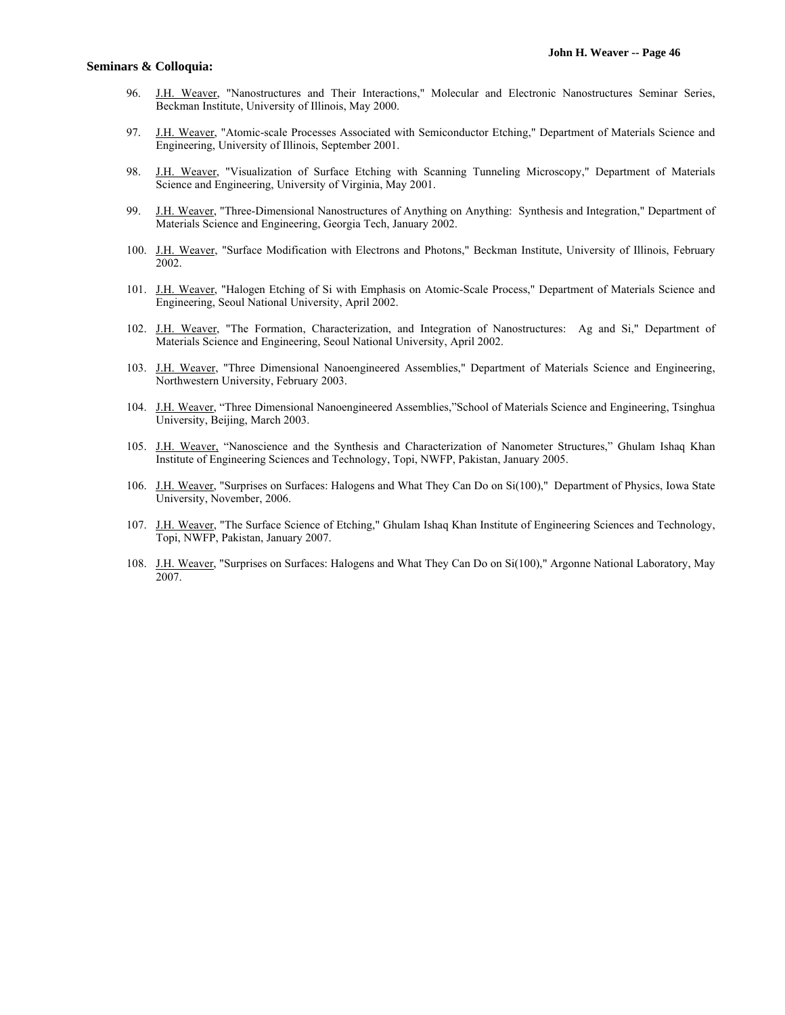- 96. J.H. Weaver, "Nanostructures and Their Interactions," Molecular and Electronic Nanostructures Seminar Series, Beckman Institute, University of Illinois, May 2000.
- 97. J.H. Weaver, "Atomic-scale Processes Associated with Semiconductor Etching," Department of Materials Science and Engineering, University of Illinois, September 2001.
- 98. J.H. Weaver, "Visualization of Surface Etching with Scanning Tunneling Microscopy," Department of Materials Science and Engineering, University of Virginia, May 2001.
- 99. J.H. Weaver, "Three-Dimensional Nanostructures of Anything on Anything: Synthesis and Integration," Department of Materials Science and Engineering, Georgia Tech, January 2002.
- 100. J.H. Weaver, "Surface Modification with Electrons and Photons," Beckman Institute, University of Illinois, February 2002.
- 101. J.H. Weaver, "Halogen Etching of Si with Emphasis on Atomic-Scale Process," Department of Materials Science and Engineering, Seoul National University, April 2002.
- 102. J.H. Weaver, "The Formation, Characterization, and Integration of Nanostructures: Ag and Si," Department of Materials Science and Engineering, Seoul National University, April 2002.
- 103. J.H. Weaver, "Three Dimensional Nanoengineered Assemblies," Department of Materials Science and Engineering, Northwestern University, February 2003.
- 104. J.H. Weaver, "Three Dimensional Nanoengineered Assemblies,"School of Materials Science and Engineering, Tsinghua University, Beijing, March 2003.
- 105. J.H. Weaver, "Nanoscience and the Synthesis and Characterization of Nanometer Structures," Ghulam Ishaq Khan Institute of Engineering Sciences and Technology, Topi, NWFP, Pakistan, January 2005.
- 106. J.H. Weaver, "Surprises on Surfaces: Halogens and What They Can Do on Si(100)," Department of Physics, Iowa State University, November, 2006.
- 107. J.H. Weaver, "The Surface Science of Etching," Ghulam Ishaq Khan Institute of Engineering Sciences and Technology, Topi, NWFP, Pakistan, January 2007.
- 108. J.H. Weaver, "Surprises on Surfaces: Halogens and What They Can Do on Si(100)," Argonne National Laboratory, May 2007.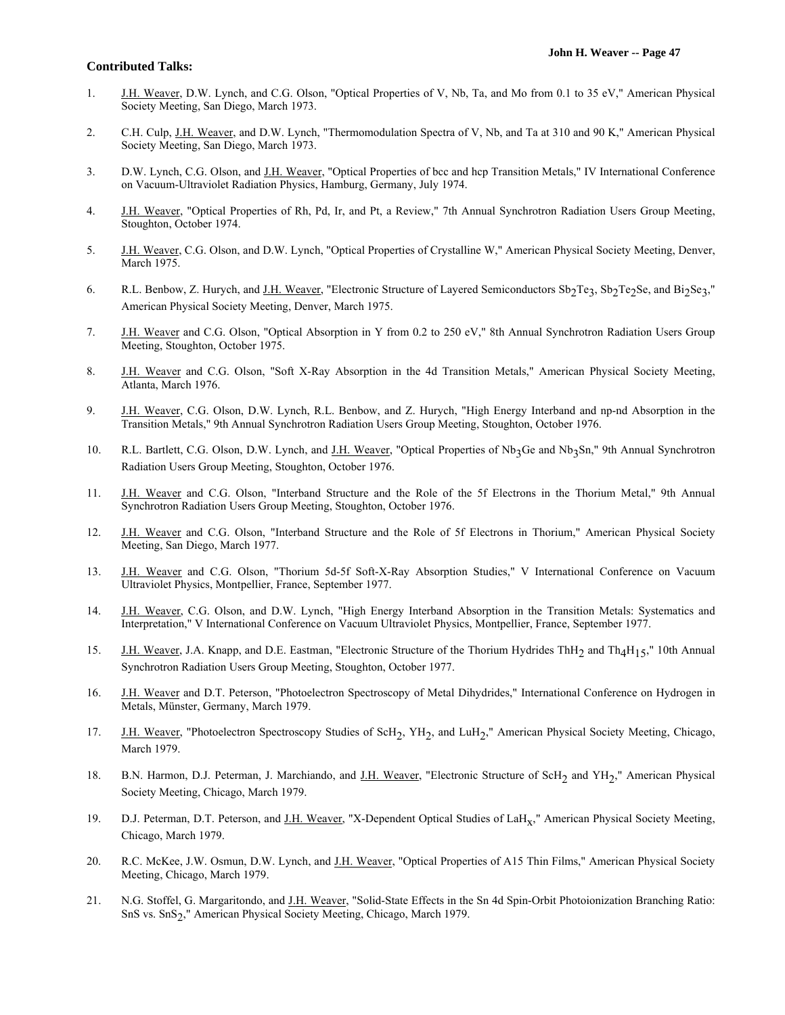- 1. J.H. Weaver, D.W. Lynch, and C.G. Olson, "Optical Properties of V, Nb, Ta, and Mo from 0.1 to 35 eV," American Physical Society Meeting, San Diego, March 1973.
- 2. C.H. Culp, J.H. Weaver, and D.W. Lynch, "Thermomodulation Spectra of V, Nb, and Ta at 310 and 90 K," American Physical Society Meeting, San Diego, March 1973.
- 3. D.W. Lynch, C.G. Olson, and J.H. Weaver, "Optical Properties of bcc and hcp Transition Metals," IV International Conference on Vacuum-Ultraviolet Radiation Physics, Hamburg, Germany, July 1974.
- 4. J.H. Weaver, "Optical Properties of Rh, Pd, Ir, and Pt, a Review," 7th Annual Synchrotron Radiation Users Group Meeting, Stoughton, October 1974.
- 5. J.H. Weaver, C.G. Olson, and D.W. Lynch, "Optical Properties of Crystalline W," American Physical Society Meeting, Denver, March 1975.
- 6. R.L. Benbow, Z. Hurych, and J.H. Weaver, "Electronic Structure of Layered Semiconductors Sb<sub>2</sub>Te<sub>3</sub>, Sb<sub>2</sub>Te<sub>2</sub>Se, and Bi<sub>2</sub>Se<sub>3</sub>," American Physical Society Meeting, Denver, March 1975.
- 7. J.H. Weaver and C.G. Olson, "Optical Absorption in Y from 0.2 to 250 eV," 8th Annual Synchrotron Radiation Users Group Meeting, Stoughton, October 1975.
- 8. J.H. Weaver and C.G. Olson, "Soft X-Ray Absorption in the 4d Transition Metals," American Physical Society Meeting, Atlanta, March 1976.
- 9. J.H. Weaver, C.G. Olson, D.W. Lynch, R.L. Benbow, and Z. Hurych, "High Energy Interband and np-nd Absorption in the Transition Metals," 9th Annual Synchrotron Radiation Users Group Meeting, Stoughton, October 1976.
- 10. R.L. Bartlett, C.G. Olson, D.W. Lynch, and J.H. Weaver, "Optical Properties of Nb3Ge and Nb3Sn," 9th Annual Synchrotron Radiation Users Group Meeting, Stoughton, October 1976.
- 11. J.H. Weaver and C.G. Olson, "Interband Structure and the Role of the 5f Electrons in the Thorium Metal," 9th Annual Synchrotron Radiation Users Group Meeting, Stoughton, October 1976.
- 12. J.H. Weaver and C.G. Olson, "Interband Structure and the Role of 5f Electrons in Thorium," American Physical Society Meeting, San Diego, March 1977.
- 13. J.H. Weaver and C.G. Olson, "Thorium 5d-5f Soft-X-Ray Absorption Studies," V International Conference on Vacuum Ultraviolet Physics, Montpellier, France, September 1977.
- 14. J.H. Weaver, C.G. Olson, and D.W. Lynch, "High Energy Interband Absorption in the Transition Metals: Systematics and Interpretation," V International Conference on Vacuum Ultraviolet Physics, Montpellier, France, September 1977.
- 15. J.H. Weaver, J.A. Knapp, and D.E. Eastman, "Electronic Structure of the Thorium Hydrides ThH<sub>2</sub> and Th<sub>4</sub>H<sub>15</sub>," 10th Annual Synchrotron Radiation Users Group Meeting, Stoughton, October 1977.
- 16. J.H. Weaver and D.T. Peterson, "Photoelectron Spectroscopy of Metal Dihydrides," International Conference on Hydrogen in Metals, Münster, Germany, March 1979.
- 17. J.H. Weaver, "Photoelectron Spectroscopy Studies of ScH<sub>2</sub>, YH<sub>2</sub>, and LuH<sub>2</sub>," American Physical Society Meeting, Chicago, March 1979.
- 18. B.N. Harmon, D.J. Peterman, J. Marchiando, and J.H. Weaver, "Electronic Structure of ScH<sub>2</sub> and YH<sub>2</sub>," American Physical Society Meeting, Chicago, March 1979.
- 19. D.J. Peterman, D.T. Peterson, and J.H. Weaver, "X-Dependent Optical Studies of LaH<sub>x</sub>," American Physical Society Meeting, Chicago, March 1979.
- 20. R.C. McKee, J.W. Osmun, D.W. Lynch, and J.H. Weaver, "Optical Properties of A15 Thin Films," American Physical Society Meeting, Chicago, March 1979.
- 21. N.G. Stoffel, G. Margaritondo, and J.H. Weaver, "Solid-State Effects in the Sn 4d Spin-Orbit Photoionization Branching Ratio: SnS vs. SnS<sub>2</sub>," American Physical Society Meeting, Chicago, March 1979.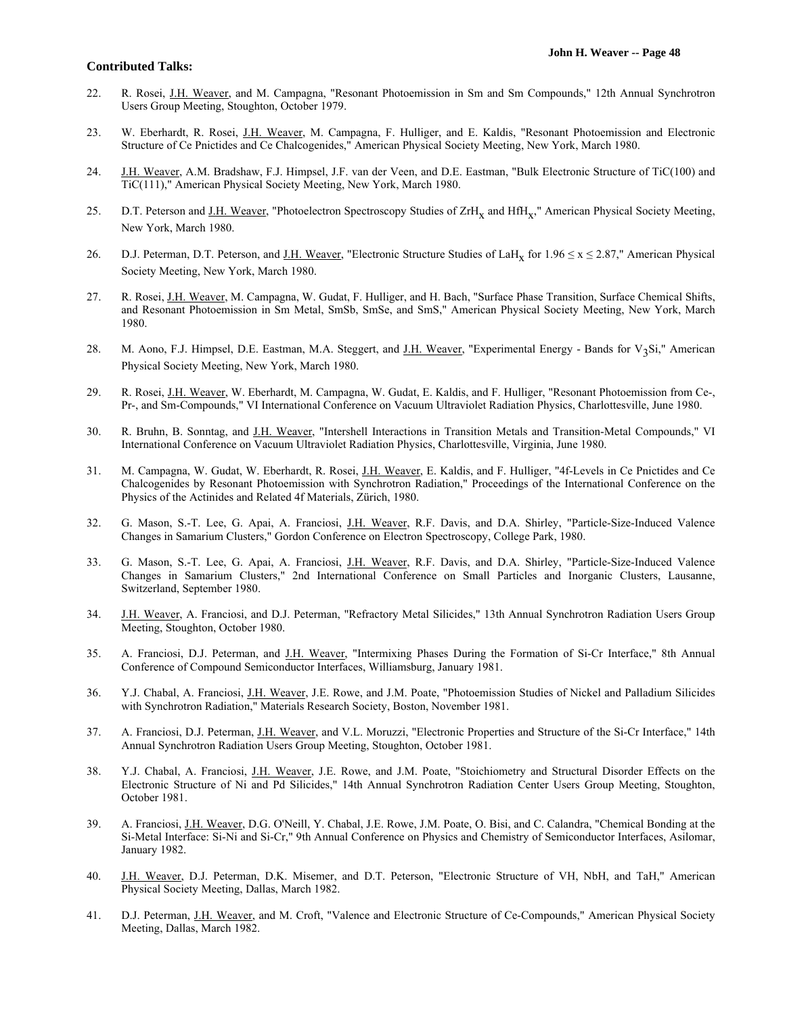- 22. R. Rosei, J.H. Weaver, and M. Campagna, "Resonant Photoemission in Sm and Sm Compounds," 12th Annual Synchrotron Users Group Meeting, Stoughton, October 1979.
- 23. W. Eberhardt, R. Rosei, J.H. Weaver, M. Campagna, F. Hulliger, and E. Kaldis, "Resonant Photoemission and Electronic Structure of Ce Pnictides and Ce Chalcogenides," American Physical Society Meeting, New York, March 1980.
- 24. J.H. Weaver, A.M. Bradshaw, F.J. Himpsel, J.F. van der Veen, and D.E. Eastman, "Bulk Electronic Structure of TiC(100) and TiC(111)," American Physical Society Meeting, New York, March 1980.
- 25. D.T. Peterson and J.H. Weaver, "Photoelectron Spectroscopy Studies of ZrH<sub>x</sub> and HfH<sub>x</sub>," American Physical Society Meeting, New York, March 1980.
- 26. D.J. Peterman, D.T. Peterson, and <u>J.H. Weaver</u>, "Electronic Structure Studies of LaH<sub>x</sub> for  $1.96 \le x \le 2.87$ ," American Physical Society Meeting, New York, March 1980.
- 27. R. Rosei, J.H. Weaver, M. Campagna, W. Gudat, F. Hulliger, and H. Bach, "Surface Phase Transition, Surface Chemical Shifts, and Resonant Photoemission in Sm Metal, SmSb, SmSe, and SmS," American Physical Society Meeting, New York, March 1980.
- 28. M. Aono, F.J. Himpsel, D.E. Eastman, M.A. Steggert, and J.H. Weaver, "Experimental Energy Bands for V3Si," American Physical Society Meeting, New York, March 1980.
- 29. R. Rosei, J.H. Weaver, W. Eberhardt, M. Campagna, W. Gudat, E. Kaldis, and F. Hulliger, "Resonant Photoemission from Ce-, Pr-, and Sm-Compounds," VI International Conference on Vacuum Ultraviolet Radiation Physics, Charlottesville, June 1980.
- 30. R. Bruhn, B. Sonntag, and J.H. Weaver, "Intershell Interactions in Transition Metals and Transition-Metal Compounds," VI International Conference on Vacuum Ultraviolet Radiation Physics, Charlottesville, Virginia, June 1980.
- 31. M. Campagna, W. Gudat, W. Eberhardt, R. Rosei, J.H. Weaver, E. Kaldis, and F. Hulliger, "4f-Levels in Ce Pnictides and Ce Chalcogenides by Resonant Photoemission with Synchrotron Radiation," Proceedings of the International Conference on the Physics of the Actinides and Related 4f Materials, Zürich, 1980.
- 32. G. Mason, S.-T. Lee, G. Apai, A. Franciosi, J.H. Weaver, R.F. Davis, and D.A. Shirley, "Particle-Size-Induced Valence Changes in Samarium Clusters," Gordon Conference on Electron Spectroscopy, College Park, 1980.
- 33. G. Mason, S.-T. Lee, G. Apai, A. Franciosi, J.H. Weaver, R.F. Davis, and D.A. Shirley, "Particle-Size-Induced Valence Changes in Samarium Clusters," 2nd International Conference on Small Particles and Inorganic Clusters, Lausanne, Switzerland, September 1980.
- 34. J.H. Weaver, A. Franciosi, and D.J. Peterman, "Refractory Metal Silicides," 13th Annual Synchrotron Radiation Users Group Meeting, Stoughton, October 1980.
- 35. A. Franciosi, D.J. Peterman, and J.H. Weaver, "Intermixing Phases During the Formation of Si-Cr Interface," 8th Annual Conference of Compound Semiconductor Interfaces, Williamsburg, January 1981.
- 36. Y.J. Chabal, A. Franciosi, J.H. Weaver, J.E. Rowe, and J.M. Poate, "Photoemission Studies of Nickel and Palladium Silicides with Synchrotron Radiation," Materials Research Society, Boston, November 1981.
- 37. A. Franciosi, D.J. Peterman, J.H. Weaver, and V.L. Moruzzi, "Electronic Properties and Structure of the Si-Cr Interface," 14th Annual Synchrotron Radiation Users Group Meeting, Stoughton, October 1981.
- 38. Y.J. Chabal, A. Franciosi, J.H. Weaver, J.E. Rowe, and J.M. Poate, "Stoichiometry and Structural Disorder Effects on the Electronic Structure of Ni and Pd Silicides," 14th Annual Synchrotron Radiation Center Users Group Meeting, Stoughton, October 1981.
- 39. A. Franciosi, J.H. Weaver, D.G. O'Neill, Y. Chabal, J.E. Rowe, J.M. Poate, O. Bisi, and C. Calandra, "Chemical Bonding at the Si-Metal Interface: Si-Ni and Si-Cr," 9th Annual Conference on Physics and Chemistry of Semiconductor Interfaces, Asilomar, January 1982.
- 40. J.H. Weaver, D.J. Peterman, D.K. Misemer, and D.T. Peterson, "Electronic Structure of VH, NbH, and TaH," American Physical Society Meeting, Dallas, March 1982.
- 41. D.J. Peterman, J.H. Weaver, and M. Croft, "Valence and Electronic Structure of Ce-Compounds," American Physical Society Meeting, Dallas, March 1982.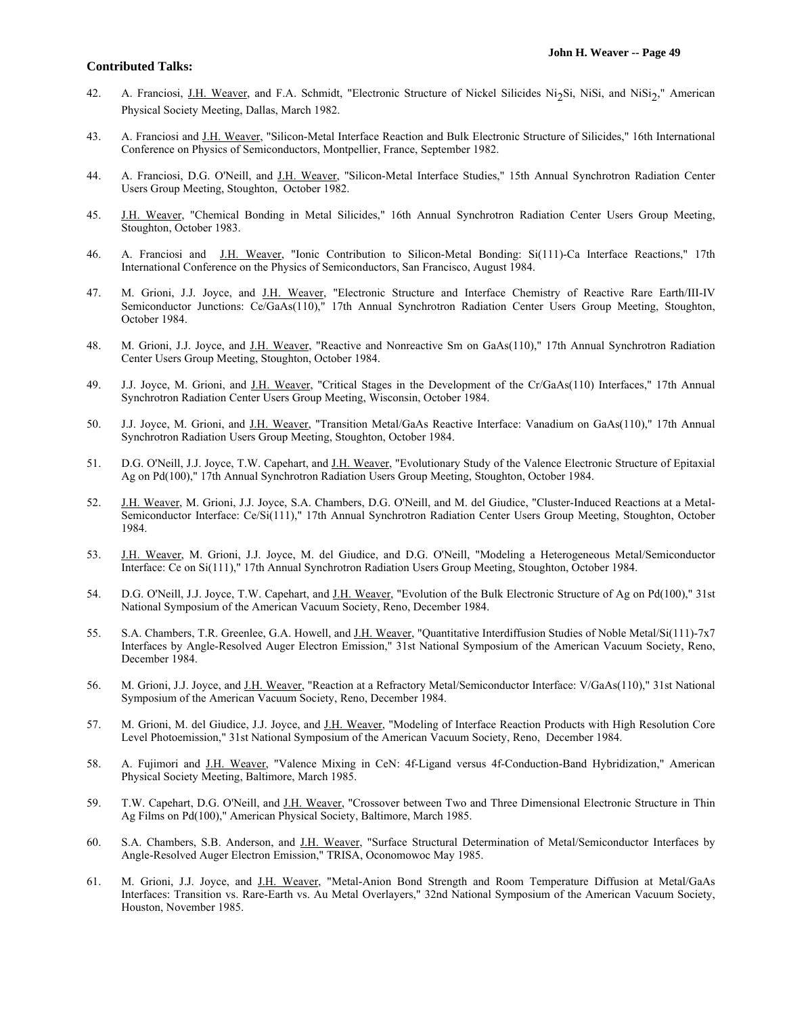- 42. A. Franciosi, J.H. Weaver, and F.A. Schmidt, "Electronic Structure of Nickel Silicides Ni<sub>2</sub>Si, NiSi, and NiSi<sub>2</sub>," American Physical Society Meeting, Dallas, March 1982.
- 43. A. Franciosi and J.H. Weaver, "Silicon-Metal Interface Reaction and Bulk Electronic Structure of Silicides," 16th International Conference on Physics of Semiconductors, Montpellier, France, September 1982.
- 44. A. Franciosi, D.G. O'Neill, and J.H. Weaver, "Silicon-Metal Interface Studies," 15th Annual Synchrotron Radiation Center Users Group Meeting, Stoughton, October 1982.
- 45. J.H. Weaver, "Chemical Bonding in Metal Silicides," 16th Annual Synchrotron Radiation Center Users Group Meeting, Stoughton, October 1983.
- 46. A. Franciosi and J.H. Weaver, "Ionic Contribution to Silicon-Metal Bonding: Si(111)-Ca Interface Reactions," 17th International Conference on the Physics of Semiconductors, San Francisco, August 1984.
- 47. M. Grioni, J.J. Joyce, and J.H. Weaver, "Electronic Structure and Interface Chemistry of Reactive Rare Earth/III-IV Semiconductor Junctions: Ce/GaAs(110)," 17th Annual Synchrotron Radiation Center Users Group Meeting, Stoughton, October 1984.
- 48. M. Grioni, J.J. Joyce, and J.H. Weaver, "Reactive and Nonreactive Sm on GaAs(110)," 17th Annual Synchrotron Radiation Center Users Group Meeting, Stoughton, October 1984.
- 49. J.J. Joyce, M. Grioni, and J.H. Weaver, "Critical Stages in the Development of the Cr/GaAs(110) Interfaces," 17th Annual Synchrotron Radiation Center Users Group Meeting, Wisconsin, October 1984.
- 50. J.J. Joyce, M. Grioni, and J.H. Weaver, "Transition Metal/GaAs Reactive Interface: Vanadium on GaAs(110)," 17th Annual Synchrotron Radiation Users Group Meeting, Stoughton, October 1984.
- 51. D.G. O'Neill, J.J. Joyce, T.W. Capehart, and J.H. Weaver, "Evolutionary Study of the Valence Electronic Structure of Epitaxial Ag on Pd(100)," 17th Annual Synchrotron Radiation Users Group Meeting, Stoughton, October 1984.
- 52. J.H. Weaver, M. Grioni, J.J. Joyce, S.A. Chambers, D.G. O'Neill, and M. del Giudice, "Cluster-Induced Reactions at a Metal-Semiconductor Interface: Ce/Si(111)," 17th Annual Synchrotron Radiation Center Users Group Meeting, Stoughton, October 1984.
- 53. J.H. Weaver, M. Grioni, J.J. Joyce, M. del Giudice, and D.G. O'Neill, "Modeling a Heterogeneous Metal/Semiconductor Interface: Ce on Si(111)," 17th Annual Synchrotron Radiation Users Group Meeting, Stoughton, October 1984.
- 54. D.G. O'Neill, J.J. Joyce, T.W. Capehart, and J.H. Weaver, "Evolution of the Bulk Electronic Structure of Ag on Pd(100)," 31st National Symposium of the American Vacuum Society, Reno, December 1984.
- 55. S.A. Chambers, T.R. Greenlee, G.A. Howell, and J.H. Weaver, "Quantitative Interdiffusion Studies of Noble Metal/Si(111)-7x7 Interfaces by Angle-Resolved Auger Electron Emission," 31st National Symposium of the American Vacuum Society, Reno, December 1984.
- 56. M. Grioni, J.J. Joyce, and J.H. Weaver, "Reaction at a Refractory Metal/Semiconductor Interface: V/GaAs(110)," 31st National Symposium of the American Vacuum Society, Reno, December 1984.
- 57. M. Grioni, M. del Giudice, J.J. Joyce, and J.H. Weaver, "Modeling of Interface Reaction Products with High Resolution Core Level Photoemission," 31st National Symposium of the American Vacuum Society, Reno, December 1984.
- 58. A. Fujimori and J.H. Weaver, "Valence Mixing in CeN: 4f-Ligand versus 4f-Conduction-Band Hybridization," American Physical Society Meeting, Baltimore, March 1985.
- 59. T.W. Capehart, D.G. O'Neill, and J.H. Weaver, "Crossover between Two and Three Dimensional Electronic Structure in Thin Ag Films on Pd(100)," American Physical Society, Baltimore, March 1985.
- 60. S.A. Chambers, S.B. Anderson, and J.H. Weaver, "Surface Structural Determination of Metal/Semiconductor Interfaces by Angle-Resolved Auger Electron Emission," TRISA, Oconomowoc May 1985.
- 61. M. Grioni, J.J. Joyce, and J.H. Weaver, "Metal-Anion Bond Strength and Room Temperature Diffusion at Metal/GaAs Interfaces: Transition vs. Rare-Earth vs. Au Metal Overlayers," 32nd National Symposium of the American Vacuum Society, Houston, November 1985.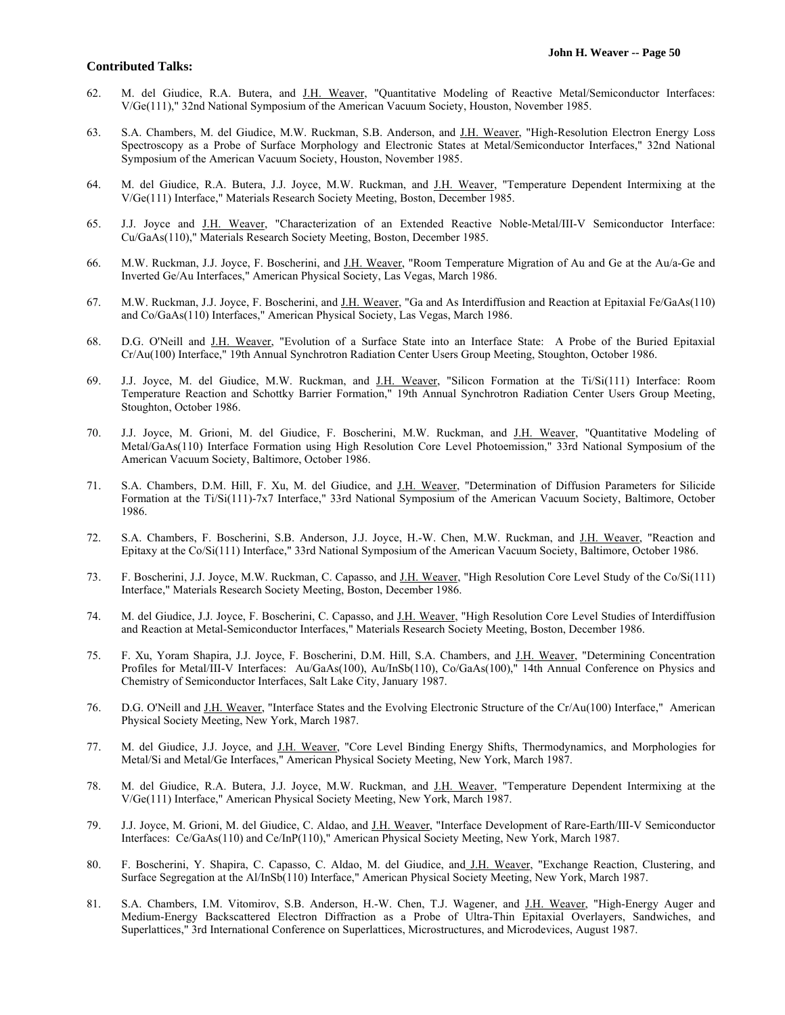- 62. M. del Giudice, R.A. Butera, and J.H. Weaver, "Quantitative Modeling of Reactive Metal/Semiconductor Interfaces: V/Ge(111)," 32nd National Symposium of the American Vacuum Society, Houston, November 1985.
- 63. S.A. Chambers, M. del Giudice, M.W. Ruckman, S.B. Anderson, and J.H. Weaver, "High-Resolution Electron Energy Loss Spectroscopy as a Probe of Surface Morphology and Electronic States at Metal/Semiconductor Interfaces," 32nd National Symposium of the American Vacuum Society, Houston, November 1985.
- 64. M. del Giudice, R.A. Butera, J.J. Joyce, M.W. Ruckman, and J.H. Weaver, "Temperature Dependent Intermixing at the V/Ge(111) Interface," Materials Research Society Meeting, Boston, December 1985.
- 65. J.J. Joyce and J.H. Weaver, "Characterization of an Extended Reactive Noble-Metal/III-V Semiconductor Interface: Cu/GaAs(110)," Materials Research Society Meeting, Boston, December 1985.
- 66. M.W. Ruckman, J.J. Joyce, F. Boscherini, and J.H. Weaver, "Room Temperature Migration of Au and Ge at the Au/a-Ge and Inverted Ge/Au Interfaces," American Physical Society, Las Vegas, March 1986.
- 67. M.W. Ruckman, J.J. Joyce, F. Boscherini, and J.H. Weaver, "Ga and As Interdiffusion and Reaction at Epitaxial Fe/GaAs(110) and Co/GaAs(110) Interfaces," American Physical Society, Las Vegas, March 1986.
- 68. D.G. O'Neill and J.H. Weaver, "Evolution of a Surface State into an Interface State: A Probe of the Buried Epitaxial Cr/Au(100) Interface," 19th Annual Synchrotron Radiation Center Users Group Meeting, Stoughton, October 1986.
- 69. J.J. Joyce, M. del Giudice, M.W. Ruckman, and J.H. Weaver, "Silicon Formation at the Ti/Si(111) Interface: Room Temperature Reaction and Schottky Barrier Formation," 19th Annual Synchrotron Radiation Center Users Group Meeting, Stoughton, October 1986.
- 70. J.J. Joyce, M. Grioni, M. del Giudice, F. Boscherini, M.W. Ruckman, and J.H. Weaver, "Quantitative Modeling of Metal/GaAs(110) Interface Formation using High Resolution Core Level Photoemission," 33rd National Symposium of the American Vacuum Society, Baltimore, October 1986.
- 71. S.A. Chambers, D.M. Hill, F. Xu, M. del Giudice, and J.H. Weaver, "Determination of Diffusion Parameters for Silicide Formation at the Ti/Si(111)-7x7 Interface," 33rd National Symposium of the American Vacuum Society, Baltimore, October 1986.
- 72. S.A. Chambers, F. Boscherini, S.B. Anderson, J.J. Joyce, H.-W. Chen, M.W. Ruckman, and J.H. Weaver, "Reaction and Epitaxy at the Co/Si(111) Interface," 33rd National Symposium of the American Vacuum Society, Baltimore, October 1986.
- 73. F. Boscherini, J.J. Joyce, M.W. Ruckman, C. Capasso, and J.H. Weaver, "High Resolution Core Level Study of the Co/Si(111) Interface," Materials Research Society Meeting, Boston, December 1986.
- 74. M. del Giudice, J.J. Joyce, F. Boscherini, C. Capasso, and J.H. Weaver, "High Resolution Core Level Studies of Interdiffusion and Reaction at Metal-Semiconductor Interfaces," Materials Research Society Meeting, Boston, December 1986.
- 75. F. Xu, Yoram Shapira, J.J. Joyce, F. Boscherini, D.M. Hill, S.A. Chambers, and J.H. Weaver, "Determining Concentration Profiles for Metal/III-V Interfaces: Au/GaAs(100), Au/InSb(110), Co/GaAs(100)," 14th Annual Conference on Physics and Chemistry of Semiconductor Interfaces, Salt Lake City, January 1987.
- 76. D.G. O'Neill and J.H. Weaver, "Interface States and the Evolving Electronic Structure of the Cr/Au(100) Interface," American Physical Society Meeting, New York, March 1987.
- 77. M. del Giudice, J.J. Joyce, and J.H. Weaver, "Core Level Binding Energy Shifts, Thermodynamics, and Morphologies for Metal/Si and Metal/Ge Interfaces," American Physical Society Meeting, New York, March 1987.
- 78. M. del Giudice, R.A. Butera, J.J. Joyce, M.W. Ruckman, and J.H. Weaver, "Temperature Dependent Intermixing at the V/Ge(111) Interface," American Physical Society Meeting, New York, March 1987.
- 79. J.J. Joyce, M. Grioni, M. del Giudice, C. Aldao, and J.H. Weaver, "Interface Development of Rare-Earth/III-V Semiconductor Interfaces: Ce/GaAs(110) and Ce/InP(110)," American Physical Society Meeting, New York, March 1987.
- 80. F. Boscherini, Y. Shapira, C. Capasso, C. Aldao, M. del Giudice, and J.H. Weaver, "Exchange Reaction, Clustering, and Surface Segregation at the Al/InSb(110) Interface," American Physical Society Meeting, New York, March 1987.
- 81. S.A. Chambers, I.M. Vitomirov, S.B. Anderson, H.-W. Chen, T.J. Wagener, and J.H. Weaver, "High-Energy Auger and Medium-Energy Backscattered Electron Diffraction as a Probe of Ultra-Thin Epitaxial Overlayers, Sandwiches, and Superlattices," 3rd International Conference on Superlattices, Microstructures, and Microdevices, August 1987.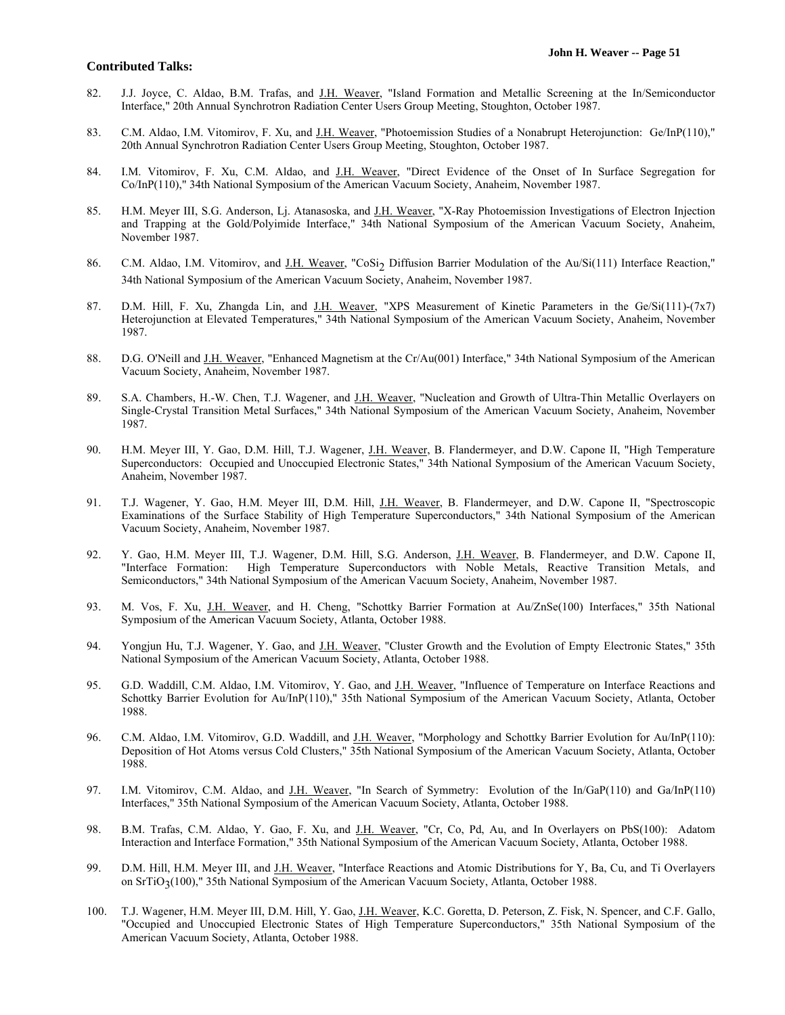- 82. J.J. Joyce, C. Aldao, B.M. Trafas, and J.H. Weaver, "Island Formation and Metallic Screening at the In/Semiconductor Interface," 20th Annual Synchrotron Radiation Center Users Group Meeting, Stoughton, October 1987.
- 83. C.M. Aldao, I.M. Vitomirov, F. Xu, and J.H. Weaver, "Photoemission Studies of a Nonabrupt Heterojunction: Ge/InP(110)," 20th Annual Synchrotron Radiation Center Users Group Meeting, Stoughton, October 1987.
- 84. I.M. Vitomirov, F. Xu, C.M. Aldao, and J.H. Weaver, "Direct Evidence of the Onset of In Surface Segregation for Co/InP(110)," 34th National Symposium of the American Vacuum Society, Anaheim, November 1987.
- 85. H.M. Meyer III, S.G. Anderson, Lj. Atanasoska, and J.H. Weaver, "X-Ray Photoemission Investigations of Electron Injection and Trapping at the Gold/Polyimide Interface," 34th National Symposium of the American Vacuum Society, Anaheim, November 1987.
- 86. C.M. Aldao, I.M. Vitomirov, and J.H. Weaver, "CoSi<sub>2</sub> Diffusion Barrier Modulation of the Au/Si(111) Interface Reaction," 34th National Symposium of the American Vacuum Society, Anaheim, November 1987.
- 87. D.M. Hill, F. Xu, Zhangda Lin, and J.H. Weaver, "XPS Measurement of Kinetic Parameters in the Ge/Si(111)-(7x7) Heterojunction at Elevated Temperatures," 34th National Symposium of the American Vacuum Society, Anaheim, November 1987.
- 88. D.G. O'Neill and J.H. Weaver, "Enhanced Magnetism at the Cr/Au(001) Interface," 34th National Symposium of the American Vacuum Society, Anaheim, November 1987.
- 89. S.A. Chambers, H.-W. Chen, T.J. Wagener, and J.H. Weaver, "Nucleation and Growth of Ultra-Thin Metallic Overlayers on Single-Crystal Transition Metal Surfaces," 34th National Symposium of the American Vacuum Society, Anaheim, November 1987.
- 90. H.M. Meyer III, Y. Gao, D.M. Hill, T.J. Wagener, J.H. Weaver, B. Flandermeyer, and D.W. Capone II, "High Temperature Superconductors: Occupied and Unoccupied Electronic States," 34th National Symposium of the American Vacuum Society, Anaheim, November 1987.
- 91. T.J. Wagener, Y. Gao, H.M. Meyer III, D.M. Hill, J.H. Weaver, B. Flandermeyer, and D.W. Capone II, "Spectroscopic Examinations of the Surface Stability of High Temperature Superconductors," 34th National Symposium of the American Vacuum Society, Anaheim, November 1987.
- 92. Y. Gao, H.M. Meyer III, T.J. Wagener, D.M. Hill, S.G. Anderson, J.H. Weaver, B. Flandermeyer, and D.W. Capone II, "Interface Formation: High Temperature Superconductors with Noble Metals, Reactive Transition Metals, and Semiconductors," 34th National Symposium of the American Vacuum Society, Anaheim, November 1987.
- 93. M. Vos, F. Xu, J.H. Weaver, and H. Cheng, "Schottky Barrier Formation at Au/ZnSe(100) Interfaces," 35th National Symposium of the American Vacuum Society, Atlanta, October 1988.
- 94. Yongjun Hu, T.J. Wagener, Y. Gao, and J.H. Weaver, "Cluster Growth and the Evolution of Empty Electronic States," 35th National Symposium of the American Vacuum Society, Atlanta, October 1988.
- 95. G.D. Waddill, C.M. Aldao, I.M. Vitomirov, Y. Gao, and J.H. Weaver, "Influence of Temperature on Interface Reactions and Schottky Barrier Evolution for Au/InP(110)," 35th National Symposium of the American Vacuum Society, Atlanta, October 1988.
- 96. C.M. Aldao, I.M. Vitomirov, G.D. Waddill, and J.H. Weaver, "Morphology and Schottky Barrier Evolution for Au/InP(110): Deposition of Hot Atoms versus Cold Clusters," 35th National Symposium of the American Vacuum Society, Atlanta, October 1988.
- 97. I.M. Vitomirov, C.M. Aldao, and J.H. Weaver, "In Search of Symmetry: Evolution of the In/GaP(110) and Ga/InP(110) Interfaces," 35th National Symposium of the American Vacuum Society, Atlanta, October 1988.
- 98. B.M. Trafas, C.M. Aldao, Y. Gao, F. Xu, and J.H. Weaver, "Cr, Co, Pd, Au, and In Overlayers on PbS(100): Adatom Interaction and Interface Formation," 35th National Symposium of the American Vacuum Society, Atlanta, October 1988.
- 99. D.M. Hill, H.M. Meyer III, and J.H. Weaver, "Interface Reactions and Atomic Distributions for Y, Ba, Cu, and Ti Overlayers on SrTiO<sub>3</sub>(100)," 35th National Symposium of the American Vacuum Society, Atlanta, October 1988.
- 100. T.J. Wagener, H.M. Meyer III, D.M. Hill, Y. Gao, J.H. Weaver, K.C. Goretta, D. Peterson, Z. Fisk, N. Spencer, and C.F. Gallo, "Occupied and Unoccupied Electronic States of High Temperature Superconductors," 35th National Symposium of the American Vacuum Society, Atlanta, October 1988.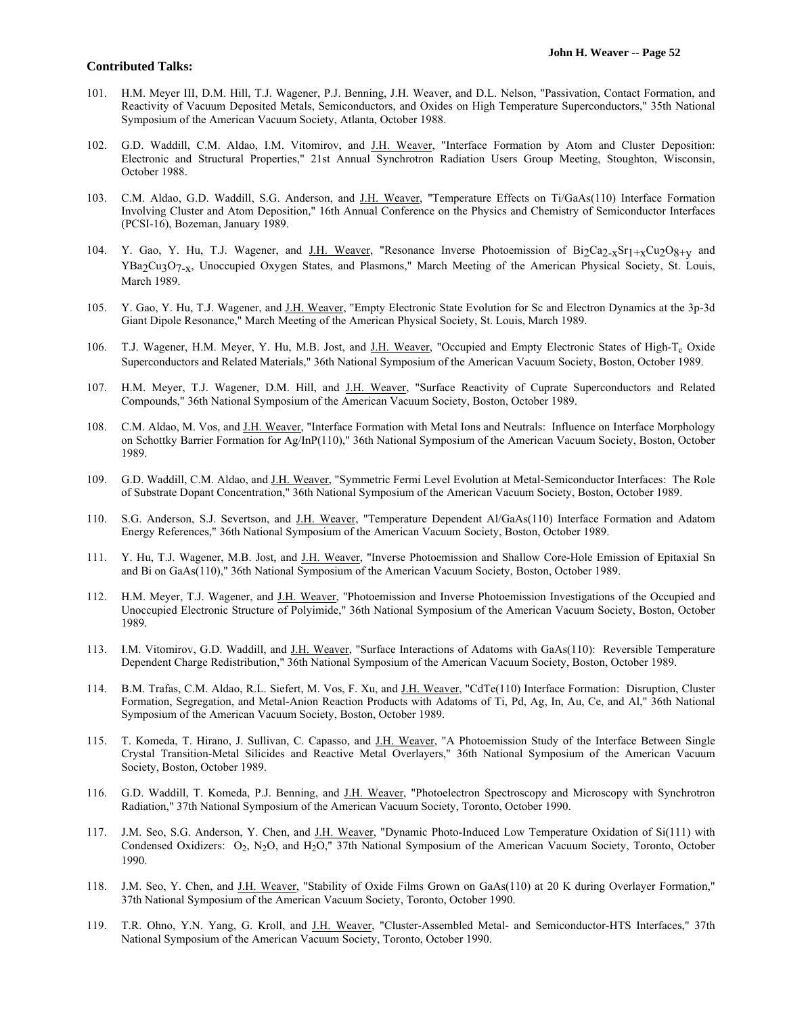- 101. H.M. Meyer III, D.M. Hill, T.J. Wagener, P.J. Benning, J.H. Weaver, and D.L. Nelson, "Passivation, Contact Formation, and Reactivity of Vacuum Deposited Metals, Semiconductors, and Oxides on High Temperature Superconductors," 35th National Symposium of the American Vacuum Society, Atlanta, October 1988.
- 102. G.D. Waddill, C.M. Aldao, I.M. Vitomirov, and J.H. Weaver, "Interface Formation by Atom and Cluster Deposition: Electronic and Structural Properties," 21st Annual Synchrotron Radiation Users Group Meeting, Stoughton, Wisconsin, October 1988.
- 103. C.M. Aldao, G.D. Waddill, S.G. Anderson, and J.H. Weaver, "Temperature Effects on Ti/GaAs(110) Interface Formation Involving Cluster and Atom Deposition," 16th Annual Conference on the Physics and Chemistry of Semiconductor Interfaces (PCSI-16), Bozeman, January 1989.
- 104. Y. Gao, Y. Hu, T.J. Wagener, and J.H. Weaver, "Resonance Inverse Photoemission of  $Bi_2Ca_{2-x}Sr_{1+x}Cu_2O_{8+y}$  and YBa2Cu3O7-x, Unoccupied Oxygen States, and Plasmons," March Meeting of the American Physical Society, St. Louis, March 1989.
- 105. Y. Gao, Y. Hu, T.J. Wagener, and J.H. Weaver, "Empty Electronic State Evolution for Sc and Electron Dynamics at the 3p-3d Giant Dipole Resonance," March Meeting of the American Physical Society, St. Louis, March 1989.
- 106. T.J. Wagener, H.M. Meyer, Y. Hu, M.B. Jost, and J.H. Weaver, "Occupied and Empty Electronic States of High-T<sub>c</sub> Oxide Superconductors and Related Materials," 36th National Symposium of the American Vacuum Society, Boston, October 1989.
- 107. H.M. Meyer, T.J. Wagener, D.M. Hill, and J.H. Weaver, "Surface Reactivity of Cuprate Superconductors and Related Compounds," 36th National Symposium of the American Vacuum Society, Boston, October 1989.
- 108. C.M. Aldao, M. Vos, and J.H. Weaver, "Interface Formation with Metal Ions and Neutrals: Influence on Interface Morphology on Schottky Barrier Formation for Ag/InP(110)," 36th National Symposium of the American Vacuum Society, Boston, October 1989.
- 109. G.D. Waddill, C.M. Aldao, and J.H. Weaver, "Symmetric Fermi Level Evolution at Metal-Semiconductor Interfaces: The Role of Substrate Dopant Concentration," 36th National Symposium of the American Vacuum Society, Boston, October 1989.
- 110. S.G. Anderson, S.J. Severtson, and J.H. Weaver, "Temperature Dependent Al/GaAs(110) Interface Formation and Adatom Energy References," 36th National Symposium of the American Vacuum Society, Boston, October 1989.
- 111. Y. Hu, T.J. Wagener, M.B. Jost, and J.H. Weaver, "Inverse Photoemission and Shallow Core-Hole Emission of Epitaxial Sn and Bi on GaAs(110)," 36th National Symposium of the American Vacuum Society, Boston, October 1989.
- 112. H.M. Meyer, T.J. Wagener, and J.H. Weaver, "Photoemission and Inverse Photoemission Investigations of the Occupied and Unoccupied Electronic Structure of Polyimide," 36th National Symposium of the American Vacuum Society, Boston, October 1989.
- 113. I.M. Vitomirov, G.D. Waddill, and J.H. Weaver, "Surface Interactions of Adatoms with GaAs(110): Reversible Temperature Dependent Charge Redistribution," 36th National Symposium of the American Vacuum Society, Boston, October 1989.
- 114. B.M. Trafas, C.M. Aldao, R.L. Siefert, M. Vos, F. Xu, and J.H. Weaver, "CdTe(110) Interface Formation: Disruption, Cluster Formation, Segregation, and Metal-Anion Reaction Products with Adatoms of Ti, Pd, Ag, In, Au, Ce, and Al," 36th National Symposium of the American Vacuum Society, Boston, October 1989.
- 115. T. Komeda, T. Hirano, J. Sullivan, C. Capasso, and J.H. Weaver, "A Photoemission Study of the Interface Between Single Crystal Transition-Metal Silicides and Reactive Metal Overlayers," 36th National Symposium of the American Vacuum Society, Boston, October 1989.
- 116. G.D. Waddill, T. Komeda, P.J. Benning, and J.H. Weaver, "Photoelectron Spectroscopy and Microscopy with Synchrotron Radiation," 37th National Symposium of the American Vacuum Society, Toronto, October 1990.
- 117. J.M. Seo, S.G. Anderson, Y. Chen, and J.H. Weaver, "Dynamic Photo-Induced Low Temperature Oxidation of Si(111) with Condensed Oxidizers: O<sub>2</sub>, N<sub>2</sub>O, and H<sub>2</sub>O," 37th National Symposium of the American Vacuum Society, Toronto, October 1990.
- 118. J.M. Seo, Y. Chen, and J.H. Weaver, "Stability of Oxide Films Grown on GaAs(110) at 20 K during Overlayer Formation," 37th National Symposium of the American Vacuum Society, Toronto, October 1990.
- 119. T.R. Ohno, Y.N. Yang, G. Kroll, and J.H. Weaver, "Cluster-Assembled Metal- and Semiconductor-HTS Interfaces," 37th National Symposium of the American Vacuum Society, Toronto, October 1990.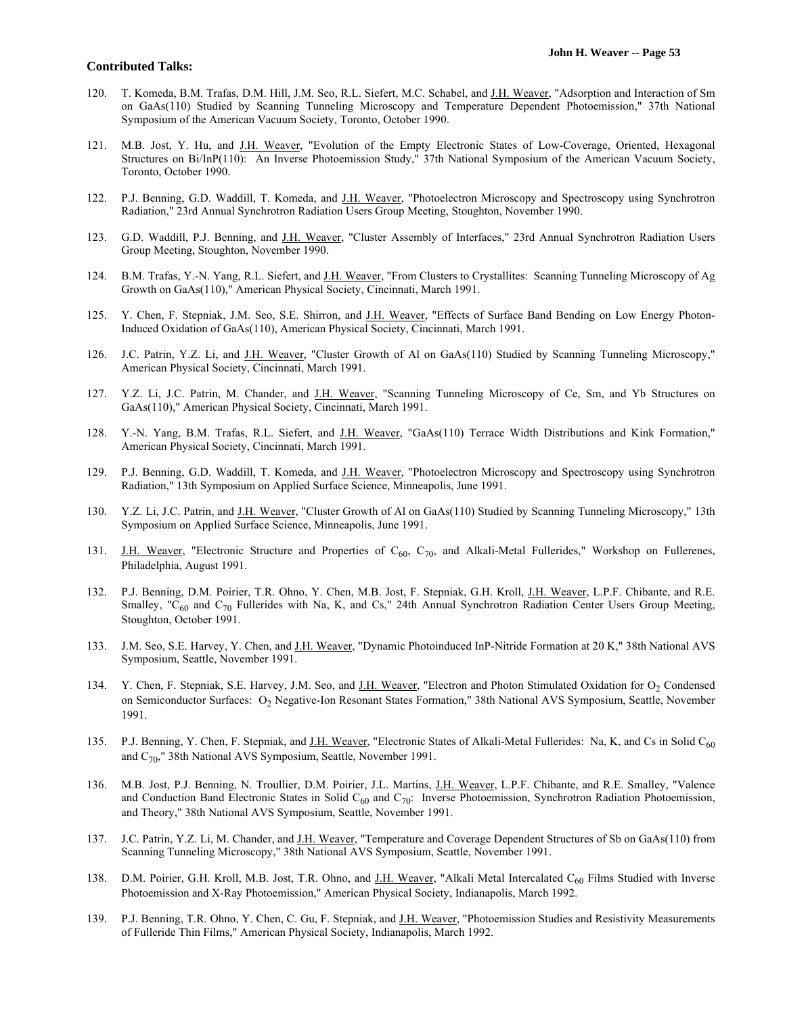- 120. T. Komeda, B.M. Trafas, D.M. Hill, J.M. Seo, R.L. Siefert, M.C. Schabel, and J.H. Weaver, "Adsorption and Interaction of Sm on GaAs(110) Studied by Scanning Tunneling Microscopy and Temperature Dependent Photoemission," 37th National Symposium of the American Vacuum Society, Toronto, October 1990.
- 121. M.B. Jost, Y. Hu, and J.H. Weaver, "Evolution of the Empty Electronic States of Low-Coverage, Oriented, Hexagonal Structures on Bi/InP(110): An Inverse Photoemission Study," 37th National Symposium of the American Vacuum Society, Toronto, October 1990.
- 122. P.J. Benning, G.D. Waddill, T. Komeda, and J.H. Weaver, "Photoelectron Microscopy and Spectroscopy using Synchrotron Radiation," 23rd Annual Synchrotron Radiation Users Group Meeting, Stoughton, November 1990.
- 123. G.D. Waddill, P.J. Benning, and J.H. Weaver, "Cluster Assembly of Interfaces," 23rd Annual Synchrotron Radiation Users Group Meeting, Stoughton, November 1990.
- 124. B.M. Trafas, Y.-N. Yang, R.L. Siefert, and J.H. Weaver, "From Clusters to Crystallites: Scanning Tunneling Microscopy of Ag Growth on GaAs(110)," American Physical Society, Cincinnati, March 1991.
- 125. Y. Chen, F. Stepniak, J.M. Seo, S.E. Shirron, and J.H. Weaver, "Effects of Surface Band Bending on Low Energy Photon-Induced Oxidation of GaAs(110), American Physical Society, Cincinnati, March 1991.
- 126. J.C. Patrin, Y.Z. Li, and J.H. Weaver, "Cluster Growth of Al on GaAs(110) Studied by Scanning Tunneling Microscopy," American Physical Society, Cincinnati, March 1991.
- 127. Y.Z. Li, J.C. Patrin, M. Chander, and J.H. Weaver, "Scanning Tunneling Microscopy of Ce, Sm, and Yb Structures on GaAs(110)," American Physical Society, Cincinnati, March 1991.
- 128. Y.-N. Yang, B.M. Trafas, R.L. Siefert, and J.H. Weaver, "GaAs(110) Terrace Width Distributions and Kink Formation," American Physical Society, Cincinnati, March 1991.
- 129. P.J. Benning, G.D. Waddill, T. Komeda, and J.H. Weaver, "Photoelectron Microscopy and Spectroscopy using Synchrotron Radiation," 13th Symposium on Applied Surface Science, Minneapolis, June 1991.
- 130. Y.Z. Li, J.C. Patrin, and J.H. Weaver, "Cluster Growth of Al on GaAs(110) Studied by Scanning Tunneling Microscopy," 13th Symposium on Applied Surface Science, Minneapolis, June 1991.
- 131. J.H. Weaver, "Electronic Structure and Properties of  $C_{60}$ ,  $C_{70}$ , and Alkali-Metal Fullerides," Workshop on Fullerenes, Philadelphia, August 1991.
- 132. P.J. Benning, D.M. Poirier, T.R. Ohno, Y. Chen, M.B. Jost, F. Stepniak, G.H. Kroll, J.H. Weaver, L.P.F. Chibante, and R.E. Smalley, "C<sub>60</sub> and C<sub>70</sub> Fullerides with Na, K, and Cs," 24th Annual Synchrotron Radiation Center Users Group Meeting, Stoughton, October 1991.
- 133. J.M. Seo, S.E. Harvey, Y. Chen, and J.H. Weaver, "Dynamic Photoinduced InP-Nitride Formation at 20 K," 38th National AVS Symposium, Seattle, November 1991.
- 134. Y. Chen, F. Stepniak, S.E. Harvey, J.M. Seo, and J.H. Weaver, "Electron and Photon Stimulated Oxidation for O<sub>2</sub> Condensed on Semiconductor Surfaces: O<sub>2</sub> Negative-Ion Resonant States Formation," 38th National AVS Symposium, Seattle, November 1991.
- 135. P.J. Benning, Y. Chen, F. Stepniak, and J.H. Weaver, "Electronic States of Alkali-Metal Fullerides: Na, K, and Cs in Solid C<sub>60</sub> and  $C_{70}$ ," 38th National AVS Symposium, Seattle, November 1991.
- 136. M.B. Jost, P.J. Benning, N. Troullier, D.M. Poirier, J.L. Martins, J.H. Weaver, L.P.F. Chibante, and R.E. Smalley, "Valence and Conduction Band Electronic States in Solid  $C_{60}$  and  $C_{70}$ : Inverse Photoemission, Synchrotron Radiation Photoemission, and Theory," 38th National AVS Symposium, Seattle, November 1991.
- 137. J.C. Patrin, Y.Z. Li, M. Chander, and J.H. Weaver, "Temperature and Coverage Dependent Structures of Sb on GaAs(110) from Scanning Tunneling Microscopy," 38th National AVS Symposium, Seattle, November 1991.
- 138. D.M. Poirier, G.H. Kroll, M.B. Jost, T.R. Ohno, and J.H. Weaver, "Alkali Metal Intercalated C<sub>60</sub> Films Studied with Inverse Photoemission and X-Ray Photoemission," American Physical Society, Indianapolis, March 1992.
- 139. P.J. Benning, T.R. Ohno, Y. Chen, C. Gu, F. Stepniak, and J.H. Weaver, "Photoemission Studies and Resistivity Measurements of Fulleride Thin Films," American Physical Society, Indianapolis, March 1992.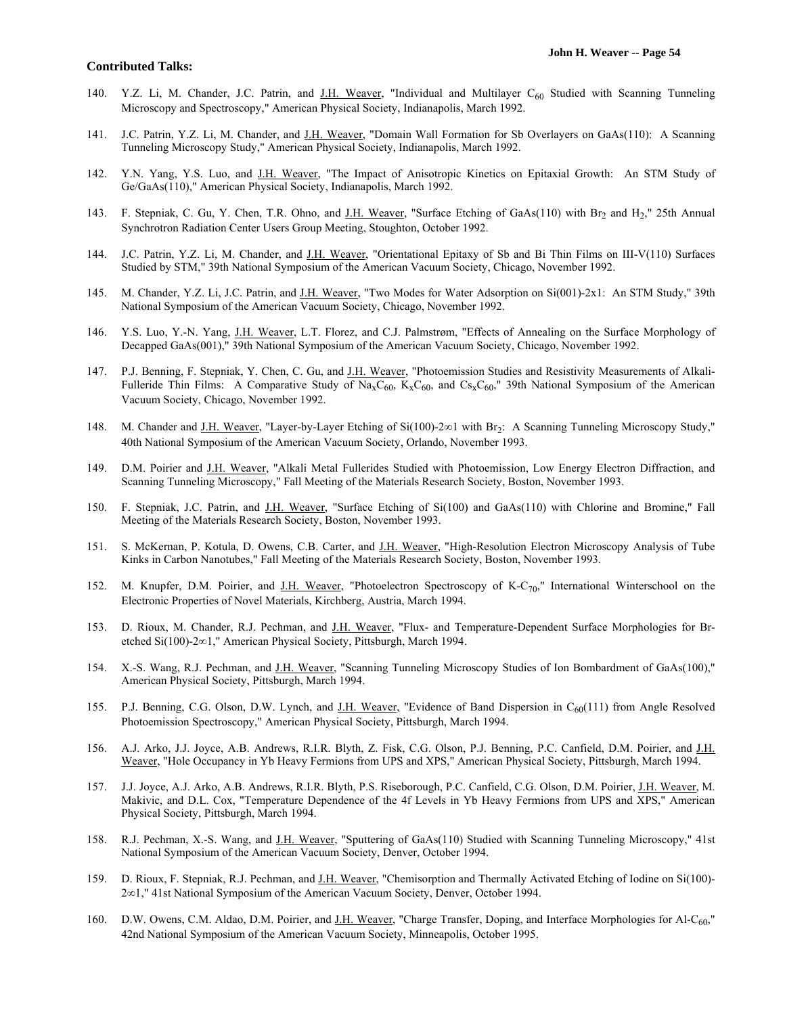- 140. Y.Z. Li, M. Chander, J.C. Patrin, and J.H. Weaver, "Individual and Multilayer  $C_{60}$  Studied with Scanning Tunneling Microscopy and Spectroscopy," American Physical Society, Indianapolis, March 1992.
- 141. J.C. Patrin, Y.Z. Li, M. Chander, and J.H. Weaver, "Domain Wall Formation for Sb Overlayers on GaAs(110): A Scanning Tunneling Microscopy Study," American Physical Society, Indianapolis, March 1992.
- 142. Y.N. Yang, Y.S. Luo, and J.H. Weaver, "The Impact of Anisotropic Kinetics on Epitaxial Growth: An STM Study of Ge/GaAs(110)," American Physical Society, Indianapolis, March 1992.
- 143. F. Stepniak, C. Gu, Y. Chen, T.R. Ohno, and J.H. Weaver, "Surface Etching of GaAs(110) with Br<sub>2</sub> and H<sub>2</sub>," 25th Annual Synchrotron Radiation Center Users Group Meeting, Stoughton, October 1992.
- 144. J.C. Patrin, Y.Z. Li, M. Chander, and J.H. Weaver, "Orientational Epitaxy of Sb and Bi Thin Films on III-V(110) Surfaces Studied by STM," 39th National Symposium of the American Vacuum Society, Chicago, November 1992.
- 145. M. Chander, Y.Z. Li, J.C. Patrin, and J.H. Weaver, "Two Modes for Water Adsorption on Si(001)-2x1: An STM Study," 39th National Symposium of the American Vacuum Society, Chicago, November 1992.
- 146. Y.S. Luo, Y.-N. Yang, J.H. Weaver, L.T. Florez, and C.J. Palmstrøm, "Effects of Annealing on the Surface Morphology of Decapped GaAs(001)," 39th National Symposium of the American Vacuum Society, Chicago, November 1992.
- 147. P.J. Benning, F. Stepniak, Y. Chen, C. Gu, and *J.H. Weaver*, "Photoemission Studies and Resistivity Measurements of Alkali-Fulleride Thin Films: A Comparative Study of Na<sub>x</sub>C<sub>60</sub>, K<sub>x</sub>C<sub>60</sub>, and Cs<sub>x</sub>C<sub>60</sub>," 39th National Symposium of the American Vacuum Society, Chicago, November 1992.
- 148. M. Chander and J.H. Weaver, "Layer-by-Layer Etching of  $Si(100)$ -2 $\infty$ 1 with Br<sub>2</sub>: A Scanning Tunneling Microscopy Study," 40th National Symposium of the American Vacuum Society, Orlando, November 1993.
- 149. D.M. Poirier and J.H. Weaver, "Alkali Metal Fullerides Studied with Photoemission, Low Energy Electron Diffraction, and Scanning Tunneling Microscopy," Fall Meeting of the Materials Research Society, Boston, November 1993.
- 150. F. Stepniak, J.C. Patrin, and J.H. Weaver, "Surface Etching of Si(100) and GaAs(110) with Chlorine and Bromine," Fall Meeting of the Materials Research Society, Boston, November 1993.
- 151. S. McKernan, P. Kotula, D. Owens, C.B. Carter, and J.H. Weaver, "High-Resolution Electron Microscopy Analysis of Tube Kinks in Carbon Nanotubes," Fall Meeting of the Materials Research Society, Boston, November 1993.
- 152. M. Knupfer, D.M. Poirier, and <u>J.H. Weaver</u>, "Photoelectron Spectroscopy of K-C<sub>70</sub>," International Winterschool on the Electronic Properties of Novel Materials, Kirchberg, Austria, March 1994.
- 153. D. Rioux, M. Chander, R.J. Pechman, and J.H. Weaver, "Flux- and Temperature-Dependent Surface Morphologies for Bretched Si(100)-2∞1," American Physical Society, Pittsburgh, March 1994.
- 154. X.-S. Wang, R.J. Pechman, and J.H. Weaver, "Scanning Tunneling Microscopy Studies of Ion Bombardment of GaAs(100)," American Physical Society, Pittsburgh, March 1994.
- 155. P.J. Benning, C.G. Olson, D.W. Lynch, and J.H. Weaver, "Evidence of Band Dispersion in  $C_{60}(111)$  from Angle Resolved Photoemission Spectroscopy," American Physical Society, Pittsburgh, March 1994.
- 156. A.J. Arko, J.J. Joyce, A.B. Andrews, R.I.R. Blyth, Z. Fisk, C.G. Olson, P.J. Benning, P.C. Canfield, D.M. Poirier, and J.H. Weaver, "Hole Occupancy in Yb Heavy Fermions from UPS and XPS," American Physical Society, Pittsburgh, March 1994.
- 157. J.J. Joyce, A.J. Arko, A.B. Andrews, R.I.R. Blyth, P.S. Riseborough, P.C. Canfield, C.G. Olson, D.M. Poirier, J.H. Weaver, M. Makivic, and D.L. Cox, "Temperature Dependence of the 4f Levels in Yb Heavy Fermions from UPS and XPS," American Physical Society, Pittsburgh, March 1994.
- 158. R.J. Pechman, X.-S. Wang, and J.H. Weaver, "Sputtering of GaAs(110) Studied with Scanning Tunneling Microscopy," 41st National Symposium of the American Vacuum Society, Denver, October 1994.
- 159. D. Rioux, F. Stepniak, R.J. Pechman, and J.H. Weaver, "Chemisorption and Thermally Activated Etching of Iodine on Si(100)- 2 $\infty$ 1," 41st National Symposium of the American Vacuum Society, Denver, October 1994.
- 160. D.W. Owens, C.M. Aldao, D.M. Poirier, and J.H. Weaver, "Charge Transfer, Doping, and Interface Morphologies for Al-C<sub>60</sub>," 42nd National Symposium of the American Vacuum Society, Minneapolis, October 1995.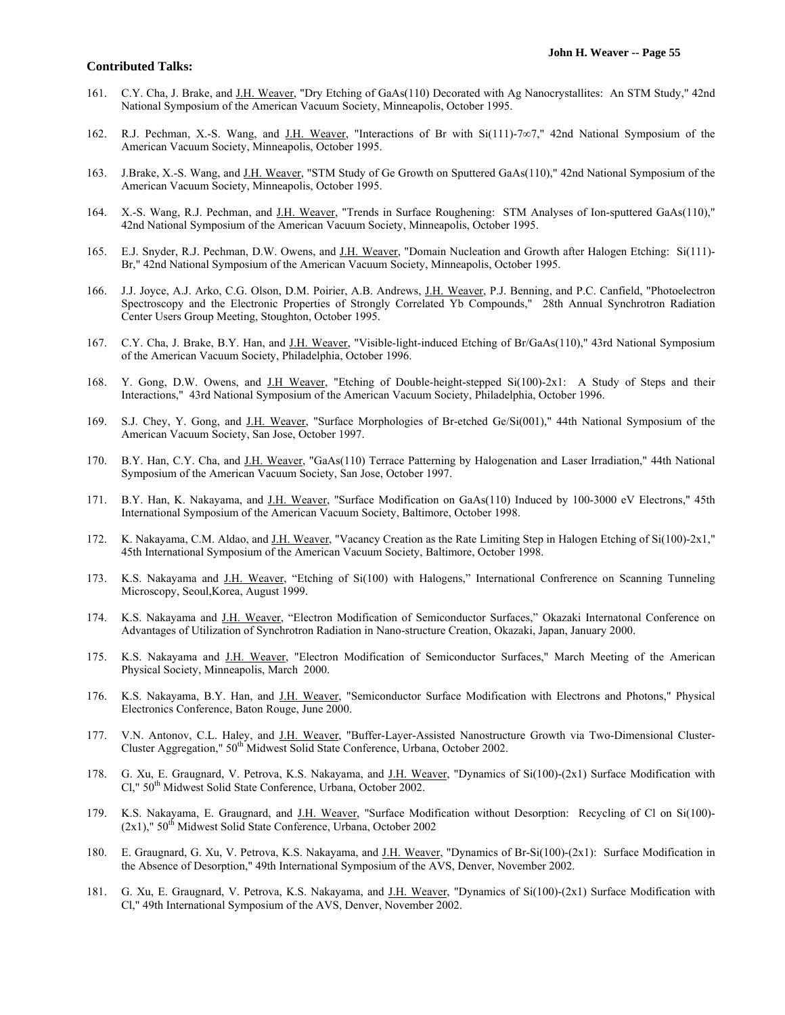- 161. C.Y. Cha, J. Brake, and J.H. Weaver, "Dry Etching of GaAs(110) Decorated with Ag Nanocrystallites: An STM Study," 42nd National Symposium of the American Vacuum Society, Minneapolis, October 1995.
- 162. R.J. Pechman, X.-S. Wang, and J.H. Weaver, "Interactions of Br with Si(111)-7 $\infty$ 7," 42nd National Symposium of the American Vacuum Society, Minneapolis, October 1995.
- 163. J.Brake, X.-S. Wang, and J.H. Weaver, "STM Study of Ge Growth on Sputtered GaAs(110)," 42nd National Symposium of the American Vacuum Society, Minneapolis, October 1995.
- 164. X.-S. Wang, R.J. Pechman, and J.H. Weaver, "Trends in Surface Roughening: STM Analyses of Ion-sputtered GaAs(110)," 42nd National Symposium of the American Vacuum Society, Minneapolis, October 1995.
- 165. E.J. Snyder, R.J. Pechman, D.W. Owens, and J.H. Weaver, "Domain Nucleation and Growth after Halogen Etching: Si(111)- Br," 42nd National Symposium of the American Vacuum Society, Minneapolis, October 1995.
- 166. J.J. Joyce, A.J. Arko, C.G. Olson, D.M. Poirier, A.B. Andrews, J.H. Weaver, P.J. Benning, and P.C. Canfield, "Photoelectron Spectroscopy and the Electronic Properties of Strongly Correlated Yb Compounds," 28th Annual Synchrotron Radiation Center Users Group Meeting, Stoughton, October 1995.
- 167. C.Y. Cha, J. Brake, B.Y. Han, and J.H. Weaver, "Visible-light-induced Etching of Br/GaAs(110)," 43rd National Symposium of the American Vacuum Society, Philadelphia, October 1996.
- 168. Y. Gong, D.W. Owens, and J.H Weaver, "Etching of Double-height-stepped Si(100)-2x1: A Study of Steps and their Interactions," 43rd National Symposium of the American Vacuum Society, Philadelphia, October 1996.
- 169. S.J. Chey, Y. Gong, and J.H. Weaver, "Surface Morphologies of Br-etched Ge/Si(001)," 44th National Symposium of the American Vacuum Society, San Jose, October 1997.
- 170. B.Y. Han, C.Y. Cha, and J.H. Weaver, "GaAs(110) Terrace Patterning by Halogenation and Laser Irradiation," 44th National Symposium of the American Vacuum Society, San Jose, October 1997.
- 171. B.Y. Han, K. Nakayama, and J.H. Weaver, "Surface Modification on GaAs(110) Induced by 100-3000 eV Electrons," 45th International Symposium of the American Vacuum Society, Baltimore, October 1998.
- 172. K. Nakayama, C.M. Aldao, and J.H. Weaver, "Vacancy Creation as the Rate Limiting Step in Halogen Etching of Si(100)-2x1," 45th International Symposium of the American Vacuum Society, Baltimore, October 1998.
- 173. K.S. Nakayama and J.H. Weaver, "Etching of Si(100) with Halogens," International Confrerence on Scanning Tunneling Microscopy, Seoul,Korea, August 1999.
- 174. K.S. Nakayama and J.H. Weaver, "Electron Modification of Semiconductor Surfaces," Okazaki Internatonal Conference on Advantages of Utilization of Synchrotron Radiation in Nano-structure Creation, Okazaki, Japan, January 2000.
- 175. K.S. Nakayama and J.H. Weaver, "Electron Modification of Semiconductor Surfaces," March Meeting of the American Physical Society, Minneapolis, March 2000.
- 176. K.S. Nakayama, B.Y. Han, and J.H. Weaver, "Semiconductor Surface Modification with Electrons and Photons," Physical Electronics Conference, Baton Rouge, June 2000.
- 177. V.N. Antonov, C.L. Haley, and J.H. Weaver, "Buffer-Layer-Assisted Nanostructure Growth via Two-Dimensional Cluster-Cluster Aggregation," 50<sup>th</sup> Midwest Solid State Conference, Urbana, October 2002.
- 178. G. Xu, E. Graugnard, V. Petrova, K.S. Nakayama, and J.H. Weaver, "Dynamics of Si(100)-(2x1) Surface Modification with Cl," 50<sup>th</sup> Midwest Solid State Conference, Urbana, October 2002.
- 179. K.S. Nakayama, E. Graugnard, and J.H. Weaver, "Surface Modification without Desorption: Recycling of Cl on Si(100)-  $(2x1)$ ," 50<sup>th</sup> Midwest Solid State Conference, Urbana, October 2002
- 180. E. Graugnard, G. Xu, V. Petrova, K.S. Nakayama, and J.H. Weaver, "Dynamics of Br-Si(100)-(2x1): Surface Modification in the Absence of Desorption," 49th International Symposium of the AVS, Denver, November 2002.
- 181. G. Xu, E. Graugnard, V. Petrova, K.S. Nakayama, and J.H. Weaver, "Dynamics of Si(100)-(2x1) Surface Modification with Cl," 49th International Symposium of the AVS, Denver, November 2002.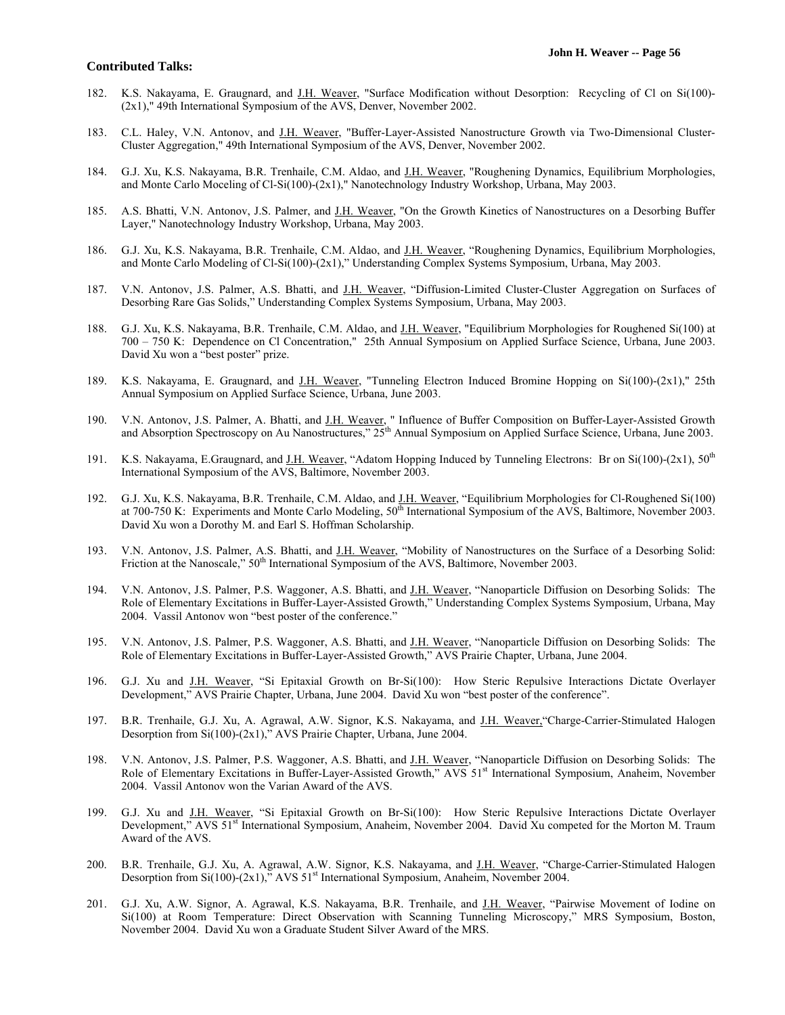- 182. K.S. Nakayama, E. Graugnard, and J.H. Weaver, "Surface Modification without Desorption: Recycling of Cl on Si(100)- (2x1)," 49th International Symposium of the AVS, Denver, November 2002.
- 183. C.L. Haley, V.N. Antonov, and J.H. Weaver, "Buffer-Layer-Assisted Nanostructure Growth via Two-Dimensional Cluster-Cluster Aggregation," 49th International Symposium of the AVS, Denver, November 2002.
- 184. G.J. Xu, K.S. Nakayama, B.R. Trenhaile, C.M. Aldao, and J.H. Weaver, "Roughening Dynamics, Equilibrium Morphologies, and Monte Carlo Moceling of Cl-Si(100)-(2x1)," Nanotechnology Industry Workshop, Urbana, May 2003.
- 185. A.S. Bhatti, V.N. Antonov, J.S. Palmer, and J.H. Weaver, "On the Growth Kinetics of Nanostructures on a Desorbing Buffer Layer," Nanotechnology Industry Workshop, Urbana, May 2003.
- 186. G.J. Xu, K.S. Nakayama, B.R. Trenhaile, C.M. Aldao, and J.H. Weaver, "Roughening Dynamics, Equilibrium Morphologies, and Monte Carlo Modeling of Cl-Si(100)-(2x1)," Understanding Complex Systems Symposium, Urbana, May 2003.
- 187. V.N. Antonov, J.S. Palmer, A.S. Bhatti, and J.H. Weaver, "Diffusion-Limited Cluster-Cluster Aggregation on Surfaces of Desorbing Rare Gas Solids," Understanding Complex Systems Symposium, Urbana, May 2003.
- 188. G.J. Xu, K.S. Nakayama, B.R. Trenhaile, C.M. Aldao, and J.H. Weaver, "Equilibrium Morphologies for Roughened Si(100) at 700 – 750 K: Dependence on Cl Concentration," 25th Annual Symposium on Applied Surface Science, Urbana, June 2003. David Xu won a "best poster" prize.
- 189. K.S. Nakayama, E. Graugnard, and J.H. Weaver, "Tunneling Electron Induced Bromine Hopping on Si(100)-(2x1)," 25th Annual Symposium on Applied Surface Science, Urbana, June 2003.
- 190. V.N. Antonov, J.S. Palmer, A. Bhatti, and J.H. Weaver, " Influence of Buffer Composition on Buffer-Layer-Assisted Growth and Absorption Spectroscopy on Au Nanostructures," 25<sup>th</sup> Annual Symposium on Applied Surface Science, Urbana, June 2003.
- 191. K.S. Nakayama, E.Graugnard, and J.H. Weaver, "Adatom Hopping Induced by Tunneling Electrons: Br on Si(100)-(2x1),  $50<sup>th</sup>$ International Symposium of the AVS, Baltimore, November 2003.
- 192. G.J. Xu, K.S. Nakayama, B.R. Trenhaile, C.M. Aldao, and J.H. Weaver, "Equilibrium Morphologies for Cl-Roughened Si(100) at 700-750 K: Experiments and Monte Carlo Modeling, 50<sup>th</sup> International Symposium of the AVS, Baltimore, November 2003. David Xu won a Dorothy M. and Earl S. Hoffman Scholarship.
- 193. V.N. Antonov, J.S. Palmer, A.S. Bhatti, and J.H. Weaver, "Mobility of Nanostructures on the Surface of a Desorbing Solid: Friction at the Nanoscale,"  $50<sup>th</sup>$  International Symposium of the AVS, Baltimore, November 2003.
- 194. V.N. Antonov, J.S. Palmer, P.S. Waggoner, A.S. Bhatti, and J.H. Weaver, "Nanoparticle Diffusion on Desorbing Solids: The Role of Elementary Excitations in Buffer-Layer-Assisted Growth," Understanding Complex Systems Symposium, Urbana, May 2004. Vassil Antonov won "best poster of the conference."
- 195. V.N. Antonov, J.S. Palmer, P.S. Waggoner, A.S. Bhatti, and J.H. Weaver, "Nanoparticle Diffusion on Desorbing Solids: The Role of Elementary Excitations in Buffer-Layer-Assisted Growth," AVS Prairie Chapter, Urbana, June 2004.
- 196. G.J. Xu and J.H. Weaver, "Si Epitaxial Growth on Br-Si(100): How Steric Repulsive Interactions Dictate Overlayer Development," AVS Prairie Chapter, Urbana, June 2004. David Xu won "best poster of the conference".
- 197. B.R. Trenhaile, G.J. Xu, A. Agrawal, A.W. Signor, K.S. Nakayama, and J.H. Weaver,"Charge-Carrier-Stimulated Halogen Desorption from Si(100)-(2x1)," AVS Prairie Chapter, Urbana, June 2004.
- 198. V.N. Antonov, J.S. Palmer, P.S. Waggoner, A.S. Bhatti, and J.H. Weaver, "Nanoparticle Diffusion on Desorbing Solids: The Role of Elementary Excitations in Buffer-Layer-Assisted Growth," AVS 51<sup>st</sup> International Symposium, Anaheim, November 2004. Vassil Antonov won the Varian Award of the AVS.
- 199. G.J. Xu and J.H. Weaver, "Si Epitaxial Growth on Br-Si(100): How Steric Repulsive Interactions Dictate Overlayer Development," AVS 51<sup>st</sup> International Symposium, Anaheim, November 2004. David Xu competed for the Morton M. Traum Award of the AVS.
- 200. B.R. Trenhaile, G.J. Xu, A. Agrawal, A.W. Signor, K.S. Nakayama, and J.H. Weaver, "Charge-Carrier-Stimulated Halogen Desorption from Si(100)-(2x1)," AVS  $51<sup>st</sup>$  International Symposium, Anaheim, November 2004.
- 201. G.J. Xu, A.W. Signor, A. Agrawal, K.S. Nakayama, B.R. Trenhaile, and J.H. Weaver, "Pairwise Movement of Iodine on Si(100) at Room Temperature: Direct Observation with Scanning Tunneling Microscopy," MRS Symposium, Boston, November 2004. David Xu won a Graduate Student Silver Award of the MRS.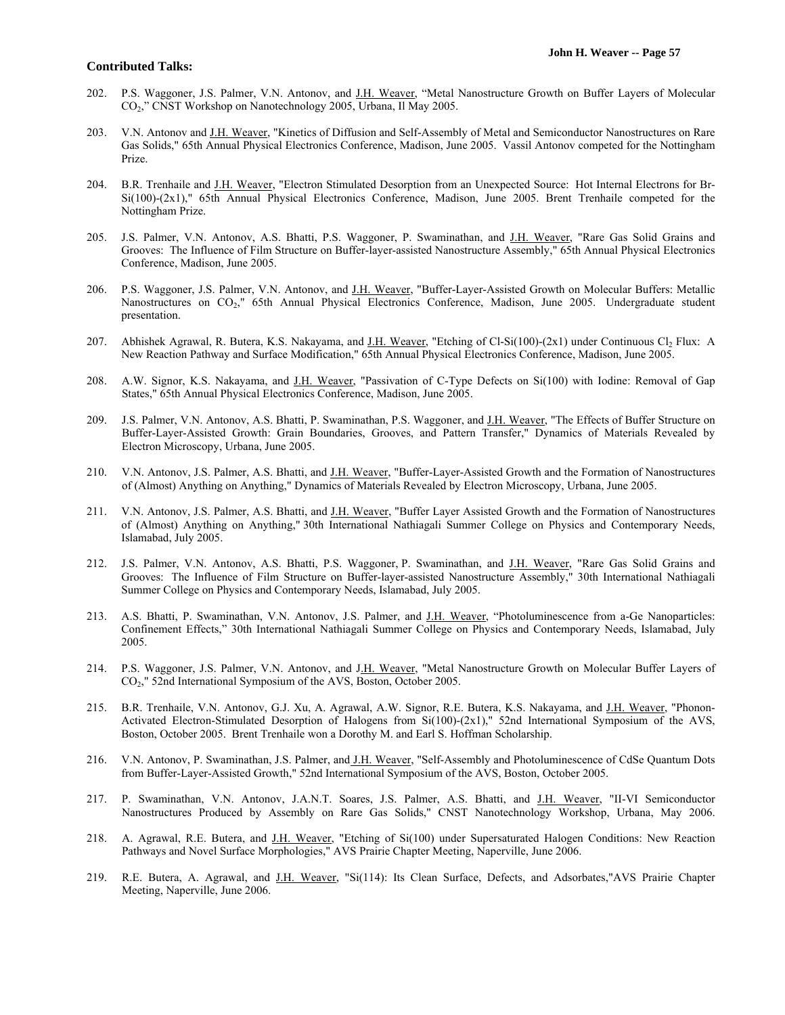- 202. P.S. Waggoner, J.S. Palmer, V.N. Antonov, and J.H. Weaver, "Metal Nanostructure Growth on Buffer Layers of Molecular CO2," CNST Workshop on Nanotechnology 2005, Urbana, Il May 2005.
- 203. V.N. Antonov and J.H. Weaver, "Kinetics of Diffusion and Self-Assembly of Metal and Semiconductor Nanostructures on Rare Gas Solids," 65th Annual Physical Electronics Conference, Madison, June 2005. Vassil Antonov competed for the Nottingham Prize.
- 204. B.R. Trenhaile and J.H. Weaver, "Electron Stimulated Desorption from an Unexpected Source: Hot Internal Electrons for Br-Si(100)-(2x1)," 65th Annual Physical Electronics Conference, Madison, June 2005. Brent Trenhaile competed for the Nottingham Prize.
- 205. J.S. Palmer, V.N. Antonov, A.S. Bhatti, P.S. Waggoner, P. Swaminathan, and J.H. Weaver, "Rare Gas Solid Grains and Grooves: The Influence of Film Structure on Buffer-layer-assisted Nanostructure Assembly," 65th Annual Physical Electronics Conference, Madison, June 2005.
- 206. P.S. Waggoner, J.S. Palmer, V.N. Antonov, and J.H. Weaver, "Buffer-Layer-Assisted Growth on Molecular Buffers: Metallic Nanostructures on CO2," 65th Annual Physical Electronics Conference, Madison, June 2005. Undergraduate student presentation.
- 207. Abhishek Agrawal, R. Butera, K.S. Nakayama, and J.H. Weaver, "Etching of Cl-Si(100)-(2x1) under Continuous Cl<sub>2</sub> Flux: A New Reaction Pathway and Surface Modification," 65th Annual Physical Electronics Conference, Madison, June 2005.
- 208. A.W. Signor, K.S. Nakayama, and J.H. Weaver, "Passivation of C-Type Defects on Si(100) with Iodine: Removal of Gap States," 65th Annual Physical Electronics Conference, Madison, June 2005.
- 209. J.S. Palmer, V.N. Antonov, A.S. Bhatti, P. Swaminathan, P.S. Waggoner, and J.H. Weaver, "The Effects of Buffer Structure on Buffer-Layer-Assisted Growth: Grain Boundaries, Grooves, and Pattern Transfer," Dynamics of Materials Revealed by Electron Microscopy, Urbana, June 2005.
- 210. V.N. Antonov, J.S. Palmer, A.S. Bhatti, and J.H. Weaver, "Buffer-Layer-Assisted Growth and the Formation of Nanostructures of (Almost) Anything on Anything," Dynamics of Materials Revealed by Electron Microscopy, Urbana, June 2005.
- 211. V.N. Antonov, J.S. Palmer, A.S. Bhatti, and J.H. Weaver, "Buffer Layer Assisted Growth and the Formation of Nanostructures of (Almost) Anything on Anything," 30th International Nathiagali Summer College on Physics and Contemporary Needs, Islamabad, July 2005.
- 212. J.S. Palmer, V.N. Antonov, A.S. Bhatti, P.S. Waggoner, P. Swaminathan, and J.H. Weaver, "Rare Gas Solid Grains and Grooves: The Influence of Film Structure on Buffer-layer-assisted Nanostructure Assembly," 30th International Nathiagali Summer College on Physics and Contemporary Needs, Islamabad, July 2005.
- 213. A.S. Bhatti, P. Swaminathan, V.N. Antonov, J.S. Palmer, and J.H. Weaver, "Photoluminescence from a-Ge Nanoparticles: Confinement Effects," 30th International Nathiagali Summer College on Physics and Contemporary Needs, Islamabad, July 2005.
- 214. P.S. Waggoner, J.S. Palmer, V.N. Antonov, and J.H. Weaver, "Metal Nanostructure Growth on Molecular Buffer Layers of CO2," 52nd International Symposium of the AVS, Boston, October 2005.
- 215. B.R. Trenhaile, V.N. Antonov, G.J. Xu, A. Agrawal, A.W. Signor, R.E. Butera, K.S. Nakayama, and J.H. Weaver, "Phonon-Activated Electron-Stimulated Desorption of Halogens from Si(100)-(2x1)," 52nd International Symposium of the AVS, Boston, October 2005. Brent Trenhaile won a Dorothy M. and Earl S. Hoffman Scholarship.
- 216. V.N. Antonov, P. Swaminathan, J.S. Palmer, and J.H. Weaver, "Self-Assembly and Photoluminescence of CdSe Quantum Dots from Buffer-Layer-Assisted Growth," 52nd International Symposium of the AVS, Boston, October 2005.
- 217. P. Swaminathan, V.N. Antonov, J.A.N.T. Soares, J.S. Palmer, A.S. Bhatti, and J.H. Weaver, "II-VI Semiconductor Nanostructures Produced by Assembly on Rare Gas Solids," CNST Nanotechnology Workshop, Urbana, May 2006.
- 218. A. Agrawal, R.E. Butera, and J.H. Weaver, "Etching of Si(100) under Supersaturated Halogen Conditions: New Reaction Pathways and Novel Surface Morphologies," AVS Prairie Chapter Meeting, Naperville, June 2006.
- 219. R.E. Butera, A. Agrawal, and J.H. Weaver, "Si(114): Its Clean Surface, Defects, and Adsorbates,"AVS Prairie Chapter Meeting, Naperville, June 2006.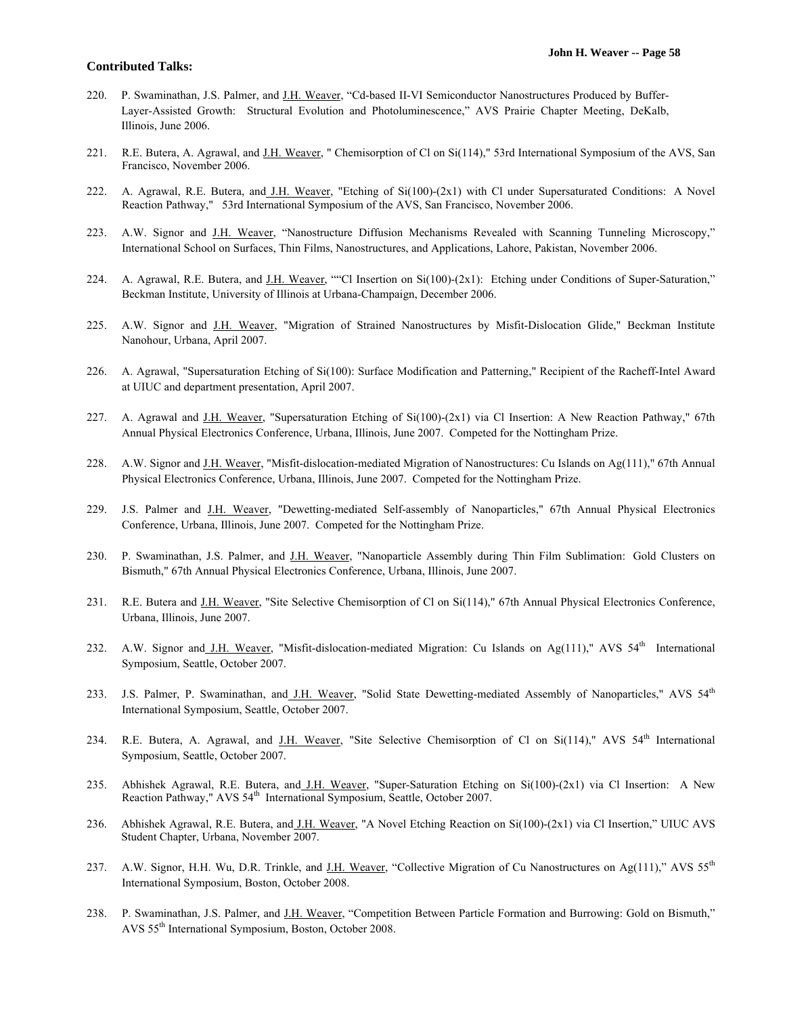- 220. P. Swaminathan, J.S. Palmer, and J.H. Weaver, "Cd-based II-VI Semiconductor Nanostructures Produced by Buffer-Layer-Assisted Growth: Structural Evolution and Photoluminescence," AVS Prairie Chapter Meeting, DeKalb, Illinois, June 2006.
- 221. R.E. Butera, A. Agrawal, and J.H. Weaver, " Chemisorption of Cl on Si(114)," 53rd International Symposium of the AVS, San Francisco, November 2006.
- 222. A. Agrawal, R.E. Butera, and J.H. Weaver, "Etching of Si(100)-(2x1) with Cl under Supersaturated Conditions: A Novel Reaction Pathway," 53rd International Symposium of the AVS, San Francisco, November 2006.
- 223. A.W. Signor and J.H. Weaver, "Nanostructure Diffusion Mechanisms Revealed with Scanning Tunneling Microscopy," International School on Surfaces, Thin Films, Nanostructures, and Applications, Lahore, Pakistan, November 2006.
- 224. A. Agrawal, R.E. Butera, and J.H. Weaver, ""Cl Insertion on  $Si(100)-(2x1)$ : Etching under Conditions of Super-Saturation," Beckman Institute, University of Illinois at Urbana-Champaign, December 2006.
- 225. A.W. Signor and J.H. Weaver, "Migration of Strained Nanostructures by Misfit-Dislocation Glide," Beckman Institute Nanohour, Urbana, April 2007.
- 226. A. Agrawal, "Supersaturation Etching of Si(100): Surface Modification and Patterning," Recipient of the Racheff-Intel Award at UIUC and department presentation, April 2007.
- 227. A. Agrawal and J.H. Weaver, "Supersaturation Etching of  $Si(100)-(2x1)$  via Cl Insertion: A New Reaction Pathway," 67th Annual Physical Electronics Conference, Urbana, Illinois, June 2007. Competed for the Nottingham Prize.
- 228. A.W. Signor and J.H. Weaver, "Misfit-dislocation-mediated Migration of Nanostructures: Cu Islands on Ag(111)," 67th Annual Physical Electronics Conference, Urbana, Illinois, June 2007. Competed for the Nottingham Prize.
- 229. J.S. Palmer and J.H. Weaver, "Dewetting-mediated Self-assembly of Nanoparticles," 67th Annual Physical Electronics Conference, Urbana, Illinois, June 2007. Competed for the Nottingham Prize.
- 230. P. Swaminathan, J.S. Palmer, and J.H. Weaver, "Nanoparticle Assembly during Thin Film Sublimation: Gold Clusters on Bismuth," 67th Annual Physical Electronics Conference, Urbana, Illinois, June 2007.
- 231. R.E. Butera and J.H. Weaver, "Site Selective Chemisorption of Cl on Si(114)," 67th Annual Physical Electronics Conference, Urbana, Illinois, June 2007.
- 232. A.W. Signor and J.H. Weaver, "Misfit-dislocation-mediated Migration: Cu Islands on Ag(111)," AVS  $54<sup>th</sup>$  International Symposium, Seattle, October 2007.
- 233. J.S. Palmer, P. Swaminathan, and J.H. Weaver, "Solid State Dewetting-mediated Assembly of Nanoparticles," AVS 54<sup>th</sup> International Symposium, Seattle, October 2007.
- 234. R.E. Butera, A. Agrawal, and J.H. Weaver, "Site Selective Chemisorption of Cl on Si(114)," AVS 54<sup>th</sup> International Symposium, Seattle, October 2007.
- 235. Abhishek Agrawal, R.E. Butera, and J.H. Weaver, "Super-Saturation Etching on Si(100)-(2x1) via Cl Insertion: A New Reaction Pathway," AVS 54<sup>th</sup> International Symposium, Seattle, October 2007.
- 236. Abhishek Agrawal, R.E. Butera, and J.H. Weaver, "A Novel Etching Reaction on Si(100)-(2x1) via Cl Insertion," UIUC AVS Student Chapter, Urbana, November 2007.
- 237. A.W. Signor, H.H. Wu, D.R. Trinkle, and J.H. Weaver, "Collective Migration of Cu Nanostructures on Ag(111)," AVS 55<sup>th</sup> International Symposium, Boston, October 2008.
- 238. P. Swaminathan, J.S. Palmer, and J.H. Weaver, "Competition Between Particle Formation and Burrowing: Gold on Bismuth," AVS 55th International Symposium, Boston, October 2008.